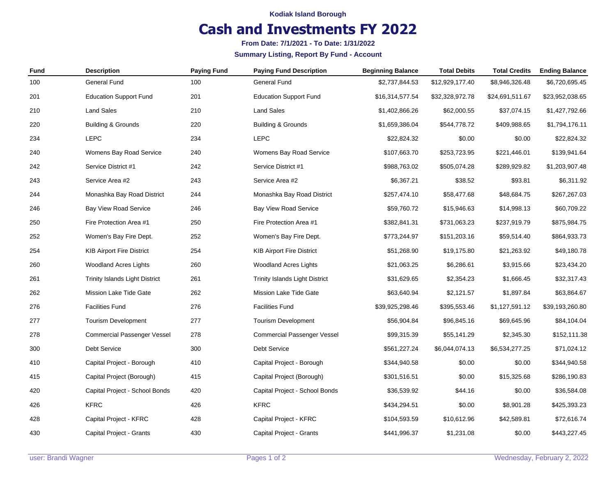#### **Kodiak Island Borough**

## **Cash and Investments FY 2022**

**From Date: 7/1/2021 - To Date: 1/31/2022**

#### **Summary Listing, Report By Fund - Account**

| <b>Fund</b> | <b>Description</b>                 | <b>Paying Fund</b> | <b>Paying Fund Description</b>        | <b>Beginning Balance</b> | <b>Total Debits</b> | <b>Total Credits</b> | <b>Ending Balance</b> |
|-------------|------------------------------------|--------------------|---------------------------------------|--------------------------|---------------------|----------------------|-----------------------|
| 100         | General Fund                       | 100                | General Fund                          | \$2,737,844.53           | \$12,929,177.40     | \$8,946,326.48       | \$6,720,695.45        |
| 201         | <b>Education Support Fund</b>      | 201                | <b>Education Support Fund</b>         | \$16,314,577.54          | \$32,328,972.78     | \$24,691,511.67      | \$23,952,038.65       |
| 210         | <b>Land Sales</b>                  | 210                | <b>Land Sales</b>                     | \$1,402,866.26           | \$62,000.55         | \$37,074.15          | \$1,427,792.66        |
| 220         | Building & Grounds                 | 220                | <b>Building &amp; Grounds</b>         | \$1,659,386.04           | \$544,778.72        | \$409,988.65         | \$1,794,176.11        |
| 234         | <b>LEPC</b>                        | 234                | <b>LEPC</b>                           | \$22,824.32              | \$0.00              | \$0.00               | \$22,824.32           |
| 240         | Womens Bay Road Service            | 240                | Womens Bay Road Service               | \$107,663.70             | \$253,723.95        | \$221,446.01         | \$139,941.64          |
| 242         | Service District #1                | 242                | Service District #1                   | \$988,763.02             | \$505,074.28        | \$289,929.82         | \$1,203,907.48        |
| 243         | Service Area #2                    | 243                | Service Area #2                       | \$6,367.21               | \$38.52             | \$93.81              | \$6,311.92            |
| 244         | Monashka Bay Road District         | 244                | Monashka Bay Road District            | \$257,474.10             | \$58,477.68         | \$48,684.75          | \$267,267.03          |
| 246         | <b>Bay View Road Service</b>       | 246                | <b>Bay View Road Service</b>          | \$59,760.72              | \$15,946.63         | \$14,998.13          | \$60,709.22           |
| 250         | Fire Protection Area #1            | 250                | Fire Protection Area #1               | \$382,841.31             | \$731,063.23        | \$237,919.79         | \$875,984.75          |
| 252         | Women's Bay Fire Dept.             | 252                | Women's Bay Fire Dept.                | \$773,244.97             | \$151,203.16        | \$59,514.40          | \$864,933.73          |
| 254         | <b>KIB Airport Fire District</b>   | 254                | <b>KIB Airport Fire District</b>      | \$51,268.90              | \$19,175.80         | \$21,263.92          | \$49,180.78           |
| 260         | <b>Woodland Acres Lights</b>       | 260                | <b>Woodland Acres Lights</b>          | \$21,063.25              | \$6,286.61          | \$3,915.66           | \$23,434.20           |
| 261         | Trinity Islands Light District     | 261                | <b>Trinity Islands Light District</b> | \$31,629.65              | \$2,354.23          | \$1,666.45           | \$32,317.43           |
| 262         | Mission Lake Tide Gate             | 262                | <b>Mission Lake Tide Gate</b>         | \$63,640.94              | \$2,121.57          | \$1,897.84           | \$63,864.67           |
| 276         | <b>Facilities Fund</b>             | 276                | <b>Facilities Fund</b>                | \$39,925,298.46          | \$395,553.46        | \$1,127,591.12       | \$39,193,260.80       |
| 277         | <b>Tourism Development</b>         | 277                | <b>Tourism Development</b>            | \$56,904.84              | \$96,845.16         | \$69,645.96          | \$84,104.04           |
| 278         | <b>Commercial Passenger Vessel</b> | 278                | <b>Commercial Passenger Vessel</b>    | \$99,315.39              | \$55,141.29         | \$2,345.30           | \$152,111.38          |
| 300         | Debt Service                       | 300                | Debt Service                          | \$561,227.24             | \$6,044,074.13      | \$6,534,277.25       | \$71,024.12           |
| 410         | Capital Project - Borough          | 410                | Capital Project - Borough             | \$344,940.58             | \$0.00              | \$0.00               | \$344,940.58          |
| 415         | Capital Project (Borough)          | 415                | Capital Project (Borough)             | \$301,516.51             | \$0.00              | \$15,325.68          | \$286,190.83          |
| 420         | Capital Project - School Bonds     | 420                | Capital Project - School Bonds        | \$36,539.92              | \$44.16             | \$0.00               | \$36,584.08           |
| 426         | <b>KFRC</b>                        | 426                | <b>KFRC</b>                           | \$434,294.51             | \$0.00              | \$8,901.28           | \$425,393.23          |
| 428         | Capital Project - KFRC             | 428                | Capital Project - KFRC                | \$104,593.59             | \$10,612.96         | \$42,589.81          | \$72,616.74           |
| 430         | Capital Project - Grants           | 430                | Capital Project - Grants              | \$441,996.37             | \$1,231.08          | \$0.00               | \$443,227.45          |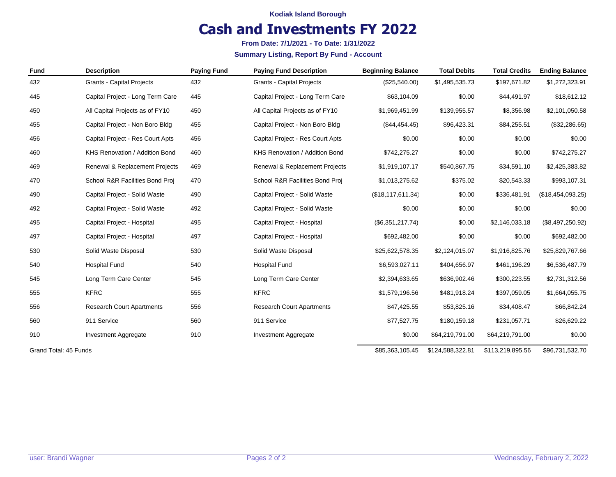**Kodiak Island Borough**

## **Cash and Investments FY 2022**

**From Date: 7/1/2021 - To Date: 1/31/2022**

**Summary Listing, Report By Fund - Account**

| <b>Fund</b> | <b>Description</b>               | <b>Paying Fund</b> | <b>Paying Fund Description</b>   | <b>Beginning Balance</b> | <b>Total Debits</b> | <b>Total Credits</b> | <b>Ending Balance</b> |
|-------------|----------------------------------|--------------------|----------------------------------|--------------------------|---------------------|----------------------|-----------------------|
| 432         | <b>Grants - Capital Projects</b> | 432                | <b>Grants - Capital Projects</b> | (\$25,540.00)            | \$1,495,535.73      | \$197,671.82         | \$1,272,323.91        |
| 445         | Capital Project - Long Term Care | 445                | Capital Project - Long Term Care | \$63,104.09              | \$0.00              | \$44,491.97          | \$18,612.12           |
| 450         | All Capital Projects as of FY10  | 450                | All Capital Projects as of FY10  | \$1,969,451.99           | \$139,955.57        | \$8,356.98           | \$2,101,050.58        |
| 455         | Capital Project - Non Boro Bldg  | 455                | Capital Project - Non Boro Bldg  | (\$44,454.45)            | \$96,423.31         | \$84,255.51          | (\$32,286.65)         |
| 456         | Capital Project - Res Court Apts | 456                | Capital Project - Res Court Apts | \$0.00                   | \$0.00              | \$0.00               | \$0.00                |
| 460         | KHS Renovation / Addition Bond   | 460                | KHS Renovation / Addition Bond   | \$742,275.27             | \$0.00              | \$0.00               | \$742,275.27          |
| 469         | Renewal & Replacement Projects   | 469                | Renewal & Replacement Projects   | \$1,919,107.17           | \$540,867.75        | \$34,591.10          | \$2,425,383.82        |
| 470         | School R&R Facilities Bond Proj  | 470                | School R&R Facilities Bond Proj  | \$1,013,275.62           | \$375.02            | \$20,543.33          | \$993,107.31          |
| 490         | Capital Project - Solid Waste    | 490                | Capital Project - Solid Waste    | (\$18, 117, 611.34)      | \$0.00              | \$336,481.91         | (\$18,454,093.25)     |
| 492         | Capital Project - Solid Waste    | 492                | Capital Project - Solid Waste    | \$0.00                   | \$0.00              | \$0.00               | \$0.00                |
| 495         | Capital Project - Hospital       | 495                | Capital Project - Hospital       | (\$6,351,217.74)         | \$0.00              | \$2,146,033.18       | (\$8,497,250.92)      |
| 497         | Capital Project - Hospital       | 497                | Capital Project - Hospital       | \$692,482.00             | \$0.00              | \$0.00               | \$692,482.00          |
| 530         | Solid Waste Disposal             | 530                | Solid Waste Disposal             | \$25,622,578.35          | \$2,124,015.07      | \$1,916,825.76       | \$25,829,767.66       |
| 540         | <b>Hospital Fund</b>             | 540                | <b>Hospital Fund</b>             | \$6,593,027.11           | \$404,656.97        | \$461,196.29         | \$6,536,487.79        |
| 545         | Long Term Care Center            | 545                | Long Term Care Center            | \$2,394,633.65           | \$636,902.46        | \$300,223.55         | \$2,731,312.56        |
| 555         | <b>KFRC</b>                      | 555                | <b>KFRC</b>                      | \$1,579,196.56           | \$481,918.24        | \$397,059.05         | \$1,664,055.75        |
| 556         | <b>Research Court Apartments</b> | 556                | <b>Research Court Apartments</b> | \$47,425.55              | \$53,825.16         | \$34,408.47          | \$66,842.24           |
| 560         | 911 Service                      | 560                | 911 Service                      | \$77,527.75              | \$180,159.18        | \$231,057.71         | \$26,629.22           |
| 910         | Investment Aggregate             | 910                | Investment Aggregate             | \$0.00                   | \$64,219,791.00     | \$64,219,791.00      | \$0.00                |
|             |                                  |                    |                                  |                          |                     |                      |                       |

Grand Total: 45 Funds \$85,363,105.45 \$124,588,322.81 \$113,219,895.56 \$96,731,532.70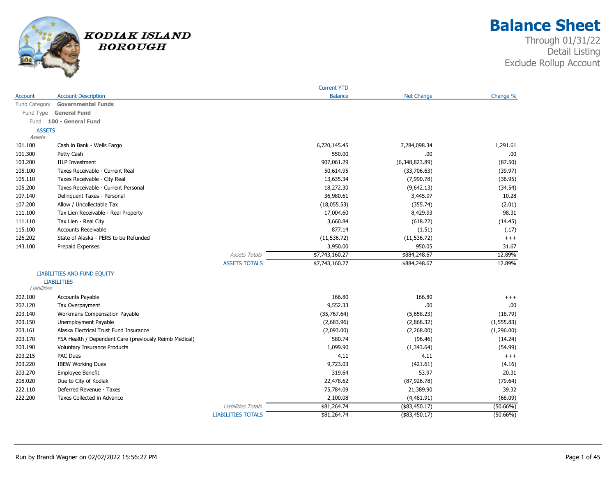

# **Balance Sheet**

|               |                                                        |                           | <b>Current YTD</b> |                   |             |
|---------------|--------------------------------------------------------|---------------------------|--------------------|-------------------|-------------|
| Account       | <b>Account Description</b>                             |                           | <b>Balance</b>     | <b>Net Change</b> | Change %    |
| Fund Category | <b>Governmental Funds</b>                              |                           |                    |                   |             |
|               | Fund Type General Fund                                 |                           |                    |                   |             |
|               | Fund 100 - General Fund                                |                           |                    |                   |             |
| <b>ASSETS</b> |                                                        |                           |                    |                   |             |
| <b>Assets</b> |                                                        |                           |                    |                   |             |
| 101.100       | Cash in Bank - Wells Fargo                             |                           | 6,720,145.45       | 7,284,098.34      | 1,291.61    |
| 101.300       | Petty Cash                                             |                           | 550.00             | .00               | .00         |
| 103.200       | <b>IILP Investment</b>                                 |                           | 907,061.29         | (6,348,823.89)    | (87.50)     |
| 105.100       | Taxes Receivable - Current Real                        |                           | 50,614.95          | (33,706.63)       | (39.97)     |
| 105.110       | Taxes Receivable - City Real                           |                           | 13,635.34          | (7,990.78)        | (36.95)     |
| 105.200       | Taxes Receivable - Current Personal                    |                           | 18,272.30          | (9,642.13)        | (34.54)     |
| 107.140       | Delinguent Taxes - Personal                            |                           | 36,980.61          | 3,445.97          | 10.28       |
| 107.200       | Allow / Uncollectable Tax                              |                           | (18,055.53)        | (355.74)          | (2.01)      |
| 111.100       | Tax Lien Receivable - Real Property                    |                           | 17,004.60          | 8,429.93          | 98.31       |
| 111.110       | Tax Lien - Real City                                   |                           | 3,660.84           | (618.22)          | (14.45)     |
| 115.100       | <b>Accounts Receivable</b>                             |                           | 877.14             | (1.51)            | (.17)       |
| 126.202       | State of Alaska - PERS to be Refunded                  |                           | (11, 536.72)       | (11, 536.72)      | $+++$       |
| 143.100       | Prepaid Expenses                                       |                           | 3,950.00           | 950.05            | 31.67       |
|               |                                                        | <b>Assets Totals</b>      | \$7,743,160.27     | \$884,248.67      | 12.89%      |
|               |                                                        | <b>ASSETS TOTALS</b>      | \$7,743,160.27     | \$884,248.67      | 12.89%      |
|               | <b>LIABILITIES AND FUND EQUITY</b>                     |                           |                    |                   |             |
|               | <b>LIABILITIES</b>                                     |                           |                    |                   |             |
| Liabilities   |                                                        |                           |                    |                   |             |
| 202.100       | <b>Accounts Payable</b>                                |                           | 166.80             | 166.80            | $^{+++}$    |
| 202.120       | Tax Overpayment                                        |                           | 9,552.33           | .00               | .00.        |
| 203.140       | Workmans Compensation Payable                          |                           | (35,767.64)        | (5,658.23)        | (18.79)     |
| 203.150       | Unemployment Payable                                   |                           | (2,683.96)         | (2,868.32)        | (1, 555.83) |
| 203.161       | Alaska Electrical Trust Fund Insurance                 |                           | (2,093.00)         | (2,268.00)        | (1,296.00)  |
| 203.170       | FSA Health / Dependent Care (previously Reimb Medical) |                           | 580.74             | (96.46)           | (14.24)     |
| 203.190       | <b>Voluntary Insurance Products</b>                    |                           | 1,099.90           | (1,343.64)        | (54.99)     |
| 203.215       | PAC Dues                                               |                           | 4.11               | 4.11              | $^{+++}$    |
| 203.220       | <b>IBEW Working Dues</b>                               |                           | 9,723.03           | (421.61)          | (4.16)      |
| 203.270       | Employee Benefit                                       |                           | 319.64             | 53.97             | 20.31       |
| 208.020       | Due to City of Kodiak                                  |                           | 22,478.62          | (87, 926.78)      | (79.64)     |
| 222.110       | Deferred Revenue - Taxes                               |                           | 75,784.09          | 21,389.90         | 39.32       |
| 222,200       | Taxes Collected in Advance                             |                           | 2,100.08           | (4,481.91)        | (68.09)     |
|               |                                                        | Liabilities Totals        | \$81,264.74        | (\$83,450.17)     | $(50.66\%)$ |
|               |                                                        | <b>LIABILITIES TOTALS</b> | \$81,264.74        | $($ \$83,450.17)  | $(50.66\%)$ |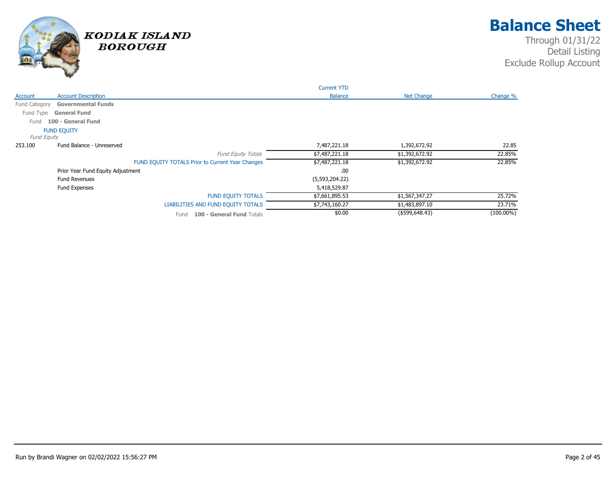

|                    |                                   |                                                  | <b>Current YTD</b> |                   |              |
|--------------------|-----------------------------------|--------------------------------------------------|--------------------|-------------------|--------------|
| Account            | <b>Account Description</b>        |                                                  | <b>Balance</b>     | <b>Net Change</b> | Change %     |
| Fund Category      | <b>Governmental Funds</b>         |                                                  |                    |                   |              |
| Fund Type          | <b>General Fund</b>               |                                                  |                    |                   |              |
| Fund               | 100 - General Fund                |                                                  |                    |                   |              |
|                    | <b>FUND EQUITY</b>                |                                                  |                    |                   |              |
| <b>Fund Equity</b> |                                   |                                                  |                    |                   |              |
| 253.100            | Fund Balance - Unreserved         |                                                  | 7,487,221.18       | 1,392,672.92      | 22.85        |
|                    |                                   | <b>Fund Equity Totals</b>                        | \$7,487,221.18     | \$1,392,672.92    | 22.85%       |
|                    |                                   | FUND EQUITY TOTALS Prior to Current Year Changes | \$7,487,221.18     | \$1,392,672.92    | 22.85%       |
|                    | Prior Year Fund Equity Adjustment |                                                  | .00                |                   |              |
|                    | <b>Fund Revenues</b>              |                                                  | (5,593,204.22)     |                   |              |
|                    | Fund Expenses                     |                                                  | 5,418,529.87       |                   |              |
|                    |                                   | <b>FUND EQUITY TOTALS</b>                        | \$7,661,895.53     | \$1,567,347.27    | 25.72%       |
|                    |                                   | LIABILITIES AND FUND EQUITY TOTALS               | \$7,743,160.27     | \$1,483,897.10    | 23.71%       |
|                    |                                   | 100 - General Fund Totals<br>Fund                | \$0.00             | (\$599, 648.43)   | $(100.00\%)$ |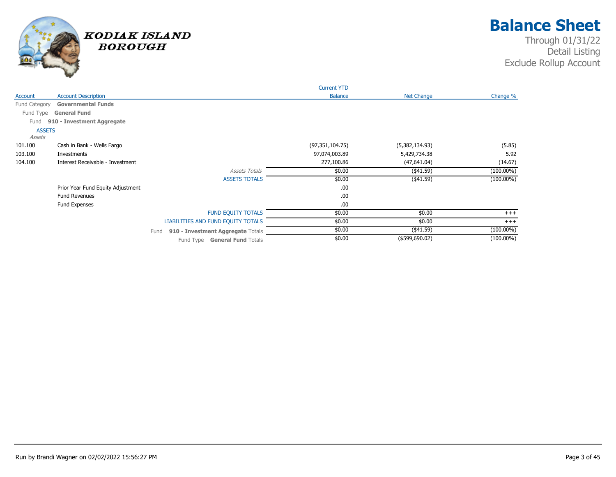

|               |                                   |                                           | <b>Current YTD</b> |                   |              |
|---------------|-----------------------------------|-------------------------------------------|--------------------|-------------------|--------------|
| Account       | <b>Account Description</b>        |                                           | <b>Balance</b>     | Net Change        | Change %     |
| Fund Category | <b>Governmental Funds</b>         |                                           |                    |                   |              |
| Fund Type     | <b>General Fund</b>               |                                           |                    |                   |              |
| Fund          | 910 - Investment Aggregate        |                                           |                    |                   |              |
| <b>ASSETS</b> |                                   |                                           |                    |                   |              |
| Assets        |                                   |                                           |                    |                   |              |
| 101.100       | Cash in Bank - Wells Fargo        |                                           | (97, 351, 104.75)  | (5,382,134.93)    | (5.85)       |
| 103.100       | Investments                       |                                           | 97,074,003.89      | 5,429,734.38      | 5.92         |
| 104.100       | Interest Receivable - Investment  |                                           | 277,100.86         | (47,641.04)       | (14.67)      |
|               |                                   | <b>Assets Totals</b>                      | \$0.00             | (441.59)          | $(100.00\%)$ |
|               |                                   | <b>ASSETS TOTALS</b>                      | \$0.00             | (441.59)          | $(100.00\%)$ |
|               | Prior Year Fund Equity Adjustment |                                           | .00                |                   |              |
|               | <b>Fund Revenues</b>              |                                           | .00                |                   |              |
|               | Fund Expenses                     |                                           | .00                |                   |              |
|               |                                   | FUND EQUITY TOTALS                        | \$0.00             | \$0.00            | $+++$        |
|               |                                   | LIABILITIES AND FUND EQUITY TOTALS        | \$0.00             | \$0.00            | $+++$        |
|               |                                   | 910 - Investment Aggregate Totals<br>Fund | \$0.00             | (441.59)          | $(100.00\%)$ |
|               |                                   | Fund Type General Fund Totals             | \$0.00             | $($ \$599,690.02) | $(100.00\%)$ |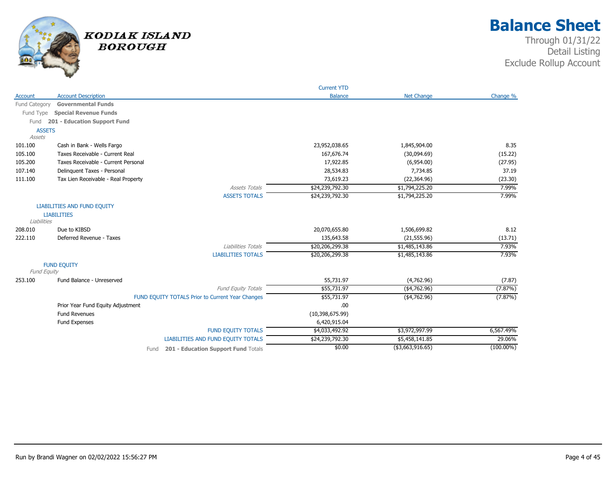

|                    |                                                  | <b>Current YTD</b> |                   |              |
|--------------------|--------------------------------------------------|--------------------|-------------------|--------------|
| Account            | <b>Account Description</b>                       | <b>Balance</b>     | <b>Net Change</b> | Change %     |
| Fund Category      | <b>Governmental Funds</b>                        |                    |                   |              |
|                    | Fund Type Special Revenue Funds                  |                    |                   |              |
| Fund               | 201 - Education Support Fund                     |                    |                   |              |
| <b>ASSETS</b>      |                                                  |                    |                   |              |
| Assets             |                                                  |                    |                   |              |
| 101.100            | Cash in Bank - Wells Fargo                       | 23,952,038.65      | 1,845,904.00      | 8.35         |
| 105.100            | Taxes Receivable - Current Real                  | 167,676.74         | (30,094.69)       | (15.22)      |
| 105.200            | Taxes Receivable - Current Personal              | 17,922.85          | (6,954.00)        | (27.95)      |
| 107.140            | Delinquent Taxes - Personal                      | 28,534.83          | 7,734.85          | 37.19        |
| 111.100            | Tax Lien Receivable - Real Property              | 73,619.23          | (22, 364.96)      | (23.30)      |
|                    | <b>Assets Totals</b>                             | \$24,239,792.30    | \$1,794,225.20    | 7.99%        |
|                    | <b>ASSETS TOTALS</b>                             | \$24,239,792.30    | \$1,794,225.20    | 7.99%        |
|                    | <b>LIABILITIES AND FUND EQUITY</b>               |                    |                   |              |
|                    | <b>LIABILITIES</b>                               |                    |                   |              |
| Liabilities        |                                                  |                    |                   |              |
| 208.010            | Due to KIBSD                                     | 20,070,655.80      | 1,506,699.82      | 8.12         |
| 222.110            | Deferred Revenue - Taxes                         | 135,643.58         | (21, 555.96)      | (13.71)      |
|                    | Liabilities Totals                               | \$20,206,299.38    | \$1,485,143.86    | 7.93%        |
|                    | <b>LIABILITIES TOTALS</b>                        | \$20,206,299.38    | \$1,485,143.86    | 7.93%        |
|                    | <b>FUND EQUITY</b>                               |                    |                   |              |
| <b>Fund Equity</b> |                                                  |                    |                   |              |
| 253.100            | Fund Balance - Unreserved                        | 55,731.97          | (4,762.96)        | (7.87)       |
|                    | Fund Equity Totals                               | \$55,731.97        | ( \$4, 762.96)    | (7.87%)      |
|                    | FUND EQUITY TOTALS Prior to Current Year Changes | \$55,731.97        | $(*4,762.96)$     | (7.87%)      |
|                    | Prior Year Fund Equity Adjustment                | .00                |                   |              |
|                    | <b>Fund Revenues</b>                             | (10, 398, 675.99)  |                   |              |
|                    | Fund Expenses                                    | 6,420,915.04       |                   |              |
|                    | <b>FUND EQUITY TOTALS</b>                        | \$4,033,492.92     | \$3,972,997.99    | 6,567.49%    |
|                    | LIABILITIES AND FUND EQUITY TOTALS               | \$24,239,792.30    | \$5,458,141.85    | 29.06%       |
|                    | 201 - Education Support Fund Totals<br>Fund      | \$0.00             | ( \$3,663,916.65) | $(100.00\%)$ |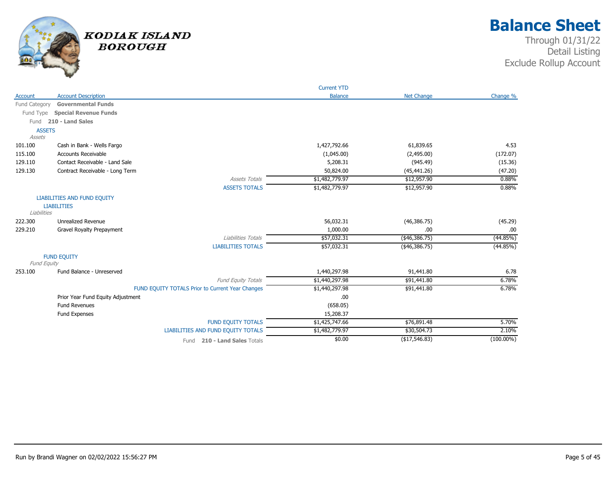

|               |                                                  | <b>Current YTD</b> |                   |              |
|---------------|--------------------------------------------------|--------------------|-------------------|--------------|
| Account       | <b>Account Description</b>                       | <b>Balance</b>     | <b>Net Change</b> | Change %     |
| Fund Category | <b>Governmental Funds</b>                        |                    |                   |              |
| Fund Type     | <b>Special Revenue Funds</b>                     |                    |                   |              |
| Fund          | 210 - Land Sales                                 |                    |                   |              |
| <b>ASSETS</b> |                                                  |                    |                   |              |
| Assets        |                                                  |                    |                   |              |
| 101.100       | Cash in Bank - Wells Fargo                       | 1,427,792.66       | 61,839.65         | 4.53         |
| 115.100       | <b>Accounts Receivable</b>                       | (1,045.00)         | (2,495.00)        | (172.07)     |
| 129.110       | Contact Receivable - Land Sale                   | 5,208.31           | (945.49)          | (15.36)      |
| 129.130       | Contract Receivable - Long Term                  | 50,824.00          | (45, 441.26)      | (47.20)      |
|               | <b>Assets Totals</b>                             | \$1,482,779.97     | \$12,957.90       | 0.88%        |
|               | <b>ASSETS TOTALS</b>                             | \$1,482,779.97     | \$12,957.90       | 0.88%        |
|               | <b>LIABILITIES AND FUND EQUITY</b>               |                    |                   |              |
|               | <b>LIABILITIES</b>                               |                    |                   |              |
| Liabilities   |                                                  |                    |                   |              |
| 222.300       | <b>Unrealized Revenue</b>                        | 56,032.31          | (46, 386.75)      | (45.29)      |
| 229.210       | Gravel Royalty Prepayment                        | 1,000.00           | .00.              | .00          |
|               | Liabilities Totals                               | \$57,032.31        | (\$46,386.75)     | (44.85%)     |
|               | <b>LIABILITIES TOTALS</b>                        | \$57,032.31        | (\$46,386.75)     | (44.85%)     |
|               | <b>FUND EQUITY</b>                               |                    |                   |              |
| Fund Equity   |                                                  |                    |                   |              |
| 253.100       | Fund Balance - Unreserved                        | 1,440,297.98       | 91,441.80         | 6.78         |
|               | Fund Equity Totals                               | \$1,440,297.98     | \$91,441.80       | 6.78%        |
|               | FUND EQUITY TOTALS Prior to Current Year Changes | \$1,440,297.98     | \$91,441.80       | 6.78%        |
|               | Prior Year Fund Equity Adjustment                | .00                |                   |              |
|               | <b>Fund Revenues</b>                             | (658.05)           |                   |              |
|               | Fund Expenses                                    | 15,208.37          |                   |              |
|               | FUND EQUITY TOTALS                               | \$1,425,747.66     | \$76,891.48       | 5.70%        |
|               | LIABILITIES AND FUND EQUITY TOTALS               | \$1,482,779.97     | \$30,504.73       | 2.10%        |
|               | Fund 210 - Land Sales Totals                     | \$0.00             | (\$17,546.83)     | $(100.00\%)$ |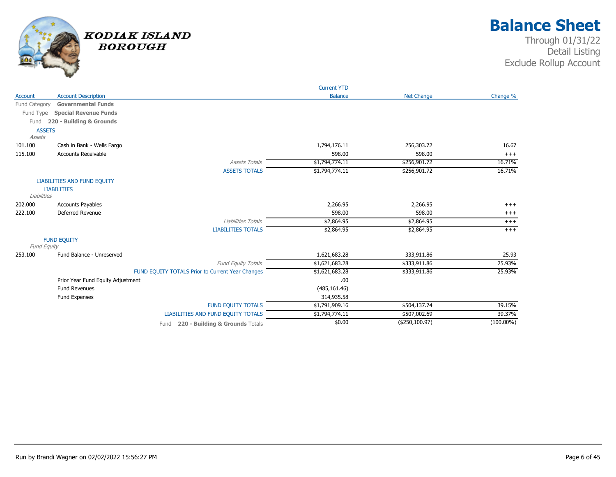

|                         |                                    |                                                  | <b>Current YTD</b> |                   |              |
|-------------------------|------------------------------------|--------------------------------------------------|--------------------|-------------------|--------------|
| Account                 | <b>Account Description</b>         |                                                  | <b>Balance</b>     | <b>Net Change</b> | Change %     |
| Fund Category           | <b>Governmental Funds</b>          |                                                  |                    |                   |              |
| Fund Type               | <b>Special Revenue Funds</b>       |                                                  |                    |                   |              |
| Fund                    | 220 - Building & Grounds           |                                                  |                    |                   |              |
| <b>ASSETS</b><br>Assets |                                    |                                                  |                    |                   |              |
| 101.100                 | Cash in Bank - Wells Fargo         |                                                  | 1,794,176.11       | 256,303.72        | 16.67        |
| 115.100                 | <b>Accounts Receivable</b>         |                                                  | 598.00             | 598.00            | $+++$        |
|                         |                                    | <b>Assets Totals</b>                             | \$1,794,774.11     | \$256,901.72      | 16.71%       |
|                         |                                    | <b>ASSETS TOTALS</b>                             | \$1,794,774.11     | \$256,901.72      | 16.71%       |
|                         | <b>LIABILITIES AND FUND EQUITY</b> |                                                  |                    |                   |              |
| Liabilities             | <b>LIABILITIES</b>                 |                                                  |                    |                   |              |
| 202.000                 | <b>Accounts Payables</b>           |                                                  | 2,266.95           | 2,266.95          | $+++$        |
| 222.100                 | Deferred Revenue                   |                                                  | 598.00             | 598.00            | $+++$        |
|                         |                                    | Liabilities Totals                               | \$2,864.95         | \$2,864.95        | $^{+++}$     |
|                         |                                    | <b>LIABILITIES TOTALS</b>                        | \$2,864.95         | \$2,864.95        | $+++$        |
| Fund Equity             | <b>FUND EQUITY</b>                 |                                                  |                    |                   |              |
| 253.100                 | Fund Balance - Unreserved          |                                                  | 1,621,683.28       | 333,911.86        | 25.93        |
|                         |                                    | Fund Equity Totals                               | \$1,621,683.28     | \$333,911.86      | 25.93%       |
|                         |                                    | FUND EQUITY TOTALS Prior to Current Year Changes | \$1,621,683.28     | \$333,911.86      | 25.93%       |
|                         | Prior Year Fund Equity Adjustment  |                                                  | .00                |                   |              |
|                         | <b>Fund Revenues</b>               |                                                  | (485, 161.46)      |                   |              |
|                         | Fund Expenses                      |                                                  | 314,935.58         |                   |              |
|                         |                                    | <b>FUND EQUITY TOTALS</b>                        | \$1,791,909.16     | \$504,137.74      | 39.15%       |
|                         |                                    | LIABILITIES AND FUND EQUITY TOTALS               | \$1,794,774.11     | \$507,002.69      | 39.37%       |
|                         |                                    | 220 - Building & Grounds Totals<br>Fund          | \$0.00             | ( \$250, 100.97)  | $(100.00\%)$ |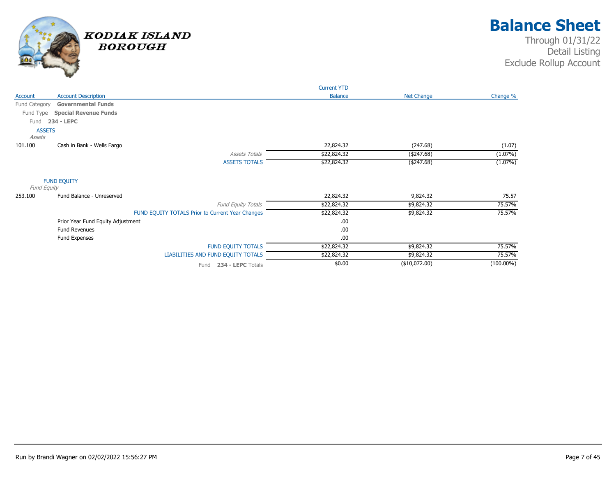

|                                   |                                                  | <b>Current YTD</b> |                   |              |
|-----------------------------------|--------------------------------------------------|--------------------|-------------------|--------------|
| Account                           | <b>Account Description</b>                       | <b>Balance</b>     | <b>Net Change</b> | Change %     |
| Fund Category                     | <b>Governmental Funds</b>                        |                    |                   |              |
| Fund Type                         | <b>Special Revenue Funds</b>                     |                    |                   |              |
| 234 - LEPC<br>Fund                |                                                  |                    |                   |              |
| <b>ASSETS</b>                     |                                                  |                    |                   |              |
| Assets                            |                                                  |                    |                   |              |
| 101.100                           | Cash in Bank - Wells Fargo                       | 22,824.32          | (247.68)          | (1.07)       |
|                                   | <b>Assets Totals</b>                             | \$22,824.32        | ( \$247.68)       | $(1.07\%)$   |
|                                   | <b>ASSETS TOTALS</b>                             | \$22,824.32        | ( \$247.68)       | $(1.07\%)$   |
| <b>FUND EQUITY</b><br>Fund Equity |                                                  |                    |                   |              |
| 253.100                           | Fund Balance - Unreserved                        | 22,824.32          | 9,824.32          | 75.57        |
|                                   | <b>Fund Equity Totals</b>                        | \$22,824.32        | \$9,824.32        | 75.57%       |
|                                   | FUND EQUITY TOTALS Prior to Current Year Changes | \$22,824.32        | \$9,824.32        | 75.57%       |
|                                   | Prior Year Fund Equity Adjustment                | .00.               |                   |              |
|                                   | <b>Fund Revenues</b>                             | .00                |                   |              |
|                                   | Fund Expenses                                    | .00.               |                   |              |
|                                   | <b>FUND EQUITY TOTALS</b>                        | \$22,824.32        | \$9,824.32        | 75.57%       |
|                                   | LIABILITIES AND FUND EQUITY TOTALS               | \$22,824.32        | \$9,824.32        | 75.57%       |
|                                   | 234 - LEPC Totals<br>Fund                        | \$0.00             | (\$10,072.00)     | $(100.00\%)$ |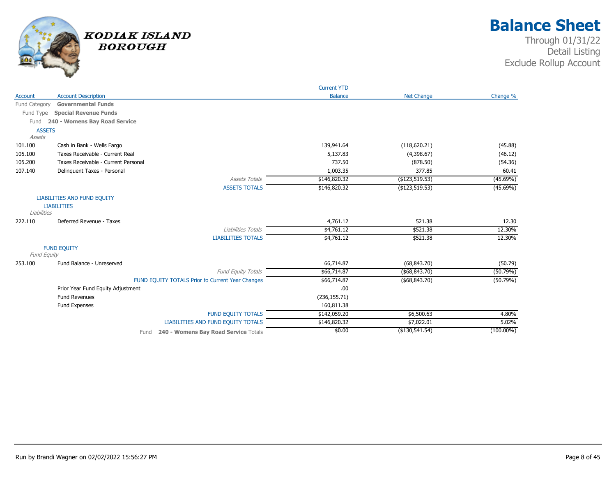

|               |                                                  | <b>Current YTD</b> |                   |              |
|---------------|--------------------------------------------------|--------------------|-------------------|--------------|
| Account       | <b>Account Description</b>                       | <b>Balance</b>     | <b>Net Change</b> | Change %     |
| Fund Category | <b>Governmental Funds</b>                        |                    |                   |              |
| Fund Type     | <b>Special Revenue Funds</b>                     |                    |                   |              |
| Fund          | 240 - Womens Bay Road Service                    |                    |                   |              |
| <b>ASSETS</b> |                                                  |                    |                   |              |
| Assets        |                                                  |                    |                   |              |
| 101.100       | Cash in Bank - Wells Fargo                       | 139,941.64         | (118, 620.21)     | (45.88)      |
| 105.100       | Taxes Receivable - Current Real                  | 5,137.83           | (4,398.67)        | (46.12)      |
| 105.200       | Taxes Receivable - Current Personal              | 737.50             | (878.50)          | (54.36)      |
| 107.140       | Delinquent Taxes - Personal                      | 1,003.35           | 377.85            | 60.41        |
|               | <b>Assets Totals</b>                             | \$146,820.32       | (\$123,519.53)    | $(45.69\%)$  |
|               | <b>ASSETS TOTALS</b>                             | \$146,820.32       | (\$123,519.53)    | $(45.69\%)$  |
|               | <b>LIABILITIES AND FUND EQUITY</b>               |                    |                   |              |
|               | <b>LIABILITIES</b>                               |                    |                   |              |
| Liabilities   |                                                  |                    |                   |              |
| 222.110       | Deferred Revenue - Taxes                         | 4,761.12           | 521.38            | 12.30        |
|               | Liabilities Totals                               | \$4,761.12         | \$521.38          | 12.30%       |
|               | <b>LIABILITIES TOTALS</b>                        | \$4,761.12         | \$521.38          | 12.30%       |
|               | <b>FUND EQUITY</b>                               |                    |                   |              |
| Fund Equity   |                                                  |                    |                   |              |
| 253.100       | Fund Balance - Unreserved                        | 66,714.87          | (68, 843.70)      | (50.79)      |
|               | <b>Fund Equity Totals</b>                        | \$66,714.87        | ( \$68, 843.70)   | (50.79%)     |
|               | FUND EQUITY TOTALS Prior to Current Year Changes | \$66,714.87        | $($ \$68,843.70)  | (50.79%)     |
|               | Prior Year Fund Equity Adjustment                | .00                |                   |              |
|               | <b>Fund Revenues</b>                             | (236, 155.71)      |                   |              |
|               | Fund Expenses                                    | 160,811.38         |                   |              |
|               | <b>FUND EQUITY TOTALS</b>                        | \$142,059.20       | \$6,500.63        | 4.80%        |
|               | <b>LIABILITIES AND FUND EQUITY TOTALS</b>        | \$146,820.32       | \$7,022.01        | 5.02%        |
|               | 240 - Womens Bay Road Service Totals<br>Fund     | \$0.00             | (\$130,541.54)    | $(100.00\%)$ |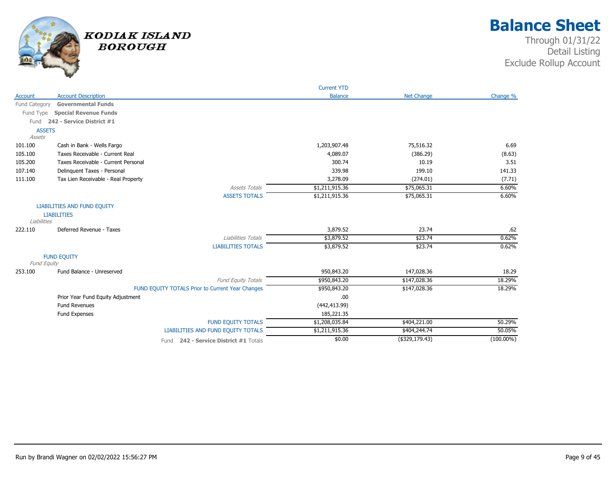

|               |                                                  | <b>Current YTD</b> |                   |              |
|---------------|--------------------------------------------------|--------------------|-------------------|--------------|
| Account       | <b>Account Description</b>                       | <b>Balance</b>     | <b>Net Change</b> | Change %     |
| Fund Category | <b>Governmental Funds</b>                        |                    |                   |              |
| Fund Type     | <b>Special Revenue Funds</b>                     |                    |                   |              |
| Fund          | 242 - Service District #1                        |                    |                   |              |
| <b>ASSETS</b> |                                                  |                    |                   |              |
| Assets        |                                                  |                    |                   |              |
| 101.100       | Cash in Bank - Wells Fargo                       | 1,203,907.48       | 75,516.32         | 6.69         |
| 105.100       | Taxes Receivable - Current Real                  | 4,089.07           | (386.29)          | (8.63)       |
| 105.200       | Taxes Receivable - Current Personal              | 300.74             | 10.19             | 3.51         |
| 107.140       | Delinquent Taxes - Personal                      | 339.98             | 199.10            | 141.33       |
| 111.100       | Tax Lien Receivable - Real Property              | 3,278.09           | (274.01)          | (7.71)       |
|               | <b>Assets Totals</b>                             | \$1,211,915.36     | \$75,065.31       | 6.60%        |
|               | <b>ASSETS TOTALS</b>                             | \$1,211,915.36     | \$75,065.31       | 6.60%        |
|               | <b>LIABILITIES AND FUND EQUITY</b>               |                    |                   |              |
|               | <b>LIABILITIES</b>                               |                    |                   |              |
| Liabilities   |                                                  |                    |                   |              |
| 222.110       | Deferred Revenue - Taxes                         | 3,879.52           | 23.74             | .62          |
|               | Liabilities Totals                               | \$3,879.52         | \$23.74           | 0.62%        |
|               | <b>LIABILITIES TOTALS</b>                        | \$3,879.52         | \$23.74           | 0.62%        |
|               | <b>FUND EQUITY</b>                               |                    |                   |              |
| Fund Equity   |                                                  |                    |                   |              |
| 253.100       | Fund Balance - Unreserved                        | 950,843.20         | 147,028.36        | 18.29        |
|               | <b>Fund Equity Totals</b>                        | \$950,843.20       | \$147,028.36      | 18.29%       |
|               | FUND EQUITY TOTALS Prior to Current Year Changes | \$950,843.20       | \$147,028.36      | 18.29%       |
|               | Prior Year Fund Equity Adjustment                | .00                |                   |              |
|               | Fund Revenues                                    | (442, 413.99)      |                   |              |
|               | Fund Expenses                                    | 185,221.35         |                   |              |
|               | <b>FUND EQUITY TOTALS</b>                        | \$1,208,035.84     | \$404,221.00      | 50.29%       |
|               | LIABILITIES AND FUND EQUITY TOTALS               | \$1,211,915.36     | \$404,244.74      | 50.05%       |
|               | Fund 242 - Service District #1 Totals            | \$0.00             | (\$329,179.43)    | $(100.00\%)$ |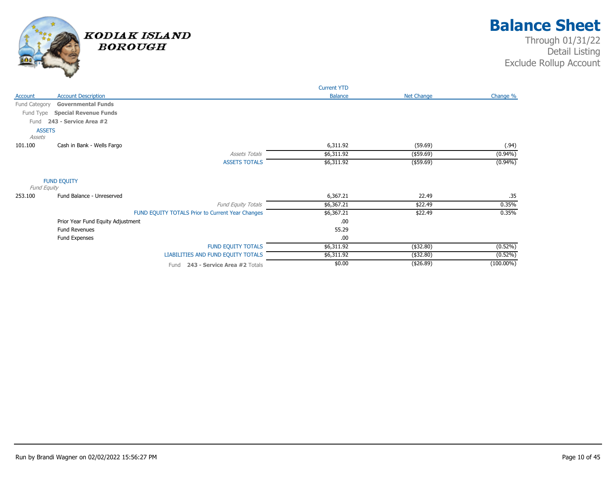

|               |                                                  |                           | <b>Current YTD</b> |                   |              |
|---------------|--------------------------------------------------|---------------------------|--------------------|-------------------|--------------|
| Account       | <b>Account Description</b>                       |                           | <b>Balance</b>     | <b>Net Change</b> | Change %     |
| Fund Category | <b>Governmental Funds</b>                        |                           |                    |                   |              |
| Fund Type     | <b>Special Revenue Funds</b>                     |                           |                    |                   |              |
| Fund          | 243 - Service Area #2                            |                           |                    |                   |              |
| <b>ASSETS</b> |                                                  |                           |                    |                   |              |
| Assets        |                                                  |                           |                    |                   |              |
| 101.100       | Cash in Bank - Wells Fargo                       |                           | 6,311.92           | (59.69)           | (.94)        |
|               |                                                  | <b>Assets Totals</b>      | \$6,311.92         | $($ \$59.69)      | $(0.94\%)$   |
|               |                                                  | <b>ASSETS TOTALS</b>      | \$6,311.92         | $($ \$59.69)      | $(0.94\%)$   |
| Fund Equity   | <b>FUND EQUITY</b>                               |                           |                    |                   |              |
| 253.100       | Fund Balance - Unreserved                        |                           | 6,367.21           | 22.49             | .35          |
|               |                                                  | Fund Equity Totals        | \$6,367.21         | \$22.49           | 0.35%        |
|               | FUND EQUITY TOTALS Prior to Current Year Changes |                           | \$6,367.21         | \$22.49           | 0.35%        |
|               | Prior Year Fund Equity Adjustment                |                           | .00                |                   |              |
|               | <b>Fund Revenues</b>                             |                           | 55.29              |                   |              |
|               | Fund Expenses                                    |                           | .00                |                   |              |
|               |                                                  | <b>FUND EQUITY TOTALS</b> | \$6,311.92         | (\$32.80)         | $(0.52\%)$   |
|               | LIABILITIES AND FUND EQUITY TOTALS               |                           | \$6,311.92         | (\$32.80)         | $(0.52\%)$   |
|               | Fund 243 - Service Area #2 Totals                |                           | \$0.00             | (426.89)          | $(100.00\%)$ |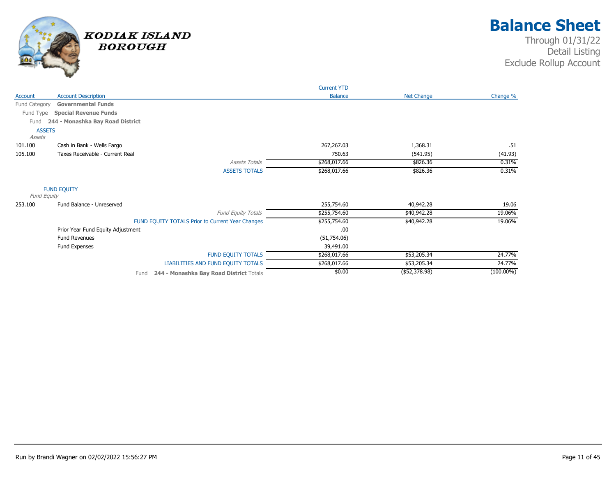

|                         |                                                  | <b>Current YTD</b> |                |              |
|-------------------------|--------------------------------------------------|--------------------|----------------|--------------|
| Account                 | <b>Account Description</b>                       | <b>Balance</b>     | Net Change     | Change %     |
| Fund Category           | <b>Governmental Funds</b>                        |                    |                |              |
| Fund Type               | <b>Special Revenue Funds</b>                     |                    |                |              |
| Fund                    | 244 - Monashka Bay Road District                 |                    |                |              |
| <b>ASSETS</b><br>Assets |                                                  |                    |                |              |
| 101.100                 | Cash in Bank - Wells Fargo                       | 267,267.03         | 1,368.31       | .51          |
| 105.100                 | Taxes Receivable - Current Real                  | 750.63             | (541.95)       | (41.93)      |
|                         | <b>Assets Totals</b>                             | \$268,017.66       | \$826.36       | 0.31%        |
|                         | <b>ASSETS TOTALS</b>                             | \$268,017.66       | \$826.36       | 0.31%        |
| Fund Equity             | <b>FUND EQUITY</b>                               |                    |                |              |
| 253.100                 | Fund Balance - Unreserved                        | 255,754.60         | 40,942.28      | 19.06        |
|                         | Fund Equity Totals                               | \$255,754.60       | \$40,942.28    | 19.06%       |
|                         | FUND EQUITY TOTALS Prior to Current Year Changes | \$255,754.60       | \$40,942.28    | 19.06%       |
|                         | Prior Year Fund Equity Adjustment                | .00                |                |              |
|                         | <b>Fund Revenues</b>                             | (51,754.06)        |                |              |
|                         | Fund Expenses                                    | 39,491.00          |                |              |
|                         | <b>FUND EQUITY TOTALS</b>                        | \$268,017.66       | \$53,205.34    | 24.77%       |
|                         | LIABILITIES AND FUND EQUITY TOTALS               | \$268,017.66       | \$53,205.34    | 24.77%       |
|                         | 244 - Monashka Bay Road District Totals<br>Fund  | \$0.00             | ( \$52,378.98) | $(100.00\%)$ |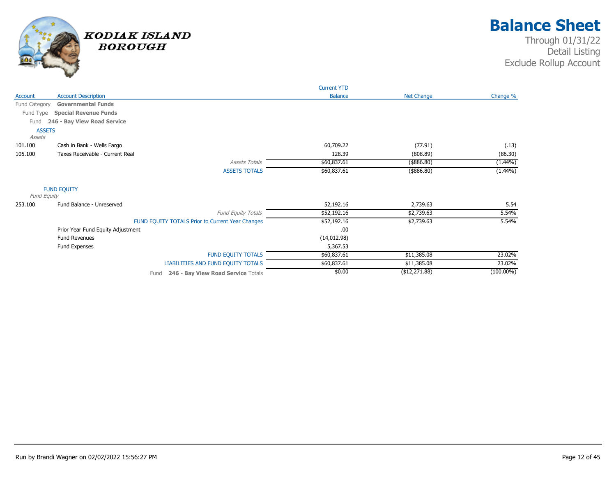

|               |                                                  | <b>Current YTD</b> |                   |              |
|---------------|--------------------------------------------------|--------------------|-------------------|--------------|
| Account       | <b>Account Description</b>                       | <b>Balance</b>     | <b>Net Change</b> | Change %     |
| Fund Category | <b>Governmental Funds</b>                        |                    |                   |              |
| Fund Type     | <b>Special Revenue Funds</b>                     |                    |                   |              |
| Fund          | 246 - Bay View Road Service                      |                    |                   |              |
| <b>ASSETS</b> |                                                  |                    |                   |              |
| Assets        |                                                  |                    |                   |              |
| 101.100       | Cash in Bank - Wells Fargo                       | 60,709.22          | (77.91)           | (.13)        |
| 105.100       | Taxes Receivable - Current Real                  | 128.39             | (808.89)          | (86.30)      |
|               | <b>Assets Totals</b>                             | \$60,837.61        | (\$886.80)        | $(1.44\%)$   |
|               | <b>ASSETS TOTALS</b>                             | \$60,837.61        | $(*886.80)$       | $(1.44\%)$   |
|               | <b>FUND EQUITY</b>                               |                    |                   |              |
| Fund Equity   |                                                  |                    |                   |              |
| 253.100       | Fund Balance - Unreserved                        | 52,192.16          | 2,739.63          | 5.54         |
|               | Fund Equity Totals                               | \$52,192.16        | \$2,739.63        | 5.54%        |
|               | FUND EQUITY TOTALS Prior to Current Year Changes | \$52,192.16        | \$2,739.63        | 5.54%        |
|               | Prior Year Fund Equity Adjustment                | .00                |                   |              |
|               | <b>Fund Revenues</b>                             | (14, 012.98)       |                   |              |
|               | Fund Expenses                                    | 5,367.53           |                   |              |
|               | <b>FUND EQUITY TOTALS</b>                        | \$60,837.61        | \$11,385.08       | 23.02%       |
|               | LIABILITIES AND FUND EQUITY TOTALS               | \$60,837.61        | \$11,385.08       | 23.02%       |
|               | 246 - Bay View Road Service Totals<br>Fund       | \$0.00             | (\$12,271.88)     | $(100.00\%)$ |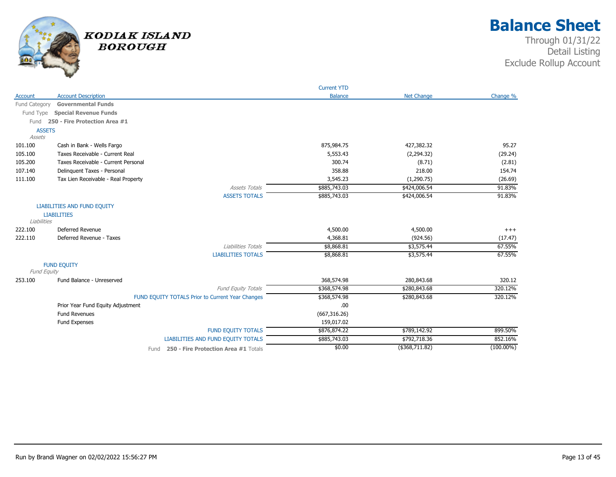

|               |                                                           | <b>Current YTD</b> |                   |                   |
|---------------|-----------------------------------------------------------|--------------------|-------------------|-------------------|
| Account       | <b>Account Description</b>                                | <b>Balance</b>     | <b>Net Change</b> | Change %          |
| Fund Category | <b>Governmental Funds</b>                                 |                    |                   |                   |
|               | Fund Type Special Revenue Funds                           |                    |                   |                   |
| Fund          | 250 - Fire Protection Area #1                             |                    |                   |                   |
| <b>ASSETS</b> |                                                           |                    |                   |                   |
| Assets        |                                                           |                    |                   |                   |
| 101.100       | Cash in Bank - Wells Fargo                                | 875,984.75         | 427,382.32        | 95.27             |
| 105.100       | Taxes Receivable - Current Real                           | 5,553.43           | (2,294.32)        | (29.24)           |
| 105.200       | Taxes Receivable - Current Personal                       | 300.74             | (8.71)            | (2.81)            |
| 107.140       | Delinquent Taxes - Personal                               | 358.88             | 218.00            | 154.74            |
| 111.100       | Tax Lien Receivable - Real Property                       | 3,545.23           | (1,290.75)        | (26.69)           |
|               | <b>Assets Totals</b>                                      | \$885,743.03       | \$424,006.54      | 91.83%            |
|               | <b>ASSETS TOTALS</b>                                      | \$885,743.03       | \$424,006.54      | 91.83%            |
|               | LIABILITIES AND FUND EQUITY                               |                    |                   |                   |
|               | <b>LIABILITIES</b>                                        |                    |                   |                   |
| Liabilities   |                                                           |                    |                   |                   |
| 222.100       | Deferred Revenue                                          | 4,500.00           | 4,500.00          | $+++$             |
| 222.110       | Deferred Revenue - Taxes                                  | 4,368.81           | (924.56)          | (17.47)           |
|               | Liabilities Totals                                        | \$8,868.81         | \$3,575.44        | 67.55%            |
|               | <b>LIABILITIES TOTALS</b>                                 | \$8,868.81         | \$3,575.44        | 67.55%            |
|               | <b>FUND EQUITY</b>                                        |                    |                   |                   |
| Fund Equity   |                                                           |                    |                   |                   |
| 253.100       | Fund Balance - Unreserved                                 | 368,574.98         | 280,843.68        | 320.12<br>320.12% |
|               | Fund Equity Totals                                        | \$368,574.98       | \$280,843.68      | 320.12%           |
|               | FUND EQUITY TOTALS Prior to Current Year Changes          | \$368,574.98       | \$280,843.68      |                   |
|               | Prior Year Fund Equity Adjustment<br><b>Fund Revenues</b> | .00                |                   |                   |
|               |                                                           | (667, 316.26)      |                   |                   |
|               | Fund Expenses                                             | 159,017.02         |                   |                   |
|               | <b>FUND EQUITY TOTALS</b>                                 | \$876,874.22       | \$789,142.92      | 899.50%           |
|               | LIABILITIES AND FUND EQUITY TOTALS                        | \$885,743.03       | \$792,718.36      | 852.16%           |
|               | 250 - Fire Protection Area #1 Totals<br>Fund              | \$0.00             | (\$368,711.82)    | $(100.00\%)$      |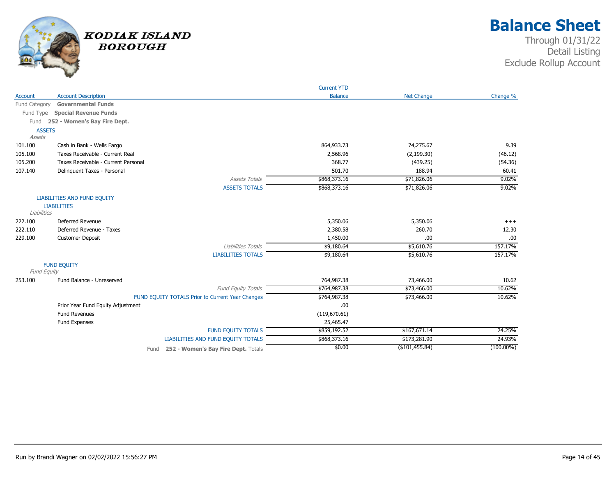

|                    |                                                  | <b>Current YTD</b> |                   |              |
|--------------------|--------------------------------------------------|--------------------|-------------------|--------------|
| Account            | <b>Account Description</b>                       | <b>Balance</b>     | <b>Net Change</b> | Change %     |
| Fund Category      | <b>Governmental Funds</b>                        |                    |                   |              |
| Fund Type          | <b>Special Revenue Funds</b>                     |                    |                   |              |
|                    | Fund 252 - Women's Bay Fire Dept.                |                    |                   |              |
| <b>ASSETS</b>      |                                                  |                    |                   |              |
| Assets             |                                                  |                    |                   |              |
| 101.100            | Cash in Bank - Wells Fargo                       | 864,933.73         | 74,275.67         | 9.39         |
| 105.100            | Taxes Receivable - Current Real                  | 2,568.96           | (2, 199.30)       | (46.12)      |
| 105.200            | Taxes Receivable - Current Personal              | 368.77             | (439.25)          | (54.36)      |
| 107.140            | Delinquent Taxes - Personal                      | 501.70             | 188.94            | 60.41        |
|                    | <b>Assets Totals</b>                             | \$868,373.16       | \$71,826.06       | 9.02%        |
|                    | <b>ASSETS TOTALS</b>                             | \$868,373.16       | \$71,826.06       | 9.02%        |
|                    | <b>LIABILITIES AND FUND EQUITY</b>               |                    |                   |              |
|                    | <b>LIABILITIES</b>                               |                    |                   |              |
| Liabilities        |                                                  |                    |                   |              |
| 222.100            | Deferred Revenue                                 | 5,350.06           | 5,350.06          | $+++$        |
| 222.110            | Deferred Revenue - Taxes                         | 2,380.58           | 260.70            | 12.30        |
| 229.100            | <b>Customer Deposit</b>                          | 1,450.00           | .00               | .00          |
|                    | Liabilities Totals                               | \$9,180.64         | \$5,610.76        | 157.17%      |
|                    | <b>LIABILITIES TOTALS</b>                        | \$9,180.64         | \$5,610.76        | 157.17%      |
|                    | <b>FUND EQUITY</b>                               |                    |                   |              |
| <b>Fund Equity</b> |                                                  |                    |                   |              |
| 253.100            | Fund Balance - Unreserved                        | 764,987.38         | 73,466.00         | 10.62        |
|                    | <b>Fund Equity Totals</b>                        | \$764,987.38       | \$73,466.00       | 10.62%       |
|                    | FUND EQUITY TOTALS Prior to Current Year Changes | \$764,987.38       | \$73,466.00       | 10.62%       |
|                    | Prior Year Fund Equity Adjustment                | .00.               |                   |              |
|                    | <b>Fund Revenues</b>                             | (119,670.61)       |                   |              |
|                    | Fund Expenses                                    | 25,465.47          |                   |              |
|                    | <b>FUND EQUITY TOTALS</b>                        | \$859,192.52       | \$167,671.14      | 24.25%       |
|                    | LIABILITIES AND FUND EQUITY TOTALS               | \$868,373.16       | \$173,281.90      | 24.93%       |
|                    | 252 - Women's Bay Fire Dept. Totals<br>Fund      | \$0.00             | ( \$101,455.84)   | $(100.00\%)$ |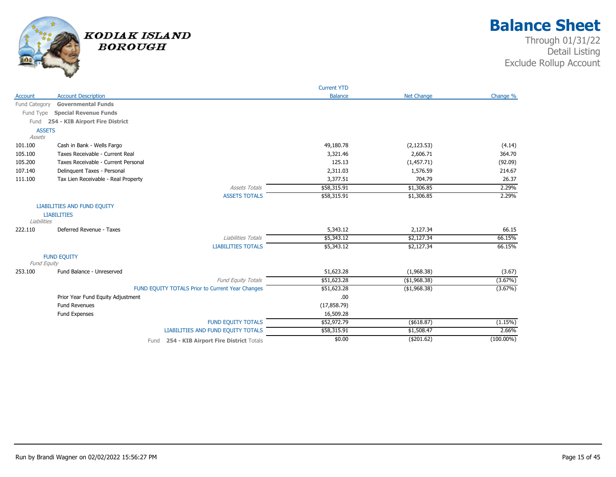

|               |                                                  | <b>Current YTD</b> |                   |              |
|---------------|--------------------------------------------------|--------------------|-------------------|--------------|
| Account       | <b>Account Description</b>                       | <b>Balance</b>     | <b>Net Change</b> | Change %     |
| Fund Category | <b>Governmental Funds</b>                        |                    |                   |              |
| Fund Type     | <b>Special Revenue Funds</b>                     |                    |                   |              |
| Fund          | 254 - KIB Airport Fire District                  |                    |                   |              |
| <b>ASSETS</b> |                                                  |                    |                   |              |
| Assets        |                                                  |                    |                   |              |
| 101.100       | Cash in Bank - Wells Fargo                       | 49,180.78          | (2, 123.53)       | (4.14)       |
| 105.100       | Taxes Receivable - Current Real                  | 3,321.46           | 2,606.71          | 364.70       |
| 105.200       | Taxes Receivable - Current Personal              | 125.13             | (1,457.71)        | (92.09)      |
| 107.140       | Delinquent Taxes - Personal                      | 2,311.03           | 1,576.59          | 214.67       |
| 111.100       | Tax Lien Receivable - Real Property              | 3,377.51           | 704.79            | 26.37        |
|               | <b>Assets Totals</b>                             | \$58,315.91        | \$1,306.85        | 2.29%        |
|               | <b>ASSETS TOTALS</b>                             | \$58,315.91        | \$1,306.85        | 2.29%        |
|               | <b>LIABILITIES AND FUND EQUITY</b>               |                    |                   |              |
|               | <b>LIABILITIES</b>                               |                    |                   |              |
| Liabilities   |                                                  |                    |                   |              |
| 222.110       | Deferred Revenue - Taxes                         | 5,343.12           | 2,127.34          | 66.15        |
|               | Liabilities Totals                               | \$5,343.12         | \$2,127.34        | 66.15%       |
|               | <b>LIABILITIES TOTALS</b>                        | \$5,343.12         | \$2,127.34        | 66.15%       |
|               | <b>FUND EQUITY</b>                               |                    |                   |              |
| Fund Equity   |                                                  |                    |                   |              |
| 253.100       | Fund Balance - Unreserved                        | 51,623.28          | (1,968.38)        | (3.67)       |
|               | <b>Fund Equity Totals</b>                        | \$51,623.28        | ( \$1,968.38)     | (3.67%)      |
|               | FUND EQUITY TOTALS Prior to Current Year Changes | \$51,623.28        | (\$1,968.38)      | $(3.67\%)$   |
|               | Prior Year Fund Equity Adjustment                | .00                |                   |              |
|               | <b>Fund Revenues</b>                             | (17, 858.79)       |                   |              |
|               | Fund Expenses                                    | 16,509.28          |                   |              |
|               | <b>FUND EQUITY TOTALS</b>                        | \$52,972.79        | ( \$618.87)       | (1.15%)      |
|               | <b>LIABILITIES AND FUND EQUITY TOTALS</b>        | \$58,315.91        | \$1,508.47        | 2.66%        |
|               | 254 - KIB Airport Fire District Totals<br>Fund   | \$0.00             | (\$201.62)        | $(100.00\%)$ |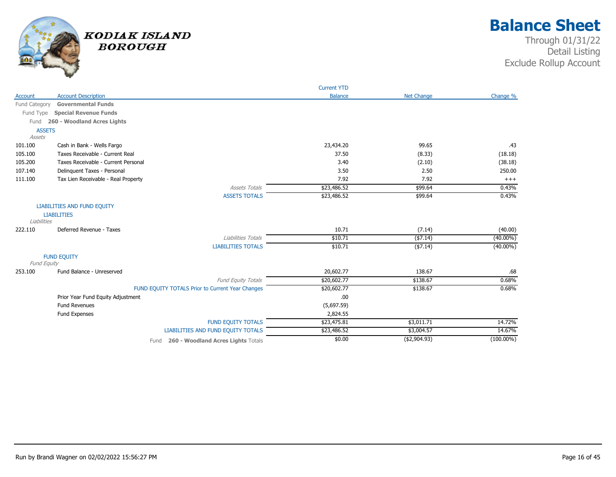

|               |                                                  | <b>Current YTD</b> |                   |              |
|---------------|--------------------------------------------------|--------------------|-------------------|--------------|
| Account       | <b>Account Description</b>                       | <b>Balance</b>     | <b>Net Change</b> | Change %     |
| Fund Category | <b>Governmental Funds</b>                        |                    |                   |              |
| Fund Type     | <b>Special Revenue Funds</b>                     |                    |                   |              |
| Fund          | 260 - Woodland Acres Lights                      |                    |                   |              |
| <b>ASSETS</b> |                                                  |                    |                   |              |
| Assets        |                                                  |                    |                   |              |
| 101.100       | Cash in Bank - Wells Fargo                       | 23,434.20          | 99.65             | .43          |
| 105.100       | Taxes Receivable - Current Real                  | 37.50              | (8.33)            | (18.18)      |
| 105.200       | Taxes Receivable - Current Personal              | 3.40               | (2.10)            | (38.18)      |
| 107.140       | Delinquent Taxes - Personal                      | 3.50               | 2.50              | 250.00       |
| 111.100       | Tax Lien Receivable - Real Property              | 7.92               | 7.92              | $+++$        |
|               | <b>Assets Totals</b>                             | \$23,486.52        | \$99.64           | 0.43%        |
|               | <b>ASSETS TOTALS</b>                             | \$23,486.52        | \$99.64           | 0.43%        |
|               | <b>LIABILITIES AND FUND EQUITY</b>               |                    |                   |              |
|               | <b>LIABILITIES</b>                               |                    |                   |              |
| Liabilities   |                                                  |                    |                   |              |
| 222.110       | Deferred Revenue - Taxes                         | 10.71              | (7.14)            | (40.00)      |
|               | Liabilities Totals                               | \$10.71            | ( \$7.14)         | $(40.00\%)$  |
|               | <b>LIABILITIES TOTALS</b>                        | \$10.71            | ( \$7.14)         | $(40.00\%)$  |
|               | <b>FUND EQUITY</b>                               |                    |                   |              |
| Fund Equity   |                                                  |                    |                   |              |
| 253.100       | Fund Balance - Unreserved                        | 20,602.77          | 138.67            | .68          |
|               | <b>Fund Equity Totals</b>                        | \$20,602.77        | \$138.67          | 0.68%        |
|               | FUND EQUITY TOTALS Prior to Current Year Changes | \$20,602.77        | \$138.67          | 0.68%        |
|               | Prior Year Fund Equity Adjustment                | .00.               |                   |              |
|               | <b>Fund Revenues</b>                             | (5,697.59)         |                   |              |
|               | Fund Expenses                                    | 2,824.55           |                   |              |
|               | <b>FUND EQUITY TOTALS</b>                        | \$23,475.81        | \$3,011.71        | 14.72%       |
|               | LIABILITIES AND FUND EQUITY TOTALS               | \$23,486.52        | \$3,004.57        | 14.67%       |
|               | 260 - Woodland Acres Lights Totals<br>Fund       | \$0.00             | (\$2,904.93)      | $(100.00\%)$ |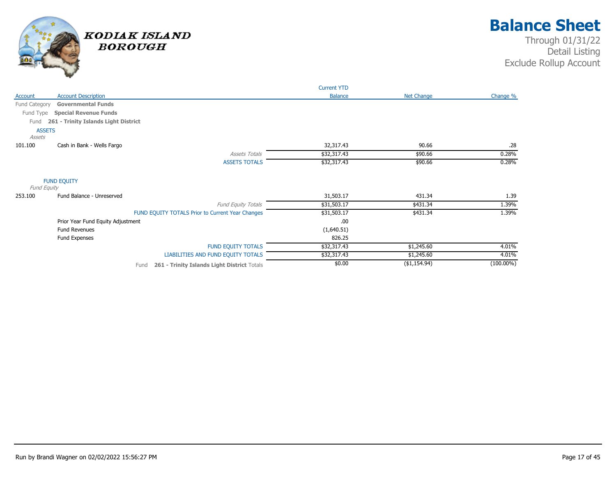

|                                   |                                                     | <b>Current YTD</b> |                   |              |
|-----------------------------------|-----------------------------------------------------|--------------------|-------------------|--------------|
| Account                           | <b>Account Description</b>                          | <b>Balance</b>     | <b>Net Change</b> | Change %     |
| Fund Category                     | <b>Governmental Funds</b>                           |                    |                   |              |
| Fund Type                         | <b>Special Revenue Funds</b>                        |                    |                   |              |
| Fund                              | 261 - Trinity Islands Light District                |                    |                   |              |
| <b>ASSETS</b><br>Assets           |                                                     |                    |                   |              |
| 101.100                           | Cash in Bank - Wells Fargo                          | 32,317.43          | 90.66             | .28          |
|                                   | <b>Assets Totals</b>                                | \$32,317.43        | \$90.66           | 0.28%        |
|                                   | <b>ASSETS TOTALS</b>                                | \$32,317.43        | \$90.66           | 0.28%        |
| <b>FUND EQUITY</b><br>Fund Equity |                                                     |                    |                   |              |
| 253.100                           | Fund Balance - Unreserved                           | 31,503.17          | 431.34            | 1.39         |
|                                   | <b>Fund Equity Totals</b>                           | \$31,503.17        | \$431.34          | 1.39%        |
|                                   | FUND EQUITY TOTALS Prior to Current Year Changes    | \$31,503.17        | \$431.34          | 1.39%        |
|                                   | Prior Year Fund Equity Adjustment                   | .00                |                   |              |
|                                   | <b>Fund Revenues</b>                                | (1,640.51)         |                   |              |
|                                   | Fund Expenses                                       | 826.25             |                   |              |
|                                   | <b>FUND EQUITY TOTALS</b>                           | \$32,317.43        | \$1,245.60        | 4.01%        |
|                                   | LIABILITIES AND FUND EQUITY TOTALS                  | \$32,317.43        | \$1,245.60        | 4.01%        |
|                                   | 261 - Trinity Islands Light District Totals<br>Fund | \$0.00             | ( \$1,154.94)     | $(100.00\%)$ |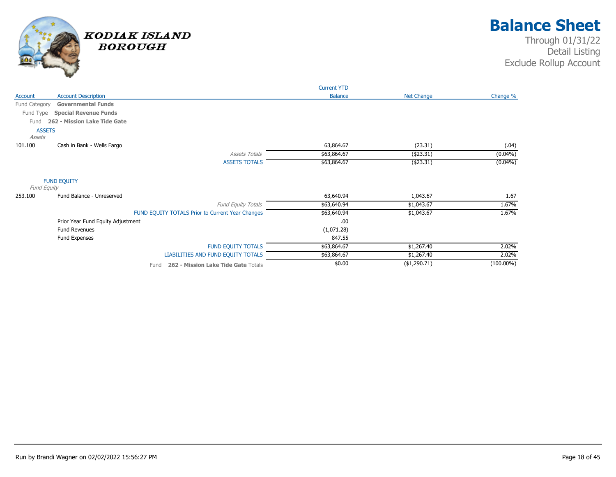

|                         |                                   |                                                  | <b>Current YTD</b> |              |              |
|-------------------------|-----------------------------------|--------------------------------------------------|--------------------|--------------|--------------|
| Account                 | <b>Account Description</b>        |                                                  | <b>Balance</b>     | Net Change   | Change %     |
| Fund Category           | <b>Governmental Funds</b>         |                                                  |                    |              |              |
| Fund Type               | <b>Special Revenue Funds</b>      |                                                  |                    |              |              |
| Fund                    | 262 - Mission Lake Tide Gate      |                                                  |                    |              |              |
| <b>ASSETS</b><br>Assets |                                   |                                                  |                    |              |              |
| 101.100                 | Cash in Bank - Wells Fargo        |                                                  | 63,864.67          | (23.31)      | (.04)        |
|                         |                                   | <b>Assets Totals</b>                             | \$63,864.67        | ( \$23.31)   | $(0.04\%)$   |
|                         |                                   | <b>ASSETS TOTALS</b>                             | \$63,864.67        | ( \$23.31)   | $(0.04\%)$   |
| Fund Equity             | <b>FUND EQUITY</b>                |                                                  |                    |              |              |
| 253.100                 | Fund Balance - Unreserved         |                                                  | 63,640.94          | 1,043.67     | 1.67         |
|                         |                                   | Fund Equity Totals                               | \$63,640.94        | \$1,043.67   | 1.67%        |
|                         |                                   | FUND EQUITY TOTALS Prior to Current Year Changes | \$63,640.94        | \$1,043.67   | 1.67%        |
|                         | Prior Year Fund Equity Adjustment |                                                  | .00                |              |              |
|                         | <b>Fund Revenues</b>              |                                                  | (1,071.28)         |              |              |
|                         | Fund Expenses                     |                                                  | 847.55             |              |              |
|                         |                                   | <b>FUND EQUITY TOTALS</b>                        | \$63,864.67        | \$1,267.40   | 2.02%        |
|                         |                                   | LIABILITIES AND FUND EQUITY TOTALS               | \$63,864.67        | \$1,267.40   | 2.02%        |
|                         |                                   | 262 - Mission Lake Tide Gate Totals<br>Fund      | \$0.00             | (\$1,290.71) | $(100.00\%)$ |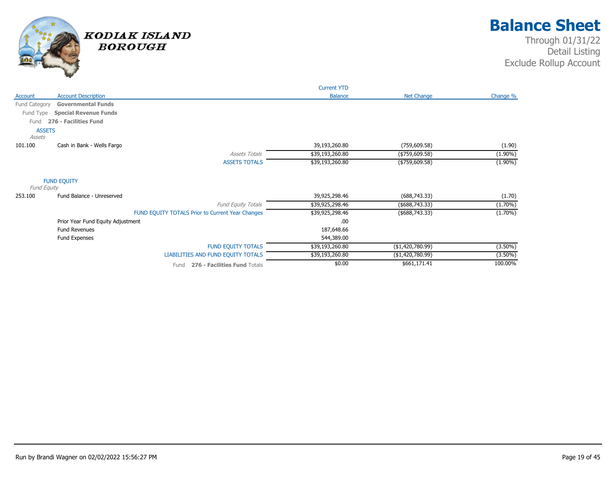

|               |                                   |                                                  | <b>Current YTD</b> |                   |            |
|---------------|-----------------------------------|--------------------------------------------------|--------------------|-------------------|------------|
| Account       | <b>Account Description</b>        |                                                  | <b>Balance</b>     | Net Change        | Change %   |
| Fund Category | <b>Governmental Funds</b>         |                                                  |                    |                   |            |
| Fund Type     | <b>Special Revenue Funds</b>      |                                                  |                    |                   |            |
| Fund          | 276 - Facilities Fund             |                                                  |                    |                   |            |
| <b>ASSETS</b> |                                   |                                                  |                    |                   |            |
| Assets        |                                   |                                                  |                    |                   |            |
| 101.100       | Cash in Bank - Wells Fargo        |                                                  | 39,193,260.80      | (759, 609.58)     | (1.90)     |
|               |                                   | <b>Assets Totals</b>                             | \$39,193,260.80    | (\$759,609.58)    | $(1.90\%)$ |
|               |                                   | <b>ASSETS TOTALS</b>                             | \$39,193,260.80    | (\$759,609.58)    | $(1.90\%)$ |
| Fund Equity   | <b>FUND EQUITY</b>                |                                                  |                    |                   |            |
| 253.100       | Fund Balance - Unreserved         |                                                  | 39,925,298.46      | (688, 743.33)     | (1.70)     |
|               |                                   | <b>Fund Equity Totals</b>                        | \$39,925,298.46    | ( \$688, 743.33)  | $(1.70\%)$ |
|               |                                   | FUND EQUITY TOTALS Prior to Current Year Changes | \$39,925,298.46    | (\$688,743.33)    | $(1.70\%)$ |
|               | Prior Year Fund Equity Adjustment |                                                  | .00                |                   |            |
|               | <b>Fund Revenues</b>              |                                                  | 187,648.66         |                   |            |
|               | Fund Expenses                     |                                                  | 544,389.00         |                   |            |
|               |                                   | <b>FUND EQUITY TOTALS</b>                        | \$39,193,260.80    | ( \$1,420,780.99) | $(3.50\%)$ |
|               |                                   | LIABILITIES AND FUND EQUITY TOTALS               | \$39,193,260.80    | (\$1,420,780.99)  | $(3.50\%)$ |
|               |                                   | 276 - Facilities Fund Totals<br>Fund             | \$0.00             | \$661,171.41      | 100.00%    |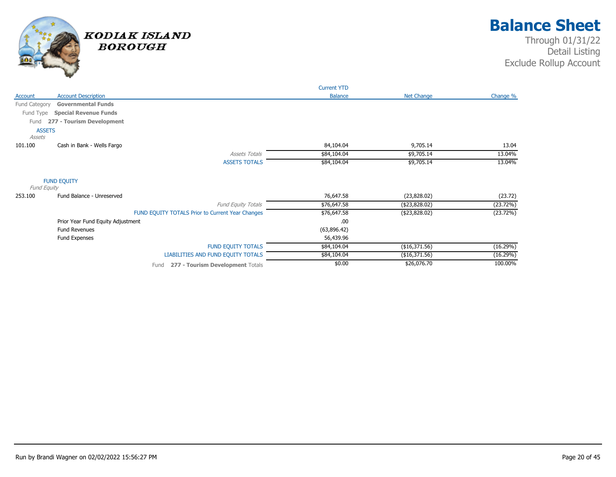

|                         |                                   |                                                  | <b>Current YTD</b> |                   |          |
|-------------------------|-----------------------------------|--------------------------------------------------|--------------------|-------------------|----------|
| Account                 | <b>Account Description</b>        |                                                  | <b>Balance</b>     | <b>Net Change</b> | Change % |
| Fund Category           | <b>Governmental Funds</b>         |                                                  |                    |                   |          |
| Fund Type               | <b>Special Revenue Funds</b>      |                                                  |                    |                   |          |
| Fund                    | 277 - Tourism Development         |                                                  |                    |                   |          |
| <b>ASSETS</b><br>Assets |                                   |                                                  |                    |                   |          |
| 101.100                 | Cash in Bank - Wells Fargo        |                                                  | 84,104.04          | 9,705.14          | 13.04    |
|                         |                                   | <b>Assets Totals</b>                             | \$84,104.04        | \$9,705.14        | 13.04%   |
|                         |                                   | <b>ASSETS TOTALS</b>                             | \$84,104.04        | \$9,705.14        | 13.04%   |
| Fund Equity             | <b>FUND EQUITY</b>                |                                                  |                    |                   |          |
| 253.100                 | Fund Balance - Unreserved         |                                                  | 76,647.58          | (23,828.02)       | (23.72)  |
|                         |                                   | Fund Equity Totals                               | \$76,647.58        | ( \$23, 828.02)   | (23.72%) |
|                         |                                   | FUND EQUITY TOTALS Prior to Current Year Changes | \$76,647.58        | (\$23,828.02)     | (23.72%) |
|                         | Prior Year Fund Equity Adjustment |                                                  | .00                |                   |          |
|                         | <b>Fund Revenues</b>              |                                                  | (63,896.42)        |                   |          |
|                         | Fund Expenses                     |                                                  | 56,439.96          |                   |          |
|                         |                                   | <b>FUND EQUITY TOTALS</b>                        | \$84,104.04        | (\$16,371.56)     | (16.29%) |
|                         |                                   | LIABILITIES AND FUND EQUITY TOTALS               | \$84,104.04        | (\$16,371.56)     | (16.29%) |
|                         |                                   | 277 - Tourism Development Totals<br>Fund         | \$0.00             | \$26,076.70       | 100.00%  |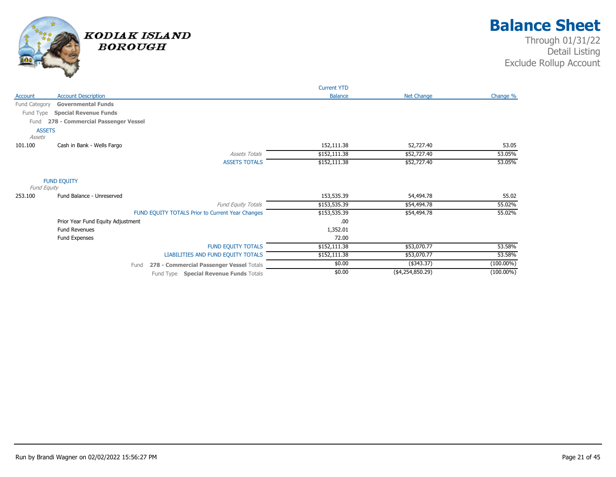

|               |                                   |                                                  | <b>Current YTD</b> |                   |              |
|---------------|-----------------------------------|--------------------------------------------------|--------------------|-------------------|--------------|
| Account       | <b>Account Description</b>        |                                                  | <b>Balance</b>     | <b>Net Change</b> | Change %     |
| Fund Category | <b>Governmental Funds</b>         |                                                  |                    |                   |              |
| Fund Type     | <b>Special Revenue Funds</b>      |                                                  |                    |                   |              |
| Fund          | 278 - Commercial Passenger Vessel |                                                  |                    |                   |              |
|               | <b>ASSETS</b>                     |                                                  |                    |                   |              |
| Assets        |                                   |                                                  |                    |                   |              |
| 101.100       | Cash in Bank - Wells Fargo        |                                                  | 152,111.38         | 52,727.40         | 53.05        |
|               |                                   | <b>Assets Totals</b>                             | \$152,111.38       | \$52,727.40       | 53.05%       |
|               |                                   | <b>ASSETS TOTALS</b>                             | \$152,111.38       | \$52,727.40       | 53.05%       |
| Fund Equity   | <b>FUND EQUITY</b>                |                                                  |                    |                   |              |
| 253.100       | Fund Balance - Unreserved         |                                                  | 153,535.39         | 54,494.78         | 55.02        |
|               |                                   | Fund Equity Totals                               | \$153,535.39       | \$54,494.78       | 55.02%       |
|               |                                   | FUND EQUITY TOTALS Prior to Current Year Changes | \$153,535.39       | \$54,494.78       | 55.02%       |
|               | Prior Year Fund Equity Adjustment |                                                  | .00                |                   |              |
|               | <b>Fund Revenues</b>              |                                                  | 1,352.01           |                   |              |
|               | Fund Expenses                     |                                                  | 72.00              |                   |              |
|               |                                   | <b>FUND EQUITY TOTALS</b>                        | \$152,111.38       | \$53,070.77       | 53.58%       |
|               |                                   | LIABILITIES AND FUND EQUITY TOTALS               | \$152,111.38       | \$53,070.77       | 53.58%       |
|               |                                   | 278 - Commercial Passenger Vessel Totals<br>Fund | \$0.00             | (\$343.37)        | $(100.00\%)$ |
|               |                                   | Fund Type Special Revenue Funds Totals           | \$0.00             | ( \$4,254,850.29) | $(100.00\%)$ |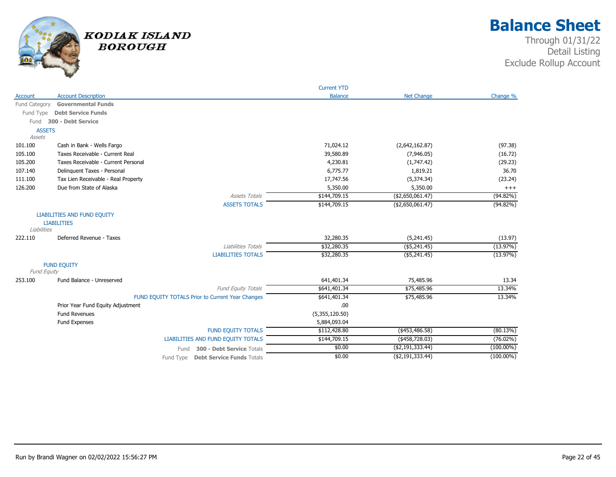

|               |                                                  | <b>Current YTD</b> |                   |              |
|---------------|--------------------------------------------------|--------------------|-------------------|--------------|
| Account       | <b>Account Description</b>                       | <b>Balance</b>     | <b>Net Change</b> | Change %     |
| Fund Category | <b>Governmental Funds</b>                        |                    |                   |              |
|               | Fund Type Debt Service Funds                     |                    |                   |              |
| Fund          | 300 - Debt Service                               |                    |                   |              |
| <b>ASSETS</b> |                                                  |                    |                   |              |
| Assets        |                                                  |                    |                   |              |
| 101.100       | Cash in Bank - Wells Fargo                       | 71,024.12          | (2,642,162.87)    | (97.38)      |
| 105.100       | Taxes Receivable - Current Real                  | 39,580.89          | (7,946.05)        | (16.72)      |
| 105.200       | Taxes Receivable - Current Personal              | 4,230.81           | (1,747.42)        | (29.23)      |
| 107.140       | Delinquent Taxes - Personal                      | 6,775.77           | 1,819.21          | 36.70        |
| 111.100       | Tax Lien Receivable - Real Property              | 17,747.56          | (5,374.34)        | (23.24)      |
| 126.200       | Due from State of Alaska                         | 5,350.00           | 5,350.00          | $+++$        |
|               | <b>Assets Totals</b>                             | \$144,709.15       | ( \$2,650,061.47) | $(94.82\%)$  |
|               | <b>ASSETS TOTALS</b>                             | \$144,709.15       | ( \$2,650,061.47) | $(94.82\%)$  |
|               | <b>LIABILITIES AND FUND EQUITY</b>               |                    |                   |              |
|               | <b>LIABILITIES</b>                               |                    |                   |              |
| Liabilities   |                                                  |                    |                   |              |
| 222.110       | Deferred Revenue - Taxes                         | 32,280.35          | (5,241.45)        | (13.97)      |
|               | Liabilities Totals                               | \$32,280.35        | $($ \$5,241.45)   | (13.97%)     |
|               | <b>LIABILITIES TOTALS</b>                        | \$32,280.35        | $($ \$5,241.45)   | (13.97%)     |
|               | <b>FUND EQUITY</b>                               |                    |                   |              |
| Fund Equity   |                                                  |                    |                   |              |
| 253.100       | Fund Balance - Unreserved                        | 641,401.34         | 75,485.96         | 13.34        |
|               | Fund Equity Totals                               | \$641,401.34       | \$75,485.96       | 13.34%       |
|               | FUND EQUITY TOTALS Prior to Current Year Changes | \$641,401.34       | \$75,485.96       | 13.34%       |
|               | Prior Year Fund Equity Adjustment                | .00                |                   |              |
|               | <b>Fund Revenues</b>                             | (5,355,120.50)     |                   |              |
|               | Fund Expenses                                    | 5,884,093.04       |                   |              |
|               | <b>FUND EQUITY TOTALS</b>                        | \$112,428.80       | $(*453,486.58)$   | (80.13%)     |
|               | <b>LIABILITIES AND FUND EQUITY TOTALS</b>        | \$144,709.15       | $($ \$458,728.03) | $(76.02\%)$  |
|               | 300 - Debt Service Totals<br>Fund                | \$0.00             | ( \$2,191,333.44) | $(100.00\%)$ |
|               | <b>Debt Service Funds Totals</b><br>Fund Type    | \$0.00             | ( \$2,191,333.44) | $(100.00\%)$ |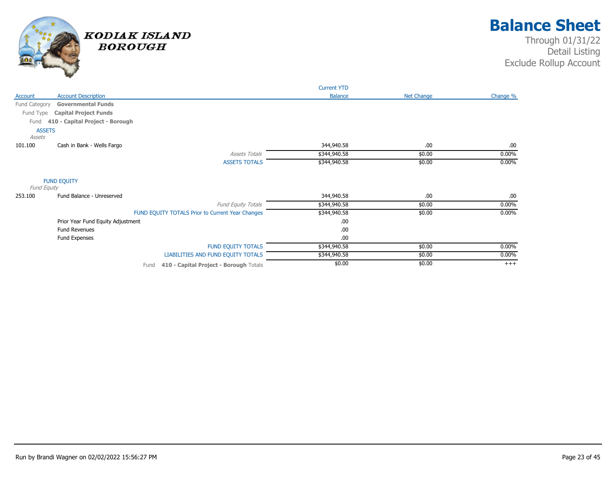

|                         |                                                  | <b>Current YTD</b> |                   |          |
|-------------------------|--------------------------------------------------|--------------------|-------------------|----------|
| Account                 | <b>Account Description</b>                       | <b>Balance</b>     | <b>Net Change</b> | Change % |
| Fund Category           | <b>Governmental Funds</b>                        |                    |                   |          |
| Fund Type               | <b>Capital Project Funds</b>                     |                    |                   |          |
| Fund                    | 410 - Capital Project - Borough                  |                    |                   |          |
| <b>ASSETS</b><br>Assets |                                                  |                    |                   |          |
| 101.100                 | Cash in Bank - Wells Fargo                       | 344,940.58         | .00               | .00.     |
|                         | <b>Assets Totals</b>                             | \$344,940.58       | \$0.00            | $0.00\%$ |
|                         | <b>ASSETS TOTALS</b>                             | \$344,940.58       | \$0.00            | $0.00\%$ |
| Fund Equity             | <b>FUND EQUITY</b>                               |                    |                   |          |
| 253.100                 | Fund Balance - Unreserved                        | 344,940.58         | .00               | .00.     |
|                         | Fund Equity Totals                               | \$344,940.58       | \$0.00            | $0.00\%$ |
|                         | FUND EQUITY TOTALS Prior to Current Year Changes | \$344,940.58       | \$0.00            | $0.00\%$ |
|                         | Prior Year Fund Equity Adjustment                | .00.               |                   |          |
|                         | <b>Fund Revenues</b>                             | .00.               |                   |          |
|                         | Fund Expenses                                    | .00.               |                   |          |
|                         | <b>FUND EQUITY TOTALS</b>                        | \$344,940.58       | \$0.00            | $0.00\%$ |
|                         | LIABILITIES AND FUND EQUITY TOTALS               | \$344,940.58       | \$0.00            | $0.00\%$ |
|                         | Fund 410 - Capital Project - Borough Totals      | \$0.00             | \$0.00            | $^{+++}$ |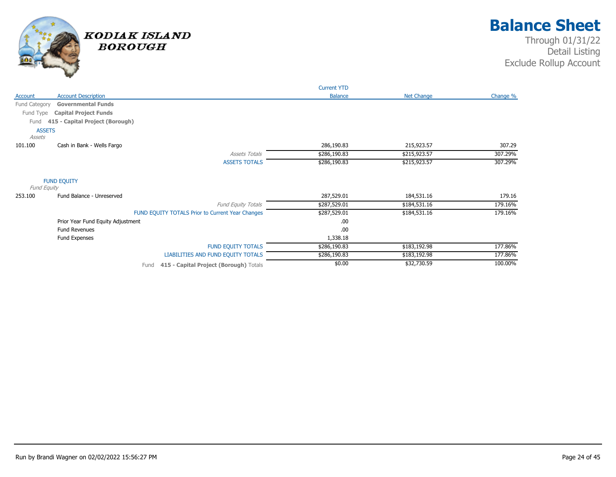

|                         |                                                  | <b>Current YTD</b> |                   |          |
|-------------------------|--------------------------------------------------|--------------------|-------------------|----------|
| Account                 | <b>Account Description</b>                       | <b>Balance</b>     | <b>Net Change</b> | Change % |
| Fund Category           | <b>Governmental Funds</b>                        |                    |                   |          |
| Fund Type               | <b>Capital Project Funds</b>                     |                    |                   |          |
| Fund                    | 415 - Capital Project (Borough)                  |                    |                   |          |
| <b>ASSETS</b><br>Assets |                                                  |                    |                   |          |
| 101.100                 | Cash in Bank - Wells Fargo                       | 286,190.83         | 215,923.57        | 307.29   |
|                         | <b>Assets Totals</b>                             | \$286,190.83       | \$215,923.57      | 307.29%  |
|                         | <b>ASSETS TOTALS</b>                             | \$286,190.83       | \$215,923.57      | 307.29%  |
| Fund Equity             | <b>FUND EQUITY</b>                               |                    |                   |          |
| 253.100                 | Fund Balance - Unreserved                        | 287,529.01         | 184,531.16        | 179.16   |
|                         | Fund Equity Totals                               | \$287,529.01       | \$184,531.16      | 179.16%  |
|                         | FUND EQUITY TOTALS Prior to Current Year Changes | \$287,529.01       | \$184,531.16      | 179.16%  |
|                         | Prior Year Fund Equity Adjustment                | .00.               |                   |          |
|                         | <b>Fund Revenues</b>                             | .00                |                   |          |
|                         | Fund Expenses                                    | 1,338.18           |                   |          |
|                         | <b>FUND EQUITY TOTALS</b>                        | \$286,190.83       | \$183,192.98      | 177.86%  |
|                         | LIABILITIES AND FUND EQUITY TOTALS               | \$286,190.83       | \$183,192.98      | 177.86%  |
|                         | 415 - Capital Project (Borough) Totals<br>Fund   | \$0.00             | \$32,730.59       | 100.00%  |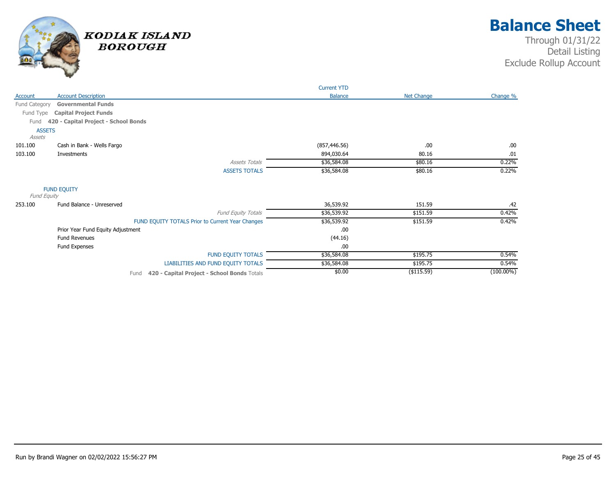

|               |                                      |                                                     | <b>Current YTD</b> |                   |              |
|---------------|--------------------------------------|-----------------------------------------------------|--------------------|-------------------|--------------|
| Account       | <b>Account Description</b>           |                                                     | <b>Balance</b>     | <b>Net Change</b> | Change %     |
| Fund Category | <b>Governmental Funds</b>            |                                                     |                    |                   |              |
| Fund Type     | <b>Capital Project Funds</b>         |                                                     |                    |                   |              |
| Fund          | 420 - Capital Project - School Bonds |                                                     |                    |                   |              |
| <b>ASSETS</b> |                                      |                                                     |                    |                   |              |
| Assets        |                                      |                                                     |                    |                   |              |
| 101.100       | Cash in Bank - Wells Fargo           |                                                     | (857, 446.56)      | .00               | .00          |
| 103.100       | Investments                          |                                                     | 894,030.64         | 80.16             | .01          |
|               |                                      | <b>Assets Totals</b>                                | \$36,584.08        | \$80.16           | 0.22%        |
|               |                                      | <b>ASSETS TOTALS</b>                                | \$36,584.08        | \$80.16           | 0.22%        |
|               | <b>FUND EQUITY</b>                   |                                                     |                    |                   |              |
| Fund Equity   |                                      |                                                     |                    |                   |              |
| 253.100       | Fund Balance - Unreserved            |                                                     | 36,539.92          | 151.59            | .42          |
|               |                                      | <b>Fund Equity Totals</b>                           | \$36,539.92        | \$151.59          | 0.42%        |
|               |                                      | FUND EQUITY TOTALS Prior to Current Year Changes    | \$36,539.92        | \$151.59          | 0.42%        |
|               | Prior Year Fund Equity Adjustment    |                                                     | .00                |                   |              |
|               | <b>Fund Revenues</b>                 |                                                     | (44.16)            |                   |              |
|               | Fund Expenses                        |                                                     | .00                |                   |              |
|               |                                      | <b>FUND EQUITY TOTALS</b>                           | \$36,584.08        | \$195.75          | 0.54%        |
|               |                                      | LIABILITIES AND FUND EQUITY TOTALS                  | \$36,584.08        | \$195.75          | 0.54%        |
|               |                                      | 420 - Capital Project - School Bonds Totals<br>Fund | \$0.00             | $($ \$115.59)     | $(100.00\%)$ |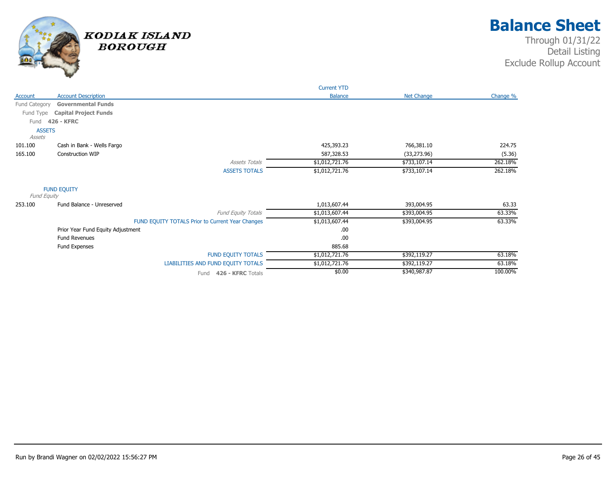

|               |                                                  | <b>Current YTD</b> |              |          |
|---------------|--------------------------------------------------|--------------------|--------------|----------|
| Account       | <b>Account Description</b>                       | <b>Balance</b>     | Net Change   | Change % |
| Fund Category | <b>Governmental Funds</b>                        |                    |              |          |
| Fund Type     | <b>Capital Project Funds</b>                     |                    |              |          |
| Fund          | <b>426 - KFRC</b>                                |                    |              |          |
| <b>ASSETS</b> |                                                  |                    |              |          |
| Assets        |                                                  |                    |              |          |
| 101.100       | Cash in Bank - Wells Fargo                       | 425,393.23         | 766,381.10   | 224.75   |
| 165.100       | Construction WIP                                 | 587,328.53         | (33, 273.96) | (5.36)   |
|               | <b>Assets Totals</b>                             | \$1,012,721.76     | \$733,107.14 | 262.18%  |
|               | <b>ASSETS TOTALS</b>                             | \$1,012,721.76     | \$733,107.14 | 262.18%  |
|               | <b>FUND EQUITY</b>                               |                    |              |          |
| Fund Equity   |                                                  |                    |              |          |
| 253.100       | Fund Balance - Unreserved                        | 1,013,607.44       | 393,004.95   | 63.33    |
|               | Fund Equity Totals                               | \$1,013,607.44     | \$393,004.95 | 63.33%   |
|               | FUND EQUITY TOTALS Prior to Current Year Changes | \$1,013,607.44     | \$393,004.95 | 63.33%   |
|               | Prior Year Fund Equity Adjustment                | .00                |              |          |
|               | <b>Fund Revenues</b>                             | .00                |              |          |
|               | Fund Expenses                                    | 885.68             |              |          |
|               | <b>FUND EQUITY TOTALS</b>                        | \$1,012,721.76     | \$392,119.27 | 63.18%   |
|               | LIABILITIES AND FUND EQUITY TOTALS               | \$1,012,721.76     | \$392,119.27 | 63.18%   |
|               | Fund 426 - KFRC Totals                           | \$0.00             | \$340,987.87 | 100.00%  |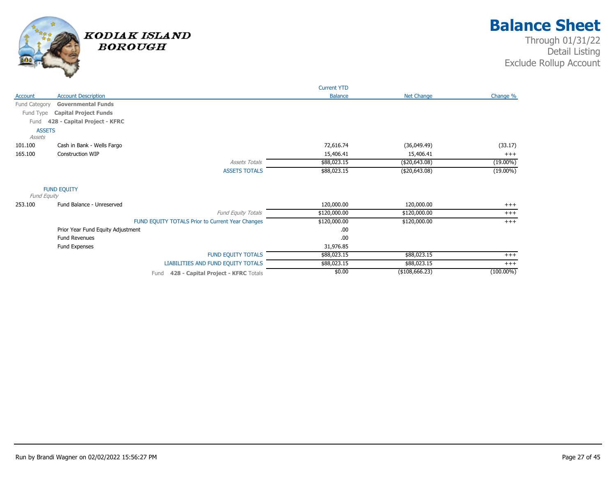

|               |                                                  | <b>Current YTD</b> |                   |              |
|---------------|--------------------------------------------------|--------------------|-------------------|--------------|
| Account       | <b>Account Description</b>                       | <b>Balance</b>     | <b>Net Change</b> | Change %     |
| Fund Category | <b>Governmental Funds</b>                        |                    |                   |              |
| Fund Type     | <b>Capital Project Funds</b>                     |                    |                   |              |
| Fund          | 428 - Capital Project - KFRC                     |                    |                   |              |
| <b>ASSETS</b> |                                                  |                    |                   |              |
| Assets        |                                                  |                    |                   |              |
| 101.100       | Cash in Bank - Wells Fargo                       | 72,616.74          | (36,049.49)       | (33.17)      |
| 165.100       | <b>Construction WIP</b>                          | 15,406.41          | 15,406.41         | $+++$        |
|               | <b>Assets Totals</b>                             | \$88,023.15        | (\$20,643.08)     | $(19.00\%)$  |
|               | <b>ASSETS TOTALS</b>                             | \$88,023.15        | (\$20,643.08)     | $(19.00\%)$  |
| Fund Equity   | <b>FUND EQUITY</b>                               |                    |                   |              |
| 253.100       | Fund Balance - Unreserved                        | 120,000.00         | 120,000.00        | $+++$        |
|               | <b>Fund Equity Totals</b>                        | \$120,000.00       | \$120,000.00      | $+++$        |
|               | FUND EQUITY TOTALS Prior to Current Year Changes | \$120,000.00       | \$120,000.00      | $+++$        |
|               | Prior Year Fund Equity Adjustment                | .00                |                   |              |
|               | <b>Fund Revenues</b>                             | .00                |                   |              |
|               |                                                  |                    |                   |              |
|               | Fund Expenses                                    | 31,976.85          |                   |              |
|               | <b>FUND EQUITY TOTALS</b>                        | \$88,023.15        | \$88,023.15       | $^{+++}$     |
|               | LIABILITIES AND FUND EQUITY TOTALS               | \$88,023.15        | \$88,023.15       | $+++$        |
|               | 428 - Capital Project - KFRC Totals<br>Fund      | \$0.00             | (\$108,666.23)    | $(100.00\%)$ |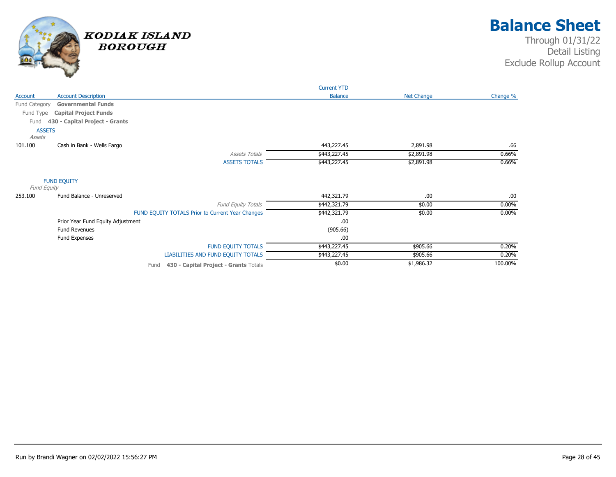

|               |                                   |                                                  | <b>Current YTD</b> |                   |          |
|---------------|-----------------------------------|--------------------------------------------------|--------------------|-------------------|----------|
| Account       | <b>Account Description</b>        |                                                  | <b>Balance</b>     | <b>Net Change</b> | Change % |
| Fund Category | <b>Governmental Funds</b>         |                                                  |                    |                   |          |
| Fund Type     | <b>Capital Project Funds</b>      |                                                  |                    |                   |          |
| Fund          | 430 - Capital Project - Grants    |                                                  |                    |                   |          |
| <b>ASSETS</b> |                                   |                                                  |                    |                   |          |
| Assets        |                                   |                                                  |                    |                   |          |
| 101.100       | Cash in Bank - Wells Fargo        |                                                  | 443,227.45         | 2,891.98          | .66      |
|               |                                   | <b>Assets Totals</b>                             | \$443,227.45       | \$2,891.98        | 0.66%    |
|               |                                   | <b>ASSETS TOTALS</b>                             | \$443,227.45       | \$2,891.98        | 0.66%    |
| Fund Equity   | <b>FUND EQUITY</b>                |                                                  |                    |                   |          |
| 253.100       | Fund Balance - Unreserved         |                                                  | 442,321.79         | .00               | .00.     |
|               |                                   | <b>Fund Equity Totals</b>                        | \$442,321.79       | \$0.00            | $0.00\%$ |
|               |                                   | FUND EQUITY TOTALS Prior to Current Year Changes | \$442,321.79       | \$0.00            | $0.00\%$ |
|               | Prior Year Fund Equity Adjustment |                                                  | .00                |                   |          |
|               | <b>Fund Revenues</b>              |                                                  | (905.66)           |                   |          |
|               | Fund Expenses                     |                                                  | .00                |                   |          |
|               |                                   | <b>FUND EQUITY TOTALS</b>                        | \$443,227.45       | \$905.66          | 0.20%    |
|               |                                   | LIABILITIES AND FUND EQUITY TOTALS               | \$443,227.45       | \$905.66          | 0.20%    |
|               |                                   | 430 - Capital Project - Grants Totals<br>Fund    | \$0.00             | \$1,986.32        | 100.00%  |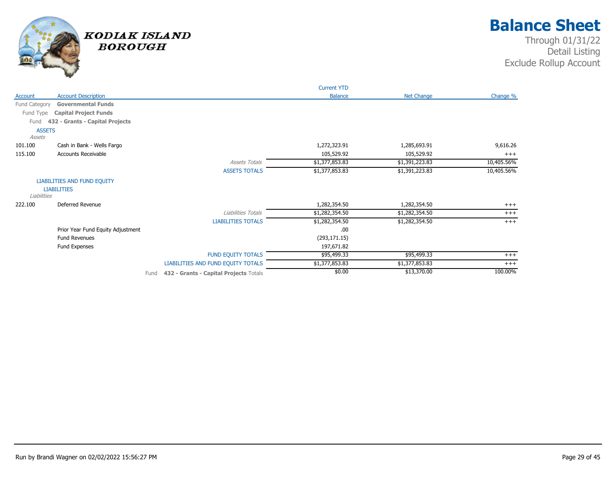

|                                |                                   |      |                                        | <b>Current YTD</b> |                   |            |
|--------------------------------|-----------------------------------|------|----------------------------------------|--------------------|-------------------|------------|
| Account                        | <b>Account Description</b>        |      |                                        | <b>Balance</b>     | <b>Net Change</b> | Change %   |
| Fund Category                  | <b>Governmental Funds</b>         |      |                                        |                    |                   |            |
| Fund Type                      | <b>Capital Project Funds</b>      |      |                                        |                    |                   |            |
| Fund                           | 432 - Grants - Capital Projects   |      |                                        |                    |                   |            |
| <b>ASSETS</b><br><b>Assets</b> |                                   |      |                                        |                    |                   |            |
| 101.100                        | Cash in Bank - Wells Fargo        |      |                                        | 1,272,323.91       | 1,285,693.91      | 9,616.26   |
| 115.100                        | Accounts Receivable               |      |                                        | 105,529.92         | 105,529.92        | $+++$      |
|                                |                                   |      | <b>Assets Totals</b>                   | \$1,377,853.83     | \$1,391,223.83    | 10,405.56% |
|                                |                                   |      | <b>ASSETS TOTALS</b>                   | \$1,377,853.83     | \$1,391,223.83    | 10,405.56% |
|                                | LIABILITIES AND FUND EQUITY       |      |                                        |                    |                   |            |
| Liabilities                    | <b>LIABILITIES</b>                |      |                                        |                    |                   |            |
| 222.100                        | Deferred Revenue                  |      |                                        | 1,282,354.50       | 1,282,354.50      | $+++$      |
|                                |                                   |      | Liabilities Totals                     | \$1,282,354.50     | \$1,282,354.50    | $^{+++}$   |
|                                |                                   |      | <b>LIABILITIES TOTALS</b>              | \$1,282,354.50     | \$1,282,354.50    | $+++$      |
|                                | Prior Year Fund Equity Adjustment |      |                                        | .00                |                   |            |
|                                | <b>Fund Revenues</b>              |      |                                        | (293, 171.15)      |                   |            |
|                                | Fund Expenses                     |      |                                        | 197,671.82         |                   |            |
|                                |                                   |      | <b>FUND EQUITY TOTALS</b>              | \$95,499.33        | \$95,499.33       | $+++$      |
|                                |                                   |      | LIABILITIES AND FUND EQUITY TOTALS     | \$1,377,853.83     | \$1,377,853.83    | $+++$      |
|                                |                                   | Fund | 432 - Grants - Capital Projects Totals | \$0.00             | \$13,370.00       | 100.00%    |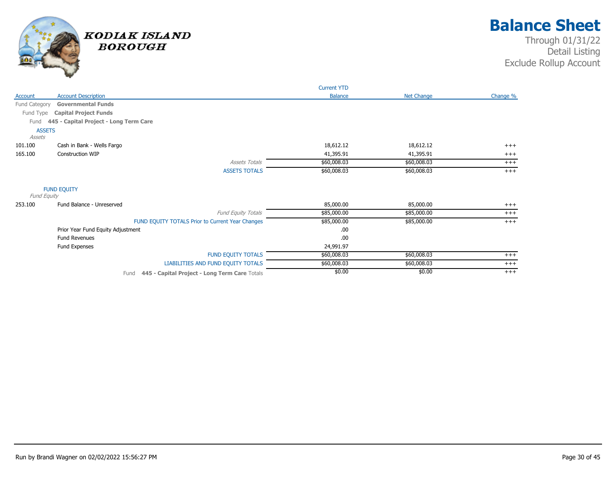

|               |                                                       | <b>Current YTD</b> |             |          |
|---------------|-------------------------------------------------------|--------------------|-------------|----------|
| Account       | <b>Account Description</b>                            | <b>Balance</b>     | Net Change  | Change % |
| Fund Category | <b>Governmental Funds</b>                             |                    |             |          |
| Fund Type     | <b>Capital Project Funds</b>                          |                    |             |          |
| Fund          | 445 - Capital Project - Long Term Care                |                    |             |          |
| <b>ASSETS</b> |                                                       |                    |             |          |
| Assets        |                                                       |                    |             |          |
| 101.100       | Cash in Bank - Wells Fargo                            | 18,612.12          | 18,612.12   | $+++$    |
| 165.100       | <b>Construction WIP</b>                               | 41,395.91          | 41,395.91   | $+++$    |
|               | <b>Assets Totals</b>                                  | \$60,008.03        | \$60,008.03 | $+++$    |
|               | <b>ASSETS TOTALS</b>                                  | \$60,008.03        | \$60,008.03 | $+++$    |
| Fund Equity   | <b>FUND EQUITY</b>                                    |                    |             |          |
| 253.100       | Fund Balance - Unreserved                             | 85,000.00          | 85,000.00   | $+++$    |
|               | <b>Fund Equity Totals</b>                             | \$85,000.00        | \$85,000.00 | $+++$    |
|               | FUND EQUITY TOTALS Prior to Current Year Changes      | \$85,000.00        | \$85,000.00 | $+++$    |
|               | Prior Year Fund Equity Adjustment                     | .00.               |             |          |
|               | <b>Fund Revenues</b>                                  | .00                |             |          |
|               | Fund Expenses                                         | 24,991.97          |             |          |
|               | <b>FUND EQUITY TOTALS</b>                             | \$60,008.03        | \$60,008.03 | $+++$    |
|               | LIABILITIES AND FUND EQUITY TOTALS                    | \$60,008.03        | \$60,008.03 | $^{+++}$ |
|               | 445 - Capital Project - Long Term Care Totals<br>Fund | \$0.00             | \$0.00      | $+++$    |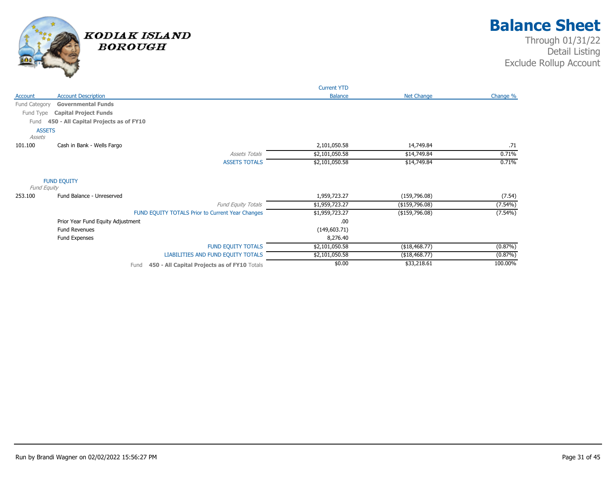

|                                                      | <b>Current YTD</b> |                |            |
|------------------------------------------------------|--------------------|----------------|------------|
| <b>Account Description</b><br>Account                | <b>Balance</b>     | Net Change     | Change %   |
| Fund Category<br><b>Governmental Funds</b>           |                    |                |            |
| Fund Type<br><b>Capital Project Funds</b>            |                    |                |            |
| 450 - All Capital Projects as of FY10<br>Fund        |                    |                |            |
| <b>ASSETS</b><br>Assets                              |                    |                |            |
| 101.100<br>Cash in Bank - Wells Fargo                | 2,101,050.58       | 14,749.84      | .71        |
| <b>Assets Totals</b>                                 | \$2,101,050.58     | \$14,749.84    | 0.71%      |
| <b>ASSETS TOTALS</b>                                 | \$2,101,050.58     | \$14,749.84    | 0.71%      |
| <b>FUND EQUITY</b><br>Fund Equity                    |                    |                |            |
| 253.100<br>Fund Balance - Unreserved                 | 1,959,723.27       | (159, 796.08)  | (7.54)     |
| <b>Fund Equity Totals</b>                            | \$1,959,723.27     | (\$159,796.08) | $(7.54\%)$ |
| FUND EQUITY TOTALS Prior to Current Year Changes     | \$1,959,723.27     | (\$159,796.08) | $(7.54\%)$ |
| Prior Year Fund Equity Adjustment                    | .00                |                |            |
| <b>Fund Revenues</b>                                 | (149, 603.71)      |                |            |
| Fund Expenses                                        | 8,276.40           |                |            |
| <b>FUND EQUITY TOTALS</b>                            | \$2,101,050.58     | \$18,468.77    | (0.87%)    |
| LIABILITIES AND FUND EQUITY TOTALS                   | \$2,101,050.58     | (\$18,468.77)  | $(0.87\%)$ |
| 450 - All Capital Projects as of FY10 Totals<br>Fund | \$0.00             | \$33,218.61    | 100.00%    |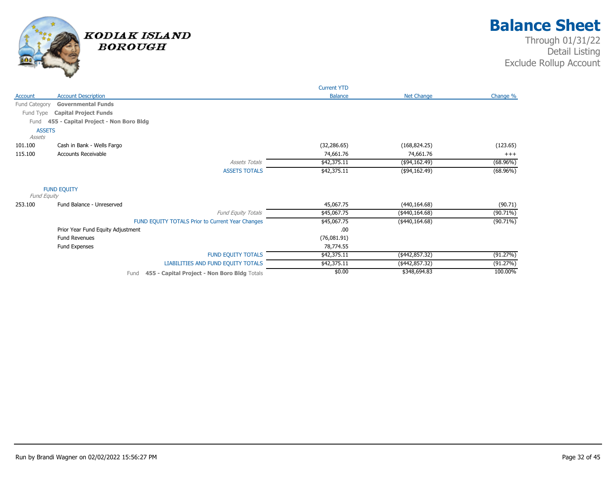

|                         |                                                      | <b>Current YTD</b> |                   |             |
|-------------------------|------------------------------------------------------|--------------------|-------------------|-------------|
| Account                 | <b>Account Description</b>                           | <b>Balance</b>     | <b>Net Change</b> | Change %    |
| Fund Category           | <b>Governmental Funds</b>                            |                    |                   |             |
| Fund Type               | <b>Capital Project Funds</b>                         |                    |                   |             |
| Fund                    | 455 - Capital Project - Non Boro Bldg                |                    |                   |             |
| <b>ASSETS</b><br>Assets |                                                      |                    |                   |             |
| 101.100                 | Cash in Bank - Wells Fargo                           | (32, 286.65)       | (168, 824.25)     | (123.65)    |
| 115.100                 | Accounts Receivable                                  | 74,661.76          | 74,661.76         | $+++$       |
|                         | <b>Assets Totals</b>                                 | \$42,375.11        | (\$94,162.49)     | $(68.96\%)$ |
|                         | <b>ASSETS TOTALS</b>                                 | \$42,375.11        | (\$94,162.49)     | $(68.96\%)$ |
| Fund Equity             | <b>FUND EQUITY</b>                                   |                    |                   |             |
| 253.100                 | Fund Balance - Unreserved                            | 45,067.75          | (440, 164.68)     | (90.71)     |
|                         | Fund Equity Totals                                   | \$45,067.75        | $($ \$440,164.68) | $(90.71\%)$ |
|                         | FUND EQUITY TOTALS Prior to Current Year Changes     | \$45,067.75        | $(*440,164.68)$   | $(90.71\%)$ |
|                         | Prior Year Fund Equity Adjustment                    | .00                |                   |             |
|                         | <b>Fund Revenues</b>                                 | (76,081.91)        |                   |             |
|                         | Fund Expenses                                        | 78,774.55          |                   |             |
|                         | <b>FUND EQUITY TOTALS</b>                            | \$42,375.11        | $(*442,857.32)$   | (91.27%)    |
|                         | LIABILITIES AND FUND EQUITY TOTALS                   | \$42,375.11        | $(*442,857.32)$   | (91.27%)    |
|                         | 455 - Capital Project - Non Boro Bldg Totals<br>Fund | \$0.00             | \$348,694.83      | 100.00%     |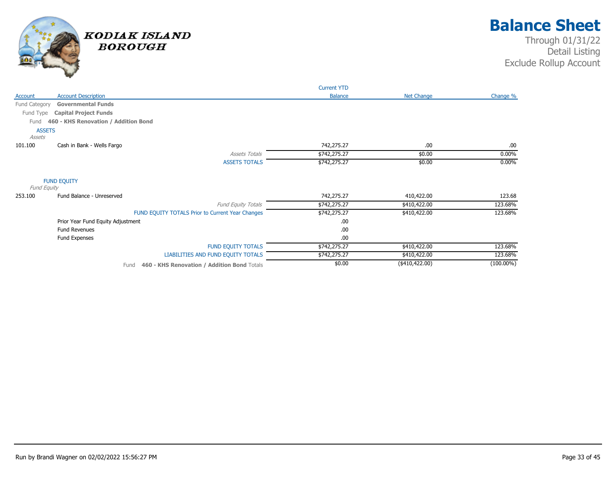

|                         |                                                     | <b>Current YTD</b> |                   |              |
|-------------------------|-----------------------------------------------------|--------------------|-------------------|--------------|
| Account                 | <b>Account Description</b>                          | <b>Balance</b>     | <b>Net Change</b> | Change %     |
| Fund Category           | <b>Governmental Funds</b>                           |                    |                   |              |
| Fund Type               | <b>Capital Project Funds</b>                        |                    |                   |              |
| Fund                    | 460 - KHS Renovation / Addition Bond                |                    |                   |              |
| <b>ASSETS</b><br>Assets |                                                     |                    |                   |              |
| 101.100                 | Cash in Bank - Wells Fargo                          | 742,275.27         | .00               | .00.         |
|                         | <b>Assets Totals</b>                                | \$742,275.27       | \$0.00            | $0.00\%$     |
|                         | <b>ASSETS TOTALS</b>                                | \$742,275.27       | \$0.00            | $0.00\%$     |
| Fund Equity             | <b>FUND EQUITY</b>                                  |                    |                   |              |
| 253.100                 | Fund Balance - Unreserved                           | 742,275.27         | 410,422.00        | 123.68       |
|                         | <b>Fund Equity Totals</b>                           | \$742,275.27       | \$410,422.00      | 123.68%      |
|                         | FUND EQUITY TOTALS Prior to Current Year Changes    | \$742,275.27       | \$410,422.00      | 123.68%      |
|                         | Prior Year Fund Equity Adjustment                   | .00                |                   |              |
|                         | <b>Fund Revenues</b>                                | .00                |                   |              |
|                         | Fund Expenses                                       | .00                |                   |              |
|                         | <b>FUND EQUITY TOTALS</b>                           | \$742,275.27       | \$410,422.00      | 123.68%      |
|                         | LIABILITIES AND FUND EQUITY TOTALS                  | \$742,275.27       | \$410,422.00      | 123.68%      |
|                         | 460 - KHS Renovation / Addition Bond Totals<br>Fund | \$0.00             | $(*410,422.00)$   | $(100.00\%)$ |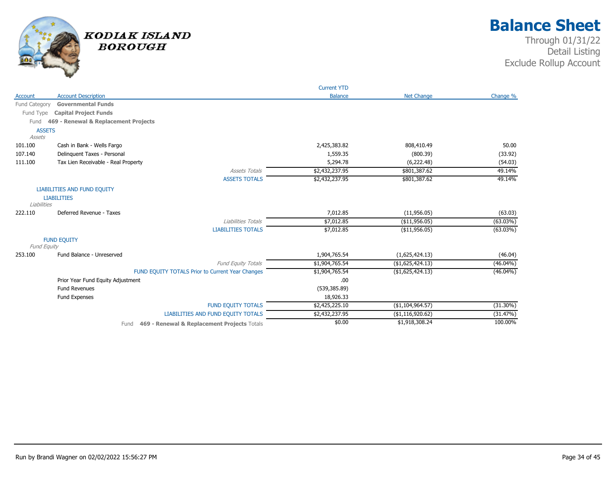

|               |                                                     | <b>Current YTD</b> |                   |             |
|---------------|-----------------------------------------------------|--------------------|-------------------|-------------|
| Account       | <b>Account Description</b>                          | <b>Balance</b>     | <b>Net Change</b> | Change %    |
| Fund Category | <b>Governmental Funds</b>                           |                    |                   |             |
| Fund Type     | <b>Capital Project Funds</b>                        |                    |                   |             |
| Fund          | 469 - Renewal & Replacement Projects                |                    |                   |             |
| <b>ASSETS</b> |                                                     |                    |                   |             |
| Assets        |                                                     |                    |                   |             |
| 101.100       | Cash in Bank - Wells Fargo                          | 2,425,383.82       | 808,410.49        | 50.00       |
| 107.140       | Delinguent Taxes - Personal                         | 1,559.35           | (800.39)          | (33.92)     |
| 111.100       | Tax Lien Receivable - Real Property                 | 5,294.78           | (6,222.48)        | (54.03)     |
|               | <b>Assets Totals</b>                                | \$2,432,237.95     | \$801,387.62      | 49.14%      |
|               | <b>ASSETS TOTALS</b>                                | \$2,432,237.95     | \$801,387.62      | 49.14%      |
|               | LIABILITIES AND FUND EQUITY                         |                    |                   |             |
|               | <b>LIABILITIES</b>                                  |                    |                   |             |
| Liabilities   |                                                     |                    |                   |             |
| 222.110       | Deferred Revenue - Taxes                            | 7,012.85           | (11,956.05)       | (63.03)     |
|               | Liabilities Totals                                  | \$7,012.85         | ( \$11,956.05)    | $(63.03\%)$ |
|               | <b>LIABILITIES TOTALS</b>                           | \$7,012.85         | ( \$11,956.05)    | $(63.03\%)$ |
|               | <b>FUND EQUITY</b>                                  |                    |                   |             |
| Fund Equity   |                                                     |                    |                   |             |
| 253.100       | Fund Balance - Unreserved                           | 1,904,765.54       | (1,625,424.13)    | (46.04)     |
|               | Fund Equity Totals                                  | \$1,904,765.54     | ( \$1,625,424.13) | $(46.04\%)$ |
|               | FUND EQUITY TOTALS Prior to Current Year Changes    | \$1,904,765.54     | ( \$1,625,424.13) | $(46.04\%)$ |
|               | Prior Year Fund Equity Adjustment                   | .00                |                   |             |
|               | <b>Fund Revenues</b>                                | (539, 385.89)      |                   |             |
|               | Fund Expenses                                       | 18,926.33          |                   |             |
|               | <b>FUND EQUITY TOTALS</b>                           | \$2,425,225.10     | ( \$1,104,964.57) | $(31.30\%)$ |
|               | LIABILITIES AND FUND EQUITY TOTALS                  | \$2,432,237.95     | ( \$1,116,920.62) | (31.47%)    |
|               | 469 - Renewal & Replacement Projects Totals<br>Fund | \$0.00             | \$1,918,308.24    | 100.00%     |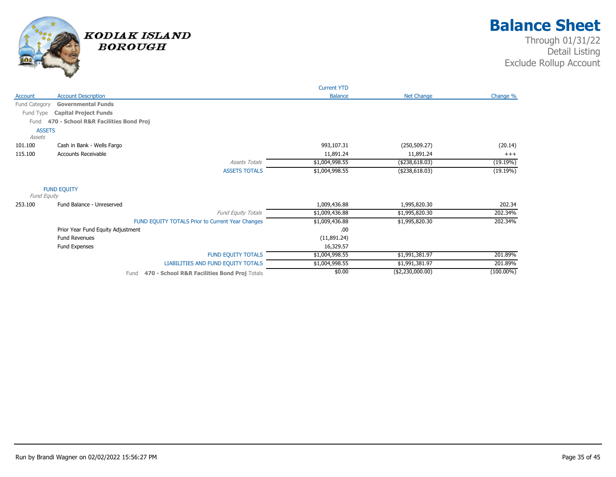

|               |                                                      | <b>Current YTD</b> |                   |              |
|---------------|------------------------------------------------------|--------------------|-------------------|--------------|
| Account       | <b>Account Description</b>                           | <b>Balance</b>     | <b>Net Change</b> | Change %     |
| Fund Category | <b>Governmental Funds</b>                            |                    |                   |              |
| Fund Type     | <b>Capital Project Funds</b>                         |                    |                   |              |
| Fund          | 470 - School R&R Facilities Bond Proj                |                    |                   |              |
| <b>ASSETS</b> |                                                      |                    |                   |              |
| <b>Assets</b> |                                                      |                    |                   |              |
| 101.100       | Cash in Bank - Wells Fargo                           | 993,107.31         | (250, 509.27)     | (20.14)      |
| 115.100       | <b>Accounts Receivable</b>                           | 11,891.24          | 11,891.24         | $+++$        |
|               | <b>Assets Totals</b>                                 | \$1,004,998.55     | ( \$238, 618.03)  | (19.19%)     |
|               | <b>ASSETS TOTALS</b>                                 | \$1,004,998.55     | (\$238,618.03)    | (19.19%)     |
| Fund Equity   | <b>FUND EQUITY</b>                                   |                    |                   |              |
| 253.100       | Fund Balance - Unreserved                            | 1,009,436.88       | 1,995,820.30      | 202.34       |
|               |                                                      |                    |                   |              |
|               | <b>Fund Equity Totals</b>                            | \$1,009,436.88     | \$1,995,820.30    | 202.34%      |
|               | FUND EQUITY TOTALS Prior to Current Year Changes     | \$1,009,436.88     | \$1,995,820.30    | 202.34%      |
|               | Prior Year Fund Equity Adjustment                    | .00                |                   |              |
|               | <b>Fund Revenues</b>                                 | (11,891.24)        |                   |              |
|               | Fund Expenses                                        | 16,329.57          |                   |              |
|               | <b>FUND EQUITY TOTALS</b>                            | \$1,004,998.55     | \$1,991,381.97    | 201.89%      |
|               | LIABILITIES AND FUND EQUITY TOTALS                   | \$1,004,998.55     | \$1,991,381.97    | 201.89%      |
|               | 470 - School R&R Facilities Bond Proj Totals<br>Fund | \$0.00             | (\$2,230,000.00)  | $(100.00\%)$ |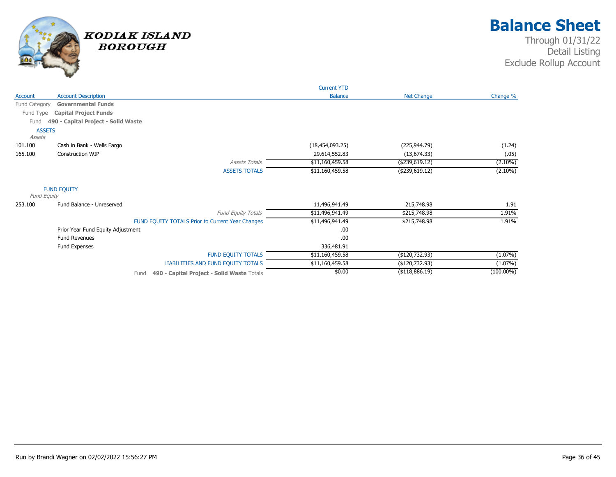

|                         |                                     |                                                    | <b>Current YTD</b> |                   |              |
|-------------------------|-------------------------------------|----------------------------------------------------|--------------------|-------------------|--------------|
| Account                 | <b>Account Description</b>          |                                                    | <b>Balance</b>     | <b>Net Change</b> | Change %     |
| Fund Category           | <b>Governmental Funds</b>           |                                                    |                    |                   |              |
| Fund Type               | <b>Capital Project Funds</b>        |                                                    |                    |                   |              |
| Fund                    | 490 - Capital Project - Solid Waste |                                                    |                    |                   |              |
| <b>ASSETS</b><br>Assets |                                     |                                                    |                    |                   |              |
| 101.100                 | Cash in Bank - Wells Fargo          |                                                    | (18, 454, 093.25)  | (225, 944.79)     | (1.24)       |
| 165.100                 | <b>Construction WIP</b>             |                                                    | 29,614,552.83      | (13, 674.33)      | (.05)        |
|                         |                                     | <b>Assets Totals</b>                               | \$11,160,459.58    | ( \$239, 619.12)  | $(2.10\%)$   |
|                         |                                     | <b>ASSETS TOTALS</b>                               | \$11,160,459.58    | (\$239,619.12)    | $(2.10\%)$   |
| Fund Equity             | <b>FUND EQUITY</b>                  |                                                    |                    |                   |              |
| 253.100                 | Fund Balance - Unreserved           |                                                    | 11,496,941.49      | 215,748.98        | 1.91         |
|                         |                                     | <b>Fund Equity Totals</b>                          | \$11,496,941.49    | \$215,748.98      | 1.91%        |
|                         |                                     | FUND EQUITY TOTALS Prior to Current Year Changes   | \$11,496,941.49    | \$215,748.98      | 1.91%        |
|                         | Prior Year Fund Equity Adjustment   |                                                    | .00.               |                   |              |
|                         | <b>Fund Revenues</b>                |                                                    | .00                |                   |              |
|                         | Fund Expenses                       |                                                    | 336,481.91         |                   |              |
|                         |                                     | <b>FUND EQUITY TOTALS</b>                          | \$11,160,459.58    | (\$120,732.93)    | $(1.07\%)$   |
|                         |                                     | LIABILITIES AND FUND EQUITY TOTALS                 | \$11,160,459.58    | (\$120,732.93)    | $(1.07\%)$   |
|                         |                                     | 490 - Capital Project - Solid Waste Totals<br>Fund | \$0.00             | ( \$118,886.19)   | $(100.00\%)$ |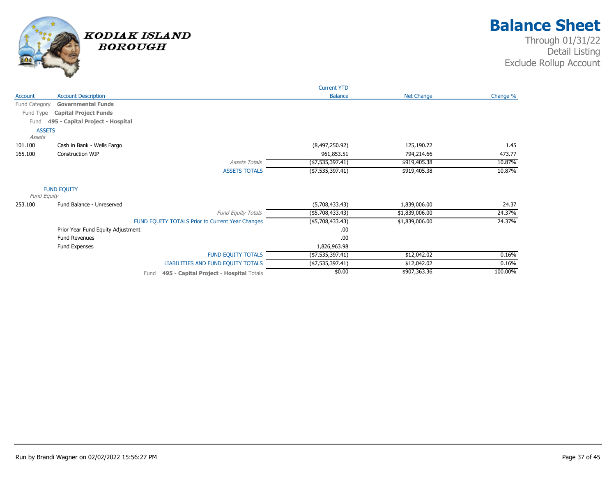

|               |                                   |                                                  | <b>Current YTD</b> |                   |          |
|---------------|-----------------------------------|--------------------------------------------------|--------------------|-------------------|----------|
| Account       | <b>Account Description</b>        |                                                  | <b>Balance</b>     | <b>Net Change</b> | Change % |
| Fund Category | <b>Governmental Funds</b>         |                                                  |                    |                   |          |
| Fund Type     | <b>Capital Project Funds</b>      |                                                  |                    |                   |          |
| Fund          | 495 - Capital Project - Hospital  |                                                  |                    |                   |          |
| <b>ASSETS</b> |                                   |                                                  |                    |                   |          |
| Assets        |                                   |                                                  |                    |                   |          |
| 101.100       | Cash in Bank - Wells Fargo        |                                                  | (8,497,250.92)     | 125,190.72        | 1.45     |
| 165.100       | <b>Construction WIP</b>           |                                                  | 961,853.51         | 794,214.66        | 473.77   |
|               |                                   | <b>Assets Totals</b>                             | ( \$7,535,397.41)  | \$919,405.38      | 10.87%   |
|               |                                   | <b>ASSETS TOTALS</b>                             | (47, 535, 397.41)  | \$919,405.38      | 10.87%   |
|               | <b>FUND EQUITY</b>                |                                                  |                    |                   |          |
| Fund Equity   |                                   |                                                  |                    |                   |          |
| 253.100       | Fund Balance - Unreserved         |                                                  | (5,708,433.43)     | 1,839,006.00      | 24.37    |
|               |                                   | <b>Fund Equity Totals</b>                        | ( \$5,708,433.43)  | \$1,839,006.00    | 24.37%   |
|               |                                   | FUND EQUITY TOTALS Prior to Current Year Changes | ( \$5,708,433.43)  | \$1,839,006.00    | 24.37%   |
|               | Prior Year Fund Equity Adjustment |                                                  | .00                |                   |          |
|               | <b>Fund Revenues</b>              |                                                  | .00                |                   |          |
|               | Fund Expenses                     |                                                  | 1,826,963.98       |                   |          |
|               |                                   | <b>FUND EQUITY TOTALS</b>                        | $(*7,535,397.41)$  | \$12,042.02       | 0.16%    |
|               |                                   | LIABILITIES AND FUND EQUITY TOTALS               | (47, 535, 397.41)  | \$12,042.02       | 0.16%    |
|               |                                   | 495 - Capital Project - Hospital Totals<br>Fund  | \$0.00             | \$907,363.36      | 100.00%  |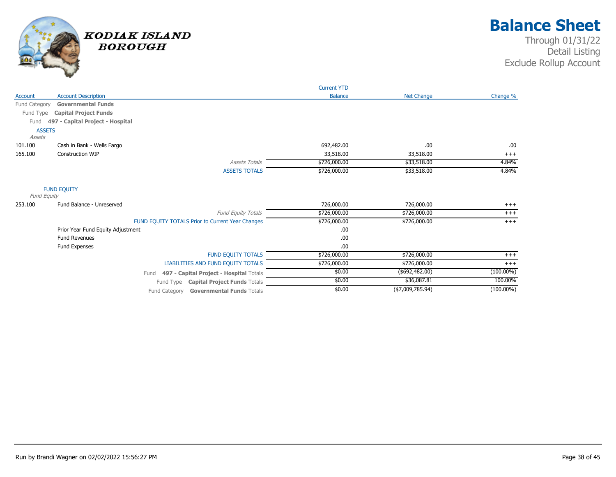

|               |                                                  | <b>Current YTD</b> |                   |              |
|---------------|--------------------------------------------------|--------------------|-------------------|--------------|
| Account       | <b>Account Description</b>                       | <b>Balance</b>     | <b>Net Change</b> | Change %     |
| Fund Category | <b>Governmental Funds</b>                        |                    |                   |              |
| Fund Type     | <b>Capital Project Funds</b>                     |                    |                   |              |
| Fund          | 497 - Capital Project - Hospital                 |                    |                   |              |
| <b>ASSETS</b> |                                                  |                    |                   |              |
| Assets        |                                                  |                    |                   |              |
| 101.100       | Cash in Bank - Wells Fargo                       | 692,482.00         | .00               | .00.         |
| 165.100       | Construction WIP                                 | 33,518.00          | 33,518.00         | $+++$        |
|               | <b>Assets Totals</b>                             | \$726,000.00       | \$33,518.00       | 4.84%        |
|               | <b>ASSETS TOTALS</b>                             | \$726,000.00       | \$33,518.00       | 4.84%        |
| Fund Equity   | <b>FUND EQUITY</b>                               |                    |                   |              |
| 253.100       | Fund Balance - Unreserved                        | 726,000.00         | 726,000.00        | $+++$        |
|               | Fund Equity Totals                               | \$726,000.00       | \$726,000.00      | $+++$        |
|               | FUND EQUITY TOTALS Prior to Current Year Changes | \$726,000.00       | \$726,000.00      | $+++$        |
|               | Prior Year Fund Equity Adjustment                | .00                |                   |              |
|               | <b>Fund Revenues</b>                             | .00                |                   |              |
|               | Fund Expenses                                    | .00                |                   |              |
|               | FUND EQUITY TOTALS                               | \$726,000.00       | \$726,000.00      | $^{+++}$     |
|               | LIABILITIES AND FUND EQUITY TOTALS               | \$726,000.00       | \$726,000.00      | $+++$        |
|               | 497 - Capital Project - Hospital Totals<br>Fund  | \$0.00             | $($ \$692,482.00) | $(100.00\%)$ |
|               | Fund Type Capital Project Funds Totals           | \$0.00             | \$36,087.81       | 100.00%      |
|               | Fund Category Governmental Funds Totals          | \$0.00             | ( \$7,009,785.94) | $(100.00\%)$ |
|               |                                                  |                    |                   |              |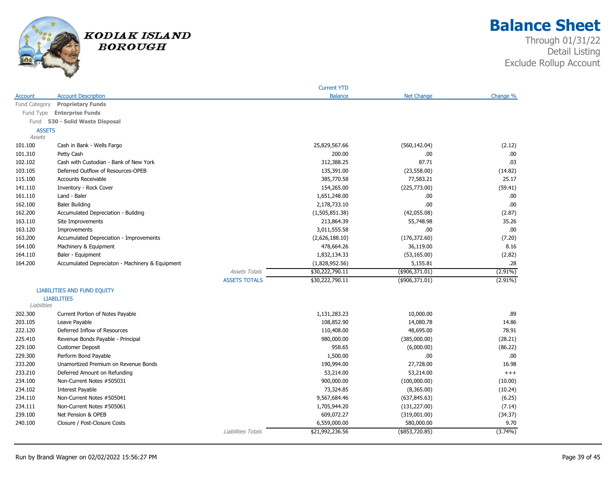

**Balance Sheet**

|               |                                                 |                      | <b>Current YTD</b> |                   |            |
|---------------|-------------------------------------------------|----------------------|--------------------|-------------------|------------|
| Account       | <b>Account Description</b>                      |                      | <b>Balance</b>     | <b>Net Change</b> | Change %   |
| Fund Category | <b>Proprietary Funds</b>                        |                      |                    |                   |            |
|               | Fund Type Enterprise Funds                      |                      |                    |                   |            |
|               | Fund 530 - Solid Waste Disposal                 |                      |                    |                   |            |
| <b>ASSETS</b> |                                                 |                      |                    |                   |            |
| Assets        |                                                 |                      |                    |                   |            |
| 101.100       | Cash in Bank - Wells Fargo                      |                      | 25,829,567.66      | (560, 142.04)     | (2.12)     |
| 101.310       | Petty Cash                                      |                      | 200.00             | .00.              | .00        |
| 102.102       | Cash with Custodian - Bank of New York          |                      | 312,388.25         | 87.71             | .03        |
| 103.105       | Deferred Outflow of Resources-OPEB              |                      | 135,391.00         | (23, 558.00)      | (14.82)    |
| 115.100       | <b>Accounts Receivable</b>                      |                      | 385,770.58         | 77,583.21         | 25.17      |
| 141.110       | Inventory - Rock Cover                          |                      | 154,265.00         | (225,773.00)      | (59.41)    |
| 161.110       | Land - Baler                                    |                      | 1,651,248.00       | .00               | .00        |
| 162.100       | <b>Baler Building</b>                           |                      | 2,178,733.10       | .00               | .00        |
| 162.200       | Accumulated Depreciation - Building             |                      | (1,505,851.38)     | (42,055.08)       | (2.87)     |
| 163.110       | Site Improvements                               |                      | 213,864.39         | 55,748.98         | 35.26      |
| 163.120       | Improvements                                    |                      | 3,011,555.58       | .00               | .00        |
| 163.200       | Accumulated Depreciation - Improvements         |                      | (2,626,188.10)     | (176, 372.60)     | (7.20)     |
| 164.100       | Machinery & Equipment                           |                      | 478,664.26         | 36,119.00         | 8.16       |
| 164.110       | Baler - Equipment                               |                      | 1,832,134.33       | (53, 165.00)      | (2.82)     |
| 164.200       | Accumulated Depreciaton - Machinery & Equipment |                      | (1,828,952.56)     | 5,155.81          | .28        |
|               |                                                 | <b>Assets Totals</b> | \$30,222,790.11    | $($ \$906,371.01) | $(2.91\%)$ |
|               |                                                 | <b>ASSETS TOTALS</b> | \$30,222,790.11    | $($ \$906,371.01) | $(2.91\%)$ |
|               | LIABILITIES AND FUND EQUITY                     |                      |                    |                   |            |
|               | <b>LIABILITIES</b>                              |                      |                    |                   |            |
| Liabilities   |                                                 |                      |                    |                   |            |
| 202.300       | Current Portion of Notes Payable                |                      | 1,131,283.23       | 10,000.00         | .89        |
| 203.105       | Leave Payable                                   |                      | 108,852.90         | 14,080.78         | 14.86      |
| 222.120       | Deferred Inflow of Resources                    |                      | 110,408.00         | 48,695.00         | 78.91      |
| 225.410       | Revenue Bonds Payable - Principal               |                      | 980,000.00         | (385,000.00)      | (28.21)    |
| 229.100       | <b>Customer Deposit</b>                         |                      | 958.65             | (6,000.00)        | (86.22)    |
| 229.300       | Perform Bond Payable                            |                      | 1,500.00           | .00.              | .00.       |
| 233.200       | Unamortized Premium on Revenue Bonds            |                      | 190,994.00         | 27,728.00         | 16.98      |
| 233.210       | Deferred Amount on Refunding                    |                      | 53,214.00          | 53,214.00         | $^{+++}$   |
| 234.100       | Non-Current Notes #505031                       |                      | 900,000.00         | (100,000.00)      | (10.00)    |
| 234.102       | Interest Payable                                |                      | 73,324.85          | (8,365.00)        | (10.24)    |
| 234.110       | Non-Current Notes #505041                       |                      | 9,567,684.46       | (637, 845.63)     | (6.25)     |
| 234.111       | Non-Current Notes #505061                       |                      | 1,705,944.20       | (131, 227.00)     | (7.14)     |
| 239.100       | Net Pension & OPEB                              |                      | 609,072.27         | (319,001.00)      | (34.37)    |
| 240.100       | Closure / Post-Closure Costs                    |                      | 6,559,000.00       | 580,000.00        | 9.70       |
|               |                                                 | Liabilities Totals   | \$21,992,236.56    | $($ \$853,720.85) | $(3.74\%)$ |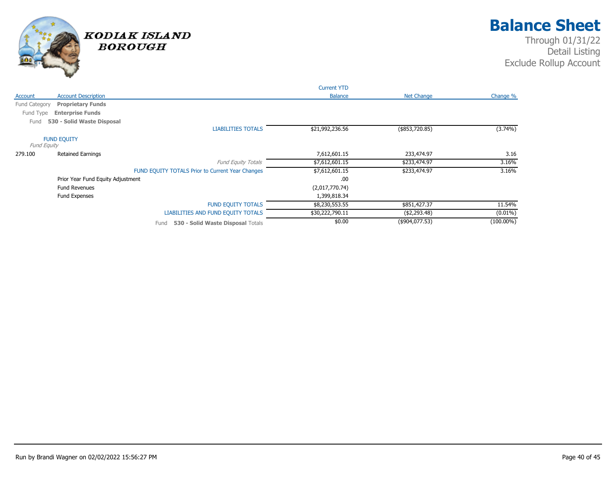

|               |                                   |                                                  | <b>Current YTD</b> |                |              |
|---------------|-----------------------------------|--------------------------------------------------|--------------------|----------------|--------------|
| Account       | <b>Account Description</b>        |                                                  | <b>Balance</b>     | Net Change     | Change %     |
| Fund Category | <b>Proprietary Funds</b>          |                                                  |                    |                |              |
| Fund Type     | <b>Enterprise Funds</b>           |                                                  |                    |                |              |
| Fund          | 530 - Solid Waste Disposal        |                                                  |                    |                |              |
|               |                                   | <b>LIABILITIES TOTALS</b>                        | \$21,992,236.56    | (\$853,720.85) | $(3.74\%)$   |
| Fund Equity   | <b>FUND EQUITY</b>                |                                                  |                    |                |              |
| 279.100       | <b>Retained Earnings</b>          |                                                  | 7,612,601.15       | 233,474.97     | 3.16         |
|               |                                   | <b>Fund Equity Totals</b>                        | \$7,612,601.15     | \$233,474.97   | 3.16%        |
|               |                                   | FUND EQUITY TOTALS Prior to Current Year Changes | \$7,612,601.15     | \$233,474.97   | 3.16%        |
|               | Prior Year Fund Equity Adjustment |                                                  | .00.               |                |              |
|               | <b>Fund Revenues</b>              |                                                  | (2,017,770.74)     |                |              |
|               | Fund Expenses                     |                                                  | 1,399,818.34       |                |              |
|               |                                   | <b>FUND EQUITY TOTALS</b>                        | \$8,230,553.55     | \$851,427.37   | 11.54%       |
|               |                                   | LIABILITIES AND FUND EQUITY TOTALS               | \$30,222,790.11    | ( \$2,293.48)  | $(0.01\%)$   |
|               |                                   | 530 - Solid Waste Disposal Totals<br>Fund        | \$0.00             | (\$904,077.53) | $(100.00\%)$ |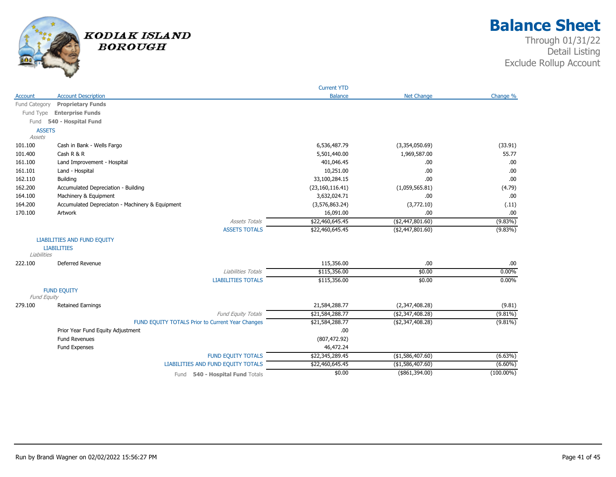

|                    |                                                  | <b>Current YTD</b> |                   |              |
|--------------------|--------------------------------------------------|--------------------|-------------------|--------------|
| Account            | <b>Account Description</b>                       | <b>Balance</b>     | <b>Net Change</b> | Change %     |
| Fund Category      | <b>Proprietary Funds</b>                         |                    |                   |              |
| Fund Type          | <b>Enterprise Funds</b>                          |                    |                   |              |
| Fund               | 540 - Hospital Fund                              |                    |                   |              |
| <b>ASSETS</b>      |                                                  |                    |                   |              |
| Assets             |                                                  |                    |                   |              |
| 101.100            | Cash in Bank - Wells Fargo                       | 6,536,487.79       | (3,354,050.69)    | (33.91)      |
| 101.400            | Cash $R & R$                                     | 5,501,440.00       | 1,969,587.00      | 55.77        |
| 161.100            | Land Improvement - Hospital                      | 401,046.45         | .00               | .00          |
| 161.101            | Land - Hospital                                  | 10,251.00          | .00               | .00          |
| 162.110            | Building                                         | 33,100,284.15      | .00               | .00          |
| 162.200            | Accumulated Depreciation - Building              | (23, 160, 116.41)  | (1,059,565.81)    | (4.79)       |
| 164.100            | Machinery & Equipment                            | 3,632,024.71       | .00               | .00          |
| 164.200            | Accumulated Depreciaton - Machinery & Equipment  | (3,576,863.24)     | (3,772.10)        | (.11)        |
| 170.100            | Artwork                                          | 16,091.00          | .00               | .00          |
|                    | <b>Assets Totals</b>                             | \$22,460,645.45    | ( \$2,447,801.60) | $(9.83\%)$   |
|                    | <b>ASSETS TOTALS</b>                             | \$22,460,645.45    | ( \$2,447,801.60) | (9.83%)      |
|                    | <b>LIABILITIES AND FUND EQUITY</b>               |                    |                   |              |
|                    | <b>LIABILITIES</b>                               |                    |                   |              |
| Liabilities        |                                                  |                    |                   |              |
| 222.100            | Deferred Revenue                                 | 115,356.00         | .00               | .00          |
|                    | Liabilities Totals                               | \$115,356.00       | \$0.00            | 0.00%        |
|                    | <b>LIABILITIES TOTALS</b>                        | \$115,356.00       | \$0.00            | 0.00%        |
|                    | <b>FUND EQUITY</b>                               |                    |                   |              |
| <b>Fund Equity</b> |                                                  |                    |                   |              |
| 279.100            | <b>Retained Earnings</b>                         | 21,584,288.77      | (2,347,408.28)    | (9.81)       |
|                    | Fund Equity Totals                               | \$21,584,288.77    | ( \$2,347,408.28) | $(9.81\%)$   |
|                    | FUND EQUITY TOTALS Prior to Current Year Changes | \$21,584,288.77    | ( \$2,347,408.28) | $(9.81\%)$   |
|                    | Prior Year Fund Equity Adjustment                | .00.               |                   |              |
|                    | <b>Fund Revenues</b>                             | (807, 472.92)      |                   |              |
|                    | Fund Expenses                                    | 46,472.24          |                   |              |
|                    | <b>FUND EQUITY TOTALS</b>                        | \$22,345,289.45    | (\$1,586,407.60)  | (6.63%)      |
|                    | LIABILITIES AND FUND EQUITY TOTALS               | \$22,460,645.45    | (\$1,586,407.60)  | $(6.60\%)$   |
|                    | 540 - Hospital Fund Totals<br>Fund               | \$0.00             | (\$61,394.00)     | $(100.00\%)$ |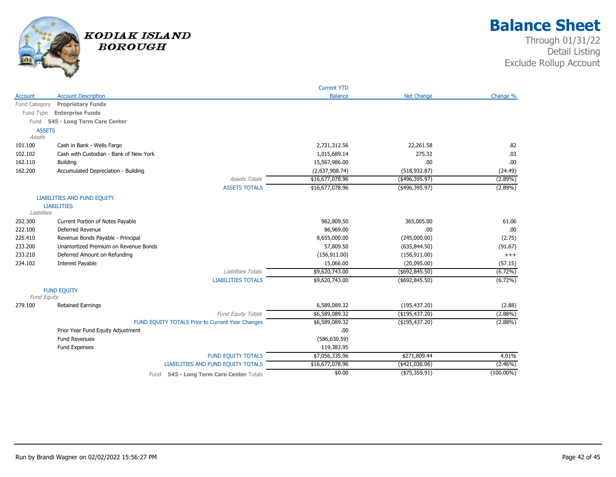

|               |                                                  | <b>Current YTD</b> |                   |              |
|---------------|--------------------------------------------------|--------------------|-------------------|--------------|
| Account       | <b>Account Description</b>                       | <b>Balance</b>     | <b>Net Change</b> | Change %     |
| Fund Category | <b>Proprietary Funds</b>                         |                    |                   |              |
| Fund Type     | <b>Enterprise Funds</b>                          |                    |                   |              |
|               | Fund 545 - Long Term Care Center                 |                    |                   |              |
| <b>ASSETS</b> |                                                  |                    |                   |              |
| Assets        |                                                  |                    |                   |              |
| 101.100       | Cash in Bank - Wells Fargo                       | 2,731,312.56       | 22,261.58         | .82          |
| 102.102       | Cash with Custodian - Bank of New York           | 1,015,689.14       | 275.32            | .03          |
| 162.110       | <b>Building</b>                                  | 15,567,986.00      | .00               | .00          |
| 162.200       | Accumulated Depreciation - Building              | (2,637,908.74)     | (518, 932.87)     | (24.49)      |
|               | <b>Assets Totals</b>                             | \$16,677,078.96    | $(*496,395.97)$   | $(2.89\%)$   |
|               | <b>ASSETS TOTALS</b>                             | \$16,677,078.96    | $($ \$496,395.97) | $(2.89\%)$   |
|               | <b>LIABILITIES AND FUND EQUITY</b>               |                    |                   |              |
|               | <b>LIABILITIES</b>                               |                    |                   |              |
| Liabilities   |                                                  |                    |                   |              |
| 202.300       | Current Portion of Notes Payable                 | 962,809.50         | 365,005.00        | 61.06        |
| 222.100       | Deferred Revenue                                 | 86,969.00          | .00               | .00          |
| 225.410       | Revenue Bonds Payable - Principal                | 8,655,000.00       | (245,000.00)      | (2.75)       |
| 233.200       | Unamortized Premium on Revenue Bonds             | 57,809.50          | (635, 844.50)     | (91.67)      |
| 233.210       | Deferred Amount on Refunding                     | (156, 911.00)      | (156, 911.00)     | $+++$        |
| 234.102       | Interest Payable                                 | 15,066.00          | (20,095.00)       | (57.15)      |
|               | Liabilities Totals                               | \$9,620,743.00     | $($ \$692,845.50) | $(6.72\%)$   |
|               | <b>LIABILITIES TOTALS</b>                        | \$9,620,743.00     | $($ \$692,845.50) | $(6.72\%)$   |
|               | <b>FUND EQUITY</b>                               |                    |                   |              |
| Fund Equity   |                                                  |                    |                   |              |
| 279.100       | <b>Retained Earnings</b>                         | 6,589,089.32       | (195, 437.20)     | (2.88)       |
|               | Fund Equity Totals                               | \$6,589,089.32     | (\$195,437.20)    | $(2.88\%)$   |
|               | FUND EQUITY TOTALS Prior to Current Year Changes | \$6,589,089.32     | (\$195,437.20)    | $(2.88\%)$   |
|               | Prior Year Fund Equity Adjustment                | .00                |                   |              |
|               | <b>Fund Revenues</b>                             | (586, 630.59)      |                   |              |
|               | Fund Expenses                                    | 119,383.95         |                   |              |
|               | <b>FUND EQUITY TOTALS</b>                        | \$7,056,335.96     | \$271,809.44      | 4.01%        |
|               | LIABILITIES AND FUND EQUITY TOTALS               | \$16,677,078.96    | $(*421,036.06)$   | $(2.46\%)$   |
|               | Fund 545 - Long Term Care Center Totals          | \$0.00             | (\$75,359.91)     | $(100.00\%)$ |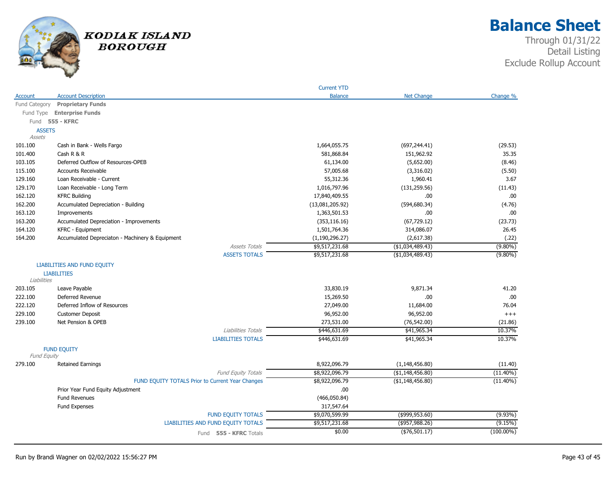

## **Balance Sheet**

|               |                                                  | <b>Current YTD</b> |                   |              |
|---------------|--------------------------------------------------|--------------------|-------------------|--------------|
| Account       | <b>Account Description</b>                       | <b>Balance</b>     | <b>Net Change</b> | Change %     |
| Fund Category | <b>Proprietary Funds</b>                         |                    |                   |              |
|               | Fund Type Enterprise Funds                       |                    |                   |              |
| Fund          | <b>555 - KFRC</b>                                |                    |                   |              |
| <b>ASSETS</b> |                                                  |                    |                   |              |
| Assets        |                                                  |                    |                   |              |
| 101.100       | Cash in Bank - Wells Fargo                       | 1,664,055.75       | (697, 244.41)     | (29.53)      |
| 101.400       | Cash R & R                                       | 581,868.84         | 151,962.92        | 35.35        |
| 103.105       | Deferred Outflow of Resources-OPEB               | 61,134.00          | (5,652.00)        | (8.46)       |
| 115.100       | <b>Accounts Receivable</b>                       | 57,005.68          | (3,316.02)        | (5.50)       |
| 129.160       | Loan Receivable - Current                        | 55,312.36          | 1,960.41          | 3.67         |
| 129.170       | Loan Receivable - Long Term                      | 1,016,797.96       | (131, 259.56)     | (11.43)      |
| 162.120       | <b>KFRC Building</b>                             | 17,840,409.55      | .00.              | .00          |
| 162.200       | Accumulated Depreciation - Building              | (13,081,205.92)    | (594, 680.34)     | (4.76)       |
| 163.120       | Improvements                                     | 1,363,501.53       | .00               | .00          |
| 163.200       | Accumulated Depreciation - Improvements          | (353, 116.16)      | (67, 729.12)      | (23.73)      |
| 164.120       | <b>KFRC - Equipment</b>                          | 1,501,764.36       | 314,086.07        | 26.45        |
| 164.200       | Accumulated Depreciaton - Machinery & Equipment  | (1, 190, 296.27)   | (2,617.38)        | (.22)        |
|               | <b>Assets Totals</b>                             | \$9,517,231.68     | (\$1,034,489.43)  | $(9.80\%)$   |
|               | <b>ASSETS TOTALS</b>                             | \$9,517,231.68     | ( \$1,034,489.43) | $(9.80\%)$   |
|               | <b>LIABILITIES AND FUND EQUITY</b>               |                    |                   |              |
|               | <b>LIABILITIES</b>                               |                    |                   |              |
| Liabilities   |                                                  |                    |                   |              |
| 203.105       | Leave Payable                                    | 33,830.19          | 9,871.34          | 41.20        |
| 222.100       | Deferred Revenue                                 | 15,269.50          | .00.              | .00          |
| 222.120       | Deferred Inflow of Resources                     | 27,049.00          | 11,684.00         | 76.04        |
| 229.100       | <b>Customer Deposit</b>                          | 96,952.00          | 96,952.00         | $^{+++}$     |
| 239.100       | Net Pension & OPEB                               | 273,531.00         | (76, 542.00)      | (21.86)      |
|               | Liabilities Totals                               | \$446,631.69       | \$41,965.34       | 10.37%       |
|               | <b>LIABILITIES TOTALS</b>                        | \$446,631.69       | \$41,965.34       | 10.37%       |
| Fund Equity   | <b>FUND EQUITY</b>                               |                    |                   |              |
| 279.100       | <b>Retained Earnings</b>                         | 8,922,096.79       | (1, 148, 456.80)  | (11.40)      |
|               | Fund Equity Totals                               | \$8,922,096.79     | (\$1,148,456.80)  | $(11.40\%)$  |
|               | FUND EQUITY TOTALS Prior to Current Year Changes | \$8,922,096.79     | (\$1,148,456.80)  | $(11.40\%)$  |
|               | Prior Year Fund Equity Adjustment                | .00.               |                   |              |
|               | <b>Fund Revenues</b>                             | (466,050.84)       |                   |              |
|               | <b>Fund Expenses</b>                             | 317,547.64         |                   |              |
|               | <b>FUND EQUITY TOTALS</b>                        | \$9,070,599.99     | $($ \$999,953.60) | $(9.93\%)$   |
|               | LIABILITIES AND FUND EQUITY TOTALS               | \$9,517,231.68     | $($ \$957,988.26) | (9.15%)      |
|               | Fund 555 - KFRC Totals                           | \$0.00             | ( \$76, 501.17)   | $(100.00\%)$ |
|               |                                                  |                    |                   |              |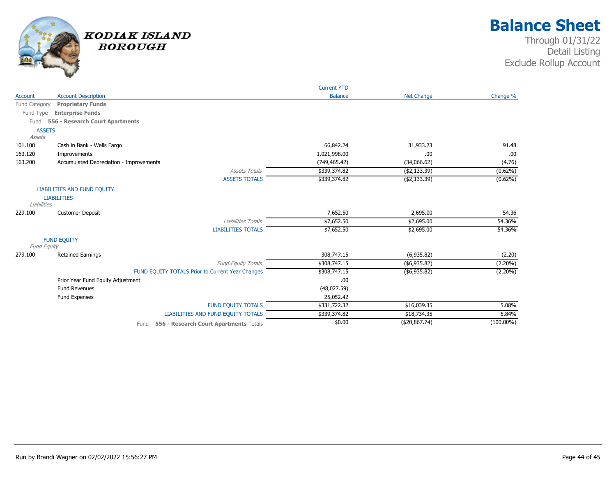

|               |                                                  | <b>Current YTD</b> |                   |              |
|---------------|--------------------------------------------------|--------------------|-------------------|--------------|
| Account       | <b>Account Description</b>                       | <b>Balance</b>     | <b>Net Change</b> | Change %     |
| Fund Category | <b>Proprietary Funds</b>                         |                    |                   |              |
| Fund Type     | <b>Enterprise Funds</b>                          |                    |                   |              |
| Fund          | 556 - Research Court Apartments                  |                    |                   |              |
| <b>ASSETS</b> |                                                  |                    |                   |              |
| Assets        |                                                  |                    |                   |              |
| 101.100       | Cash in Bank - Wells Fargo                       | 66,842.24          | 31,933.23         | 91.48        |
| 163.120       | Improvements                                     | 1,021,998.00       | .00               | .00          |
| 163.200       | Accumulated Depreciation - Improvements          | (749, 465.42)      | (34,066.62)       | (4.76)       |
|               | <b>Assets Totals</b>                             | \$339,374.82       | ( \$2,133.39)     | $(0.62\%)$   |
|               | <b>ASSETS TOTALS</b>                             | \$339,374.82       | ( \$2,133.39)     | $(0.62\%)$   |
|               | <b>LIABILITIES AND FUND EQUITY</b>               |                    |                   |              |
|               | <b>LIABILITIES</b>                               |                    |                   |              |
| Liabilities   |                                                  |                    |                   |              |
| 229.100       | <b>Customer Deposit</b>                          | 7,652.50           | 2,695.00          | 54.36        |
|               | Liabilities Totals                               | \$7,652.50         | \$2,695.00        | 54.36%       |
|               | <b>LIABILITIES TOTALS</b>                        | \$7,652.50         | \$2,695.00        | 54.36%       |
|               | <b>FUND EQUITY</b>                               |                    |                   |              |
| Fund Equity   |                                                  |                    |                   |              |
| 279.100       | <b>Retained Earnings</b>                         | 308,747.15         | (6,935.82)        | (2.20)       |
|               | Fund Equity Totals                               | \$308,747.15       | ( \$6,935.82)     | $(2.20\%)$   |
|               | FUND EQUITY TOTALS Prior to Current Year Changes | \$308,747.15       | ( \$6,935.82)     | $(2.20\%)$   |
|               | Prior Year Fund Equity Adjustment                | .00                |                   |              |
|               | <b>Fund Revenues</b>                             | (48,027.59)        |                   |              |
|               | Fund Expenses                                    | 25,052.42          |                   |              |
|               | <b>FUND EQUITY TOTALS</b>                        | \$331,722.32       | \$16,039.35       | 5.08%        |
|               | LIABILITIES AND FUND EQUITY TOTALS               | \$339,374.82       | \$18,734.35       | 5.84%        |
|               | 556 - Research Court Apartments Totals<br>Fund   | \$0.00             | (\$20,867.74)     | $(100.00\%)$ |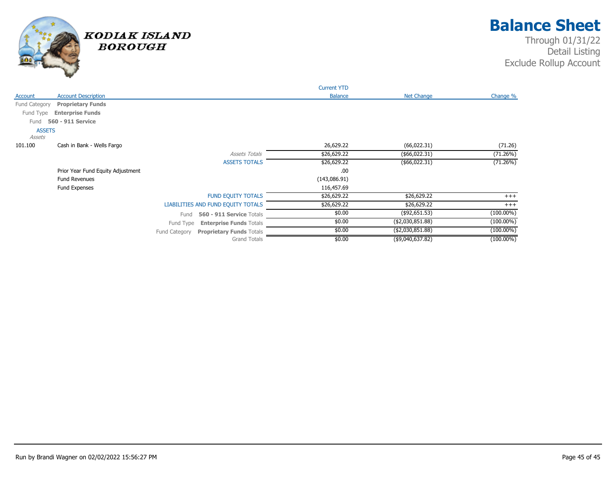

|                         |                                   |                                                  | <b>Current YTD</b> |                   |              |
|-------------------------|-----------------------------------|--------------------------------------------------|--------------------|-------------------|--------------|
| Account                 | <b>Account Description</b>        |                                                  | <b>Balance</b>     | <b>Net Change</b> | Change %     |
| Fund Category           | <b>Proprietary Funds</b>          |                                                  |                    |                   |              |
| Fund Type               | <b>Enterprise Funds</b>           |                                                  |                    |                   |              |
| Fund                    | 560 - 911 Service                 |                                                  |                    |                   |              |
| <b>ASSETS</b><br>Assets |                                   |                                                  |                    |                   |              |
| 101.100                 | Cash in Bank - Wells Fargo        |                                                  | 26,629.22          | (66, 022.31)      | (71.26)      |
|                         |                                   | <b>Assets Totals</b>                             | \$26,629.22        | (\$66,022.31)     | (71.26%)     |
|                         |                                   | <b>ASSETS TOTALS</b>                             | \$26,629.22        | (\$66,022.31)     | (71.26%)     |
|                         | Prior Year Fund Equity Adjustment |                                                  | .00                |                   |              |
|                         | <b>Fund Revenues</b>              |                                                  | (143,086.91)       |                   |              |
|                         | Fund Expenses                     |                                                  | 116,457.69         |                   |              |
|                         |                                   | <b>FUND EQUITY TOTALS</b>                        | \$26,629.22        | \$26,629.22       | $^{+++}$     |
|                         |                                   | LIABILITIES AND FUND EQUITY TOTALS               | \$26,629.22        | \$26,629.22       | $+++$        |
|                         |                                   | 560 - 911 Service Totals<br>Fund                 | \$0.00             | (\$92,651.53)     | $(100.00\%)$ |
|                         |                                   | Fund Type<br><b>Enterprise Funds Totals</b>      | \$0.00             | ( \$2,030,851.88) | $(100.00\%)$ |
|                         |                                   | <b>Proprietary Funds Totals</b><br>Fund Category | \$0.00             | (\$2,030,851.88)  | $(100.00\%)$ |
|                         |                                   | <b>Grand Totals</b>                              | \$0.00             | (\$9,040,637.82)  | $(100.00\%)$ |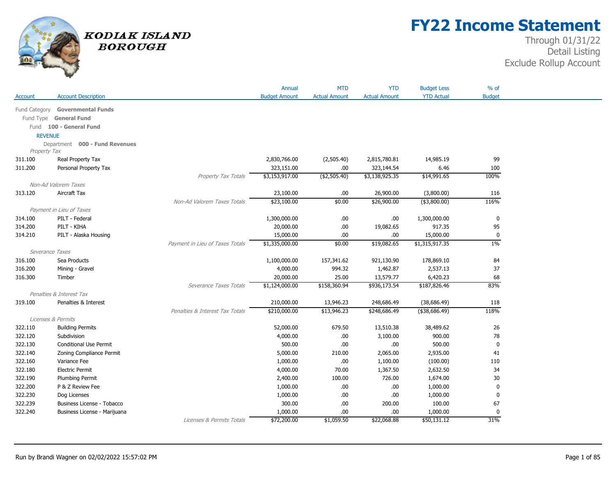

## **FY22 Income Statement**

|                 |                                  |                                 | Annual               | <b>MTD</b>           | <b>YTD</b>           | <b>Budget Less</b> | $%$ of        |
|-----------------|----------------------------------|---------------------------------|----------------------|----------------------|----------------------|--------------------|---------------|
| Account         | <b>Account Description</b>       |                                 | <b>Budget Amount</b> | <b>Actual Amount</b> | <b>Actual Amount</b> | <b>YTD Actual</b>  | <b>Budget</b> |
|                 | Fund Category Governmental Funds |                                 |                      |                      |                      |                    |               |
|                 | Fund Type General Fund           |                                 |                      |                      |                      |                    |               |
|                 | Fund 100 - General Fund          |                                 |                      |                      |                      |                    |               |
| <b>REVENUE</b>  |                                  |                                 |                      |                      |                      |                    |               |
|                 | Department 000 - Fund Revenues   |                                 |                      |                      |                      |                    |               |
| Property Tax    |                                  |                                 |                      |                      |                      |                    |               |
| 311.100         | Real Property Tax                |                                 | 2,830,766.00         | (2,505.40)           | 2,815,780.81         | 14,985.19          | 99            |
| 311.200         | Personal Property Tax            |                                 | 323,151.00           | .00.                 | 323,144.54           | 6.46               | 100           |
|                 |                                  | Property Tax Totals             | \$3,153,917.00       | ( \$2,505.40)        | \$3,138,925.35       | \$14,991.65        | 100%          |
|                 | Non-Ad Valorem Taxes             |                                 |                      |                      |                      |                    |               |
| 313.120         | Aircraft Tax                     |                                 | 23,100.00            | .00.                 | 26,900.00            | (3,800.00)         | 116           |
|                 |                                  | Non-Ad Valorem Taxes Totals     | \$23,100.00          | \$0.00               | \$26,900.00          | $(*3,800.00)$      | 116%          |
|                 | Payment in Lieu of Taxes         |                                 |                      |                      |                      |                    |               |
| 314.100         | PILT - Federal                   |                                 | 1,300,000.00         | .00.                 | .00.                 | 1,300,000.00       | 0             |
| 314.200         | PILT - KIHA                      |                                 | 20,000.00            | .00.                 | 19,082.65            | 917.35             | 95            |
| 314.210         | PILT - Alaska Housing            |                                 | 15,000.00            | .00.                 | .00.                 | 15,000.00          | $\mathbf 0$   |
|                 |                                  | Payment in Lieu of Taxes Totals | \$1,335,000.00       | \$0.00               | \$19,082.65          | \$1,315,917.35     | $1\%$         |
| Severance Taxes |                                  |                                 |                      |                      |                      |                    |               |
| 316.100         | Sea Products                     |                                 | 1,100,000.00         | 157,341.62           | 921,130.90           | 178,869.10         | 84            |
| 316.200         | Mining - Gravel                  |                                 | 4,000.00             | 994.32               | 1,462.87             | 2,537.13           | 37            |
| 316.300         | Timber                           |                                 | 20,000.00            | 25.00                | 13,579.77            | 6,420.23           | 68            |
|                 |                                  | Severance Taxes Totals          | \$1,124,000.00       | \$158,360.94         | \$936,173.54         | \$187,826.46       | 83%           |
|                 | Penalties & Interest Tax         |                                 |                      |                      |                      |                    |               |
| 319.100         | Penalties & Interest             |                                 | 210,000.00           | 13,946.23            | 248,686.49           | (38, 686.49)       | 118           |
|                 |                                  | Penalties & Interest Tax Totals | \$210,000.00         | \$13,946.23          | \$248,686.49         | $($ \$38,686.49)   | 118%          |
|                 | Licenses & Permits               |                                 |                      |                      |                      |                    |               |
| 322.110         | <b>Building Permits</b>          |                                 | 52,000.00            | 679.50               | 13,510.38            | 38,489.62          | 26            |
| 322.120         | Subdivision                      |                                 | 4,000.00             | .00.                 | 3,100.00             | 900.00             | 78            |
| 322.130         | Conditional Use Permit           |                                 | 500.00               | .00.                 | .00.                 | 500.00             | $\mathbf 0$   |
| 322.140         | Zoning Compliance Permit         |                                 | 5,000.00             | 210.00               | 2,065.00             | 2,935.00           | 41            |
| 322.160         | Variance Fee                     |                                 | 1,000.00             | .00                  | 1,100.00             | (100.00)           | 110           |
| 322.180         | <b>Electric Permit</b>           |                                 | 4,000.00             | 70.00                | 1,367.50             | 2,632.50           | 34            |
| 322.190         | Plumbing Permit                  |                                 | 2,400.00             | 100.00               | 726.00               | 1,674.00           | 30            |
| 322.200         | P & Z Review Fee                 |                                 | 1,000.00             | .00                  | .00                  | 1,000.00           | 0             |
| 322.230         | Dog Licenses                     |                                 | 1,000.00             | .00.                 | .00                  | 1,000.00           | 0             |
| 322.239         | Business License - Tobacco       |                                 | 300.00               | .00.                 | 200.00               | 100.00             | 67            |
| 322.240         | Business License - Marijuana     |                                 | 1,000.00             | .00                  | .00.                 | 1,000.00           | 0             |
|                 |                                  | Licenses & Permits Totals       | \$72,200.00          | \$1,059.50           | \$22,068.88          | \$50,131.12        | 31%           |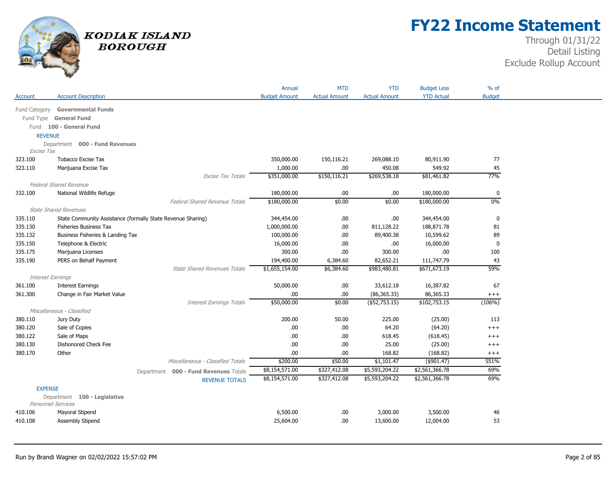

# **FY22 Income Statement**

|                          |                                                             |                                       | Annual               | <b>MTD</b>           | <b>YTD</b>           | <b>Budget Less</b> | $%$ of        |
|--------------------------|-------------------------------------------------------------|---------------------------------------|----------------------|----------------------|----------------------|--------------------|---------------|
| Account                  | <b>Account Description</b>                                  |                                       | <b>Budget Amount</b> | <b>Actual Amount</b> | <b>Actual Amount</b> | <b>YTD Actual</b>  | <b>Budget</b> |
|                          | Fund Category Governmental Funds                            |                                       |                      |                      |                      |                    |               |
|                          | Fund Type General Fund                                      |                                       |                      |                      |                      |                    |               |
|                          | Fund 100 - General Fund                                     |                                       |                      |                      |                      |                    |               |
| <b>REVENUE</b>           |                                                             |                                       |                      |                      |                      |                    |               |
|                          | Department 000 - Fund Revenues                              |                                       |                      |                      |                      |                    |               |
| Excise Tax               |                                                             |                                       |                      |                      |                      |                    |               |
| 323.100                  | <b>Tobacco Excise Tax</b>                                   |                                       | 350,000.00           | 150,116.21           | 269,088.10           | 80,911.90          | 77            |
| 323.110                  | Marijuana Excise Tax                                        |                                       | 1,000.00             | .00                  | 450.08               | 549.92             | 45            |
|                          |                                                             | Excise Tax Totals                     | \$351,000.00         | \$150, 116.21        | \$269,538.18         | \$81,461.82        | 77%           |
|                          | <b>Federal Shared Revenue</b>                               |                                       |                      |                      |                      |                    |               |
| 332.100                  | National Wildlife Refuge                                    |                                       | 180,000.00           | .00                  | .00                  | 180,000.00         | 0             |
|                          |                                                             | <b>Federal Shared Revenue Totals</b>  | \$180,000.00         | \$0.00               | \$0.00               | \$180,000.00       | 0%            |
|                          | <b>State Shared Revenues</b>                                |                                       |                      |                      |                      |                    |               |
| 335.110                  | State Community Assistance (formally State Revenue Sharing) |                                       | 344,454.00           | .00                  | .00                  | 344,454.00         | $\mathbf 0$   |
| 335.130                  | <b>Fisheries Business Tax</b>                               |                                       | 1,000,000.00         | .00.                 | 811,128.22           | 188,871.78         | 81            |
| 335.132                  | Business Fisheries & Landing Tax                            |                                       | 100,000.00           | .00.                 | 89,400.38            | 10,599.62          | 89            |
| 335.150                  | Telephone & Electric                                        |                                       | 16,000.00            | .00                  | .00                  | 16,000.00          | $\mathbf 0$   |
| 335.175                  | Marijuana Licenses                                          |                                       | 300.00               | .00                  | 300.00               | .00                | 100           |
| 335.190                  | PERS on Behalf Payment                                      |                                       | 194,400.00           | 6,384.60             | 82,652.21            | 111,747.79         | 43            |
|                          |                                                             | <b>State Shared Revenues Totals</b>   | \$1,655,154.00       | \$6,384.60           | \$983,480.81         | \$671,673.19       | 59%           |
| <b>Interest Earnings</b> |                                                             |                                       |                      |                      |                      |                    |               |
| 361.100                  | <b>Interest Earnings</b>                                    |                                       | 50,000.00            | .00                  | 33,612.18            | 16,387.82          | 67            |
| 361.300                  | Change in Fair Market Value                                 |                                       | .00.                 | .00.                 | (86, 365.33)         | 86,365.33          | $++++$        |
|                          |                                                             | <b>Interest Earnings Totals</b>       | \$50,000.00          | \$0.00               | $($ \$52,753.15)     | \$102,753.15       | (106%)        |
|                          | Miscellaneous - Classified                                  |                                       |                      |                      |                      |                    |               |
| 380.110                  | Jury Duty                                                   |                                       | 200.00               | 50.00                | 225.00               | (25.00)            | 113           |
| 380.120                  | Sale of Copies                                              |                                       | .00                  | .00                  | 64.20                | (64.20)            | $++++$        |
| 380.122                  | Sale of Maps                                                |                                       | .00.                 | .00.                 | 618.45               | (618.45)           | $^{+++}$      |
| 380.130                  | Dishonored Check Fee                                        |                                       | .00                  | .00                  | 25.00                | (25.00)            | $++++$        |
| 380.170                  | Other                                                       |                                       | .00.                 | .00.                 | 168.82               | (168.82)           | $^{+++}$      |
|                          |                                                             | Miscellaneous - Classified Totals     | \$200.00             | \$50.00              | \$1,101.47           | (\$901.47)         | 551%          |
|                          |                                                             | Department 000 - Fund Revenues Totals | \$8,154,571.00       | \$327,412.08         | \$5,593,204.22       | \$2,561,366.78     | 69%           |
|                          |                                                             | <b>REVENUE TOTALS</b>                 | \$8,154,571.00       | \$327,412.08         | \$5,593,204.22       | \$2,561,366.78     | 69%           |
| <b>EXPENSE</b>           |                                                             |                                       |                      |                      |                      |                    |               |
|                          | Department 100 - Legislative                                |                                       |                      |                      |                      |                    |               |
|                          | <b>Personnel Services</b>                                   |                                       |                      |                      |                      |                    |               |
| 410.106                  | Mayoral Stipend                                             |                                       | 6,500.00             | .00.                 | 3,000.00             | 3,500.00           | 46            |
| 410.108                  | Assembly Stipend                                            |                                       | 25,604.00            | .00                  | 13,600.00            | 12,004.00          | 53            |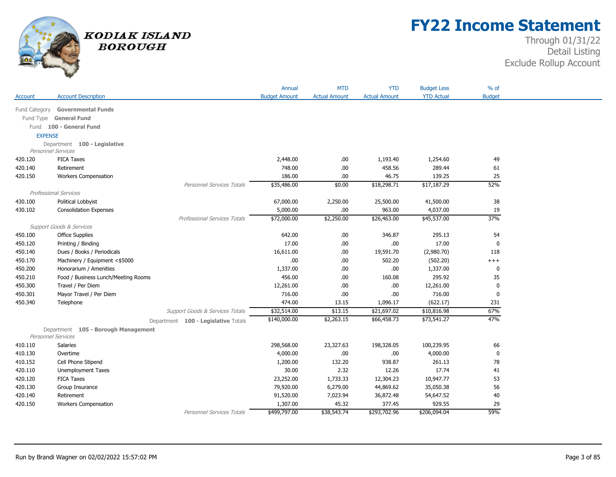

## **FY22 Income Statement**

|                |                                     |                                     | Annual               | <b>MTD</b>           | <b>YTD</b>           | <b>Budget Less</b> | $%$ of        |
|----------------|-------------------------------------|-------------------------------------|----------------------|----------------------|----------------------|--------------------|---------------|
| Account        | <b>Account Description</b>          |                                     | <b>Budget Amount</b> | <b>Actual Amount</b> | <b>Actual Amount</b> | <b>YTD Actual</b>  | <b>Budget</b> |
| Fund Category  | <b>Governmental Funds</b>           |                                     |                      |                      |                      |                    |               |
| Fund Type      | <b>General Fund</b>                 |                                     |                      |                      |                      |                    |               |
|                | Fund 100 - General Fund             |                                     |                      |                      |                      |                    |               |
| <b>EXPENSE</b> |                                     |                                     |                      |                      |                      |                    |               |
|                | Department 100 - Legislative        |                                     |                      |                      |                      |                    |               |
|                | Personnel Services                  |                                     |                      |                      |                      |                    |               |
| 420.120        | <b>FICA Taxes</b>                   |                                     | 2,448.00             | .00.                 | 1,193.40             | 1,254.60           | 49            |
| 420.140        | Retirement                          |                                     | 748.00               | .00.                 | 458.56               | 289.44             | 61            |
| 420.150        | <b>Workers Compensation</b>         |                                     | 186.00               | .00.                 | 46.75                | 139.25             | 25            |
|                |                                     | Personnel Services Totals           | \$35,486.00          | \$0.00               | \$18,298.71          | \$17,187.29        | 52%           |
|                | <b>Professional Services</b>        |                                     |                      |                      |                      |                    |               |
| 430.100        | Political Lobbyist                  |                                     | 67,000.00            | 2,250.00             | 25,500.00            | 41,500.00          | 38            |
| 430.102        | <b>Consolidation Expenses</b>       |                                     | 5,000.00             | .00.                 | 963.00               | 4,037.00           | 19            |
|                |                                     | <b>Professional Services Totals</b> | \$72,000.00          | \$2,250.00           | \$26,463.00          | \$45,537.00        | 37%           |
|                | <b>Support Goods &amp; Services</b> |                                     |                      |                      |                      |                    |               |
| 450.100        | <b>Office Supplies</b>              |                                     | 642.00               | .00.                 | 346.87               | 295.13             | 54            |
| 450.120        | Printing / Binding                  |                                     | 17.00                | .00.                 | .00                  | 17.00              | 0             |
| 450.140        | Dues / Books / Periodicals          |                                     | 16,611.00            | .00.                 | 19,591.70            | (2,980.70)         | 118           |
| 450.170        | Machinery / Equipment <\$5000       |                                     | .00                  | .00                  | 502.20               | (502.20)           | $^{+++}$      |
| 450.200        | Honorarium / Amenities              |                                     | 1,337.00             | .00.                 | .00                  | 1,337.00           | 0             |
| 450.210        | Food / Business Lunch/Meeting Rooms |                                     | 456.00               | .00.                 | 160.08               | 295.92             | 35            |
| 450.300        | Travel / Per Diem                   |                                     | 12,261.00            | .00.                 | .00                  | 12,261.00          | $\mathbf 0$   |
| 450.301        | Mayor Travel / Per Diem             |                                     | 716.00               | .00.                 | .00.                 | 716.00             | 0             |
| 450.340        | Telephone                           |                                     | 474.00               | 13.15                | 1,096.17             | (622.17)           | 231           |
|                |                                     | Support Goods & Services Totals     | \$32,514.00          | \$13.15              | \$21,697.02          | \$10,816.98        | 67%           |
|                |                                     | Department 100 - Legislative Totals | \$140,000.00         | \$2,263.15           | \$66,458.73          | \$73,541.27        | 47%           |
|                | Department 105 - Borough Management |                                     |                      |                      |                      |                    |               |
|                | Personnel Services                  |                                     |                      |                      |                      |                    |               |
| 410.110        | <b>Salaries</b>                     |                                     | 298,568.00           | 23,327.63            | 198,328.05           | 100,239.95         | 66            |
| 410.130        | Overtime                            |                                     | 4,000.00             | .00.                 | .00                  | 4,000.00           | $\mathbf 0$   |
| 410.152        | Cell Phone Stipend                  |                                     | 1,200.00             | 132.20               | 938.87               | 261.13             | 78            |
| 420.110        | <b>Unemployment Taxes</b>           |                                     | 30.00                | 2.32                 | 12.26                | 17.74              | 41            |
| 420.120        | <b>FICA Taxes</b>                   |                                     | 23,252.00            | 1,733.33             | 12,304.23            | 10,947.77          | 53            |
| 420.130        | Group Insurance                     |                                     | 79,920.00            | 6,279.00             | 44,869.62            | 35,050.38          | 56            |
| 420.140        | Retirement                          |                                     | 91,520.00            | 7,023.94             | 36,872.48            | 54,647.52          | 40            |
| 420.150        | <b>Workers Compensation</b>         |                                     | 1,307.00             | 45.32                | 377.45               | 929.55             | 29            |
|                |                                     | <b>Personnel Services Totals</b>    | \$499,797.00         | \$38,543.74          | \$293,702.96         | \$206,094.04       | 59%           |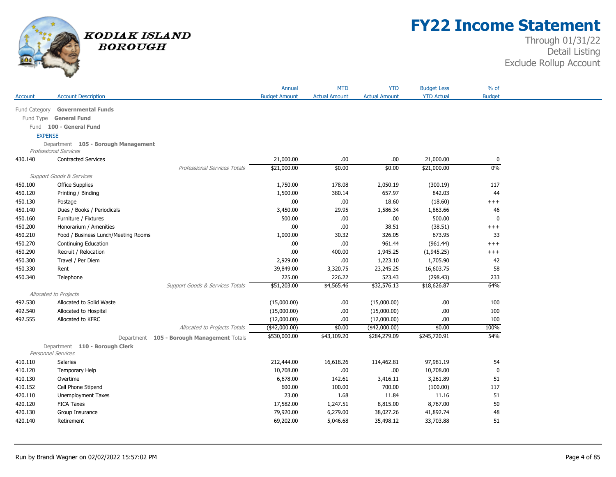

# **FY22 Income Statement**

|                |                                            | Annual               | <b>MTD</b>           | <b>YTD</b>           | <b>Budget Less</b> | % of          |
|----------------|--------------------------------------------|----------------------|----------------------|----------------------|--------------------|---------------|
| Account        | <b>Account Description</b>                 | <b>Budget Amount</b> | <b>Actual Amount</b> | <b>Actual Amount</b> | <b>YTD Actual</b>  | <b>Budget</b> |
| Fund Category  | <b>Governmental Funds</b>                  |                      |                      |                      |                    |               |
| Fund Type      | <b>General Fund</b>                        |                      |                      |                      |                    |               |
|                | Fund 100 - General Fund                    |                      |                      |                      |                    |               |
| <b>EXPENSE</b> |                                            |                      |                      |                      |                    |               |
|                | Department 105 - Borough Management        |                      |                      |                      |                    |               |
|                | <b>Professional Services</b>               |                      |                      |                      |                    |               |
| 430.140        | <b>Contracted Services</b>                 | 21,000.00            | .00.                 | .00                  | 21,000.00          | 0             |
|                | Professional Services Totals               | \$21,000.00          | \$0.00               | \$0.00               | \$21,000.00        | 0%            |
|                | <b>Support Goods &amp; Services</b>        |                      |                      |                      |                    |               |
| 450.100        | <b>Office Supplies</b>                     | 1,750.00             | 178.08               | 2,050.19             | (300.19)           | 117           |
| 450.120        | Printing / Binding                         | 1,500.00             | 380.14               | 657.97               | 842.03             | 44            |
| 450.130        | Postage                                    | .00                  | .00.                 | 18.60                | (18.60)            | $^{+++}$      |
| 450.140        | Dues / Books / Periodicals                 | 3,450.00             | 29.95                | 1,586.34             | 1,863.66           | 46            |
| 450.160        | Furniture / Fixtures                       | 500.00               | .00.                 | .00                  | 500.00             | $\mathbf 0$   |
| 450.200        | Honorarium / Amenities                     | .00.                 | .00.                 | 38.51                | (38.51)            | $+++$         |
| 450.210        | Food / Business Lunch/Meeting Rooms        | 1,000.00             | 30.32                | 326.05               | 673.95             | 33            |
| 450.270        | <b>Continuing Education</b>                | .00                  | .00                  | 961.44               | (961.44)           | $^{+++}$      |
| 450.290        | Recruit / Relocation                       | .00                  | 400.00               | 1,945.25             | (1,945.25)         | $^{+++}$      |
| 450.300        | Travel / Per Diem                          | 2,929.00             | .00                  | 1,223.10             | 1,705.90           | 42            |
| 450.330        | Rent                                       | 39,849.00            | 3,320.75             | 23,245.25            | 16,603.75          | 58            |
| 450.340        | Telephone                                  | 225.00               | 226.22               | 523.43               | (298.43)           | 233           |
|                | Support Goods & Services Totals            | \$51,203.00          | \$4,565.46           | \$32,576.13          | \$18,626.87        | 64%           |
|                | Allocated to Projects                      |                      |                      |                      |                    |               |
| 492.530        | Allocated to Solid Waste                   | (15,000.00)          | .00.                 | (15,000.00)          | .00                | 100           |
| 492.540        | Allocated to Hospital                      | (15,000.00)          | .00                  | (15,000.00)          | .00                | 100           |
| 492.555        | Allocated to KFRC                          | (12,000.00)          | .00.                 | (12,000.00)          | .00                | 100           |
|                | Allocated to Projects Totals               | $($ \$42,000.00)     | \$0.00               | $($ \$42,000.00)     | \$0.00             | 100%          |
|                | Department 105 - Borough Management Totals | \$530,000.00         | \$43,109.20          | \$284,279.09         | \$245,720.91       | 54%           |
|                | Department 110 - Borough Clerk             |                      |                      |                      |                    |               |
|                | <b>Personnel Services</b>                  |                      |                      |                      |                    |               |
| 410.110        | Salaries                                   | 212,444.00           | 16,618.26            | 114,462.81           | 97,981.19          | 54            |
| 410.120        | <b>Temporary Help</b>                      | 10,708.00            | .00                  | .00                  | 10,708.00          | $\mathbf 0$   |
| 410.130        | Overtime                                   | 6,678.00             | 142.61               | 3,416.11             | 3,261.89           | 51            |
| 410.152        | Cell Phone Stipend                         | 600.00               | 100.00               | 700.00               | (100.00)           | 117           |
| 420.110        | Unemployment Taxes                         | 23.00                | 1.68                 | 11.84                | 11.16              | 51            |
| 420.120        | <b>FICA Taxes</b>                          | 17,582.00            | 1,247.51             | 8,815.00             | 8,767.00           | 50            |
| 420.130        | Group Insurance                            | 79,920.00            | 6,279.00             | 38,027.26            | 41,892.74          | 48            |
| 420.140        | Retirement                                 | 69,202.00            | 5,046.68             | 35,498.12            | 33,703.88          | 51            |
|                |                                            |                      |                      |                      |                    |               |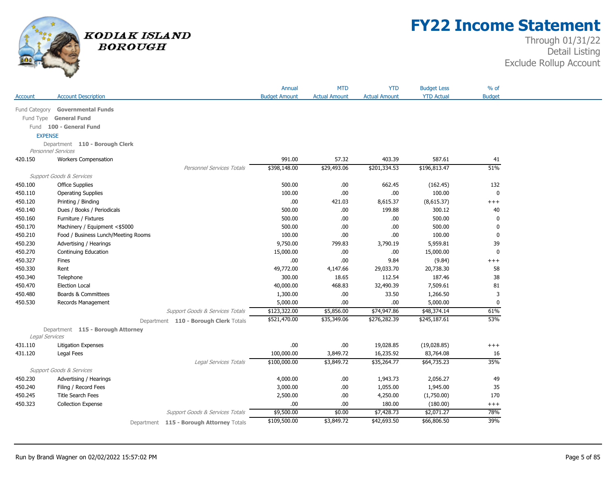

# **FY22 Income Statement**

|                |                                     |                                          | Annual               | <b>MTD</b>           | <b>YTD</b>           | <b>Budget Less</b> | $%$ of         |
|----------------|-------------------------------------|------------------------------------------|----------------------|----------------------|----------------------|--------------------|----------------|
| Account        | <b>Account Description</b>          |                                          | <b>Budget Amount</b> | <b>Actual Amount</b> | <b>Actual Amount</b> | <b>YTD Actual</b>  | <b>Budget</b>  |
| Fund Category  | <b>Governmental Funds</b>           |                                          |                      |                      |                      |                    |                |
|                | Fund Type General Fund              |                                          |                      |                      |                      |                    |                |
|                | Fund 100 - General Fund             |                                          |                      |                      |                      |                    |                |
| <b>EXPENSE</b> |                                     |                                          |                      |                      |                      |                    |                |
|                | Department 110 - Borough Clerk      |                                          |                      |                      |                      |                    |                |
|                | <b>Personnel Services</b>           |                                          |                      |                      |                      |                    |                |
| 420.150        | <b>Workers Compensation</b>         |                                          | 991.00               | 57.32                | 403.39               | 587.61             | 41             |
|                |                                     | <b>Personnel Services Totals</b>         | \$398,148.00         | \$29,493.06          | \$201,334.53         | \$196,813.47       | 51%            |
|                | <b>Support Goods &amp; Services</b> |                                          |                      |                      |                      |                    |                |
| 450.100        | <b>Office Supplies</b>              |                                          | 500.00               | .00                  | 662.45               | (162.45)           | 132            |
| 450.110        | <b>Operating Supplies</b>           |                                          | 100.00               | .00                  | .00                  | 100.00             | $\mathbf 0$    |
| 450.120        | Printing / Binding                  |                                          | .00                  | 421.03               | 8,615.37             | (8,615.37)         | $+++$          |
| 450.140        | Dues / Books / Periodicals          |                                          | 500.00               | .00.                 | 199.88               | 300.12             | 40             |
| 450.160        | Furniture / Fixtures                |                                          | 500.00               | .00                  | .00                  | 500.00             | 0              |
| 450.170        | Machinery / Equipment <\$5000       |                                          | 500.00               | .00                  | .00                  | 500.00             | $\mathbf 0$    |
| 450.210        | Food / Business Lunch/Meeting Rooms |                                          | 100.00               | .00.                 | .00                  | 100.00             | 0              |
| 450.230        | Advertising / Hearings              |                                          | 9,750.00             | 799.83               | 3,790.19             | 5,959.81           | 39             |
| 450.270        | Continuing Education                |                                          | 15,000.00            | .00                  | .00                  | 15,000.00          | $\mathbf 0$    |
| 450.327        | Fines                               |                                          | .00                  | .00                  | 9.84                 | (9.84)             | $^{+++}$       |
| 450.330        | Rent                                |                                          | 49,772.00            | 4,147.66             | 29,033.70            | 20,738.30          | 58             |
| 450.340        | Telephone                           |                                          | 300.00               | 18.65                | 112.54               | 187.46             | 38             |
| 450.470        | <b>Election Local</b>               |                                          | 40,000.00            | 468.83               | 32,490.39            | 7,509.61           | 81             |
| 450.480        | Boards & Committees                 |                                          | 1,300.00             | .00                  | 33.50                | 1,266.50           | $\overline{3}$ |
| 450.530        | Records Management                  |                                          | 5,000.00             | .00.                 | .00                  | 5,000.00           | 0              |
|                |                                     | Support Goods & Services Totals          | \$123,322.00         | \$5,856.00           | \$74,947.86          | \$48,374.14        | 61%            |
|                |                                     | Department 110 - Borough Clerk Totals    | \$521,470.00         | \$35,349.06          | \$276,282.39         | \$245,187.61       | 53%            |
|                | Department 115 - Borough Attorney   |                                          |                      |                      |                      |                    |                |
| Legal Services |                                     |                                          |                      |                      |                      |                    |                |
| 431.110        | Litigation Expenses                 |                                          | .00                  | .00                  | 19,028.85            | (19,028.85)        | $^{+++}$       |
| 431.120        | Legal Fees                          |                                          | 100,000.00           | 3,849.72             | 16,235.92            | 83,764.08          | 16             |
|                |                                     | Legal Services Totals                    | \$100,000.00         | \$3,849.72           | \$35,264.77          | \$64,735.23        | 35%            |
|                | <b>Support Goods &amp; Services</b> |                                          |                      |                      |                      |                    |                |
| 450.230        | Advertising / Hearings              |                                          | 4,000.00             | .00                  | 1,943.73             | 2,056.27           | 49             |
| 450.240        | Filing / Record Fees                |                                          | 3,000.00             | .00                  | 1,055.00             | 1,945.00           | 35             |
| 450.245        | <b>Title Search Fees</b>            |                                          | 2,500.00             | .00                  | 4,250.00             | (1,750.00)         | 170            |
| 450.323        | <b>Collection Expense</b>           |                                          | .00                  | .00.                 | 180.00               | (180.00)           | $^{+++}$       |
|                |                                     | Support Goods & Services Totals          | \$9,500.00           | \$0.00               | \$7,428.73           | \$2,071.27         | 78%            |
|                |                                     | Department 115 - Borough Attorney Totals | \$109,500.00         | \$3,849.72           | \$42,693.50          | \$66,806.50        | 39%            |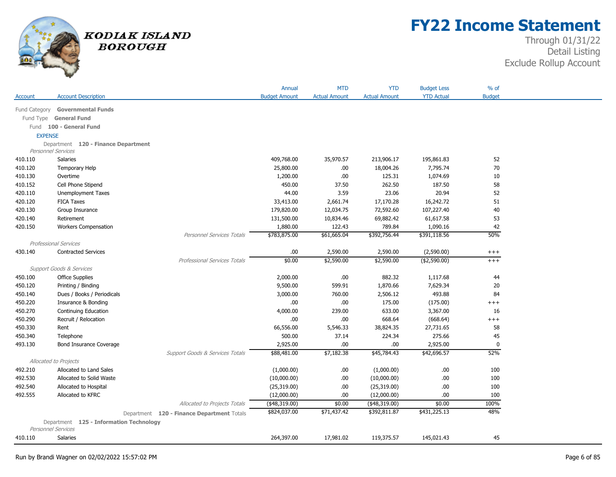

## **FY22 Income Statement**

|                |                                         |                                            | Annual               | <b>MTD</b>           | <b>YTD</b>           | <b>Budget Less</b> | % of          |
|----------------|-----------------------------------------|--------------------------------------------|----------------------|----------------------|----------------------|--------------------|---------------|
| Account        | <b>Account Description</b>              |                                            | <b>Budget Amount</b> | <b>Actual Amount</b> | <b>Actual Amount</b> | <b>YTD Actual</b>  | <b>Budget</b> |
|                | Fund Category Governmental Funds        |                                            |                      |                      |                      |                    |               |
|                | Fund Type General Fund                  |                                            |                      |                      |                      |                    |               |
|                | Fund 100 - General Fund                 |                                            |                      |                      |                      |                    |               |
| <b>EXPENSE</b> |                                         |                                            |                      |                      |                      |                    |               |
|                | Department 120 - Finance Department     |                                            |                      |                      |                      |                    |               |
|                | <b>Personnel Services</b>               |                                            |                      |                      |                      |                    |               |
| 410.110        | Salaries                                |                                            | 409,768.00           | 35,970.57            | 213,906.17           | 195,861.83         | 52            |
| 410.120        | <b>Temporary Help</b>                   |                                            | 25,800.00            | .00                  | 18,004.26            | 7,795.74           | 70            |
| 410.130        | Overtime                                |                                            | 1,200.00             | .00                  | 125.31               | 1,074.69           | 10            |
| 410.152        | Cell Phone Stipend                      |                                            | 450.00               | 37.50                | 262.50               | 187.50             | 58            |
| 420.110        | Unemployment Taxes                      |                                            | 44.00                | 3.59                 | 23.06                | 20.94              | 52            |
| 420.120        | <b>FICA Taxes</b>                       |                                            | 33,413.00            | 2,661.74             | 17,170.28            | 16,242.72          | 51            |
| 420.130        | Group Insurance                         |                                            | 179,820.00           | 12,034.75            | 72,592.60            | 107,227.40         | 40            |
| 420.140        | Retirement                              |                                            | 131,500.00           | 10,834.46            | 69,882.42            | 61,617.58          | 53            |
| 420.150        | <b>Workers Compensation</b>             |                                            | 1,880.00             | 122.43               | 789.84               | 1,090.16           | 42            |
|                |                                         | <b>Personnel Services Totals</b>           | \$783,875.00         | \$61,665.04          | \$392,756.44         | \$391,118.56       | 50%           |
|                | <b>Professional Services</b>            |                                            |                      |                      |                      |                    |               |
| 430.140        | <b>Contracted Services</b>              |                                            | .00.                 | 2,590.00             | 2,590.00             | (2,590.00)         | $^{+++}$      |
|                |                                         | Professional Services Totals               | \$0.00               | \$2,590.00           | \$2,590.00           | (\$2,590.00)       | $^{+++}$      |
|                | <b>Support Goods &amp; Services</b>     |                                            |                      |                      |                      |                    |               |
| 450.100        | <b>Office Supplies</b>                  |                                            | 2,000.00             | .00                  | 882.32               | 1,117.68           | 44            |
| 450.120        | Printing / Binding                      |                                            | 9,500.00             | 599.91               | 1,870.66             | 7,629.34           | 20            |
| 450.140        | Dues / Books / Periodicals              |                                            | 3,000.00             | 760.00               | 2,506.12             | 493.88             | 84            |
| 450.220        | Insurance & Bonding                     |                                            | .00                  | .00                  | 175.00               | (175.00)           | $+++$         |
| 450.270        | Continuing Education                    |                                            | 4,000.00             | 239.00               | 633.00               | 3,367.00           | 16            |
| 450.290        | Recruit / Relocation                    |                                            | .00.                 | .00                  | 668.64               | (668.64)           | $^{+++}$      |
| 450.330        | Rent                                    |                                            | 66,556.00            | 5,546.33             | 38,824.35            | 27,731.65          | 58            |
| 450.340        | Telephone                               |                                            | 500.00               | 37.14                | 224.34               | 275.66             | 45            |
| 493.130        | <b>Bond Insurance Coverage</b>          |                                            | 2,925.00             | .00                  | .00                  | 2,925.00           | $\pmb{0}$     |
|                |                                         | Support Goods & Services Totals            | \$88,481.00          | \$7,182.38           | \$45,784.43          | \$42,696.57        | 52%           |
|                | Allocated to Projects                   |                                            |                      |                      |                      |                    |               |
| 492.210        | Allocated to Land Sales                 |                                            | (1,000.00)           | .00.                 | (1,000.00)           | .00.               | 100           |
| 492.530        | Allocated to Solid Waste                |                                            | (10,000.00)          | .00                  | (10,000.00)          | .00                | 100           |
| 492.540        | Allocated to Hospital                   |                                            | (25,319.00)          | .00                  | (25,319.00)          | .00                | 100           |
| 492.555        | Allocated to KFRC                       |                                            | (12,000.00)          | .00                  | (12,000.00)          | .00                | 100           |
|                |                                         | Allocated to Projects Totals               | (48,319.00)          | \$0.00               | $(*48,319.00)$       | \$0.00             | 100%          |
|                |                                         | Department 120 - Finance Department Totals | \$824,037.00         | \$71,437.42          | \$392,811.87         | \$431,225.13       | 48%           |
|                | Department 125 - Information Technology |                                            |                      |                      |                      |                    |               |
|                | <b>Personnel Services</b>               |                                            |                      |                      |                      |                    |               |
| 410.110        | Salaries                                |                                            | 264,397.00           | 17,981.02            | 119,375.57           | 145,021.43         | 45            |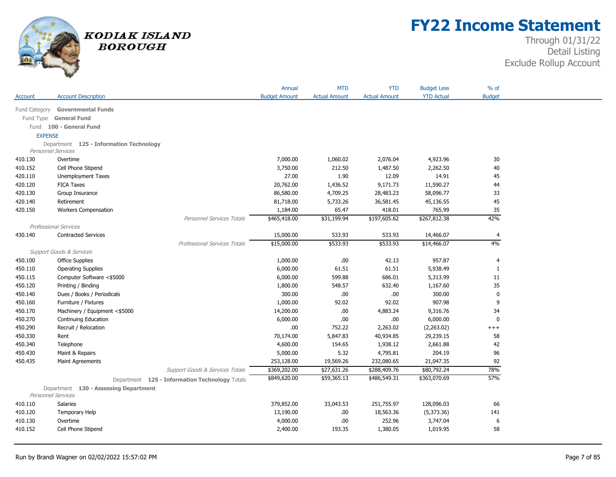

# **FY22 Income Statement**

|                |                                                                      |                                                | Annual               | <b>MTD</b>           | <b>YTD</b>           | <b>Budget Less</b> | % of          |
|----------------|----------------------------------------------------------------------|------------------------------------------------|----------------------|----------------------|----------------------|--------------------|---------------|
| Account        | <b>Account Description</b>                                           |                                                | <b>Budget Amount</b> | <b>Actual Amount</b> | <b>Actual Amount</b> | <b>YTD Actual</b>  | <b>Budget</b> |
|                |                                                                      |                                                |                      |                      |                      |                    |               |
| Fund Category  | <b>Governmental Funds</b>                                            |                                                |                      |                      |                      |                    |               |
| Fund Type      | <b>General Fund</b>                                                  |                                                |                      |                      |                      |                    |               |
|                | Fund 100 - General Fund                                              |                                                |                      |                      |                      |                    |               |
| <b>EXPENSE</b> |                                                                      |                                                |                      |                      |                      |                    |               |
|                | Department 125 - Information Technology<br><b>Personnel Services</b> |                                                |                      |                      |                      |                    |               |
| 410.130        | Overtime                                                             |                                                | 7,000.00             | 1,060.02             | 2,076.04             | 4,923.96           | 30            |
| 410.152        | Cell Phone Stipend                                                   |                                                | 3,750.00             | 212.50               | 1,487.50             | 2,262.50           | 40            |
| 420.110        | Unemployment Taxes                                                   |                                                | 27.00                | 1.90                 | 12.09                | 14.91              | 45            |
| 420.120        | <b>FICA Taxes</b>                                                    |                                                | 20,762.00            | 1,436.52             | 9,171.73             | 11,590.27          | 44            |
| 420.130        | Group Insurance                                                      |                                                | 86,580.00            | 4,709.25             | 28,483.23            | 58,096.77          | 33            |
| 420.140        | Retirement                                                           |                                                | 81,718.00            | 5,733.26             | 36,581.45            | 45,136.55          | 45            |
| 420.150        | <b>Workers Compensation</b>                                          |                                                | 1,184.00             | 65.47                | 418.01               | 765.99             | 35            |
|                |                                                                      | <b>Personnel Services Totals</b>               | \$465,418.00         | \$31,199.94          | \$197,605.62         | \$267,812.38       | 42%           |
|                | <b>Professional Services</b>                                         |                                                |                      |                      |                      |                    |               |
| 430.140        | <b>Contracted Services</b>                                           |                                                | 15,000.00            | 533.93               | 533.93               | 14,466.07          | 4             |
|                |                                                                      | <b>Professional Services Totals</b>            | \$15,000.00          | \$533.93             | \$533.93             | \$14,466.07        | 4%            |
|                | <b>Support Goods &amp; Services</b>                                  |                                                |                      |                      |                      |                    |               |
| 450.100        | <b>Office Supplies</b>                                               |                                                | 1,000.00             | .00                  | 42.13                | 957.87             | 4             |
| 450.110        | <b>Operating Supplies</b>                                            |                                                | 6,000.00             | 61.51                | 61.51                | 5,938.49           | $\mathbf{1}$  |
| 450.115        | Computer Software <\$5000                                            |                                                | 6,000.00             | 599.88               | 686.01               | 5,313.99           | 11            |
| 450.120        | Printing / Binding                                                   |                                                | 1,800.00             | 548.57               | 632.40               | 1,167.60           | 35            |
| 450.140        | Dues / Books / Periodicals                                           |                                                | 300.00               | .00                  | .00                  | 300.00             | 0             |
| 450.160        | Furniture / Fixtures                                                 |                                                | 1,000.00             | 92.02                | 92.02                | 907.98             | 9             |
| 450.170        | Machinery / Equipment <\$5000                                        |                                                | 14,200.00            | .00                  | 4,883.24             | 9,316.76           | 34            |
| 450.270        | Continuing Education                                                 |                                                | 6,000.00             | .00                  | .00                  | 6,000.00           | $\mathbf 0$   |
| 450.290        | Recruit / Relocation                                                 |                                                | .00.                 | 752.22               | 2,263.02             | (2,263.02)         | $^{+++}$      |
| 450.330        | Rent                                                                 |                                                | 70,174.00            | 5,847.83             | 40,934.85            | 29,239.15          | 58            |
| 450.340        | Telephone                                                            |                                                | 4,600.00             | 154.65               | 1,938.12             | 2,661.88           | 42            |
| 450.430        | Maint & Repairs                                                      |                                                | 5,000.00             | 5.32                 | 4,795.81             | 204.19             | 96            |
| 450.435        | Maint Agreements                                                     |                                                | 253,128.00           | 19,569.26            | 232,080.65           | 21,047.35          | 92            |
|                |                                                                      | Support Goods & Services Totals                | \$369,202.00         | \$27,631.26          | \$288,409.76         | \$80,792.24        | 78%           |
|                |                                                                      | Department 125 - Information Technology Totals | \$849,620.00         | \$59,365.13          | \$486,549.31         | \$363,070.69       | 57%           |
|                | Department 130 - Assessing Department                                |                                                |                      |                      |                      |                    |               |
|                | Personnel Services                                                   |                                                |                      |                      |                      |                    |               |
| 410.110        | Salaries                                                             |                                                | 379,852.00           | 33,043.53            | 251,755.97           | 128,096.03         | 66            |
| 410.120        | Temporary Help                                                       |                                                | 13,190.00            | .00                  | 18,563.36            | (5,373.36)         | 141           |
| 410.130        | Overtime                                                             |                                                | 4,000.00             | .00                  | 252.96               | 3,747.04           | 6             |
| 410.152        | Cell Phone Stipend                                                   |                                                | 2,400.00             | 193.35               | 1,380.05             | 1,019.95           | 58            |
|                |                                                                      |                                                |                      |                      |                      |                    |               |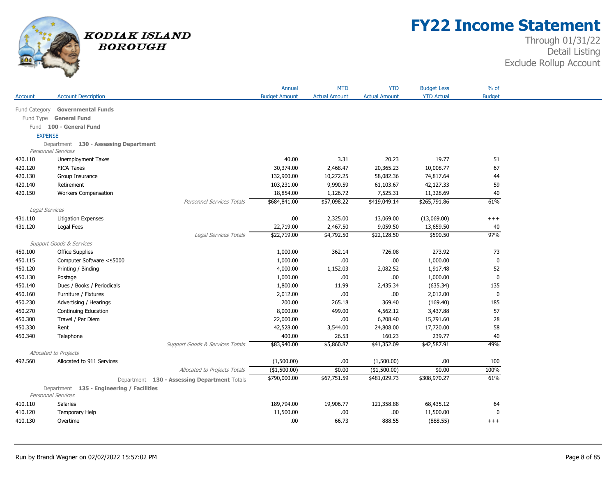

# **FY22 Income Statement**

|                |                                                                 |                                              | Annual               | <b>MTD</b>           | <b>YTD</b>           | <b>Budget Less</b> | % of          |
|----------------|-----------------------------------------------------------------|----------------------------------------------|----------------------|----------------------|----------------------|--------------------|---------------|
| Account        | <b>Account Description</b>                                      |                                              | <b>Budget Amount</b> | <b>Actual Amount</b> | <b>Actual Amount</b> | <b>YTD Actual</b>  | <b>Budget</b> |
| Fund Category  | <b>Governmental Funds</b>                                       |                                              |                      |                      |                      |                    |               |
|                |                                                                 |                                              |                      |                      |                      |                    |               |
|                | Fund Type General Fund                                          |                                              |                      |                      |                      |                    |               |
|                | Fund 100 - General Fund                                         |                                              |                      |                      |                      |                    |               |
| <b>EXPENSE</b> |                                                                 |                                              |                      |                      |                      |                    |               |
|                | Department 130 - Assessing Department<br>Personnel Services     |                                              |                      |                      |                      |                    |               |
| 420.110        | Unemployment Taxes                                              |                                              | 40.00                | 3.31                 | 20.23                | 19.77              | 51            |
| 420.120        | <b>FICA Taxes</b>                                               |                                              | 30,374.00            | 2,468.47             | 20,365.23            | 10,008.77          | 67            |
| 420.130        | Group Insurance                                                 |                                              | 132,900.00           | 10,272.25            | 58,082.36            | 74,817.64          | 44            |
| 420.140        | Retirement                                                      |                                              | 103,231.00           | 9,990.59             | 61,103.67            | 42,127.33          | 59            |
| 420.150        | <b>Workers Compensation</b>                                     |                                              | 18,854.00            | 1,126.72             | 7,525.31             | 11,328.69          | $40\,$        |
|                |                                                                 | <b>Personnel Services Totals</b>             | \$684,841.00         | \$57,098.22          | \$419,049.14         | \$265,791.86       | 61%           |
| Legal Services |                                                                 |                                              |                      |                      |                      |                    |               |
| 431.110        | <b>Litigation Expenses</b>                                      |                                              | .00                  | 2,325.00             | 13,069.00            | (13,069.00)        | $^{+++}$      |
| 431.120        | Legal Fees                                                      |                                              | 22,719.00            | 2,467.50             | 9,059.50             | 13,659.50          | 40            |
|                |                                                                 | Legal Services Totals                        | \$22,719.00          | \$4,792.50           | \$22,128.50          | \$590.50           | 97%           |
|                | Support Goods & Services                                        |                                              |                      |                      |                      |                    |               |
| 450.100        | <b>Office Supplies</b>                                          |                                              | 1,000.00             | 362.14               | 726.08               | 273.92             | 73            |
| 450.115        | Computer Software <\$5000                                       |                                              | 1,000.00             | .00                  | .00                  | 1,000.00           | $\mathbf 0$   |
| 450.120        | Printing / Binding                                              |                                              | 4,000.00             | 1,152.03             | 2,082.52             | 1,917.48           | 52            |
| 450.130        | Postage                                                         |                                              | 1,000.00             | .00                  | .00.                 | 1,000.00           | $\mathbf 0$   |
| 450.140        | Dues / Books / Periodicals                                      |                                              | 1,800.00             | 11.99                | 2,435.34             | (635.34)           | 135           |
| 450.160        | Furniture / Fixtures                                            |                                              | 2,012.00             | .00                  | .00                  | 2,012.00           | 0             |
| 450.230        | Advertising / Hearings                                          |                                              | 200.00               | 265.18               | 369.40               | (169.40)           | 185           |
| 450.270        | Continuing Education                                            |                                              | 8,000.00             | 499.00               | 4,562.12             | 3,437.88           | 57            |
| 450.300        | Travel / Per Diem                                               |                                              | 22,000.00            | .00.                 | 6,208.40             | 15,791.60          | 28            |
| 450.330        | Rent                                                            |                                              | 42,528.00            | 3,544.00             | 24,808.00            | 17,720.00          | 58            |
| 450.340        | Telephone                                                       |                                              | 400.00               | 26.53                | 160.23               | 239.77             | 40            |
|                |                                                                 | Support Goods & Services Totals              | \$83,940.00          | \$5,860.87           | \$41,352.09          | \$42,587.91        | 49%           |
|                | Allocated to Projects                                           |                                              |                      |                      |                      |                    |               |
| 492.560        | Allocated to 911 Services                                       |                                              | (1,500.00)           | .00                  | (1,500.00)           | .00                | 100           |
|                |                                                                 | Allocated to Projects Totals                 | $*(1,500.00)$        | \$0.00               | (\$1,500.00)         | \$0.00             | 100%          |
|                |                                                                 | Department 130 - Assessing Department Totals | \$790,000.00         | \$67,751.59          | \$481,029.73         | \$308,970.27       | 61%           |
|                |                                                                 |                                              |                      |                      |                      |                    |               |
|                | Department 135 - Engineering / Facilities<br>Personnel Services |                                              |                      |                      |                      |                    |               |
| 410.110        | Salaries                                                        |                                              | 189,794.00           | 19,906.77            | 121,358.88           | 68,435.12          | 64            |
| 410.120        | <b>Temporary Help</b>                                           |                                              | 11,500.00            | .00                  | .00.                 | 11,500.00          | $\mathbf 0$   |
| 410.130        | Overtime                                                        |                                              | .00                  | 66.73                | 888.55               | (888.55)           | $+++$         |
|                |                                                                 |                                              |                      |                      |                      |                    |               |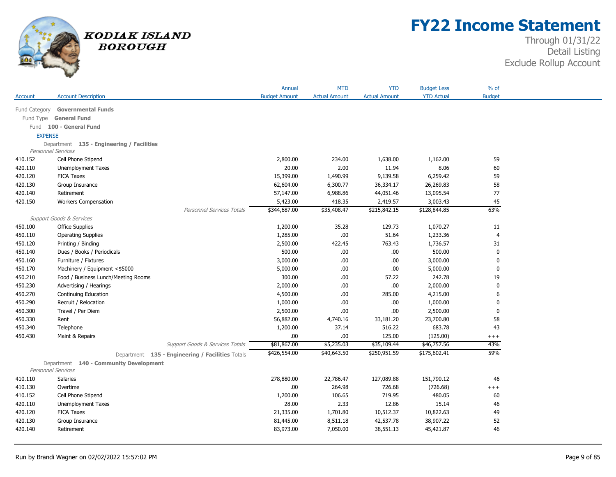

## **FY22 Income Statement**

|                |                                                                     | Annual               | <b>MTD</b>           | <b>YTD</b>           | <b>Budget Less</b> | $%$ of         |
|----------------|---------------------------------------------------------------------|----------------------|----------------------|----------------------|--------------------|----------------|
| Account        | <b>Account Description</b>                                          | <b>Budget Amount</b> | <b>Actual Amount</b> | <b>Actual Amount</b> | <b>YTD Actual</b>  | <b>Budget</b>  |
|                |                                                                     |                      |                      |                      |                    |                |
| Fund Category  | <b>Governmental Funds</b>                                           |                      |                      |                      |                    |                |
|                | Fund Type General Fund                                              |                      |                      |                      |                    |                |
|                | Fund 100 - General Fund                                             |                      |                      |                      |                    |                |
| <b>EXPENSE</b> |                                                                     |                      |                      |                      |                    |                |
|                | Department 135 - Engineering / Facilities<br>Personnel Services     |                      |                      |                      |                    |                |
| 410.152        | Cell Phone Stipend                                                  | 2,800.00             | 234.00               | 1,638.00             | 1,162.00           | 59             |
| 420.110        | Unemployment Taxes                                                  | 20.00                | 2.00                 | 11.94                | 8.06               | 60             |
| 420.120        | <b>FICA Taxes</b>                                                   | 15,399.00            | 1,490.99             | 9,139.58             | 6,259.42           | 59             |
| 420.130        | Group Insurance                                                     | 62,604.00            | 6,300.77             | 36,334.17            | 26,269.83          | 58             |
| 420.140        | Retirement                                                          | 57,147.00            | 6,988.86             | 44,051.46            | 13,095.54          | 77             |
| 420.150        | <b>Workers Compensation</b>                                         | 5,423.00             | 418.35               | 2,419.57             | 3,003.43           | 45             |
|                | <b>Personnel Services Totals</b>                                    | \$344,687.00         | \$35,408.47          | \$215,842.15         | \$128,844.85       | 63%            |
|                | <b>Support Goods &amp; Services</b>                                 |                      |                      |                      |                    |                |
| 450.100        | <b>Office Supplies</b>                                              | 1,200.00             | 35.28                | 129.73               | 1,070.27           | 11             |
| 450.110        | <b>Operating Supplies</b>                                           | 1,285.00             | .00                  | 51.64                | 1,233.36           | $\overline{4}$ |
| 450.120        | Printing / Binding                                                  | 2,500.00             | 422.45               | 763.43               | 1,736.57           | 31             |
| 450.140        | Dues / Books / Periodicals                                          | 500.00               | .00.                 | .00.                 | 500.00             | $\mathbf{0}$   |
| 450.160        | Furniture / Fixtures                                                | 3,000.00             | .00                  | .00.                 | 3,000.00           | 0              |
| 450.170        | Machinery / Equipment <\$5000                                       | 5,000.00             | .00                  | .00.                 | 5,000.00           | 0              |
| 450.210        | Food / Business Lunch/Meeting Rooms                                 | 300.00               | .00                  | 57.22                | 242.78             | 19             |
| 450.230        | Advertising / Hearings                                              | 2,000.00             | .00                  | .00.                 | 2,000.00           | $\mathbf{0}$   |
| 450.270        | Continuing Education                                                | 4,500.00             | .00                  | 285.00               | 4,215.00           | 6              |
| 450.290        | Recruit / Relocation                                                | 1,000.00             | .00                  | .00                  | 1,000.00           | $\mathbf 0$    |
| 450.300        | Travel / Per Diem                                                   | 2,500.00             | .00                  | .00.                 | 2,500.00           | $\bf{0}$       |
| 450.330        | Rent                                                                | 56,882.00            | 4,740.16             | 33,181.20            | 23,700.80          | 58             |
| 450.340        | Telephone                                                           | 1,200.00             | 37.14                | 516.22               | 683.78             | 43             |
| 450.430        | Maint & Repairs                                                     | .00                  | .00                  | 125.00               | (125.00)           | $^{+++}$       |
|                | Support Goods & Services Totals                                     | \$81,867.00          | \$5,235.03           | \$35,109.44          | \$46,757.56        | 43%            |
|                | Department 135 - Engineering / Facilities Totals                    | \$426,554.00         | \$40,643.50          | \$250,951.59         | \$175,602.41       | 59%            |
|                | Department 140 - Community Development<br><b>Personnel Services</b> |                      |                      |                      |                    |                |
| 410.110        | Salaries                                                            | 278,880.00           | 22,786.47            | 127,089.88           | 151,790.12         | 46             |
| 410.130        | Overtime                                                            | .00                  | 264.98               | 726.68               | (726.68)           | $^{+++}$       |
| 410.152        | Cell Phone Stipend                                                  | 1,200.00             | 106.65               | 719.95               | 480.05             | 60             |
| 420.110        | <b>Unemployment Taxes</b>                                           | 28.00                | 2.33                 | 12.86                | 15.14              | 46             |
| 420.120        | <b>FICA Taxes</b>                                                   | 21,335.00            | 1,701.80             | 10,512.37            | 10,822.63          | 49             |
| 420.130        | Group Insurance                                                     | 81,445.00            | 8,511.18             | 42,537.78            | 38,907.22          | 52             |
| 420.140        | Retirement                                                          | 83,973.00            | 7,050.00             | 38,551.13            | 45,421.87          | 46             |
|                |                                                                     |                      |                      |                      |                    |                |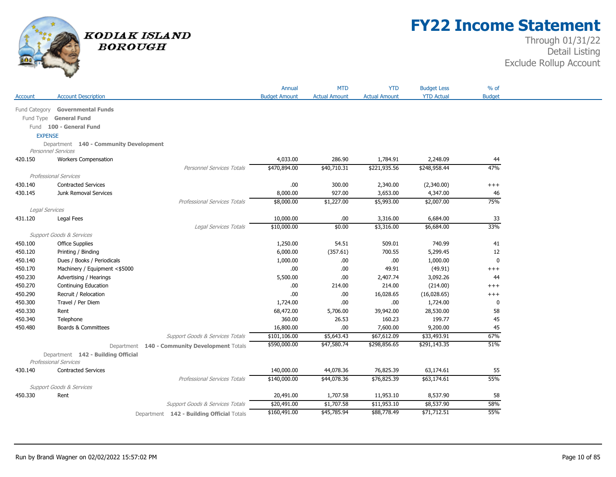

## **FY22 Income Statement**

| <b>Account Description</b><br><b>Budget Amount</b><br><b>Actual Amount</b><br><b>Actual Amount</b><br><b>YTD Actual</b><br><b>Budget</b><br>Account<br><b>Governmental Funds</b><br>Fund Category<br>Fund Type General Fund<br>Fund 100 - General Fund<br><b>EXPENSE</b><br>Department 140 - Community Development<br>Personnel Services<br>4,033.00<br>286.90<br>1,784.91<br>2,248.09<br>420.150<br><b>Workers Compensation</b><br>44<br>47%<br>\$470,894.00<br>\$40,710.31<br>\$221,935.56<br>\$248,958.44<br>Personnel Services Totals<br>Professional Services<br>430.140<br><b>Contracted Services</b><br>.00.<br>300.00<br>2,340.00<br>(2,340.00)<br>$^{+++}$<br>927.00<br>430.145<br>Junk Removal Services<br>8,000.00<br>3,653.00<br>4,347.00<br>46<br>75%<br>Professional Services Totals<br>\$8,000.00<br>\$1,227.00<br>\$5,993.00<br>\$2,007.00<br>Legal Services<br>431.120<br>10,000.00<br>.00<br>3,316.00<br>6,684.00<br>33<br>Legal Fees<br>33%<br>\$10,000.00<br>\$0.00<br>\$6,684.00<br>Legal Services Totals<br>\$3,316.00<br>Support Goods & Services<br>54.51<br>509.01<br>740.99<br>450.100<br><b>Office Supplies</b><br>1,250.00<br>41<br>450.120<br>Printing / Binding<br>6,000.00<br>(357.61)<br>700.55<br>5,299.45<br>12<br>1,000.00<br>1,000.00<br>$\mathbf 0$<br>450.140<br>Dues / Books / Periodicals<br>.00.<br>.00<br>450.170<br>Machinery / Equipment <\$5000<br>.00.<br>.00.<br>49.91<br>(49.91)<br>$+++$<br>450.230<br>Advertising / Hearings<br>5,500.00<br>.00<br>2,407.74<br>3,092.26<br>44<br>450.270<br>214.00<br>Continuing Education<br>.00.<br>214.00<br>(214.00)<br>$^{+++}$<br>450.290<br>Recruit / Relocation<br>.00.<br>.00.<br>16,028.65<br>(16,028.65)<br>$^{+++}$<br>.00<br>450.300<br>Travel / Per Diem<br>1,724.00<br>.00<br>1,724.00<br>$\bf{0}$<br>450.330<br>Rent<br>39,942.00<br>58<br>68,472.00<br>5,706.00<br>28,530.00<br>360.00<br>199.77<br>45<br>450.340<br>Telephone<br>26.53<br>160.23<br><b>Boards &amp; Committees</b><br>16,800.00<br>7,600.00<br>9,200.00<br>450.480<br>.00.<br>45<br>67%<br>\$101,106.00<br>\$5,643.43<br>\$67,612.09<br>\$33,493.91<br>Support Goods & Services Totals<br>51%<br>\$590,000.00<br>\$47,580.74<br>\$298,856.65<br>\$291,143.35<br>Department 140 - Community Development Totals<br>Department 142 - Building Official<br><b>Professional Services</b><br><b>Contracted Services</b><br>140,000.00<br>44,078.36<br>76,825.39<br>63,174.61<br>55<br>430.140<br>55%<br><b>Professional Services Totals</b><br>\$140,000.00<br>\$44,078.36<br>\$76,825.39<br>\$63,174.61<br><b>Support Goods &amp; Services</b><br>20,491.00<br>1,707.58<br>11,953.10<br>8,537.90<br>450.330<br>Rent<br>58<br>58%<br>Support Goods & Services Totals<br>\$20,491.00<br>\$1,707.58<br>\$11,953.10<br>\$8,537.90<br>55%<br>\$160,491.00<br>\$45,785.94<br>\$88,778.49<br>\$71,712.51 |  |                                           | Annual | <b>MTD</b> | <b>YTD</b> | <b>Budget Less</b> | $%$ of |
|------------------------------------------------------------------------------------------------------------------------------------------------------------------------------------------------------------------------------------------------------------------------------------------------------------------------------------------------------------------------------------------------------------------------------------------------------------------------------------------------------------------------------------------------------------------------------------------------------------------------------------------------------------------------------------------------------------------------------------------------------------------------------------------------------------------------------------------------------------------------------------------------------------------------------------------------------------------------------------------------------------------------------------------------------------------------------------------------------------------------------------------------------------------------------------------------------------------------------------------------------------------------------------------------------------------------------------------------------------------------------------------------------------------------------------------------------------------------------------------------------------------------------------------------------------------------------------------------------------------------------------------------------------------------------------------------------------------------------------------------------------------------------------------------------------------------------------------------------------------------------------------------------------------------------------------------------------------------------------------------------------------------------------------------------------------------------------------------------------------------------------------------------------------------------------------------------------------------------------------------------------------------------------------------------------------------------------------------------------------------------------------------------------------------------------------------------------------------------------------------------------------------------------------------------------------------------------------------------------------------------------------------------------------------------------------------------------------------------------------------------------------------------------------------------------------------------------------------------------------|--|-------------------------------------------|--------|------------|------------|--------------------|--------|
|                                                                                                                                                                                                                                                                                                                                                                                                                                                                                                                                                                                                                                                                                                                                                                                                                                                                                                                                                                                                                                                                                                                                                                                                                                                                                                                                                                                                                                                                                                                                                                                                                                                                                                                                                                                                                                                                                                                                                                                                                                                                                                                                                                                                                                                                                                                                                                                                                                                                                                                                                                                                                                                                                                                                                                                                                                                                  |  |                                           |        |            |            |                    |        |
|                                                                                                                                                                                                                                                                                                                                                                                                                                                                                                                                                                                                                                                                                                                                                                                                                                                                                                                                                                                                                                                                                                                                                                                                                                                                                                                                                                                                                                                                                                                                                                                                                                                                                                                                                                                                                                                                                                                                                                                                                                                                                                                                                                                                                                                                                                                                                                                                                                                                                                                                                                                                                                                                                                                                                                                                                                                                  |  |                                           |        |            |            |                    |        |
|                                                                                                                                                                                                                                                                                                                                                                                                                                                                                                                                                                                                                                                                                                                                                                                                                                                                                                                                                                                                                                                                                                                                                                                                                                                                                                                                                                                                                                                                                                                                                                                                                                                                                                                                                                                                                                                                                                                                                                                                                                                                                                                                                                                                                                                                                                                                                                                                                                                                                                                                                                                                                                                                                                                                                                                                                                                                  |  |                                           |        |            |            |                    |        |
|                                                                                                                                                                                                                                                                                                                                                                                                                                                                                                                                                                                                                                                                                                                                                                                                                                                                                                                                                                                                                                                                                                                                                                                                                                                                                                                                                                                                                                                                                                                                                                                                                                                                                                                                                                                                                                                                                                                                                                                                                                                                                                                                                                                                                                                                                                                                                                                                                                                                                                                                                                                                                                                                                                                                                                                                                                                                  |  |                                           |        |            |            |                    |        |
|                                                                                                                                                                                                                                                                                                                                                                                                                                                                                                                                                                                                                                                                                                                                                                                                                                                                                                                                                                                                                                                                                                                                                                                                                                                                                                                                                                                                                                                                                                                                                                                                                                                                                                                                                                                                                                                                                                                                                                                                                                                                                                                                                                                                                                                                                                                                                                                                                                                                                                                                                                                                                                                                                                                                                                                                                                                                  |  |                                           |        |            |            |                    |        |
|                                                                                                                                                                                                                                                                                                                                                                                                                                                                                                                                                                                                                                                                                                                                                                                                                                                                                                                                                                                                                                                                                                                                                                                                                                                                                                                                                                                                                                                                                                                                                                                                                                                                                                                                                                                                                                                                                                                                                                                                                                                                                                                                                                                                                                                                                                                                                                                                                                                                                                                                                                                                                                                                                                                                                                                                                                                                  |  |                                           |        |            |            |                    |        |
|                                                                                                                                                                                                                                                                                                                                                                                                                                                                                                                                                                                                                                                                                                                                                                                                                                                                                                                                                                                                                                                                                                                                                                                                                                                                                                                                                                                                                                                                                                                                                                                                                                                                                                                                                                                                                                                                                                                                                                                                                                                                                                                                                                                                                                                                                                                                                                                                                                                                                                                                                                                                                                                                                                                                                                                                                                                                  |  |                                           |        |            |            |                    |        |
|                                                                                                                                                                                                                                                                                                                                                                                                                                                                                                                                                                                                                                                                                                                                                                                                                                                                                                                                                                                                                                                                                                                                                                                                                                                                                                                                                                                                                                                                                                                                                                                                                                                                                                                                                                                                                                                                                                                                                                                                                                                                                                                                                                                                                                                                                                                                                                                                                                                                                                                                                                                                                                                                                                                                                                                                                                                                  |  |                                           |        |            |            |                    |        |
|                                                                                                                                                                                                                                                                                                                                                                                                                                                                                                                                                                                                                                                                                                                                                                                                                                                                                                                                                                                                                                                                                                                                                                                                                                                                                                                                                                                                                                                                                                                                                                                                                                                                                                                                                                                                                                                                                                                                                                                                                                                                                                                                                                                                                                                                                                                                                                                                                                                                                                                                                                                                                                                                                                                                                                                                                                                                  |  |                                           |        |            |            |                    |        |
|                                                                                                                                                                                                                                                                                                                                                                                                                                                                                                                                                                                                                                                                                                                                                                                                                                                                                                                                                                                                                                                                                                                                                                                                                                                                                                                                                                                                                                                                                                                                                                                                                                                                                                                                                                                                                                                                                                                                                                                                                                                                                                                                                                                                                                                                                                                                                                                                                                                                                                                                                                                                                                                                                                                                                                                                                                                                  |  |                                           |        |            |            |                    |        |
|                                                                                                                                                                                                                                                                                                                                                                                                                                                                                                                                                                                                                                                                                                                                                                                                                                                                                                                                                                                                                                                                                                                                                                                                                                                                                                                                                                                                                                                                                                                                                                                                                                                                                                                                                                                                                                                                                                                                                                                                                                                                                                                                                                                                                                                                                                                                                                                                                                                                                                                                                                                                                                                                                                                                                                                                                                                                  |  |                                           |        |            |            |                    |        |
|                                                                                                                                                                                                                                                                                                                                                                                                                                                                                                                                                                                                                                                                                                                                                                                                                                                                                                                                                                                                                                                                                                                                                                                                                                                                                                                                                                                                                                                                                                                                                                                                                                                                                                                                                                                                                                                                                                                                                                                                                                                                                                                                                                                                                                                                                                                                                                                                                                                                                                                                                                                                                                                                                                                                                                                                                                                                  |  |                                           |        |            |            |                    |        |
|                                                                                                                                                                                                                                                                                                                                                                                                                                                                                                                                                                                                                                                                                                                                                                                                                                                                                                                                                                                                                                                                                                                                                                                                                                                                                                                                                                                                                                                                                                                                                                                                                                                                                                                                                                                                                                                                                                                                                                                                                                                                                                                                                                                                                                                                                                                                                                                                                                                                                                                                                                                                                                                                                                                                                                                                                                                                  |  |                                           |        |            |            |                    |        |
|                                                                                                                                                                                                                                                                                                                                                                                                                                                                                                                                                                                                                                                                                                                                                                                                                                                                                                                                                                                                                                                                                                                                                                                                                                                                                                                                                                                                                                                                                                                                                                                                                                                                                                                                                                                                                                                                                                                                                                                                                                                                                                                                                                                                                                                                                                                                                                                                                                                                                                                                                                                                                                                                                                                                                                                                                                                                  |  |                                           |        |            |            |                    |        |
|                                                                                                                                                                                                                                                                                                                                                                                                                                                                                                                                                                                                                                                                                                                                                                                                                                                                                                                                                                                                                                                                                                                                                                                                                                                                                                                                                                                                                                                                                                                                                                                                                                                                                                                                                                                                                                                                                                                                                                                                                                                                                                                                                                                                                                                                                                                                                                                                                                                                                                                                                                                                                                                                                                                                                                                                                                                                  |  |                                           |        |            |            |                    |        |
|                                                                                                                                                                                                                                                                                                                                                                                                                                                                                                                                                                                                                                                                                                                                                                                                                                                                                                                                                                                                                                                                                                                                                                                                                                                                                                                                                                                                                                                                                                                                                                                                                                                                                                                                                                                                                                                                                                                                                                                                                                                                                                                                                                                                                                                                                                                                                                                                                                                                                                                                                                                                                                                                                                                                                                                                                                                                  |  |                                           |        |            |            |                    |        |
|                                                                                                                                                                                                                                                                                                                                                                                                                                                                                                                                                                                                                                                                                                                                                                                                                                                                                                                                                                                                                                                                                                                                                                                                                                                                                                                                                                                                                                                                                                                                                                                                                                                                                                                                                                                                                                                                                                                                                                                                                                                                                                                                                                                                                                                                                                                                                                                                                                                                                                                                                                                                                                                                                                                                                                                                                                                                  |  |                                           |        |            |            |                    |        |
|                                                                                                                                                                                                                                                                                                                                                                                                                                                                                                                                                                                                                                                                                                                                                                                                                                                                                                                                                                                                                                                                                                                                                                                                                                                                                                                                                                                                                                                                                                                                                                                                                                                                                                                                                                                                                                                                                                                                                                                                                                                                                                                                                                                                                                                                                                                                                                                                                                                                                                                                                                                                                                                                                                                                                                                                                                                                  |  |                                           |        |            |            |                    |        |
|                                                                                                                                                                                                                                                                                                                                                                                                                                                                                                                                                                                                                                                                                                                                                                                                                                                                                                                                                                                                                                                                                                                                                                                                                                                                                                                                                                                                                                                                                                                                                                                                                                                                                                                                                                                                                                                                                                                                                                                                                                                                                                                                                                                                                                                                                                                                                                                                                                                                                                                                                                                                                                                                                                                                                                                                                                                                  |  |                                           |        |            |            |                    |        |
|                                                                                                                                                                                                                                                                                                                                                                                                                                                                                                                                                                                                                                                                                                                                                                                                                                                                                                                                                                                                                                                                                                                                                                                                                                                                                                                                                                                                                                                                                                                                                                                                                                                                                                                                                                                                                                                                                                                                                                                                                                                                                                                                                                                                                                                                                                                                                                                                                                                                                                                                                                                                                                                                                                                                                                                                                                                                  |  |                                           |        |            |            |                    |        |
|                                                                                                                                                                                                                                                                                                                                                                                                                                                                                                                                                                                                                                                                                                                                                                                                                                                                                                                                                                                                                                                                                                                                                                                                                                                                                                                                                                                                                                                                                                                                                                                                                                                                                                                                                                                                                                                                                                                                                                                                                                                                                                                                                                                                                                                                                                                                                                                                                                                                                                                                                                                                                                                                                                                                                                                                                                                                  |  |                                           |        |            |            |                    |        |
|                                                                                                                                                                                                                                                                                                                                                                                                                                                                                                                                                                                                                                                                                                                                                                                                                                                                                                                                                                                                                                                                                                                                                                                                                                                                                                                                                                                                                                                                                                                                                                                                                                                                                                                                                                                                                                                                                                                                                                                                                                                                                                                                                                                                                                                                                                                                                                                                                                                                                                                                                                                                                                                                                                                                                                                                                                                                  |  |                                           |        |            |            |                    |        |
|                                                                                                                                                                                                                                                                                                                                                                                                                                                                                                                                                                                                                                                                                                                                                                                                                                                                                                                                                                                                                                                                                                                                                                                                                                                                                                                                                                                                                                                                                                                                                                                                                                                                                                                                                                                                                                                                                                                                                                                                                                                                                                                                                                                                                                                                                                                                                                                                                                                                                                                                                                                                                                                                                                                                                                                                                                                                  |  |                                           |        |            |            |                    |        |
|                                                                                                                                                                                                                                                                                                                                                                                                                                                                                                                                                                                                                                                                                                                                                                                                                                                                                                                                                                                                                                                                                                                                                                                                                                                                                                                                                                                                                                                                                                                                                                                                                                                                                                                                                                                                                                                                                                                                                                                                                                                                                                                                                                                                                                                                                                                                                                                                                                                                                                                                                                                                                                                                                                                                                                                                                                                                  |  |                                           |        |            |            |                    |        |
|                                                                                                                                                                                                                                                                                                                                                                                                                                                                                                                                                                                                                                                                                                                                                                                                                                                                                                                                                                                                                                                                                                                                                                                                                                                                                                                                                                                                                                                                                                                                                                                                                                                                                                                                                                                                                                                                                                                                                                                                                                                                                                                                                                                                                                                                                                                                                                                                                                                                                                                                                                                                                                                                                                                                                                                                                                                                  |  |                                           |        |            |            |                    |        |
|                                                                                                                                                                                                                                                                                                                                                                                                                                                                                                                                                                                                                                                                                                                                                                                                                                                                                                                                                                                                                                                                                                                                                                                                                                                                                                                                                                                                                                                                                                                                                                                                                                                                                                                                                                                                                                                                                                                                                                                                                                                                                                                                                                                                                                                                                                                                                                                                                                                                                                                                                                                                                                                                                                                                                                                                                                                                  |  |                                           |        |            |            |                    |        |
|                                                                                                                                                                                                                                                                                                                                                                                                                                                                                                                                                                                                                                                                                                                                                                                                                                                                                                                                                                                                                                                                                                                                                                                                                                                                                                                                                                                                                                                                                                                                                                                                                                                                                                                                                                                                                                                                                                                                                                                                                                                                                                                                                                                                                                                                                                                                                                                                                                                                                                                                                                                                                                                                                                                                                                                                                                                                  |  |                                           |        |            |            |                    |        |
|                                                                                                                                                                                                                                                                                                                                                                                                                                                                                                                                                                                                                                                                                                                                                                                                                                                                                                                                                                                                                                                                                                                                                                                                                                                                                                                                                                                                                                                                                                                                                                                                                                                                                                                                                                                                                                                                                                                                                                                                                                                                                                                                                                                                                                                                                                                                                                                                                                                                                                                                                                                                                                                                                                                                                                                                                                                                  |  |                                           |        |            |            |                    |        |
|                                                                                                                                                                                                                                                                                                                                                                                                                                                                                                                                                                                                                                                                                                                                                                                                                                                                                                                                                                                                                                                                                                                                                                                                                                                                                                                                                                                                                                                                                                                                                                                                                                                                                                                                                                                                                                                                                                                                                                                                                                                                                                                                                                                                                                                                                                                                                                                                                                                                                                                                                                                                                                                                                                                                                                                                                                                                  |  |                                           |        |            |            |                    |        |
|                                                                                                                                                                                                                                                                                                                                                                                                                                                                                                                                                                                                                                                                                                                                                                                                                                                                                                                                                                                                                                                                                                                                                                                                                                                                                                                                                                                                                                                                                                                                                                                                                                                                                                                                                                                                                                                                                                                                                                                                                                                                                                                                                                                                                                                                                                                                                                                                                                                                                                                                                                                                                                                                                                                                                                                                                                                                  |  |                                           |        |            |            |                    |        |
|                                                                                                                                                                                                                                                                                                                                                                                                                                                                                                                                                                                                                                                                                                                                                                                                                                                                                                                                                                                                                                                                                                                                                                                                                                                                                                                                                                                                                                                                                                                                                                                                                                                                                                                                                                                                                                                                                                                                                                                                                                                                                                                                                                                                                                                                                                                                                                                                                                                                                                                                                                                                                                                                                                                                                                                                                                                                  |  |                                           |        |            |            |                    |        |
|                                                                                                                                                                                                                                                                                                                                                                                                                                                                                                                                                                                                                                                                                                                                                                                                                                                                                                                                                                                                                                                                                                                                                                                                                                                                                                                                                                                                                                                                                                                                                                                                                                                                                                                                                                                                                                                                                                                                                                                                                                                                                                                                                                                                                                                                                                                                                                                                                                                                                                                                                                                                                                                                                                                                                                                                                                                                  |  |                                           |        |            |            |                    |        |
|                                                                                                                                                                                                                                                                                                                                                                                                                                                                                                                                                                                                                                                                                                                                                                                                                                                                                                                                                                                                                                                                                                                                                                                                                                                                                                                                                                                                                                                                                                                                                                                                                                                                                                                                                                                                                                                                                                                                                                                                                                                                                                                                                                                                                                                                                                                                                                                                                                                                                                                                                                                                                                                                                                                                                                                                                                                                  |  |                                           |        |            |            |                    |        |
|                                                                                                                                                                                                                                                                                                                                                                                                                                                                                                                                                                                                                                                                                                                                                                                                                                                                                                                                                                                                                                                                                                                                                                                                                                                                                                                                                                                                                                                                                                                                                                                                                                                                                                                                                                                                                                                                                                                                                                                                                                                                                                                                                                                                                                                                                                                                                                                                                                                                                                                                                                                                                                                                                                                                                                                                                                                                  |  |                                           |        |            |            |                    |        |
|                                                                                                                                                                                                                                                                                                                                                                                                                                                                                                                                                                                                                                                                                                                                                                                                                                                                                                                                                                                                                                                                                                                                                                                                                                                                                                                                                                                                                                                                                                                                                                                                                                                                                                                                                                                                                                                                                                                                                                                                                                                                                                                                                                                                                                                                                                                                                                                                                                                                                                                                                                                                                                                                                                                                                                                                                                                                  |  |                                           |        |            |            |                    |        |
|                                                                                                                                                                                                                                                                                                                                                                                                                                                                                                                                                                                                                                                                                                                                                                                                                                                                                                                                                                                                                                                                                                                                                                                                                                                                                                                                                                                                                                                                                                                                                                                                                                                                                                                                                                                                                                                                                                                                                                                                                                                                                                                                                                                                                                                                                                                                                                                                                                                                                                                                                                                                                                                                                                                                                                                                                                                                  |  |                                           |        |            |            |                    |        |
|                                                                                                                                                                                                                                                                                                                                                                                                                                                                                                                                                                                                                                                                                                                                                                                                                                                                                                                                                                                                                                                                                                                                                                                                                                                                                                                                                                                                                                                                                                                                                                                                                                                                                                                                                                                                                                                                                                                                                                                                                                                                                                                                                                                                                                                                                                                                                                                                                                                                                                                                                                                                                                                                                                                                                                                                                                                                  |  | Department 142 - Building Official Totals |        |            |            |                    |        |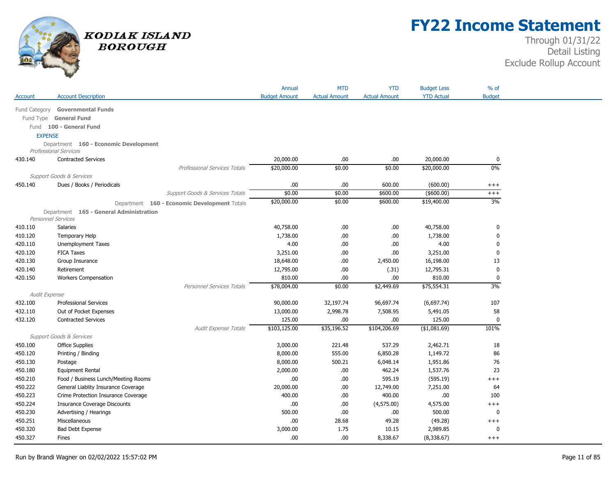

## **FY22 Income Statement**

|                |                                              | Annual               | <b>MTD</b>           | <b>YTD</b>           | <b>Budget Less</b> | $%$ of        |
|----------------|----------------------------------------------|----------------------|----------------------|----------------------|--------------------|---------------|
| Account        | <b>Account Description</b>                   | <b>Budget Amount</b> | <b>Actual Amount</b> | <b>Actual Amount</b> | <b>YTD Actual</b>  | <b>Budget</b> |
|                | Fund Category Governmental Funds             |                      |                      |                      |                    |               |
|                | Fund Type General Fund                       |                      |                      |                      |                    |               |
|                | Fund 100 - General Fund                      |                      |                      |                      |                    |               |
| <b>EXPENSE</b> |                                              |                      |                      |                      |                    |               |
|                | Department 160 - Economic Development        |                      |                      |                      |                    |               |
|                | <b>Professional Services</b>                 |                      |                      |                      |                    |               |
| 430.140        | <b>Contracted Services</b>                   | 20,000.00            | .00.                 | .00                  | 20,000.00          | 0             |
|                | Professional Services Totals                 | \$20,000.00          | \$0.00               | \$0.00               | \$20,000.00        | 0%            |
|                | <b>Support Goods &amp; Services</b>          |                      |                      |                      |                    |               |
| 450.140        | Dues / Books / Periodicals                   | .00.                 | .00.                 | 600.00               | (600.00)           | $^{+++}$      |
|                | Support Goods & Services Totals              | \$0.00               | \$0.00               | \$600.00             | $($ \$600.00)      | $+++$         |
|                | Department 160 - Economic Development Totals | \$20,000.00          | \$0.00               | \$600.00             | \$19,400.00        | 3%            |
|                | Department 165 - General Administration      |                      |                      |                      |                    |               |
|                | Personnel Services                           |                      |                      |                      |                    |               |
| 410.110        | Salaries                                     | 40,758.00            | .00.                 | .00                  | 40,758.00          | $\pmb{0}$     |
| 410.120        | Temporary Help                               | 1,738.00             | .00.                 | .00                  | 1,738.00           | $\mathbf 0$   |
| 420.110        | Unemployment Taxes                           | 4.00                 | .00.                 | .00                  | 4.00               | $\mathbf 0$   |
| 420.120        | <b>FICA Taxes</b>                            | 3,251.00             | .00.                 | .00.                 | 3,251.00           | 0             |
| 420.130        | Group Insurance                              | 18,648.00            | .00.                 | 2,450.00             | 16,198.00          | 13            |
| 420.140        | Retirement                                   | 12,795.00            | .00.                 | (.31)                | 12,795.31          | $\mathbf 0$   |
| 420.150        | <b>Workers Compensation</b>                  | 810.00               | .00.                 | .00                  | 810.00             | $\mathbf 0$   |
|                | Personnel Services Totals                    | \$78,004.00          | \$0.00               | \$2,449.69           | \$75,554.31        | 3%            |
| Audit Expense  |                                              |                      |                      |                      |                    |               |
| 432.100        | <b>Professional Services</b>                 | 90,000.00            | 32,197.74            | 96,697.74            | (6,697.74)         | 107           |
| 432.110        | Out of Pocket Expenses                       | 13,000.00            | 2,998.78             | 7,508.95             | 5,491.05           | 58            |
| 432.120        | <b>Contracted Services</b>                   | 125.00               | .00                  | .00                  | 125.00             | $\mathbf 0$   |
|                | Audit Expense Totals                         | \$103,125.00         | \$35,196.52          | \$104,206.69         | (\$1,081.69)       | 101%          |
|                | <b>Support Goods &amp; Services</b>          |                      |                      |                      |                    |               |
| 450.100        | <b>Office Supplies</b>                       | 3,000.00             | 221.48               | 537.29               | 2,462.71           | 18            |
| 450.120        | Printing / Binding                           | 8,000.00             | 555.00               | 6,850.28             | 1,149.72           | 86            |
| 450.130        | Postage                                      | 8,000.00             | 500.21               | 6,048.14             | 1,951.86           | 76            |
| 450.180        | <b>Equipment Rental</b>                      | 2,000.00             | .00.                 | 462.24               | 1,537.76           | 23            |
| 450.210        | Food / Business Lunch/Meeting Rooms          | .00                  | .00.                 | 595.19               | (595.19)           | $+++$         |
| 450.222        | General Liablity Insurance Coverage          | 20,000.00            | .00.                 | 12,749.00            | 7,251.00           | 64            |
| 450.223        | Crime Protection Insurance Coverage          | 400.00               | .00.                 | 400.00               | .00.               | 100           |
| 450.224        | <b>Insurance Coverage Discounts</b>          | .00                  | .00.                 | (4,575.00)           | 4,575.00           | $^{+++}$      |
| 450.230        | Advertising / Hearings                       | 500.00               | .00.                 | .00                  | 500.00             | $\mathbf 0$   |
| 450.251        | Miscellaneous                                | .00                  | 28.68                | 49.28                | (49.28)            | $+++$         |
| 450.320        | Bad Debt Expense                             | 3,000.00             | 1.75                 | 10.15                | 2,989.85           | 0             |
| 450.327        | Fines                                        | .00                  | .00.                 | 8,338.67             | (8,338.67)         | $+++$         |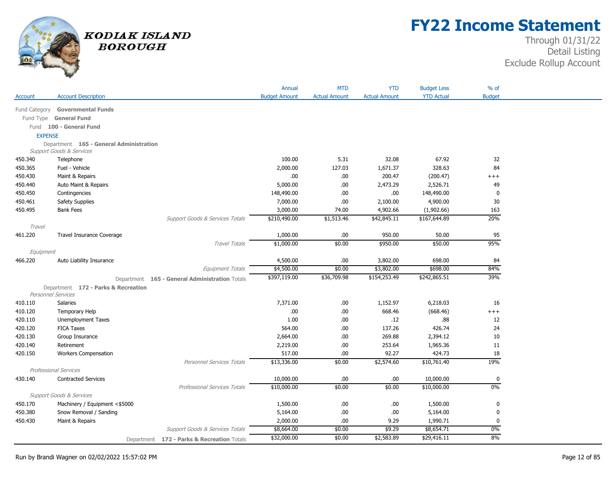

## **FY22 Income Statement**

|                |                                         |                                                | Annual               | <b>MTD</b>           | <b>YTD</b>           | <b>Budget Less</b> | % of          |
|----------------|-----------------------------------------|------------------------------------------------|----------------------|----------------------|----------------------|--------------------|---------------|
| Account        | <b>Account Description</b>              |                                                | <b>Budget Amount</b> | <b>Actual Amount</b> | <b>Actual Amount</b> | <b>YTD Actual</b>  | <b>Budget</b> |
|                | Fund Category Governmental Funds        |                                                |                      |                      |                      |                    |               |
|                | Fund Type General Fund                  |                                                |                      |                      |                      |                    |               |
|                | Fund 100 - General Fund                 |                                                |                      |                      |                      |                    |               |
| <b>EXPENSE</b> |                                         |                                                |                      |                      |                      |                    |               |
|                | Department 165 - General Administration |                                                |                      |                      |                      |                    |               |
|                | Support Goods & Services                |                                                |                      |                      |                      |                    |               |
| 450.340        | Telephone                               |                                                | 100.00               | 5.31                 | 32.08                | 67.92              | 32            |
| 450.365        | Fuel - Vehicle                          |                                                | 2,000.00             | 127.03               | 1,671.37             | 328.63             | 84            |
| 450.430        | Maint & Repairs                         |                                                | .00.                 | .00.                 | 200.47               | (200.47)           | $^{+++}$      |
| 450.440        | Auto Maint & Repairs                    |                                                | 5,000.00             | .00.                 | 2,473.29             | 2,526.71           | 49            |
| 450.450        | Contingencies                           |                                                | 148,490.00           | .00.                 | .00                  | 148,490.00         | $\bf{0}$      |
| 450.461        | Safety Supplies                         |                                                | 7,000.00             | .00.                 | 2,100.00             | 4,900.00           | 30            |
| 450.495        | <b>Bank Fees</b>                        |                                                | 3,000.00             | 74.00                | 4,902.66             | (1,902.66)         | 163           |
|                |                                         | Support Goods & Services Totals                | \$210,490.00         | \$1,513.46           | \$42,845.11          | \$167,644.89       | 20%           |
| Travel         |                                         |                                                |                      |                      |                      |                    |               |
| 461.220        | Travel Insurance Coverage               |                                                | 1,000.00             | .00.                 | 950.00               | 50.00              | 95            |
|                |                                         | <b>Travel Totals</b>                           | \$1,000.00           | \$0.00               | \$950.00             | \$50.00            | 95%           |
| Equipment      |                                         |                                                |                      |                      |                      |                    |               |
| 466.220        | Auto Liability Insurance                |                                                | 4,500.00             | .00.                 | 3,802.00             | 698.00             | 84            |
|                |                                         | Equipment Totals                               | \$4,500.00           | \$0.00               | \$3,802.00           | \$698.00           | 84%           |
|                |                                         | Department 165 - General Administration Totals | \$397,119.00         | \$36,709.98          | \$154,253.49         | \$242,865.51       | 39%           |
|                | Department 172 - Parks & Recreation     |                                                |                      |                      |                      |                    |               |
|                | Personnel Services                      |                                                |                      |                      |                      |                    |               |
| 410.110        | <b>Salaries</b>                         |                                                | 7,371.00             | .00.                 | 1,152.97             | 6,218.03           | 16            |
| 410.120        | Temporary Help                          |                                                | .00                  | .00.                 | 668.46               | (668.46)           | $^{+++}$      |
| 420.110        | <b>Unemployment Taxes</b>               |                                                | 1.00                 | .00                  | .12                  | .88                | 12            |
| 420.120        | <b>FICA Taxes</b>                       |                                                | 564.00               | .00.                 | 137.26               | 426.74             | 24            |
| 420.130        | Group Insurance                         |                                                | 2,664.00             | .00                  | 269.88               | 2,394.12           | 10            |
| 420.140        | Retirement                              |                                                | 2,219.00             | .00                  | 253.64               | 1,965.36           | 11            |
| 420.150        | <b>Workers Compensation</b>             |                                                | 517.00               | .00.                 | 92.27                | 424.73             | 18            |
|                |                                         | <b>Personnel Services Totals</b>               | \$13,336.00          | \$0.00               | \$2,574.60           | \$10,761.40        | 19%           |
|                | <b>Professional Services</b>            |                                                |                      |                      |                      |                    |               |
| 430.140        | <b>Contracted Services</b>              |                                                | 10,000.00            | .00.                 | .00.                 | 10,000.00          | 0             |
|                |                                         | <b>Professional Services Totals</b>            | \$10,000.00          | \$0.00               | \$0.00               | \$10,000.00        | 0%            |
|                | <b>Support Goods &amp; Services</b>     |                                                |                      |                      |                      |                    |               |
| 450.170        | Machinery / Equipment <\$5000           |                                                | 1,500.00             | .00.                 | .00.                 | 1,500.00           | $\bf{0}$      |
| 450.380        | Snow Removal / Sanding                  |                                                | 5,164.00             | .00.                 | .00                  | 5,164.00           | $\bf{0}$      |
| 450.430        | Maint & Repairs                         |                                                | 2,000.00             | .00.                 | 9.29                 | 1,990.71           | $\mathbf 0$   |
|                |                                         | Support Goods & Services Totals                | \$8,664.00           | \$0.00               | \$9.29               | \$8,654.71         | 0%            |
|                |                                         | Department 172 - Parks & Recreation Totals     | \$32,000.00          | \$0.00               | \$2,583.89           | \$29,416.11        | 8%            |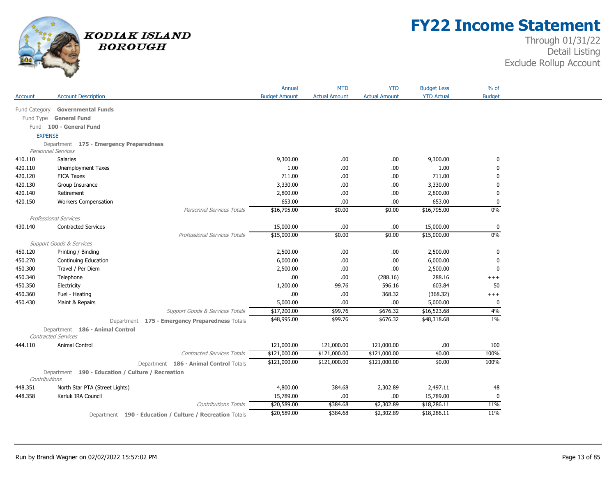

## **FY22 Income Statement**

|                |                                                                      |                                                          | Annual               | <b>MTD</b>           | <b>YTD</b>           | <b>Budget Less</b> | $%$ of        |
|----------------|----------------------------------------------------------------------|----------------------------------------------------------|----------------------|----------------------|----------------------|--------------------|---------------|
| Account        | <b>Account Description</b>                                           |                                                          | <b>Budget Amount</b> | <b>Actual Amount</b> | <b>Actual Amount</b> | <b>YTD Actual</b>  | <b>Budget</b> |
|                |                                                                      |                                                          |                      |                      |                      |                    |               |
|                | Fund Category Governmental Funds                                     |                                                          |                      |                      |                      |                    |               |
|                | Fund Type General Fund                                               |                                                          |                      |                      |                      |                    |               |
|                | Fund 100 - General Fund                                              |                                                          |                      |                      |                      |                    |               |
| <b>EXPENSE</b> |                                                                      |                                                          |                      |                      |                      |                    |               |
|                | Department 175 - Emergency Preparedness<br><b>Personnel Services</b> |                                                          |                      |                      |                      |                    |               |
| 410.110        | <b>Salaries</b>                                                      |                                                          | 9,300.00             | .00                  | .00.                 | 9,300.00           | 0             |
| 420.110        | Unemployment Taxes                                                   |                                                          | 1.00                 | .00.                 | .00.                 | 1.00               | ŋ             |
| 420.120        | <b>FICA Taxes</b>                                                    |                                                          | 711.00               | .00.                 | .00.                 | 711.00             |               |
| 420.130        | Group Insurance                                                      |                                                          | 3,330.00             | .00                  | .00.                 | 3,330.00           |               |
| 420.140        | Retirement                                                           |                                                          | 2,800.00             | .00                  | .00                  | 2,800.00           | 0             |
| 420.150        | <b>Workers Compensation</b>                                          |                                                          | 653.00               | .00.                 | .00                  | 653.00             | 0             |
|                |                                                                      | Personnel Services Totals                                | \$16,795.00          | \$0.00               | \$0.00               | \$16,795.00        | 0%            |
|                | <b>Professional Services</b>                                         |                                                          |                      |                      |                      |                    |               |
| 430.140        | <b>Contracted Services</b>                                           |                                                          | 15,000.00            | .00                  | .00.                 | 15,000.00          | 0             |
|                |                                                                      | <b>Professional Services Totals</b>                      | \$15,000.00          | \$0.00               | \$0.00               | \$15,000.00        | $0\%$         |
|                | <b>Support Goods &amp; Services</b>                                  |                                                          |                      |                      |                      |                    |               |
| 450.120        | Printing / Binding                                                   |                                                          | 2,500.00             | .00.                 | .00                  | 2,500.00           | 0             |
| 450.270        | Continuing Education                                                 |                                                          | 6,000.00             | .00                  | .00                  | 6,000.00           | 0             |
| 450.300        | Travel / Per Diem                                                    |                                                          | 2,500.00             | .00                  | .00.                 | 2,500.00           | 0             |
| 450.340        | Telephone                                                            |                                                          | .00.                 | .00                  | (288.16)             | 288.16             | $^{+++}$      |
| 450.350        | Electricity                                                          |                                                          | 1,200.00             | 99.76                | 596.16               | 603.84             | 50            |
| 450.360        | Fuel - Heating                                                       |                                                          | .00.                 | .00                  | 368.32               | (368.32)           | $^{+++}$      |
| 450.430        | Maint & Repairs                                                      |                                                          | 5,000.00             | .00                  | .00.                 | 5,000.00           | 0             |
|                |                                                                      | <b>Support Goods &amp; Services Totals</b>               | \$17,200.00          | \$99.76              | \$676.32             | \$16,523.68        | 4%            |
|                |                                                                      | Department 175 - Emergency Preparedness Totals           | \$48,995.00          | \$99.76              | \$676.32             | \$48,318.68        | 1%            |
|                | Department 186 - Animal Control                                      |                                                          |                      |                      |                      |                    |               |
|                | Contracted Services                                                  |                                                          |                      |                      |                      |                    |               |
| 444.110        | Animal Control                                                       |                                                          | 121,000.00           | 121,000.00           | 121,000.00           | .00                | 100           |
|                |                                                                      | <b>Contracted Services Totals</b>                        | \$121,000.00         | \$121,000.00         | \$121,000.00         | \$0.00             | 100%          |
|                |                                                                      | Department 186 - Animal Control Totals                   | \$121,000.00         | \$121,000.00         | \$121,000.00         | \$0.00             | 100%          |
|                | Department 190 - Education / Culture / Recreation                    |                                                          |                      |                      |                      |                    |               |
| Contributions  |                                                                      |                                                          |                      |                      |                      |                    |               |
| 448.351        | North Star PTA (Street Lights)                                       |                                                          | 4,800.00             | 384.68               | 2,302.89             | 2,497.11           | 48            |
| 448.358        | Karluk IRA Council                                                   |                                                          | 15,789.00            | .00.                 | .00.                 | 15,789.00          | $\Omega$      |
|                |                                                                      | <b>Contributions Totals</b>                              | \$20,589.00          | \$384.68             | \$2,302.89           | \$18,286.11        | 11%           |
|                |                                                                      | Department 190 - Education / Culture / Recreation Totals | \$20,589.00          | \$384.68             | \$2,302.89           | \$18,286.11        | 11%           |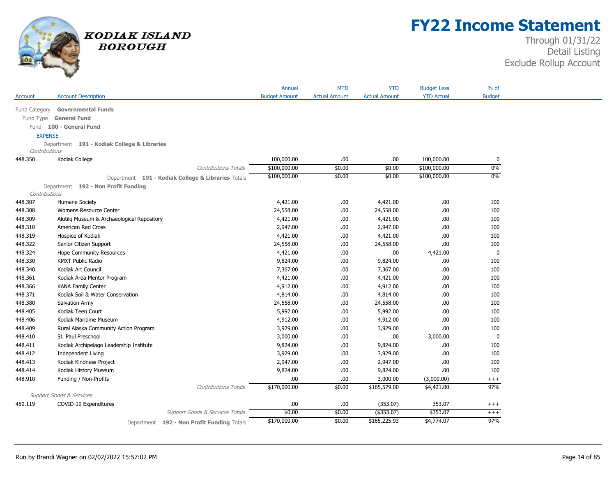

## **FY22 Income Statement**

|                |                                                    | Annual               | <b>MTD</b>           | <b>YTD</b>           | <b>Budget Less</b> | $%$ of        |
|----------------|----------------------------------------------------|----------------------|----------------------|----------------------|--------------------|---------------|
| Account        | <b>Account Description</b>                         | <b>Budget Amount</b> | <b>Actual Amount</b> | <b>Actual Amount</b> | <b>YTD Actual</b>  | <b>Budget</b> |
|                | Fund Category Governmental Funds                   |                      |                      |                      |                    |               |
|                | Fund Type General Fund                             |                      |                      |                      |                    |               |
|                | Fund 100 - General Fund                            |                      |                      |                      |                    |               |
| <b>EXPENSE</b> |                                                    |                      |                      |                      |                    |               |
|                | Department 191 - Kodiak College & Libraries        |                      |                      |                      |                    |               |
| Contributions  |                                                    |                      |                      |                      |                    |               |
| 448.350        | Kodiak College                                     | 100,000.00           | .00                  | .00                  | 100,000.00         | 0             |
|                | Contributions Totals                               | \$100,000.00         | \$0.00               | \$0.00               | \$100,000.00       | 0%            |
|                | Department 191 - Kodiak College & Libraries Totals | \$100,000.00         | \$0.00               | \$0.00               | \$100,000.00       | $0\%$         |
|                | Department 192 - Non Profit Funding                |                      |                      |                      |                    |               |
| Contributions  |                                                    |                      |                      |                      |                    |               |
| 448.307        | Humane Society                                     | 4,421.00             | .00.                 | 4,421.00             | .00                | 100           |
| 448.308        | Womens Resource Center                             | 24,558.00            | .00.                 | 24,558.00            | .00                | 100           |
| 448.309        | Alutiiq Museum & Archaeological Repository         | 4,421.00             | .00.                 | 4,421.00             | .00                | 100           |
| 448.310        | American Red Cross                                 | 2,947.00             | .00.                 | 2,947.00             | .00                | 100           |
| 448.319        | Hospice of Kodiak                                  | 4,421.00             | .00.                 | 4,421.00             | .00                | 100           |
| 448.322        | Senior Citizen Support                             | 24,558.00            | .00.                 | 24,558.00            | .00                | 100           |
| 448.324        | Hope Community Resources                           | 4,421.00             | .00.                 | .00                  | 4,421.00           | 0             |
| 448.330        | <b>KMXT Public Radio</b>                           | 9,824.00             | .00.                 | 9,824.00             | .00.               | 100           |
| 448.340        | Kodiak Art Council                                 | 7,367.00             | .00.                 | 7,367.00             | .00                | 100           |
| 448.361        | Kodiak Area Mentor Program                         | 4,421.00             | .00.                 | 4,421.00             | .00                | 100           |
| 448.366        | <b>KANA Family Center</b>                          | 4,912.00             | .00.                 | 4,912.00             | .00.               | 100           |
| 448.371        | Kodiak Soil & Water Conservation                   | 4,814.00             | .00.                 | 4,814.00             | .00                | 100           |
| 448.380        | Salvation Army                                     | 24,558.00            | .00.                 | 24,558.00            | .00                | 100           |
| 448.405        | Kodiak Teen Court                                  | 5,992.00             | .00.                 | 5,992.00             | .00                | 100           |
| 448.406        | Kodiak Maritime Museum                             | 4,912.00             | .00.                 | 4,912.00             | .00                | 100           |
| 448.409        | Rural Alaska Community Action Program              | 3,929.00             | .00.                 | 3,929.00             | .00                | 100           |
| 448.410        | St. Paul Preschool                                 | 3,000.00             | .00.                 | .00                  | 3,000.00           | 0             |
| 448.411        | Kodiak Archipelago Leadership Institute            | 9,824.00             | .00.                 | 9,824.00             | .00                | 100           |
| 448.412        | <b>Independent Living</b>                          | 3,929.00             | .00.                 | 3,929.00             | .00                | 100           |
| 448.413        | Kodiak Kindness Project                            | 2,947.00             | .00.                 | 2,947.00             | .00                | 100           |
| 448.414        | Kodiak History Museum                              | 9,824.00             | .00.                 | 9,824.00             | .00                | 100           |
| 448.910        | Funding / Non-Profits                              | .00.                 | .00                  | 3,000.00             | (3,000.00)         | $^{+++}$      |
|                | <b>Contributions Totals</b>                        | \$170,000.00         | \$0.00               | \$165,579.00         | \$4,421.00         | 97%           |
|                | <b>Support Goods &amp; Services</b>                |                      |                      |                      |                    |               |
| 450.119        | COVID-19 Expenditures                              | .00.                 | .00.                 | (353.07)             | 353.07             | $^{+++}$      |
|                | Support Goods & Services Totals                    | \$0.00               | \$0.00               | $($ \$353.07)        | \$353.07           | $^{+++}$      |
|                | Department 192 - Non Profit Funding Totals         | \$170,000.00         | \$0.00               | \$165,225.93         | \$4,774.07         | 97%           |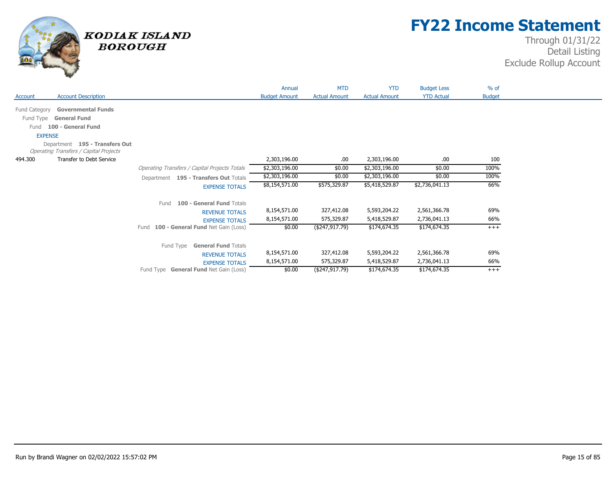

## **FY22 Income Statement**

|                |                                                                                 |                                               | Annual               | MTD                  | <b>YTD</b>           | <b>Budget Less</b> | % of          |
|----------------|---------------------------------------------------------------------------------|-----------------------------------------------|----------------------|----------------------|----------------------|--------------------|---------------|
| Account        | <b>Account Description</b>                                                      |                                               | <b>Budget Amount</b> | <b>Actual Amount</b> | <b>Actual Amount</b> | <b>YTD Actual</b>  | <b>Budget</b> |
| Fund Category  | <b>Governmental Funds</b>                                                       |                                               |                      |                      |                      |                    |               |
| Fund Type      | <b>General Fund</b>                                                             |                                               |                      |                      |                      |                    |               |
|                |                                                                                 |                                               |                      |                      |                      |                    |               |
| Fund           | 100 - General Fund                                                              |                                               |                      |                      |                      |                    |               |
| <b>EXPENSE</b> |                                                                                 |                                               |                      |                      |                      |                    |               |
|                | Department 195 - Transfers Out<br><b>Operating Transfers / Capital Projects</b> |                                               |                      |                      |                      |                    |               |
| 494.300        | Transfer to Debt Service                                                        |                                               | 2,303,196.00         | .00.                 | 2,303,196.00         | .00.               | 100           |
|                |                                                                                 | Operating Transfers / Capital Projects Totals | \$2,303,196.00       | \$0.00               | \$2,303,196.00       | \$0.00             | 100%          |
|                |                                                                                 | Department 195 - Transfers Out Totals         | \$2,303,196.00       | \$0.00               | \$2,303,196.00       | \$0.00             | 100%          |
|                |                                                                                 | <b>EXPENSE TOTALS</b>                         | \$8,154,571.00       | \$575,329.87         | \$5,418,529.87       | \$2,736,041.13     | 66%           |
|                |                                                                                 | 100 - General Fund Totals<br>Fund             |                      |                      |                      |                    |               |
|                |                                                                                 | <b>REVENUE TOTALS</b>                         | 8,154,571.00         | 327,412.08           | 5,593,204.22         | 2,561,366.78       | 69%           |
|                |                                                                                 | <b>EXPENSE TOTALS</b>                         | 8,154,571.00         | 575,329.87           | 5,418,529.87         | 2,736,041.13       | 66%           |
|                |                                                                                 | Fund 100 - General Fund Net Gain (Loss)       | \$0.00               | (\$247,917.79)       | \$174,674.35         | \$174,674.35       | $+++$         |
|                |                                                                                 | Fund Type <b>General Fund</b> Totals          |                      |                      |                      |                    |               |
|                |                                                                                 | <b>REVENUE TOTALS</b>                         | 8,154,571.00         | 327,412.08           | 5,593,204.22         | 2,561,366.78       | 69%           |
|                |                                                                                 | <b>EXPENSE TOTALS</b>                         | 8,154,571.00         | 575,329.87           | 5,418,529.87         | 2,736,041.13       | 66%           |
|                |                                                                                 | Fund Type General Fund Net Gain (Loss)        | \$0.00               | (\$247,917.79)       | \$174,674.35         | \$174,674.35       | $+++$         |
|                |                                                                                 |                                               |                      |                      |                      |                    |               |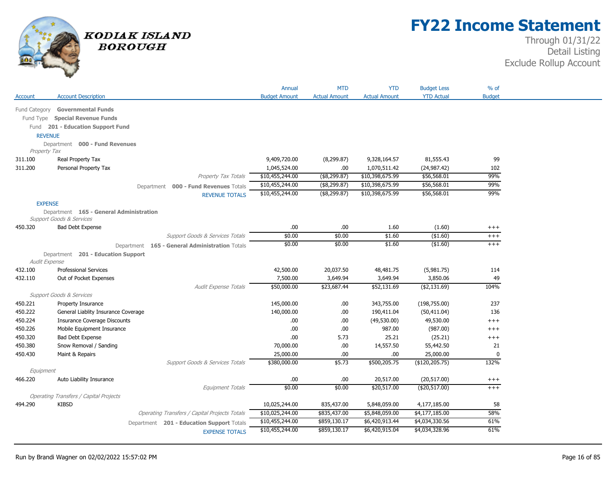

## **FY22 Income Statement**

|                |                                                                                |                                                | Annual               | <b>MTD</b>           | <b>YTD</b>           | <b>Budget Less</b> | % of          |
|----------------|--------------------------------------------------------------------------------|------------------------------------------------|----------------------|----------------------|----------------------|--------------------|---------------|
| Account        | <b>Account Description</b>                                                     |                                                | <b>Budget Amount</b> | <b>Actual Amount</b> | <b>Actual Amount</b> | <b>YTD Actual</b>  | <b>Budget</b> |
| Fund Category  | <b>Governmental Funds</b>                                                      |                                                |                      |                      |                      |                    |               |
|                | Fund Type Special Revenue Funds                                                |                                                |                      |                      |                      |                    |               |
|                | Fund 201 - Education Support Fund                                              |                                                |                      |                      |                      |                    |               |
| <b>REVENUE</b> |                                                                                |                                                |                      |                      |                      |                    |               |
|                | Department 000 - Fund Revenues                                                 |                                                |                      |                      |                      |                    |               |
| Property Tax   |                                                                                |                                                |                      |                      |                      |                    |               |
| 311.100        | Real Property Tax                                                              |                                                | 9,409,720.00         | (8, 299.87)          | 9,328,164.57         | 81,555.43          | 99            |
| 311.200        | Personal Property Tax                                                          |                                                | 1,045,524.00         | .00.                 | 1,070,511.42         | (24, 987.42)       | 102           |
|                |                                                                                | Property Tax Totals                            | \$10,455,244.00      | $($ \$8,299.87)      | \$10,398,675.99      | \$56,568.01        | 99%           |
|                |                                                                                | Department 000 - Fund Revenues Totals          | \$10,455,244.00      | (\$, 299.87)         | \$10,398,675.99      | \$56,568.01        | 99%           |
|                |                                                                                | <b>REVENUE TOTALS</b>                          | \$10,455,244.00      | (\$8,299.87)         | \$10,398,675.99      | \$56,568.01        | 99%           |
| <b>EXPENSE</b> |                                                                                |                                                |                      |                      |                      |                    |               |
|                | Department 165 - General Administration<br><b>Support Goods &amp; Services</b> |                                                |                      |                      |                      |                    |               |
| 450.320        | <b>Bad Debt Expense</b>                                                        |                                                | .00.                 | .00.                 | 1.60                 | (1.60)             | $^{+++}$      |
|                |                                                                                | Support Goods & Services Totals                | \$0.00               | \$0.00               | \$1.60               | (\$1.60)           | $^{+++}$      |
|                |                                                                                | Department 165 - General Administration Totals | \$0.00               | \$0.00               | \$1.60               | ( \$1.60)          | $+++$         |
| Audit Expense  | Department 201 - Education Support                                             |                                                |                      |                      |                      |                    |               |
| 432.100        | <b>Professional Services</b>                                                   |                                                | 42,500.00            | 20,037.50            | 48,481.75            | (5,981.75)         | 114           |
| 432.110        | Out of Pocket Expenses                                                         |                                                | 7,500.00             | 3,649.94             | 3,649.94             | 3,850.06           | 49            |
|                |                                                                                | Audit Expense Totals                           | \$50,000.00          | \$23,687.44          | \$52,131.69          | ( \$2,131.69)      | 104%          |
|                | <b>Support Goods &amp; Services</b>                                            |                                                |                      |                      |                      |                    |               |
| 450.221        | Property Insurance                                                             |                                                | 145,000.00           | .00.                 | 343,755.00           | (198, 755.00)      | 237           |
| 450.222        | General Liablity Insurance Coverage                                            |                                                | 140,000.00           | $.00$                | 190,411.04           | (50, 411.04)       | 136           |
| 450.224        | <b>Insurance Coverage Discounts</b>                                            |                                                | .00.                 | .00.                 | (49,530.00)          | 49,530.00          | $+++$         |
| 450.226        | Mobile Equipment Insurance                                                     |                                                | .00.                 | .00.                 | 987.00               | (987.00)           | $+++$         |
| 450.320        | <b>Bad Debt Expense</b>                                                        |                                                | .00.                 | 5.73                 | 25.21                | (25.21)            | $^{+++}$      |
| 450.380        | Snow Removal / Sanding                                                         |                                                | 70,000.00            | .00.                 | 14,557.50            | 55,442.50          | 21            |
| 450.430        | Maint & Repairs                                                                |                                                | 25,000.00            | .00.                 | .00.                 | 25,000.00          | $\mathbf{0}$  |
|                |                                                                                | Support Goods & Services Totals                | \$380,000.00         | \$5.73               | \$500,205.75         | (\$120,205.75)     | 132%          |
| Equipment      |                                                                                |                                                |                      |                      |                      |                    |               |
| 466.220        | Auto Liability Insurance                                                       |                                                | .00.                 | .00.                 | 20,517.00            | (20, 517.00)       | $^{+++}$      |
|                |                                                                                | Equipment Totals                               | \$0.00               | \$0.00               | \$20,517.00          | (\$20,517.00)      | $+++$         |
|                | <b>Operating Transfers / Capital Projects</b>                                  |                                                |                      |                      |                      |                    |               |
| 494.290        | <b>KIBSD</b>                                                                   |                                                | 10,025,244.00        | 835,437.00           | 5,848,059.00         | 4,177,185.00       | 58            |
|                |                                                                                | Operating Transfers / Capital Projects Totals  | \$10,025,244.00      | \$835,437.00         | \$5,848,059.00       | \$4,177,185.00     | 58%           |
|                |                                                                                | Department 201 - Education Support Totals      | \$10,455,244.00      | \$859,130.17         | \$6,420,913.44       | \$4,034,330.56     | 61%           |
|                |                                                                                | <b>EXPENSE TOTALS</b>                          | \$10,455,244.00      | \$859,130.17         | \$6,420,915.04       | \$4,034,328.96     | 61%           |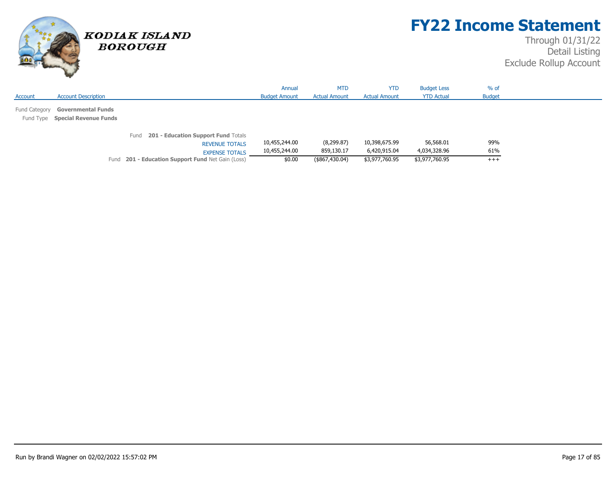

## **FY22 Income Statement**

|         |                                  |                                                   | Annual               | <b>MTD</b>           | <b>YTD</b>           | <b>Budget Less</b> | $%$ of        |  |
|---------|----------------------------------|---------------------------------------------------|----------------------|----------------------|----------------------|--------------------|---------------|--|
| Account | <b>Account Description</b>       |                                                   | <b>Budget Amount</b> | <b>Actual Amount</b> | <b>Actual Amount</b> | <b>YTD Actual</b>  | <b>Budget</b> |  |
|         |                                  |                                                   |                      |                      |                      |                    |               |  |
|         | Fund Category Governmental Funds |                                                   |                      |                      |                      |                    |               |  |
|         | Fund Type Special Revenue Funds  |                                                   |                      |                      |                      |                    |               |  |
|         |                                  |                                                   |                      |                      |                      |                    |               |  |
|         |                                  | 201 - Education Support Fund Totals<br>Fund       |                      |                      |                      |                    |               |  |
|         |                                  | <b>REVENUE TOTALS</b>                             | 10,455,244.00        | (8,299.87)           | 10,398,675.99        | 56,568.01          | 99%           |  |
|         |                                  | <b>EXPENSE TOTALS</b>                             | 10,455,244.00        | 859,130.17           | 6,420,915.04         | 4,034,328.96       | 61%           |  |
|         |                                  | Fund 201 - Education Support Fund Net Gain (Loss) | \$0.00               | (\$867,430.04)       | \$3,977,760.95       | \$3,977,760.95     | $+++$         |  |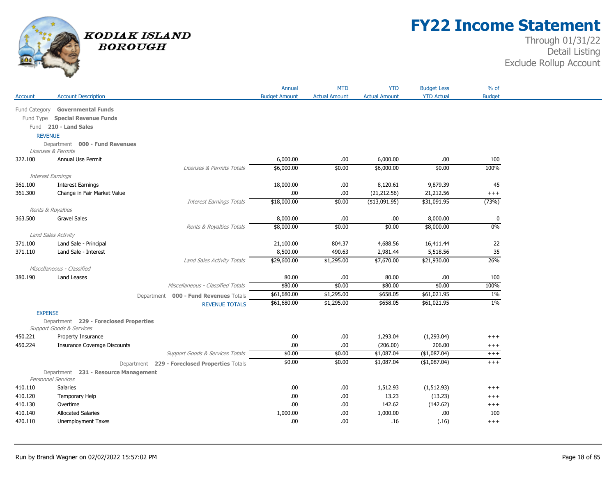

## **FY22 Income Statement**

|                    |                                                            |                                               | Annual                | <b>MTD</b>           | <b>YTD</b>             | <b>Budget Less</b>    | $%$ of        |
|--------------------|------------------------------------------------------------|-----------------------------------------------|-----------------------|----------------------|------------------------|-----------------------|---------------|
| Account            | <b>Account Description</b>                                 |                                               | <b>Budget Amount</b>  | <b>Actual Amount</b> | <b>Actual Amount</b>   | <b>YTD Actual</b>     | <b>Budget</b> |
|                    | Fund Category Governmental Funds                           |                                               |                       |                      |                        |                       |               |
|                    | Fund Type Special Revenue Funds                            |                                               |                       |                      |                        |                       |               |
|                    | Fund 210 - Land Sales                                      |                                               |                       |                      |                        |                       |               |
|                    | <b>REVENUE</b>                                             |                                               |                       |                      |                        |                       |               |
|                    | Department 000 - Fund Revenues                             |                                               |                       |                      |                        |                       |               |
|                    | Licenses & Permits                                         |                                               |                       |                      |                        |                       |               |
| 322.100            | Annual Use Permit                                          |                                               | 6,000.00              | .00                  | 6,000.00               | .00.                  | 100           |
|                    |                                                            | Licenses & Permits Totals                     | \$6,000.00            | \$0.00               | \$6,000.00             | \$0.00                | 100%          |
|                    | Interest Earnings                                          |                                               |                       |                      |                        |                       |               |
| 361.100            | <b>Interest Earnings</b>                                   |                                               | 18,000.00             | .00                  | 8,120.61               | 9,879.39              | 45            |
| 361.300            | Change in Fair Market Value                                |                                               | .00                   | .00                  | (21, 212.56)           | 21,212.56             | $^{+++}$      |
|                    |                                                            | <b>Interest Earnings Totals</b>               | \$18,000.00           | \$0.00               | ( \$13,091.95)         | \$31,091.95           | (73%)         |
|                    | Rents & Royalties                                          |                                               |                       |                      |                        |                       |               |
| 363.500            | <b>Gravel Sales</b>                                        |                                               | 8,000.00              | .00                  | .00.                   | 8,000.00              | $\pmb{0}$     |
|                    |                                                            | Rents & Royalties Totals                      | \$8,000.00            | \$0.00               | \$0.00                 | \$8,000.00            | 0%            |
|                    | Land Sales Activity                                        |                                               |                       |                      |                        |                       | 22            |
| 371.100<br>371.110 | Land Sale - Principal                                      |                                               | 21,100.00<br>8,500.00 | 804.37<br>490.63     | 4,688.56               | 16,411.44<br>5,518.56 | 35            |
|                    | Land Sale - Interest                                       | Land Sales Activity Totals                    | \$29,600.00           | \$1,295.00           | 2,981.44<br>\$7,670.00 | \$21,930.00           | 26%           |
|                    | Miscellaneous - Classified                                 |                                               |                       |                      |                        |                       |               |
| 380.190            | <b>Land Leases</b>                                         |                                               | 80.00                 | .00                  | 80.00                  | .00.                  | 100           |
|                    |                                                            | Miscellaneous - Classified Totals             | \$80.00               | \$0.00               | \$80.00                | \$0.00                | 100%          |
|                    |                                                            | Department 000 - Fund Revenues Totals         | \$61,680.00           | \$1,295.00           | \$658.05               | \$61,021.95           | $1\%$         |
|                    |                                                            | <b>REVENUE TOTALS</b>                         | \$61,680.00           | \$1,295.00           | \$658.05               | \$61,021.95           | $1\%$         |
| <b>EXPENSE</b>     |                                                            |                                               |                       |                      |                        |                       |               |
|                    | Department 229 - Foreclosed Properties                     |                                               |                       |                      |                        |                       |               |
|                    | <b>Support Goods &amp; Services</b>                        |                                               |                       |                      |                        |                       |               |
| 450.221            | Property Insurance                                         |                                               | .00                   | .00                  | 1,293.04               | (1,293.04)            | $^{+++}$      |
| 450.224            | <b>Insurance Coverage Discounts</b>                        |                                               | .00                   | .00                  | (206.00)               | 206.00                | $^{+++}$      |
|                    |                                                            | Support Goods & Services Totals               | \$0.00                | \$0.00               | \$1,087.04             | (\$1,087.04)          | $^{+++}$      |
|                    |                                                            | Department 229 - Foreclosed Properties Totals | \$0.00                | \$0.00               | \$1,087.04             | (\$1,087.04)          | $^{+++}$      |
|                    | Department 231 - Resource Management<br>Personnel Services |                                               |                       |                      |                        |                       |               |
| 410.110            | <b>Salaries</b>                                            |                                               | .00.                  | .00                  | 1,512.93               | (1, 512.93)           | $+++$         |
| 410.120            | Temporary Help                                             |                                               | .00                   | .00                  | 13.23                  | (13.23)               | $^{+++}$      |
| 410.130            | Overtime                                                   |                                               | .00                   | .00                  | 142.62                 | (142.62)              | $^{+++}$      |
| 410.140            | <b>Allocated Salaries</b>                                  |                                               | 1,000.00              | .00                  | 1,000.00               | .00.                  | 100           |
| 420.110            | Unemployment Taxes                                         |                                               | .00.                  | .00                  | .16                    | (.16)                 | $+++$         |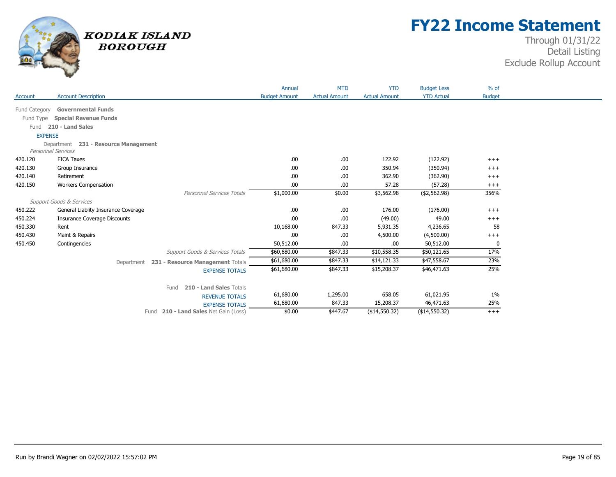

## **FY22 Income Statement**

| Account       | <b>Account Description</b>              |                                             | Annual<br><b>Budget Amount</b> | <b>MTD</b><br><b>Actual Amount</b> | <b>YTD</b><br><b>Actual Amount</b> | <b>Budget Less</b><br><b>YTD Actual</b> | $%$ of<br><b>Budget</b> |
|---------------|-----------------------------------------|---------------------------------------------|--------------------------------|------------------------------------|------------------------------------|-----------------------------------------|-------------------------|
|               |                                         |                                             |                                |                                    |                                    |                                         |                         |
| Fund Category | <b>Governmental Funds</b>               |                                             |                                |                                    |                                    |                                         |                         |
| Fund Type     | <b>Special Revenue Funds</b>            |                                             |                                |                                    |                                    |                                         |                         |
|               | Fund 210 - Land Sales                   |                                             |                                |                                    |                                    |                                         |                         |
|               | <b>EXPENSE</b>                          |                                             |                                |                                    |                                    |                                         |                         |
|               | 231 - Resource Management<br>Department |                                             |                                |                                    |                                    |                                         |                         |
|               | <b>Personnel Services</b>               |                                             |                                |                                    |                                    |                                         |                         |
| 420.120       | <b>FICA Taxes</b>                       |                                             | .00.                           | .00.                               | 122.92                             | (122.92)                                | $+++$                   |
| 420.130       | Group Insurance                         |                                             | .00.                           | .00.                               | 350.94                             | (350.94)                                | $+++$                   |
| 420.140       | Retirement                              |                                             | .00                            | .00.                               | 362.90                             | (362.90)                                | $^{+++}$                |
| 420.150       | <b>Workers Compensation</b>             | <b>Personnel Services Totals</b>            | .00<br>\$1,000.00              | .00.<br>\$0.00                     | 57.28<br>\$3,562.98                | (57.28)<br>( \$2,562.98)                | $^{+++}$<br>356%        |
|               | <b>Support Goods &amp; Services</b>     |                                             |                                |                                    |                                    |                                         |                         |
| 450.222       | General Liablity Insurance Coverage     |                                             | .00.                           | .00.                               | 176.00                             | (176.00)                                |                         |
| 450.224       | <b>Insurance Coverage Discounts</b>     |                                             | .00                            | .00.                               | (49.00)                            | 49.00                                   | $+++$<br>$+++$          |
| 450.330       | Rent                                    |                                             | 10,168.00                      | 847.33                             | 5,931.35                           | 4,236.65                                | 58                      |
| 450.430       | Maint & Repairs                         |                                             | .00                            | .00.                               | 4,500.00                           | (4,500.00)                              | $^{+++}$                |
| 450.450       | Contingencies                           |                                             | 50,512.00                      | .00.                               | .00                                | 50,512.00                               | $\Omega$                |
|               |                                         | Support Goods & Services Totals             | \$60,680.00                    | \$847.33                           | \$10,558.35                        | \$50,121.65                             | 17%                     |
|               |                                         | Department 231 - Resource Management Totals | \$61,680.00                    | \$847.33                           | \$14,121.33                        | \$47,558.67                             | 23%                     |
|               |                                         |                                             | \$61,680.00                    | \$847.33                           | \$15,208.37                        | \$46,471.63                             | 25%                     |
|               |                                         | <b>EXPENSE TOTALS</b>                       |                                |                                    |                                    |                                         |                         |
|               |                                         | 210 - Land Sales Totals<br>Fund             |                                |                                    |                                    |                                         |                         |
|               |                                         | <b>REVENUE TOTALS</b>                       | 61,680.00                      | 1,295.00                           | 658.05                             | 61,021.95                               | $1\%$                   |
|               |                                         | <b>EXPENSE TOTALS</b>                       | 61,680.00                      | 847.33                             | 15,208.37                          | 46,471.63                               | 25%                     |
|               |                                         | Fund 210 - Land Sales Net Gain (Loss)       | \$0.00                         | \$447.67                           | (\$14,550.32)                      | (\$14,550.32)                           | $^{+++}$                |
|               |                                         |                                             |                                |                                    |                                    |                                         |                         |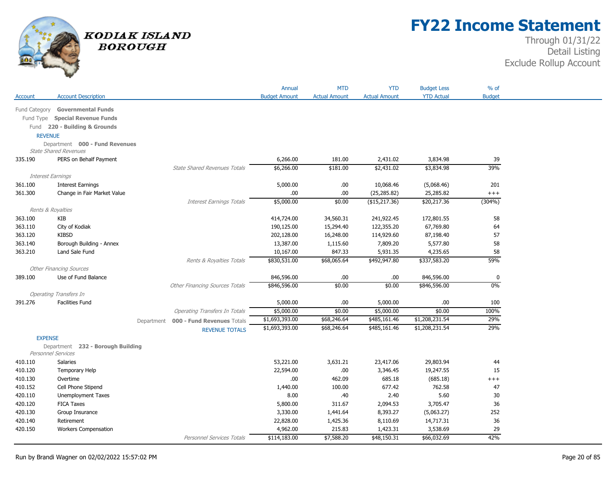

# **FY22 Income Statement**

|                    |                                         |                                       | Annual                   | <b>MTD</b>             | <b>YTD</b>               | <b>Budget Less</b>      | $%$ of        |
|--------------------|-----------------------------------------|---------------------------------------|--------------------------|------------------------|--------------------------|-------------------------|---------------|
| Account            | <b>Account Description</b>              |                                       | <b>Budget Amount</b>     | <b>Actual Amount</b>   | <b>Actual Amount</b>     | <b>YTD Actual</b>       | <b>Budget</b> |
| Fund Category      | <b>Governmental Funds</b>               |                                       |                          |                        |                          |                         |               |
|                    | Fund Type Special Revenue Funds         |                                       |                          |                        |                          |                         |               |
|                    | Fund 220 - Building & Grounds           |                                       |                          |                        |                          |                         |               |
| <b>REVENUE</b>     |                                         |                                       |                          |                        |                          |                         |               |
|                    | Department 000 - Fund Revenues          |                                       |                          |                        |                          |                         |               |
|                    | <b>State Shared Revenues</b>            |                                       |                          |                        |                          |                         |               |
| 335.190            | PERS on Behalf Payment                  |                                       | 6,266.00                 | 181.00                 | 2,431.02                 | 3,834.98                | 39            |
|                    |                                         | <b>State Shared Revenues Totals</b>   | \$6,266.00               | \$181.00               | \$2,431.02               | \$3,834.98              | 39%           |
| Interest Earnings  |                                         |                                       |                          |                        |                          |                         |               |
| 361.100            | <b>Interest Earnings</b>                |                                       | 5,000.00                 | .00                    | 10,068.46                | (5,068.46)              | 201           |
| 361.300            | Change in Fair Market Value             |                                       | .00                      | .00                    | (25, 285.82)             | 25,285.82               | $^{+++}$      |
|                    |                                         | <b>Interest Earnings Totals</b>       | \$5,000.00               | \$0.00                 | $($ \$15,217.36)         | \$20,217.36             | (304%)        |
| Rents & Royalties  |                                         |                                       |                          |                        |                          |                         |               |
| 363.100<br>363.110 | KIB<br>City of Kodiak                   |                                       | 414,724.00<br>190,125.00 | 34,560.31<br>15,294.40 | 241,922.45<br>122,355.20 | 172,801.55<br>67,769.80 | 58<br>64      |
| 363.120            | <b>KIBSD</b>                            |                                       | 202,128.00               | 16,248.00              | 114,929.60               | 87,198.40               | 57            |
| 363.140            | Borough Building - Annex                |                                       | 13,387.00                | 1,115.60               | 7,809.20                 | 5,577.80                | 58            |
| 363.210            | Land Sale Fund                          |                                       | 10,167.00                | 847.33                 | 5,931.35                 | 4,235.65                | 58            |
|                    |                                         | Rents & Royalties Totals              | \$830,531.00             | \$68,065.64            | \$492,947.80             | \$337,583.20            | 59%           |
|                    | <b>Other Financing Sources</b>          |                                       |                          |                        |                          |                         |               |
| 389.100            | Use of Fund Balance                     |                                       | 846,596.00               | .00                    | .00                      | 846,596.00              | 0             |
|                    |                                         | Other Financing Sources Totals        | \$846,596.00             | \$0.00                 | \$0.00                   | \$846,596.00            | $0\%$         |
|                    | <b>Operating Transfers In</b>           |                                       |                          |                        |                          |                         |               |
| 391.276            | <b>Facilities Fund</b>                  |                                       | 5,000.00                 | .00                    | 5,000.00                 | .00.                    | 100           |
|                    |                                         | <b>Operating Transfers In Totals</b>  | \$5,000.00               | \$0.00                 | \$5,000.00               | \$0.00                  | 100%          |
|                    |                                         | Department 000 - Fund Revenues Totals | \$1,693,393.00           | \$68,246.64            | \$485,161.46             | \$1,208,231.54          | 29%           |
|                    |                                         | <b>REVENUE TOTALS</b>                 | \$1,693,393.00           | \$68,246.64            | \$485,161.46             | \$1,208,231.54          | 29%           |
| <b>EXPENSE</b>     |                                         |                                       |                          |                        |                          |                         |               |
|                    | Department 232 - Borough Building       |                                       |                          |                        |                          |                         |               |
| Personnel Services |                                         |                                       |                          |                        |                          |                         |               |
| 410.110            | <b>Salaries</b>                         |                                       | 53,221.00                | 3,631.21               | 23,417.06                | 29,803.94               | 44            |
| 410.120            | Temporary Help                          |                                       | 22,594.00                | .00                    | 3,346.45                 | 19,247.55               | 15            |
| 410.130            | Overtime                                |                                       | .00                      | 462.09                 | 685.18                   | (685.18)                | $^{+++}$      |
| 410.152            | Cell Phone Stipend                      |                                       | 1,440.00                 | 100.00                 | 677.42                   | 762.58                  | 47            |
| 420.110<br>420.120 | Unemployment Taxes<br><b>FICA Taxes</b> |                                       | 8.00<br>5,800.00         | .40<br>311.67          | 2.40<br>2,094.53         | 5.60<br>3,705.47        | 30<br>36      |
| 420.130            | Group Insurance                         |                                       | 3,330.00                 | 1,441.64               | 8,393.27                 | (5,063.27)              | 252           |
| 420.140            | Retirement                              |                                       | 22,828.00                | 1,425.36               | 8,110.69                 | 14,717.31               | 36            |
| 420.150            | <b>Workers Compensation</b>             |                                       | 4,962.00                 | 215.83                 | 1,423.31                 | 3,538.69                | 29            |
|                    |                                         | Personnel Services Totals             | \$114,183.00             | \$7,588.20             | \$48,150.31              | \$66,032.69             | 42%           |
|                    |                                         |                                       |                          |                        |                          |                         |               |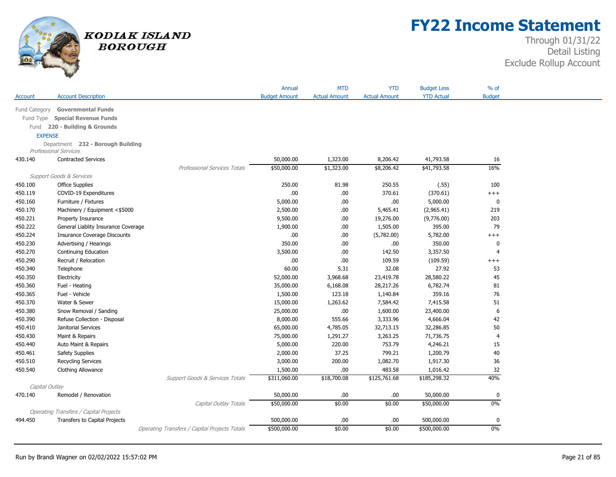

## **FY22 Income Statement**

|                |                                               |                                               | Annual               | <b>MTD</b>           | <b>YTD</b>           | <b>Budget Less</b> | % of           |
|----------------|-----------------------------------------------|-----------------------------------------------|----------------------|----------------------|----------------------|--------------------|----------------|
| Account        | <b>Account Description</b>                    |                                               | <b>Budget Amount</b> | <b>Actual Amount</b> | <b>Actual Amount</b> | <b>YTD Actual</b>  | <b>Budget</b>  |
| Fund Category  | <b>Governmental Funds</b>                     |                                               |                      |                      |                      |                    |                |
|                | Fund Type Special Revenue Funds               |                                               |                      |                      |                      |                    |                |
| Fund           | 220 - Building & Grounds                      |                                               |                      |                      |                      |                    |                |
| <b>EXPENSE</b> |                                               |                                               |                      |                      |                      |                    |                |
|                | Department 232 - Borough Building             |                                               |                      |                      |                      |                    |                |
|                | <b>Professional Services</b>                  |                                               |                      |                      |                      |                    |                |
| 430.140        | <b>Contracted Services</b>                    |                                               | 50,000.00            | 1,323.00             | 8,206.42             | 41,793.58          | 16             |
|                |                                               | <b>Professional Services Totals</b>           | \$50,000.00          | \$1,323.00           | \$8,206.42           | \$41,793.58        | 16%            |
|                | Support Goods & Services                      |                                               |                      |                      |                      |                    |                |
| 450.100        | <b>Office Supplies</b>                        |                                               | 250.00               | 81.98                | 250.55               | (.55)              | 100            |
| 450.119        | COVID-19 Expenditures                         |                                               | .00                  | .00.                 | 370.61               | (370.61)           | $++++$         |
| 450.160        | Furniture / Fixtures                          |                                               | 5,000.00             | .00                  | .00                  | 5,000.00           | $\mathbf{0}$   |
| 450.170        | Machinery / Equipment <\$5000                 |                                               | 2,500.00             | .00                  | 5,465.41             | (2,965.41)         | 219            |
| 450.221        | Property Insurance                            |                                               | 9,500.00             | .00                  | 19,276.00            | (9,776.00)         | 203            |
| 450.222        | General Liablity Insurance Coverage           |                                               | 1,900.00             | .00                  | 1,505.00             | 395.00             | 79             |
| 450.224        | <b>Insurance Coverage Discounts</b>           |                                               | .00                  | .00                  | (5,782.00)           | 5,782.00           | $++++$         |
| 450.230        | Advertising / Hearings                        |                                               | 350.00               | .00                  | .00                  | 350.00             | $\mathbf{0}$   |
| 450.270        | Continuing Education                          |                                               | 3,500.00             | .00                  | 142.50               | 3,357.50           | $\overline{4}$ |
| 450.290        | Recruit / Relocation                          |                                               | .00                  | .00                  | 109.59               | (109.59)           | $^{+++}$       |
| 450.340        | Telephone                                     |                                               | 60.00                | 5.31                 | 32.08                | 27.92              | 53             |
| 450.350        | Electricity                                   |                                               | 52,000.00            | 3,968.68             | 23,419.78            | 28,580.22          | 45             |
| 450.360        | Fuel - Heating                                |                                               | 35,000.00            | 6,168.08             | 28,217.26            | 6,782.74           | 81             |
| 450.365        | Fuel - Vehicle                                |                                               | 1,500.00             | 123.18               | 1,140.84             | 359.16             | 76             |
| 450.370        | Water & Sewer                                 |                                               | 15,000.00            | 1,263.62             | 7,584.42             | 7,415.58           | 51             |
| 450.380        | Snow Removal / Sanding                        |                                               | 25,000.00            | .00                  | 1,600.00             | 23,400.00          | 6              |
| 450.390        | Refuse Collection - Disposal                  |                                               | 8,000.00             | 555.66               | 3,333.96             | 4,666.04           | 42             |
| 450.410        | Janitorial Services                           |                                               | 65,000.00            | 4,785.05             | 32,713.15            | 32,286.85          | 50             |
| 450.430        | Maint & Repairs                               |                                               | 75,000.00            | 1,291.27             | 3,263.25             | 71,736.75          | 4              |
| 450.440        | Auto Maint & Repairs                          |                                               | 5,000.00             | 220.00               | 753.79               | 4,246.21           | 15             |
| 450.461        | <b>Safety Supplies</b>                        |                                               | 2,000.00             | 37.25                | 799.21               | 1,200.79           | 40             |
| 450.510        | <b>Recycling Services</b>                     |                                               | 3,000.00             | 200.00               | 1,082.70             | 1,917.30           | 36             |
| 450.540        | Clothing Allowance                            |                                               | 1,500.00             | .00                  | 483.58               | 1,016.42           | 32             |
|                |                                               | Support Goods & Services Totals               | \$311,060.00         | \$18,700.08          | \$125,761.68         | \$185,298.32       | 40%            |
| Capital Outlay |                                               |                                               |                      |                      |                      |                    |                |
| 470.140        | Remodel / Renovation                          |                                               | 50,000.00            | .00                  | .00                  | 50,000.00          | $\mathbf 0$    |
|                |                                               | Capital Outlay Totals                         | \$50,000.00          | \$0.00               | \$0.00               | \$50,000.00        | 0%             |
|                | <b>Operating Transfers / Capital Projects</b> |                                               |                      |                      |                      |                    |                |
| 494.450        | <b>Transfers to Capital Projects</b>          |                                               | 500,000.00           | .00.                 | .00.                 | 500,000.00         | 0              |
|                |                                               | Operating Transfers / Capital Projects Totals | \$500,000.00         | \$0.00               | \$0.00               | \$500,000.00       | 0%             |
|                |                                               |                                               |                      |                      |                      |                    |                |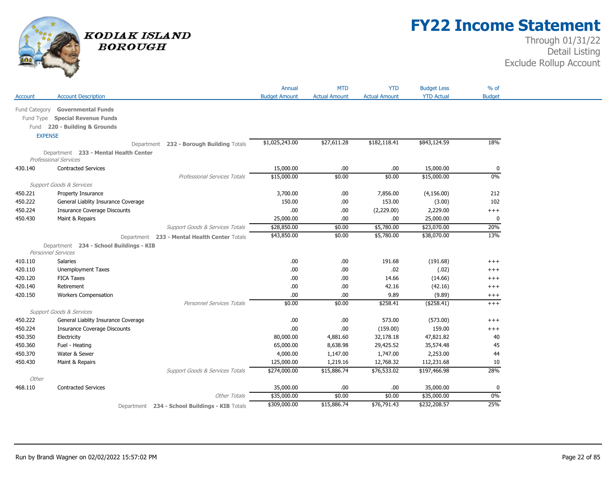

## **FY22 Income Statement**

|                |                                                                       |                                                | Annual               | <b>MTD</b>           | <b>YTD</b>           | <b>Budget Less</b> | $%$ of        |
|----------------|-----------------------------------------------------------------------|------------------------------------------------|----------------------|----------------------|----------------------|--------------------|---------------|
| Account        | <b>Account Description</b>                                            |                                                | <b>Budget Amount</b> | <b>Actual Amount</b> | <b>Actual Amount</b> | <b>YTD Actual</b>  | <b>Budget</b> |
| Fund Category  | <b>Governmental Funds</b>                                             |                                                |                      |                      |                      |                    |               |
| Fund Type      | <b>Special Revenue Funds</b>                                          |                                                |                      |                      |                      |                    |               |
|                | Fund 220 - Building & Grounds                                         |                                                |                      |                      |                      |                    |               |
| <b>EXPENSE</b> |                                                                       |                                                |                      |                      |                      |                    |               |
|                |                                                                       | Department 232 - Borough Building Totals       | \$1,025,243.00       | \$27,611.28          | \$182,118.41         | \$843,124.59       | 18%           |
|                |                                                                       |                                                |                      |                      |                      |                    |               |
|                | Department 233 - Mental Health Center<br><b>Professional Services</b> |                                                |                      |                      |                      |                    |               |
| 430.140        | <b>Contracted Services</b>                                            |                                                | 15,000.00            | .00                  | .00                  | 15,000.00          | 0             |
|                |                                                                       | <b>Professional Services Totals</b>            | \$15,000.00          | \$0.00               | \$0.00               | \$15,000.00        | 0%            |
|                | <b>Support Goods &amp; Services</b>                                   |                                                |                      |                      |                      |                    |               |
| 450.221        | Property Insurance                                                    |                                                | 3,700.00             | .00                  | 7,856.00             | (4, 156.00)        | 212           |
| 450.222        | General Liablity Insurance Coverage                                   |                                                | 150.00               | .00.                 | 153.00               | (3.00)             | 102           |
| 450.224        | <b>Insurance Coverage Discounts</b>                                   |                                                | .00                  | .00                  | (2,229.00)           | 2,229.00           | $^{+++}$      |
| 450.430        | Maint & Repairs                                                       |                                                | 25,000.00            | .00.                 | .00.                 | 25,000.00          | 0             |
|                |                                                                       | Support Goods & Services Totals                | \$28,850.00          | \$0.00               | \$5,780.00           | \$23,070.00        | 20%           |
|                |                                                                       | Department 233 - Mental Health Center Totals   | \$43,850.00          | \$0.00               | \$5,780.00           | \$38,070.00        | 13%           |
|                | Department 234 - School Buildings - KIB<br>Personnel Services         |                                                |                      |                      |                      |                    |               |
| 410.110        | <b>Salaries</b>                                                       |                                                | .00                  | .00.                 | 191.68               | (191.68)           | $^{+++}$      |
| 420.110        | Unemployment Taxes                                                    |                                                | .00                  | .00                  | .02                  | (.02)              | $^{+++}$      |
| 420.120        | <b>FICA Taxes</b>                                                     |                                                | .00                  | .00.                 | 14.66                | (14.66)            | $^{+++}$      |
| 420.140        | Retirement                                                            |                                                | .00                  | .00                  | 42.16                | (42.16)            | $^{+++}$      |
| 420.150        | <b>Workers Compensation</b>                                           |                                                | .00                  | .00                  | 9.89                 | (9.89)             | $^{+++}$      |
|                |                                                                       | Personnel Services Totals                      | \$0.00               | \$0.00               | \$258.41             | (\$258.41)         | $^{+++}$      |
|                | <b>Support Goods &amp; Services</b>                                   |                                                |                      |                      |                      |                    |               |
| 450.222        | General Liablity Insurance Coverage                                   |                                                | .00                  | .00.                 | 573.00               | (573.00)           | $^{+++}$      |
| 450.224        | <b>Insurance Coverage Discounts</b>                                   |                                                | .00                  | .00.                 | (159.00)             | 159.00             | $^{+++}$      |
| 450.350        | Electricity                                                           |                                                | 80,000.00            | 4,881.60             | 32,178.18            | 47,821.82          | 40            |
| 450.360        | Fuel - Heating                                                        |                                                | 65,000.00            | 8,638.98             | 29,425.52            | 35,574.48          | 45            |
| 450.370        | Water & Sewer                                                         |                                                | 4,000.00             | 1,147.00             | 1,747.00             | 2,253.00           | 44            |
| 450.430        | Maint & Repairs                                                       |                                                | 125,000.00           | 1,219.16             | 12,768.32            | 112,231.68         | 10            |
|                |                                                                       | <b>Support Goods &amp; Services Totals</b>     | \$274,000.00         | \$15,886.74          | \$76,533.02          | \$197,466.98       | 28%           |
| Other          |                                                                       |                                                |                      |                      |                      |                    |               |
| 468.110        | <b>Contracted Services</b>                                            |                                                | 35,000.00            | .00.                 | .00.                 | 35,000.00          | 0             |
|                |                                                                       | <b>Other Totals</b>                            | \$35,000.00          | \$0.00               | \$0.00               | \$35,000.00        | 0%            |
|                |                                                                       | Department 234 - School Buildings - KIB Totals | \$309,000.00         | \$15,886.74          | \$76,791.43          | \$232,208.57       | 25%           |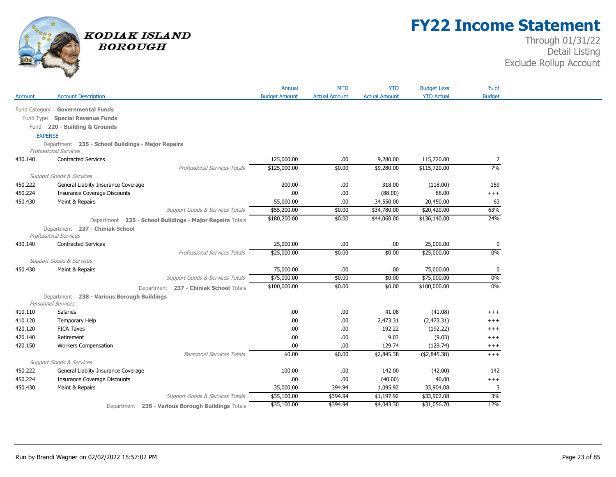

## **FY22 Income Statement**

|               |                                                                                   | Annual               | <b>MTD</b>           | <b>YTD</b>           | <b>Budget Less</b> | $%$ of        |
|---------------|-----------------------------------------------------------------------------------|----------------------|----------------------|----------------------|--------------------|---------------|
| Account       | <b>Account Description</b>                                                        | <b>Budget Amount</b> | <b>Actual Amount</b> | <b>Actual Amount</b> | <b>YTD Actual</b>  | <b>Budget</b> |
|               | <b>Governmental Funds</b>                                                         |                      |                      |                      |                    |               |
| Fund Category | Fund Type Special Revenue Funds                                                   |                      |                      |                      |                    |               |
|               |                                                                                   |                      |                      |                      |                    |               |
|               | Fund 220 - Building & Grounds                                                     |                      |                      |                      |                    |               |
|               | <b>EXPENSE</b>                                                                    |                      |                      |                      |                    |               |
|               | Department 235 - School Buildings - Major Repairs<br><b>Professional Services</b> |                      |                      |                      |                    |               |
| 430.140       | <b>Contracted Services</b>                                                        | 125,000.00           | .00.                 | 9,280.00             | 115,720.00         | 7             |
|               | <b>Professional Services Totals</b>                                               | \$125,000.00         | \$0.00               | \$9,280.00           | \$115,720.00       | 7%            |
|               | Support Goods & Services                                                          |                      |                      |                      |                    |               |
| 450.222       | General Liablity Insurance Coverage                                               | 200.00               | .00                  | 318.00               | (118.00)           | 159           |
| 450.224       | <b>Insurance Coverage Discounts</b>                                               | .00                  | .00                  | (88.00)              | 88.00              | $^{+++}$      |
| 450.430       | Maint & Repairs                                                                   | 55,000.00            | .00                  | 34,550.00            | 20,450.00          | 63            |
|               | Support Goods & Services Totals                                                   | \$55,200.00          | \$0.00               | \$34,780.00          | \$20,420.00        | 63%           |
|               | Department 235 - School Buildings - Major Repairs Totals                          | \$180,200.00         | \$0.00               | \$44,060.00          | \$136,140.00       | 24%           |
|               | Department 237 - Chiniak School<br><b>Professional Services</b>                   |                      |                      |                      |                    |               |
| 430.140       | <b>Contracted Services</b>                                                        | 25,000.00            | .00                  | .00.                 | 25,000.00          | $\bf{0}$      |
|               | Professional Services Totals                                                      | \$25,000.00          | \$0.00               | \$0.00               | \$25,000.00        | 0%            |
|               | Support Goods & Services                                                          |                      |                      |                      |                    |               |
| 450.430       | Maint & Repairs                                                                   | 75,000.00            | .00                  | .00                  | 75,000.00          | 0             |
|               | Support Goods & Services Totals                                                   | \$75,000.00          | \$0.00               | \$0.00               | \$75,000.00        | 0%            |
|               | Department 237 - Chiniak School Totals                                            | \$100,000.00         | \$0.00               | \$0.00               | \$100,000.00       | 0%            |
|               | Department 238 - Various Borough Buildings                                        |                      |                      |                      |                    |               |
|               | Personnel Services                                                                |                      |                      |                      |                    |               |
| 410.110       | <b>Salaries</b>                                                                   | .00.                 | .00                  | 41.08                | (41.08)            | $^{+++}$      |
| 410.120       | Temporary Help                                                                    | .00                  | .00                  | 2,473.31             | (2,473.31)         | $^{+++}$      |
| 420.120       | <b>FICA Taxes</b>                                                                 | .00                  | .00                  | 192.22               | (192.22)           | $^{+++}$      |
| 420.140       | Retirement                                                                        | .00                  | .00                  | 9.03                 | (9.03)             | $+++$         |
| 420.150       | <b>Workers Compensation</b>                                                       | .00.                 | .00                  | 129.74               | (129.74)           | $^{+++}$      |
|               | <b>Personnel Services Totals</b>                                                  | \$0.00               | \$0.00               | \$2,845.38           | ( \$2,845.38)      | $+++$         |
|               | Support Goods & Services                                                          |                      |                      |                      |                    |               |
| 450.222       | General Liablity Insurance Coverage                                               | 100.00               | .00                  | 142.00               | (42.00)            | 142           |
| 450.224       | <b>Insurance Coverage Discounts</b>                                               | .00.                 | .00                  | (40.00)              | 40.00              | $+++$         |
| 450.430       | Maint & Repairs                                                                   | 35,000.00            | 394.94               | 1,095.92             | 33,904.08          | 3             |
|               | <b>Support Goods &amp; Services Totals</b>                                        | \$35,100.00          | \$394.94             | \$1,197.92           | \$33,902.08        | 3%            |
|               | 238 - Various Borough Buildings Totals<br>Department                              | \$35,100.00          | \$394.94             | \$4,043.30           | \$31,056.70        | 12%           |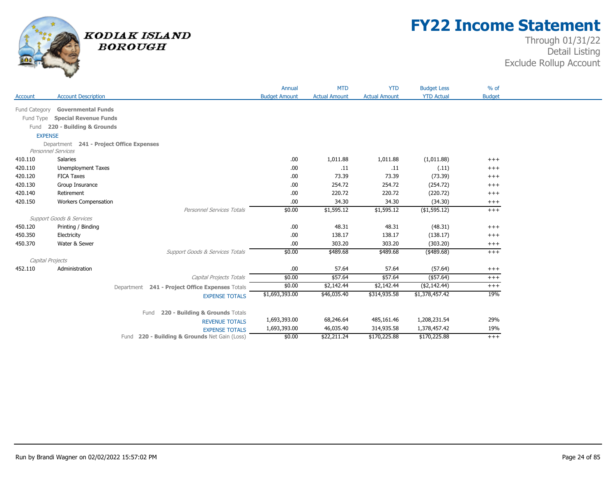

## **FY22 Income Statement**

|                  |                                          |                                                 | Annual               | <b>MTD</b>           | <b>YTD</b>           | <b>Budget Less</b> | $%$ of        |
|------------------|------------------------------------------|-------------------------------------------------|----------------------|----------------------|----------------------|--------------------|---------------|
| Account          | <b>Account Description</b>               |                                                 | <b>Budget Amount</b> | <b>Actual Amount</b> | <b>Actual Amount</b> | <b>YTD Actual</b>  | <b>Budget</b> |
| Fund Category    | <b>Governmental Funds</b>                |                                                 |                      |                      |                      |                    |               |
| Fund Type        | <b>Special Revenue Funds</b>             |                                                 |                      |                      |                      |                    |               |
|                  | Fund 220 - Building & Grounds            |                                                 |                      |                      |                      |                    |               |
| <b>EXPENSE</b>   |                                          |                                                 |                      |                      |                      |                    |               |
|                  | Department 241 - Project Office Expenses |                                                 |                      |                      |                      |                    |               |
|                  | <b>Personnel Services</b>                |                                                 |                      |                      |                      |                    |               |
| 410.110          | Salaries                                 |                                                 | .00.                 | 1,011.88             | 1,011.88             | (1,011.88)         | $^{+++}$      |
| 420.110          | <b>Unemployment Taxes</b>                |                                                 | .00                  | .11                  | .11                  | (.11)              | $^{+++}$      |
| 420.120          | <b>FICA Taxes</b>                        |                                                 | .00                  | 73.39                | 73.39                | (73.39)            | $+++$         |
| 420.130          | Group Insurance                          |                                                 | .00.                 | 254.72               | 254.72               | (254.72)           | $^{+++}$      |
| 420.140          | Retirement                               |                                                 | .00                  | 220.72               | 220.72               | (220.72)           | $+++$         |
| 420.150          | <b>Workers Compensation</b>              |                                                 | .00                  | 34.30                | 34.30                | (34.30)            | $^{+++}$      |
|                  |                                          | Personnel Services Totals                       | \$0.00               | \$1,595.12           | \$1,595.12           | ( \$1,595.12)      | $^{+++}$      |
|                  | <b>Support Goods &amp; Services</b>      |                                                 |                      |                      |                      |                    |               |
| 450.120          | Printing / Binding                       |                                                 | .00                  | 48.31                | 48.31                | (48.31)            | $+++$         |
| 450.350          | Electricity                              |                                                 | .00                  | 138.17               | 138.17               | (138.17)           | $^{+++}$      |
| 450.370          | Water & Sewer                            |                                                 | .00.                 | 303.20               | 303.20               | (303.20)           | $^{+++}$      |
|                  |                                          | Support Goods & Services Totals                 | \$0.00               | \$489.68             | \$489.68             | $(*489.68)$        | $^{+++}$      |
| Capital Projects |                                          |                                                 |                      |                      |                      |                    |               |
| 452.110          | Administration                           |                                                 | .00.                 | 57.64                | 57.64                | (57.64)            | $^{+++}$      |
|                  |                                          | Capital Projects Totals                         | \$0.00               | \$57.64              | \$57.64              | $($ \$57.64)       | $+++$         |
|                  |                                          | Department 241 - Project Office Expenses Totals | \$0.00               | \$2,142.44           | \$2,142.44           | (\$2,142.44)       | $^{+++}$      |
|                  |                                          | <b>EXPENSE TOTALS</b>                           | \$1,693,393.00       | \$46,035.40          | \$314,935.58         | \$1,378,457.42     | 19%           |
|                  |                                          |                                                 |                      |                      |                      |                    |               |
|                  |                                          | 220 - Building & Grounds Totals<br>Fund         |                      |                      |                      |                    |               |
|                  |                                          | <b>REVENUE TOTALS</b>                           | 1,693,393.00         | 68,246.64            | 485,161.46           | 1,208,231.54       | 29%           |
|                  |                                          | <b>EXPENSE TOTALS</b>                           | 1,693,393.00         | 46,035.40            | 314,935.58           | 1,378,457.42       | 19%           |
|                  |                                          | Fund 220 - Building & Grounds Net Gain (Loss)   | \$0.00               | \$22,211.24          | \$170,225.88         | \$170,225.88       | $^{+++}$      |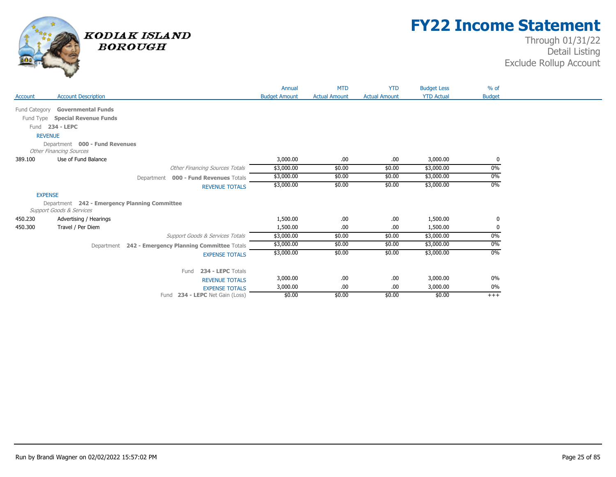

## **FY22 Income Statement**

|                |                                               |                                                      | Annual               | <b>MTD</b>           | <b>YTD</b>           | <b>Budget Less</b> | $%$ of        |
|----------------|-----------------------------------------------|------------------------------------------------------|----------------------|----------------------|----------------------|--------------------|---------------|
| Account        | <b>Account Description</b>                    |                                                      | <b>Budget Amount</b> | <b>Actual Amount</b> | <b>Actual Amount</b> | <b>YTD Actual</b>  | <b>Budget</b> |
|                | Fund Category Governmental Funds              |                                                      |                      |                      |                      |                    |               |
|                | Fund Type Special Revenue Funds               |                                                      |                      |                      |                      |                    |               |
|                | Fund 234 - LEPC                               |                                                      |                      |                      |                      |                    |               |
| <b>REVENUE</b> |                                               |                                                      |                      |                      |                      |                    |               |
|                | Department 000 - Fund Revenues                |                                                      |                      |                      |                      |                    |               |
|                | <b>Other Financing Sources</b>                |                                                      |                      |                      |                      |                    |               |
| 389.100        | Use of Fund Balance                           |                                                      | 3,000.00             | .00.                 | .00.                 | 3,000.00           | 0             |
|                |                                               | <b>Other Financing Sources Totals</b>                | \$3,000.00           | \$0.00               | \$0.00               | \$3,000.00         | 0%            |
|                |                                               | 000 - Fund Revenues Totals<br>Department             | \$3,000.00           | \$0.00               | \$0.00               | \$3,000.00         | 0%            |
|                |                                               | <b>REVENUE TOTALS</b>                                | \$3,000.00           | \$0.00               | \$0.00               | \$3,000.00         | 0%            |
| <b>EXPENSE</b> |                                               |                                                      |                      |                      |                      |                    |               |
|                | Department 242 - Emergency Planning Committee |                                                      |                      |                      |                      |                    |               |
|                | <b>Support Goods &amp; Services</b>           |                                                      |                      |                      |                      |                    |               |
| 450.230        | Advertising / Hearings                        |                                                      | 1,500.00             | .00                  | .00.                 | 1,500.00           | 0             |
| 450.300        | Travel / Per Diem                             |                                                      | 1,500.00             | .00                  | .00.                 | 1,500.00           | 0             |
|                |                                               | <b>Support Goods &amp; Services Totals</b>           | \$3,000.00           | \$0.00               | \$0.00               | \$3,000.00         | 0%            |
|                |                                               | Department 242 - Emergency Planning Committee Totals | \$3,000.00           | \$0.00               | \$0.00               | \$3,000.00         | 0%            |
|                |                                               | <b>EXPENSE TOTALS</b>                                | \$3,000.00           | \$0.00               | \$0.00               | \$3,000.00         | $0\%$         |
|                |                                               |                                                      |                      |                      |                      |                    |               |
|                |                                               | 234 - LEPC Totals<br>Fund                            |                      |                      |                      |                    |               |
|                |                                               | <b>REVENUE TOTALS</b>                                | 3,000.00             | .00                  | .00.                 | 3,000.00           | $0\%$         |
|                |                                               | <b>EXPENSE TOTALS</b>                                | 3,000.00             | .00                  | .00.                 | 3,000.00           | 0%            |
|                |                                               | 234 - LEPC Net Gain (Loss)<br>Fund                   | \$0.00               | \$0.00               | \$0.00               | \$0.00             | $+++$         |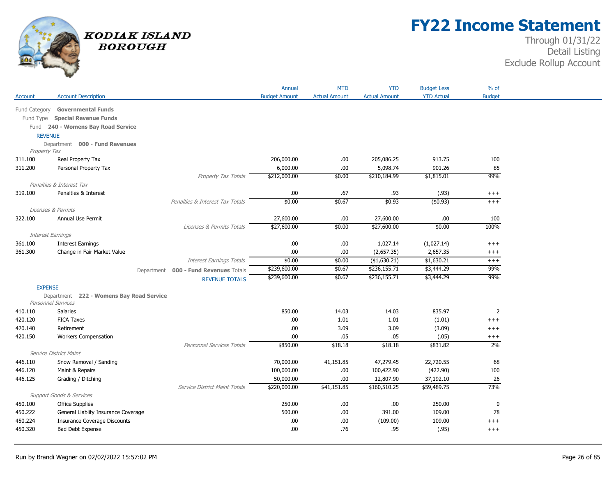

## **FY22 Income Statement**

|                   |                                                                   |                                       | Annual               | <b>MTD</b>           | <b>YTD</b>           | <b>Budget Less</b> | % of           |
|-------------------|-------------------------------------------------------------------|---------------------------------------|----------------------|----------------------|----------------------|--------------------|----------------|
| Account           | <b>Account Description</b>                                        |                                       | <b>Budget Amount</b> | <b>Actual Amount</b> | <b>Actual Amount</b> | <b>YTD Actual</b>  | <b>Budget</b>  |
| Fund Category     | <b>Governmental Funds</b>                                         |                                       |                      |                      |                      |                    |                |
|                   | Fund Type Special Revenue Funds                                   |                                       |                      |                      |                      |                    |                |
|                   | Fund 240 - Womens Bay Road Service                                |                                       |                      |                      |                      |                    |                |
| <b>REVENUE</b>    |                                                                   |                                       |                      |                      |                      |                    |                |
|                   | Department 000 - Fund Revenues                                    |                                       |                      |                      |                      |                    |                |
| Property Tax      |                                                                   |                                       |                      |                      |                      |                    |                |
| 311.100           | Real Property Tax                                                 |                                       | 206,000.00           | .00.                 | 205,086.25           | 913.75             | 100            |
| 311.200           | Personal Property Tax                                             |                                       | 6,000.00             | .00.                 | 5,098.74             | 901.26             | 85             |
|                   |                                                                   | Property Tax Totals                   | \$212,000.00         | \$0.00               | \$210,184.99         | \$1,815.01         | 99%            |
| 319.100           | Penalties & Interest Tax<br>Penalties & Interest                  |                                       | .00                  | .67                  | .93                  | (.93)              | $^{+++}$       |
|                   |                                                                   | Penalties & Interest Tax Totals       | \$0.00               | \$0.67               | \$0.93               | (\$0.93)           | $+++$          |
|                   | Licenses & Permits                                                |                                       |                      |                      |                      |                    |                |
| 322.100           | Annual Use Permit                                                 |                                       | 27,600.00            | .00.                 | 27,600.00            | .00                | 100            |
|                   |                                                                   | Licenses & Permits Totals             | \$27,600.00          | \$0.00               | \$27,600.00          | \$0.00             | 100%           |
| Interest Earnings |                                                                   |                                       |                      |                      |                      |                    |                |
| 361.100           | <b>Interest Earnings</b>                                          |                                       | .00.                 | .00.                 | 1,027.14             | (1,027.14)         | $^{+++}$       |
| 361.300           | Change in Fair Market Value                                       |                                       | .00                  | .00.                 | (2,657.35)           | 2,657.35           | $^{+++}$       |
|                   |                                                                   | <b>Interest Earnings Totals</b>       | \$0.00               | \$0.00               | (\$1,630.21)         | \$1,630.21         | $^{+++}$       |
|                   |                                                                   | Department 000 - Fund Revenues Totals | \$239,600.00         | \$0.67               | \$236,155.71         | \$3,444.29         | 99%            |
|                   |                                                                   | <b>REVENUE TOTALS</b>                 | \$239,600.00         | \$0.67               | \$236,155.71         | \$3,444.29         | 99%            |
| <b>EXPENSE</b>    |                                                                   |                                       |                      |                      |                      |                    |                |
|                   | Department<br>222 - Womens Bay Road Service<br>Personnel Services |                                       |                      |                      |                      |                    |                |
| 410.110           | <b>Salaries</b>                                                   |                                       | 850.00               | 14.03                | 14.03                | 835.97             | $\overline{2}$ |
| 420.120           | <b>FICA Taxes</b>                                                 |                                       | .00                  | 1.01                 | 1.01                 | (1.01)             | $^{+++}$       |
| 420.140           | Retirement                                                        |                                       | .00                  | 3.09                 | 3.09                 | (3.09)             | $+++$          |
| 420.150           | <b>Workers Compensation</b>                                       |                                       | .00                  | .05                  | .05                  | (.05)              | $^{+++}$       |
|                   |                                                                   | Personnel Services Totals             | \$850.00             | \$18.18              | \$18.18              | \$831.82           | 2%             |
| 446.110           | Service District Maint<br>Snow Removal / Sanding                  |                                       | 70,000.00            | 41,151.85            | 47,279.45            | 22,720.55          | 68             |
| 446.120           | Maint & Repairs                                                   |                                       | 100,000.00           | .00.                 | 100,422.90           | (422.90)           | 100            |
| 446.125           | Grading / Ditching                                                |                                       | 50,000.00            | .00.                 | 12,807.90            | 37,192.10          | 26             |
|                   |                                                                   | Service District Maint Totals         | \$220,000.00         | \$41,151.85          | \$160,510.25         | \$59,489.75        | 73%            |
|                   | Support Goods & Services                                          |                                       |                      |                      |                      |                    |                |
| 450.100           | <b>Office Supplies</b>                                            |                                       | 250.00               | .00.                 | .00                  | 250.00             | $\pmb{0}$      |
| 450.222           | General Liablity Insurance Coverage                               |                                       | 500.00               | .00.                 | 391.00               | 109.00             | 78             |
| 450.224           | <b>Insurance Coverage Discounts</b>                               |                                       | .00                  | .00.                 | (109.00)             | 109.00             | $^{+++}$       |
| 450.320           | <b>Bad Debt Expense</b>                                           |                                       | .00                  | .76                  | .95                  | (.95)              | $+++$          |
|                   |                                                                   |                                       |                      |                      |                      |                    |                |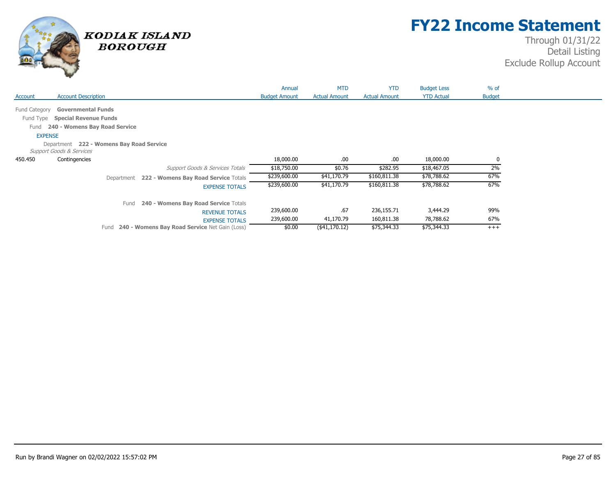

## **FY22 Income Statement**

|               |                                                                                 |            |                                               | Annual               | <b>MTD</b>           | <b>YTD</b>           | <b>Budget Less</b> | $%$ of        |  |
|---------------|---------------------------------------------------------------------------------|------------|-----------------------------------------------|----------------------|----------------------|----------------------|--------------------|---------------|--|
| Account       | <b>Account Description</b>                                                      |            |                                               | <b>Budget Amount</b> | <b>Actual Amount</b> | <b>Actual Amount</b> | <b>YTD Actual</b>  | <b>Budget</b> |  |
| Fund Category | <b>Governmental Funds</b>                                                       |            |                                               |                      |                      |                      |                    |               |  |
| Fund Type     | <b>Special Revenue Funds</b>                                                    |            |                                               |                      |                      |                      |                    |               |  |
| Fund          | 240 - Womens Bay Road Service                                                   |            |                                               |                      |                      |                      |                    |               |  |
|               | <b>EXPENSE</b>                                                                  |            |                                               |                      |                      |                      |                    |               |  |
|               | Department 222 - Womens Bay Road Service<br><b>Support Goods &amp; Services</b> |            |                                               |                      |                      |                      |                    |               |  |
| 450.450       | Contingencies                                                                   |            |                                               | 18,000.00            | .00.                 | .00.                 | 18,000.00          | $\mathbf{0}$  |  |
|               |                                                                                 |            | Support Goods & Services Totals               | \$18,750.00          | \$0.76               | \$282.95             | \$18,467.05        | 2%            |  |
|               |                                                                                 | Department | 222 - Womens Bay Road Service Totals          | \$239,600.00         | \$41,170.79          | \$160,811.38         | \$78,788.62        | 67%           |  |
|               |                                                                                 |            | <b>EXPENSE TOTALS</b>                         | \$239,600.00         | \$41,170.79          | \$160,811.38         | \$78,788.62        | 67%           |  |
|               |                                                                                 | Fund       | 240 - Womens Bay Road Service Totals          |                      |                      |                      |                    |               |  |
|               |                                                                                 |            | <b>REVENUE TOTALS</b>                         | 239,600.00           | .67                  | 236,155.71           | 3,444.29           | 99%           |  |
|               |                                                                                 |            | <b>EXPENSE TOTALS</b>                         | 239,600.00           | 41,170.79            | 160,811.38           | 78,788.62          | 67%           |  |
|               |                                                                                 | Fund       | 240 - Womens Bay Road Service Net Gain (Loss) | \$0.00               | $($ \$41,170.12)     | \$75,344.33          | \$75,344.33        | $^{+++}$      |  |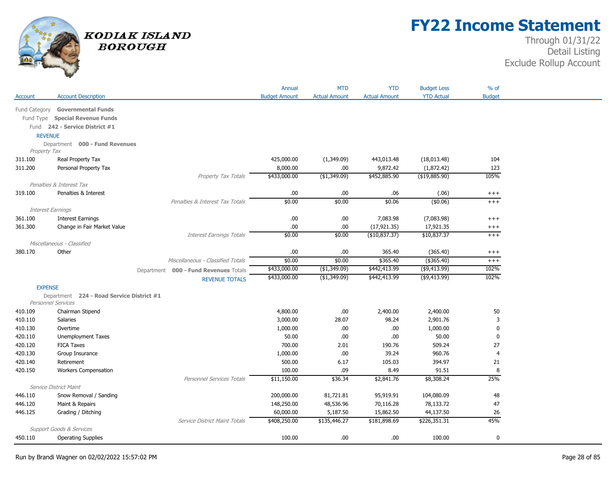

# **FY22 Income Statement**

|                    |                                           |                                       | Annual                   | <b>MTD</b>           | <b>YTD</b>           | <b>Budget Less</b> | % of           |
|--------------------|-------------------------------------------|---------------------------------------|--------------------------|----------------------|----------------------|--------------------|----------------|
| Account            | <b>Account Description</b>                |                                       | <b>Budget Amount</b>     | <b>Actual Amount</b> | <b>Actual Amount</b> | <b>YTD Actual</b>  | <b>Budget</b>  |
| Fund Category      | <b>Governmental Funds</b>                 |                                       |                          |                      |                      |                    |                |
|                    | Fund Type Special Revenue Funds           |                                       |                          |                      |                      |                    |                |
|                    | Fund 242 - Service District #1            |                                       |                          |                      |                      |                    |                |
| <b>REVENUE</b>     |                                           |                                       |                          |                      |                      |                    |                |
|                    | Department 000 - Fund Revenues            |                                       |                          |                      |                      |                    |                |
| Property Tax       |                                           |                                       |                          |                      |                      |                    |                |
| 311.100            | Real Property Tax                         |                                       | 425,000.00               | (1,349.09)           | 443,013.48           | (18,013.48)        | 104            |
| 311.200            | Personal Property Tax                     |                                       | 8,000.00                 | .00.                 | 9,872.42             | (1,872.42)         | 123            |
|                    |                                           | Property Tax Totals                   | \$433,000.00             | (\$1,349.09)         | \$452,885.90         | (\$19,885.90)      | 105%           |
|                    | Penalties & Interest Tax                  |                                       |                          |                      |                      |                    |                |
| 319.100            | Penalties & Interest                      |                                       | $.00$                    | .00                  | .06                  | (.06)              | $^{+++}$       |
|                    |                                           | Penalties & Interest Tax Totals       | \$0.00                   | \$0.00               | \$0.06               | (\$0.06)           | $^{+++}$       |
|                    | <b>Interest Earnings</b>                  |                                       |                          |                      |                      |                    |                |
| 361.100            | <b>Interest Earnings</b>                  |                                       | .00                      | .00                  | 7,083.98             | (7,083.98)         | $^{+++}$       |
| 361.300            | Change in Fair Market Value               |                                       | .00.                     | .00.                 | (17, 921.35)         | 17,921.35          | $^{+++}$       |
|                    |                                           | <b>Interest Earnings Totals</b>       | \$0.00                   | \$0.00               | (\$10,837.37)        | \$10,837.37        | $^{+++}$       |
|                    | Miscellaneous - Classified                |                                       |                          |                      |                      |                    |                |
| 380.170            | Other                                     |                                       | .00                      | .00.                 | 365.40               | (365.40)           | $^{+++}$       |
|                    |                                           | Miscellaneous - Classified Totals     | \$0.00                   | \$0.00               | \$365.40             | (\$365.40)         | $^{+++}$       |
|                    |                                           | Department 000 - Fund Revenues Totals | \$433,000.00             | (\$1,349.09)         | \$442,413.99         | ( \$9,413.99)      | 102%           |
|                    |                                           | <b>REVENUE TOTALS</b>                 | \$433,000.00             | (\$1,349.09)         | \$442,413.99         | ( \$9,413.99)      | 102%           |
| <b>EXPENSE</b>     |                                           |                                       |                          |                      |                      |                    |                |
|                    | Department 224 - Road Service District #1 |                                       |                          |                      |                      |                    |                |
|                    | <b>Personnel Services</b>                 |                                       |                          |                      |                      |                    |                |
| 410.109            | Chairman Stipend                          |                                       | 4,800.00                 | .00                  | 2,400.00             | 2,400.00           | 50             |
| 410.110            | <b>Salaries</b>                           |                                       | 3,000.00                 | 28.07                | 98.24                | 2,901.76           | 3              |
| 410.130            | Overtime                                  |                                       | 1,000.00                 | .00.                 | .00                  | 1,000.00           | $\mathbf 0$    |
| 420.110            | <b>Unemployment Taxes</b>                 |                                       | 50.00                    | .00                  | .00                  | 50.00              | 0              |
| 420.120            | <b>FICA Taxes</b>                         |                                       | 700.00                   | 2.01                 | 190.76               | 509.24             | 27             |
| 420.130            | Group Insurance                           |                                       | 1,000.00                 | .00.                 | 39.24                | 960.76             | $\overline{4}$ |
| 420.140            | Retirement                                |                                       | 500.00                   | 6.17                 | 105.03               | 394.97             | 21             |
| 420.150            | <b>Workers Compensation</b>               |                                       | 100.00                   | .09                  | 8.49                 | 91.51              | 8              |
|                    |                                           | Personnel Services Totals             | \$11,150.00              | \$36.34              | \$2,841.76           | \$8,308.24         | 25%            |
|                    | Service District Maint                    |                                       |                          | 81,721.81            | 95,919.91            | 104,080.09         | 48             |
| 446.110<br>446.120 | Snow Removal / Sanding<br>Maint & Repairs |                                       | 200,000.00<br>148,250.00 | 48,536.96            | 70,116.28            | 78,133.72          | 47             |
| 446.125            | Grading / Ditching                        |                                       | 60,000.00                | 5,187.50             | 15,862.50            | 44,137.50          | 26             |
|                    |                                           | Service District Maint Totals         | \$408,250.00             | \$135,446.27         | \$181,898.69         | \$226,351.31       | 45%            |
|                    | Support Goods & Services                  |                                       |                          |                      |                      |                    |                |
| 450.110            | <b>Operating Supplies</b>                 |                                       | 100.00                   | .00.                 | .00                  | 100.00             | $\mathbf 0$    |
|                    |                                           |                                       |                          |                      |                      |                    |                |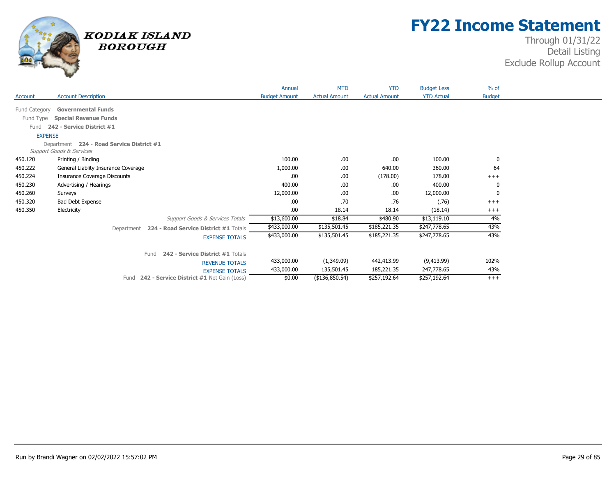

## **FY22 Income Statement**

|                |                                                           | Annual               | <b>MTD</b>           | <b>YTD</b>           | <b>Budget Less</b> | $%$ of        |
|----------------|-----------------------------------------------------------|----------------------|----------------------|----------------------|--------------------|---------------|
| Account        | <b>Account Description</b>                                | <b>Budget Amount</b> | <b>Actual Amount</b> | <b>Actual Amount</b> | <b>YTD Actual</b>  | <b>Budget</b> |
| Fund Category  | <b>Governmental Funds</b>                                 |                      |                      |                      |                    |               |
| Fund Type      | <b>Special Revenue Funds</b>                              |                      |                      |                      |                    |               |
| Fund           | 242 - Service District #1                                 |                      |                      |                      |                    |               |
| <b>EXPENSE</b> |                                                           |                      |                      |                      |                    |               |
|                | Department 224 - Road Service District #1                 |                      |                      |                      |                    |               |
| 450.120        | <b>Support Goods &amp; Services</b>                       | 100.00               | .00                  |                      | 100.00             | 0             |
| 450.222        | Printing / Binding<br>General Liablity Insurance Coverage | 1,000.00             | .00                  | .00.<br>640.00       | 360.00             | 64            |
| 450.224        | <b>Insurance Coverage Discounts</b>                       | .00                  | .00                  | (178.00)             | 178.00             | $+++$         |
| 450.230        | Advertising / Hearings                                    | 400.00               | .00                  | .00.                 | 400.00             | 0             |
| 450.260        | Surveys                                                   | 12,000.00            | .00                  | .00.                 | 12,000.00          | 0             |
| 450.320        | <b>Bad Debt Expense</b>                                   | .00                  | .70                  | .76                  | (.76)              | $+++$         |
| 450.350        | Electricity                                               | .00                  | 18.14                | 18.14                | (18.14)            | $+++$         |
|                | Support Goods & Services Totals                           | \$13,600.00          | \$18.84              | \$480.90             | \$13,119.10        | 4%            |
|                | 224 - Road Service District #1 Totals<br>Department       | \$433,000.00         | \$135,501.45         | \$185,221.35         | \$247,778.65       | 43%           |
|                | <b>EXPENSE TOTALS</b>                                     | \$433,000.00         | \$135,501.45         | \$185,221.35         | \$247,778.65       | 43%           |
|                |                                                           |                      |                      |                      |                    |               |
|                | 242 - Service District #1 Totals<br>Fund                  |                      |                      |                      |                    |               |
|                | <b>REVENUE TOTALS</b>                                     | 433,000.00           | (1,349.09)           | 442,413.99           | (9,413.99)         | 102%          |
|                | <b>EXPENSE TOTALS</b>                                     | 433,000.00           | 135,501.45           | 185,221.35           | 247,778.65         | 43%           |
|                | 242 - Service District #1 Net Gain (Loss)<br>Fund         | \$0.00               | (\$136,850.54)       | \$257,192.64         | \$257,192.64       | $+++$         |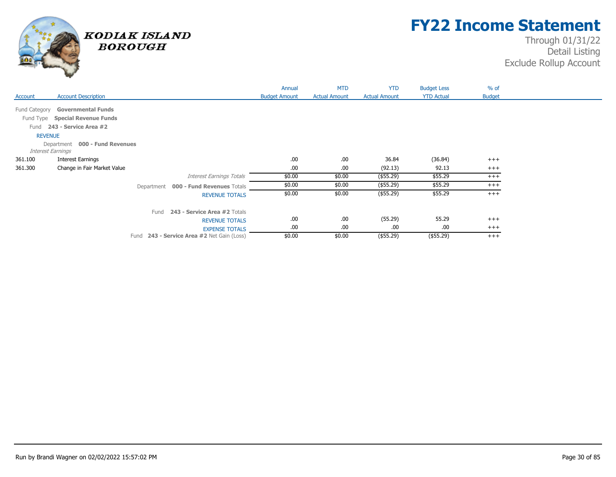

## **FY22 Income Statement**

|               |                                                     |                                       | Annual               | <b>MTD</b>           | <b>YTD</b>           | <b>Budget Less</b> | $%$ of        |  |
|---------------|-----------------------------------------------------|---------------------------------------|----------------------|----------------------|----------------------|--------------------|---------------|--|
| Account       | <b>Account Description</b>                          |                                       | <b>Budget Amount</b> | <b>Actual Amount</b> | <b>Actual Amount</b> | <b>YTD Actual</b>  | <b>Budget</b> |  |
| Fund Category | <b>Governmental Funds</b>                           |                                       |                      |                      |                      |                    |               |  |
|               | Fund Type Special Revenue Funds                     |                                       |                      |                      |                      |                    |               |  |
| Fund          | 243 - Service Area #2                               |                                       |                      |                      |                      |                    |               |  |
|               | <b>REVENUE</b>                                      |                                       |                      |                      |                      |                    |               |  |
|               | Department 000 - Fund Revenues<br>Interest Earnings |                                       |                      |                      |                      |                    |               |  |
| 361.100       | Interest Earnings                                   |                                       | .00                  | .00                  | 36.84                | (36.84)            | $^{+++}$      |  |
| 361.300       | Change in Fair Market Value                         |                                       | .00.                 | .00                  | (92.13)              | 92.13              | $^{+++}$      |  |
|               |                                                     | Interest Earnings Totals              | \$0.00               | \$0.00               | $($ \$55.29)         | \$55.29            | $^{+++}$      |  |
|               |                                                     | Department 000 - Fund Revenues Totals | \$0.00               | \$0.00               | (\$55.29)            | \$55.29            | $^{+++}$      |  |
|               |                                                     | <b>REVENUE TOTALS</b>                 | \$0.00               | \$0.00               | $($ \$55.29)         | \$55.29            | $^{+++}$      |  |
|               | Fund                                                | 243 - Service Area #2 Totals          |                      |                      |                      |                    |               |  |
|               |                                                     | <b>REVENUE TOTALS</b>                 | .00                  | .00                  | (55.29)              | 55.29              | $+++$         |  |
|               |                                                     | <b>EXPENSE TOTALS</b>                 | .00.                 | .00                  | .00                  | .00.               | $+++$         |  |
|               | Fund                                                | 243 - Service Area #2 Net Gain (Loss) | \$0.00               | \$0.00               | $($ \$55.29)         | (\$55.29)          | $+++$         |  |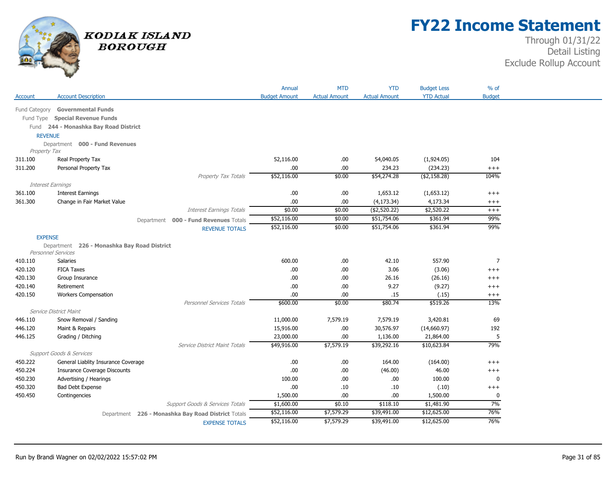

## **FY22 Income Statement**

|                |                                             |                                                    | Annual               | <b>MTD</b>           | <b>YTD</b>           | <b>Budget Less</b> | $%$ of         |
|----------------|---------------------------------------------|----------------------------------------------------|----------------------|----------------------|----------------------|--------------------|----------------|
| Account        | <b>Account Description</b>                  |                                                    | <b>Budget Amount</b> | <b>Actual Amount</b> | <b>Actual Amount</b> | <b>YTD Actual</b>  | <b>Budget</b>  |
| Fund Category  | <b>Governmental Funds</b>                   |                                                    |                      |                      |                      |                    |                |
|                |                                             |                                                    |                      |                      |                      |                    |                |
| Fund Type      | <b>Special Revenue Funds</b>                |                                                    |                      |                      |                      |                    |                |
|                | Fund 244 - Monashka Bay Road District       |                                                    |                      |                      |                      |                    |                |
|                | <b>REVENUE</b>                              |                                                    |                      |                      |                      |                    |                |
| Property Tax   | Department 000 - Fund Revenues              |                                                    |                      |                      |                      |                    |                |
| 311.100        | Real Property Tax                           |                                                    | 52,116.00            | .00.                 | 54,040.05            | (1,924.05)         | 104            |
| 311.200        | Personal Property Tax                       |                                                    | .00.                 | .00.                 | 234.23               | (234.23)           | $^{+++}$       |
|                |                                             | Property Tax Totals                                | \$52,116.00          | \$0.00               | \$54,274.28          | ( \$2,158.28)      | 104%           |
|                | Interest Earnings                           |                                                    |                      |                      |                      |                    |                |
| 361.100        | <b>Interest Earnings</b>                    |                                                    | .00.                 | .00.                 | 1,653.12             | (1,653.12)         | $^{+++}$       |
| 361.300        | Change in Fair Market Value                 |                                                    | .00.                 | .00.                 | (4, 173.34)          | 4,173.34           | $^{+++}$       |
|                |                                             | <b>Interest Earnings Totals</b>                    | \$0.00               | \$0.00               | (\$2,520.22)         | \$2,520.22         | $+++$          |
|                |                                             | Department 000 - Fund Revenues Totals              | \$52,116.00          | \$0.00               | \$51,754.06          | \$361.94           | 99%            |
|                |                                             | <b>REVENUE TOTALS</b>                              | \$52,116.00          | \$0.00               | \$51,754.06          | \$361.94           | 99%            |
| <b>EXPENSE</b> |                                             |                                                    |                      |                      |                      |                    |                |
|                | Department 226 - Monashka Bay Road District |                                                    |                      |                      |                      |                    |                |
|                | <b>Personnel Services</b>                   |                                                    |                      |                      |                      |                    |                |
| 410.110        | <b>Salaries</b>                             |                                                    | 600.00               | .00.                 | 42.10                | 557.90             | $\overline{7}$ |
| 420.120        | <b>FICA Taxes</b>                           |                                                    | .00.                 | .00.                 | 3.06                 | (3.06)             | $^{+++}$       |
| 420.130        | Group Insurance                             |                                                    | .00                  | .00                  | 26.16                | (26.16)            | $+++$          |
| 420.140        | Retirement                                  |                                                    | .00.                 | .00.                 | 9.27                 | (9.27)             | $^{+++}$       |
| 420.150        | <b>Workers Compensation</b>                 |                                                    | .00.                 | .00.                 | .15                  | (.15)              | $^{+++}$       |
|                |                                             | Personnel Services Totals                          | \$600.00             | \$0.00               | \$80.74              | \$519.26           | 13%            |
|                | Service District Maint                      |                                                    |                      |                      |                      |                    |                |
| 446.110        | Snow Removal / Sanding                      |                                                    | 11,000.00            | 7,579.19             | 7,579.19             | 3,420.81           | 69             |
| 446.120        | Maint & Repairs                             |                                                    | 15,916.00            | .00.                 | 30,576.97            | (14,660.97)        | 192            |
| 446.125        | Grading / Ditching                          |                                                    | 23,000.00            | .00.                 | 1,136.00             | 21,864.00          | 5              |
|                |                                             | Service District Maint Totals                      | \$49,916.00          | \$7,579.19           | \$39,292.16          | \$10,623.84        | 79%            |
|                | Support Goods & Services                    |                                                    |                      |                      |                      |                    |                |
| 450.222        | General Liablity Insurance Coverage         |                                                    | .00                  | .00                  | 164.00               | (164.00)           | $+++$          |
| 450.224        | <b>Insurance Coverage Discounts</b>         |                                                    | .00.                 | .00.                 | (46.00)              | 46.00              | $^{+++}$       |
| 450.230        | Advertising / Hearings                      |                                                    | 100.00               | .00.                 | .00.                 | 100.00             | $\bf{0}$       |
| 450.320        | <b>Bad Debt Expense</b>                     |                                                    | .00.                 | .10                  | .10                  | (.10)              | $^{+++}$       |
| 450.450        | Contingencies                               |                                                    | 1,500.00             | .00.                 | .00.                 | 1,500.00           | $\bf{0}$       |
|                |                                             | Support Goods & Services Totals                    | \$1,600.00           | \$0.10               | \$118.10             | \$1,481.90         | 7%             |
|                |                                             | Department 226 - Monashka Bay Road District Totals | \$52,116.00          | \$7,579.29           | \$39,491.00          | \$12,625.00        | 76%            |
|                |                                             | <b>EXPENSE TOTALS</b>                              | \$52,116.00          | \$7,579.29           | \$39,491.00          | \$12,625.00        | 76%            |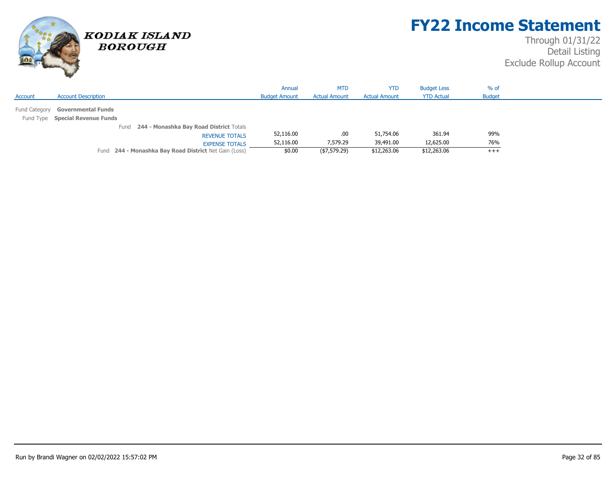

## **FY22 Income Statement**

|                                                       | Annual               | <b>MTD</b>           | <b>YTD</b>           | <b>Budget Less</b> | $%$ of        |
|-------------------------------------------------------|----------------------|----------------------|----------------------|--------------------|---------------|
| <b>Account Description</b><br>Account                 | <b>Budget Amount</b> | <b>Actual Amount</b> | <b>Actual Amount</b> | <b>YTD Actual</b>  | <b>Budget</b> |
| Fund Category<br><b>Governmental Funds</b>            |                      |                      |                      |                    |               |
| Fund Type Special Revenue Funds                       |                      |                      |                      |                    |               |
| 244 - Monashka Bay Road District Totals<br>Fund       |                      |                      |                      |                    |               |
| <b>REVENUE TOTALS</b>                                 | 52,116.00            | .00                  | 51,754.06            | 361.94             | 99%           |
| <b>EXPENSE TOTALS</b>                                 | 52,116.00            | 7,579.29             | 39,491.00            | 12,625.00          | 76%           |
| Fund 244 - Monashka Bay Road District Net Gain (Loss) | \$0.00               | (\$7,579.29)         | \$12,263.06          | \$12,263.06        | $+++$         |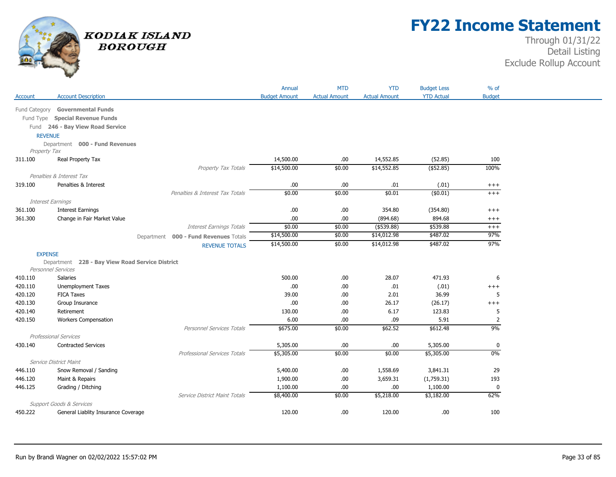

## **FY22 Income Statement**

|               |                                                 |                                          | Annual               | <b>MTD</b>           | <b>YTD</b>           | <b>Budget Less</b> | $%$ of            |
|---------------|-------------------------------------------------|------------------------------------------|----------------------|----------------------|----------------------|--------------------|-------------------|
| Account       | <b>Account Description</b>                      |                                          | <b>Budget Amount</b> | <b>Actual Amount</b> | <b>Actual Amount</b> | <b>YTD Actual</b>  | <b>Budget</b>     |
| Fund Category | <b>Governmental Funds</b>                       |                                          |                      |                      |                      |                    |                   |
|               | Fund Type Special Revenue Funds                 |                                          |                      |                      |                      |                    |                   |
|               | Fund 246 - Bay View Road Service                |                                          |                      |                      |                      |                    |                   |
|               | <b>REVENUE</b>                                  |                                          |                      |                      |                      |                    |                   |
|               | Department 000 - Fund Revenues                  |                                          |                      |                      |                      |                    |                   |
| Property Tax  |                                                 |                                          |                      |                      |                      |                    |                   |
| 311.100       | Real Property Tax                               |                                          | 14,500.00            | .00                  | 14,552.85            | (52.85)            | 100               |
|               |                                                 | Property Tax Totals                      | \$14,500.00          | \$0.00               | \$14,552.85          | $($ \$52.85)       | 100%              |
|               | Penalties & Interest Tax                        |                                          |                      |                      |                      |                    |                   |
| 319.100       | Penalties & Interest                            |                                          | .00                  | .00                  | .01                  | (.01)              | $^{+++}$          |
|               |                                                 | Penalties & Interest Tax Totals          | \$0.00               | \$0.00               | \$0.01               | (\$0.01)           | $+++$             |
|               | Interest Earnings                               |                                          |                      |                      |                      |                    |                   |
| 361.100       | <b>Interest Earnings</b>                        |                                          | .00                  | .00                  | 354.80               | (354.80)           | $^{+++}$          |
| 361.300       | Change in Fair Market Value                     |                                          | .00.                 | .00                  | (894.68)             | 894.68             | $++++$            |
|               |                                                 | <b>Interest Earnings Totals</b>          | \$0.00               | \$0.00               | $($ \$539.88)        | \$539.88           | $++++$            |
|               |                                                 | 000 - Fund Revenues Totals<br>Department | \$14,500.00          | \$0.00               | \$14,012.98          | \$487.02           | 97%               |
|               |                                                 | <b>REVENUE TOTALS</b>                    | \$14,500.00          | \$0.00               | \$14,012.98          | \$487.02           | 97%               |
|               | <b>EXPENSE</b>                                  |                                          |                      |                      |                      |                    |                   |
|               | Department 228 - Bay View Road Service District |                                          |                      |                      |                      |                    |                   |
|               | Personnel Services                              |                                          |                      |                      |                      |                    |                   |
| 410.110       | Salaries                                        |                                          | 500.00               | .00                  | 28.07                | 471.93             | 6                 |
| 420.110       | <b>Unemployment Taxes</b>                       |                                          | .00                  | .00                  | .01                  | (.01)              | $++++$            |
| 420.120       | <b>FICA Taxes</b>                               |                                          | 39.00                | .00.                 | 2.01                 | 36.99              | 5                 |
| 420.130       | Group Insurance                                 |                                          | .00.                 | .00                  | 26.17                | (26.17)            | $^{+++}$          |
| 420.140       | Retirement                                      |                                          | 130.00               | .00                  | 6.17                 | 123.83             | 5                 |
| 420.150       | <b>Workers Compensation</b>                     |                                          | 6.00                 | .00                  | .09                  | 5.91               | $\overline{2}$    |
|               | Professional Services                           | <b>Personnel Services Totals</b>         | \$675.00             | \$0.00               | \$62.52              | \$612.48           | 9%                |
|               |                                                 |                                          | 5,305.00             | .00                  | .00.                 | 5,305.00           |                   |
| 430.140       | <b>Contracted Services</b>                      |                                          | \$5,305.00           | \$0.00               | \$0.00               | \$5,305.00         | $\mathbf 0$<br>0% |
|               | Service District Maint                          | <b>Professional Services Totals</b>      |                      |                      |                      |                    |                   |
| 446.110       | Snow Removal / Sanding                          |                                          | 5,400.00             | .00                  | 1,558.69             | 3,841.31           | 29                |
| 446.120       | Maint & Repairs                                 |                                          | 1,900.00             | .00                  | 3,659.31             | (1,759.31)         | 193               |
| 446.125       |                                                 |                                          | 1,100.00             | .00                  | .00.                 | 1,100.00           | $\mathbf 0$       |
|               |                                                 |                                          |                      |                      |                      |                    |                   |
|               | Grading / Ditching                              |                                          |                      |                      |                      |                    |                   |
|               | <b>Support Goods &amp; Services</b>             | Service District Maint Totals            | \$8,400.00           | \$0.00               | \$5,218.00           | \$3,182.00         | 62%               |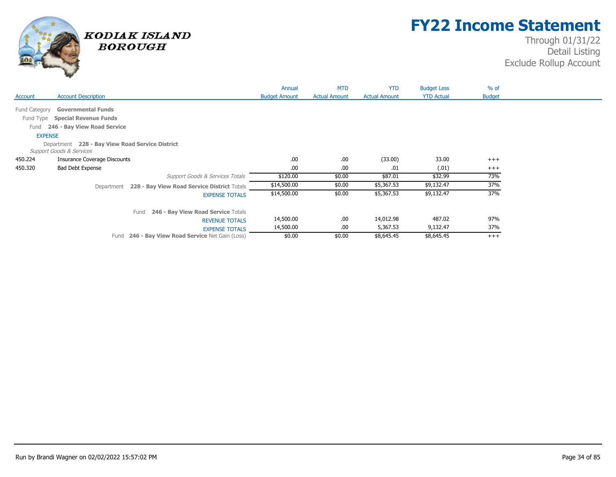

## **FY22 Income Statement**

|                |                                                           | Annual               | <b>MTD</b>           | <b>YTD</b>           | <b>Budget Less</b> | $%$ of        |  |
|----------------|-----------------------------------------------------------|----------------------|----------------------|----------------------|--------------------|---------------|--|
| Account        | <b>Account Description</b>                                | <b>Budget Amount</b> | <b>Actual Amount</b> | <b>Actual Amount</b> | <b>YTD Actual</b>  | <b>Budget</b> |  |
|                |                                                           |                      |                      |                      |                    |               |  |
| Fund Category  | <b>Governmental Funds</b>                                 |                      |                      |                      |                    |               |  |
| Fund Type      | <b>Special Revenue Funds</b>                              |                      |                      |                      |                    |               |  |
| Fund           | 246 - Bay View Road Service                               |                      |                      |                      |                    |               |  |
| <b>EXPENSE</b> |                                                           |                      |                      |                      |                    |               |  |
|                | Department 228 - Bay View Road Service District           |                      |                      |                      |                    |               |  |
|                | Support Goods & Services                                  |                      |                      |                      |                    |               |  |
| 450.224        | <b>Insurance Coverage Discounts</b>                       | .00                  | .00.                 | (33.00)              | 33.00              | $+++$         |  |
| 450.320        | <b>Bad Debt Expense</b>                                   | .00                  | .00                  | .01                  | (.01)              | $^{+++}$      |  |
|                | Support Goods & Services Totals                           | \$120.00             | \$0.00               | \$87.01              | \$32.99            | 73%           |  |
|                | 228 - Bay View Road Service District Totals<br>Department | \$14,500.00          | \$0.00               | \$5,367.53           | \$9,132.47         | 37%           |  |
|                | <b>EXPENSE TOTALS</b>                                     | \$14,500.00          | \$0.00               | \$5,367.53           | \$9,132.47         | 37%           |  |
|                | 246 - Bay View Road Service Totals<br>Fund                |                      |                      |                      |                    |               |  |
|                | <b>REVENUE TOTALS</b>                                     | 14,500.00            | .00.                 | 14,012.98            | 487.02             | 97%           |  |
|                | <b>EXPENSE TOTALS</b>                                     | 14,500.00            | .00.                 | 5,367.53             | 9,132.47           | 37%           |  |
|                | 246 - Bay View Road Service Net Gain (Loss)<br>Fund       | \$0.00               | \$0.00               | \$8,645.45           | \$8,645.45         | $+++$         |  |
|                |                                                           |                      |                      |                      |                    |               |  |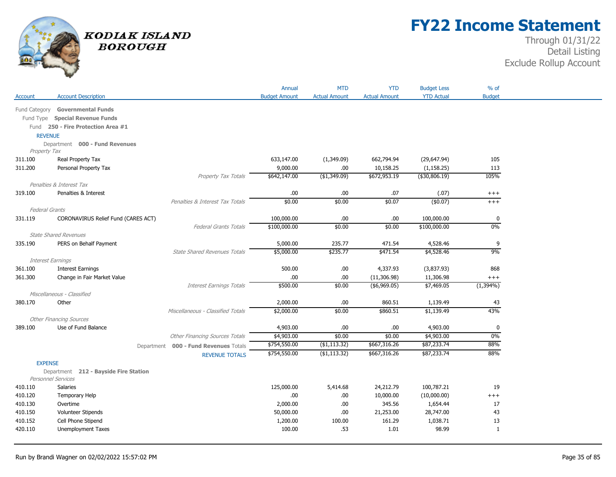

## **FY22 Income Statement**

|                       |                                       |                                       | Annual               | <b>MTD</b>           | <b>YTD</b>                      | <b>Budget Less</b>      | $%$ of                  |
|-----------------------|---------------------------------------|---------------------------------------|----------------------|----------------------|---------------------------------|-------------------------|-------------------------|
| Account               | <b>Account Description</b>            |                                       | <b>Budget Amount</b> | <b>Actual Amount</b> | <b>Actual Amount</b>            | <b>YTD Actual</b>       | <b>Budget</b>           |
| Fund Category         | <b>Governmental Funds</b>             |                                       |                      |                      |                                 |                         |                         |
|                       | Fund Type Special Revenue Funds       |                                       |                      |                      |                                 |                         |                         |
|                       | Fund 250 - Fire Protection Area #1    |                                       |                      |                      |                                 |                         |                         |
| <b>REVENUE</b>        |                                       |                                       |                      |                      |                                 |                         |                         |
|                       | Department 000 - Fund Revenues        |                                       |                      |                      |                                 |                         |                         |
| Property Tax          |                                       |                                       |                      |                      |                                 |                         |                         |
| 311.100               | Real Property Tax                     |                                       | 633,147.00           | (1,349.09)           | 662,794.94                      | (29, 647.94)            | 105                     |
| 311.200               | Personal Property Tax                 |                                       | 9,000.00             | .00.                 | 10,158.25                       | (1, 158.25)             | 113                     |
|                       |                                       | Property Tax Totals                   | \$642,147.00         | ( \$1,349.09)        | \$672,953.19                    | ( \$30, 806.19)         | 105%                    |
|                       | Penalties & Interest Tax              |                                       |                      |                      |                                 |                         |                         |
| 319.100               | Penalties & Interest                  |                                       | .00.                 | .00.                 | .07                             | (.07)                   | $^{+++}$                |
|                       |                                       | Penalties & Interest Tax Totals       | \$0.00               | \$0.00               | \$0.07                          | (\$0.07)                | $+++$                   |
| <b>Federal Grants</b> |                                       |                                       |                      |                      |                                 |                         |                         |
| 331.119               | CORONAVIRUS Relief Fund (CARES ACT)   |                                       | 100,000.00           | .00.                 | .00                             | 100,000.00              | $\mathbf 0$             |
|                       |                                       | <b>Federal Grants Totals</b>          | \$100,000.00         | \$0.00               | \$0.00                          | \$100,000.00            | $0\%$                   |
|                       | <b>State Shared Revenues</b>          |                                       |                      |                      |                                 |                         |                         |
| 335.190               | PERS on Behalf Payment                |                                       | 5,000.00             | 235.77               | 471.54                          | 4,528.46                | 9                       |
|                       |                                       | <b>State Shared Revenues Totals</b>   | \$5,000.00           | \$235.77             | \$471.54                        | \$4,528.46              | 9%                      |
|                       | Interest Earnings                     |                                       |                      |                      |                                 |                         |                         |
| 361.100               | <b>Interest Earnings</b>              |                                       | 500.00               | .00                  | 4,337.93                        | (3,837.93)              | 868                     |
| 361.300               | Change in Fair Market Value           | <b>Interest Earnings Totals</b>       | .00.<br>\$500.00     | .00.<br>\$0.00       | (11, 306.98)<br>$($ \$6,969.05) | 11,306.98<br>\$7,469.05 | $^{+++}$<br>$(1,394\%)$ |
|                       | Miscellaneous - Classified            |                                       |                      |                      |                                 |                         |                         |
| 380.170               | Other                                 |                                       | 2,000.00             | .00.                 | 860.51                          | 1,139.49                | 43                      |
|                       |                                       | Miscellaneous - Classified Totals     | \$2,000.00           | \$0.00               | \$860.51                        | \$1,139.49              | 43%                     |
|                       | <b>Other Financing Sources</b>        |                                       |                      |                      |                                 |                         |                         |
| 389.100               | Use of Fund Balance                   |                                       | 4,903.00             | .00.                 | .00.                            | 4,903.00                | $\mathbf 0$             |
|                       |                                       | <b>Other Financing Sources Totals</b> | \$4,903.00           | \$0.00               | \$0.00                          | \$4,903.00              | 0%                      |
|                       |                                       | Department 000 - Fund Revenues Totals | \$754,550.00         | ( \$1,113.32)        | \$667,316.26                    | \$87,233.74             | 88%                     |
|                       |                                       | <b>REVENUE TOTALS</b>                 | \$754,550.00         | ( \$1,113.32)        | \$667,316.26                    | \$87,233.74             | 88%                     |
| <b>EXPENSE</b>        |                                       |                                       |                      |                      |                                 |                         |                         |
|                       | Department 212 - Bayside Fire Station |                                       |                      |                      |                                 |                         |                         |
|                       | <b>Personnel Services</b>             |                                       |                      |                      |                                 |                         |                         |
| 410.110               | Salaries                              |                                       | 125,000.00           | 5,414.68             | 24,212.79                       | 100,787.21              | 19                      |
| 410.120               | Temporary Help                        |                                       | .00.                 | .00.                 | 10,000.00                       | (10,000.00)             | $^{+++}$                |
| 410.130               | Overtime                              |                                       | 2,000.00             | .00.                 | 345.56                          | 1,654.44                | 17                      |
| 410.150               | Volunteer Stipends                    |                                       | 50,000.00            | .00.                 | 21,253.00                       | 28,747.00               | 43                      |
| 410.152               | Cell Phone Stipend                    |                                       | 1,200.00             | 100.00               | 161.29                          | 1,038.71                | 13                      |
| 420.110               | Unemployment Taxes                    |                                       | 100.00               | .53                  | 1.01                            | 98.99                   | 1                       |
|                       |                                       |                                       |                      |                      |                                 |                         |                         |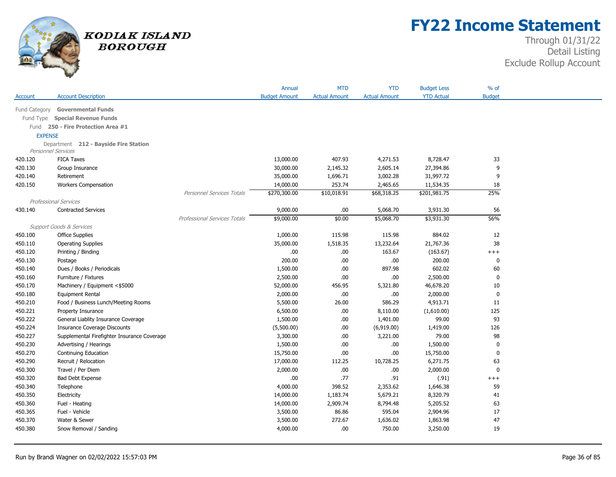

## **FY22 Income Statement**

| <b>Actual Amount</b><br><b>YTD Actual</b><br><b>Budget</b><br><b>Account Description</b><br><b>Budget Amount</b><br><b>Actual Amount</b><br>Account<br>Fund Category<br><b>Governmental Funds</b><br><b>Special Revenue Funds</b><br>Fund Type<br>Fund 250 - Fire Protection Area #1<br><b>EXPENSE</b><br>Department 212 - Bayside Fire Station<br><b>Personnel Services</b><br>420.120<br><b>FICA Taxes</b><br>13,000.00<br>407.93<br>4,271.53<br>8,728.47<br>33<br>9<br>30,000.00<br>2,145.32<br>2,605.14<br>27,394.86<br>420.130<br>Group Insurance<br>9<br>35,000.00<br>1,696.71<br>3,002.28<br>31,997.72<br>420.140<br>Retirement<br>18<br>420.150<br><b>Workers Compensation</b><br>14,000.00<br>253.74<br>2,465.65<br>11,534.35<br>25%<br>\$270,300.00<br>\$10,018.91<br>\$68,318.25<br>\$201,981.75<br><b>Personnel Services Totals</b><br><b>Professional Services</b><br>56<br>.00<br>5,068.70<br>430.140<br><b>Contracted Services</b><br>9,000.00<br>3,931.30<br>\$0.00<br>56%<br>Professional Services Totals<br>\$9,000.00<br>\$5,068.70<br>\$3,931.30<br><b>Support Goods &amp; Services</b><br>1,000.00<br>115.98<br>115.98<br>884.02<br>12<br>450.100<br><b>Office Supplies</b><br>35,000.00<br>38<br>450.110<br><b>Operating Supplies</b><br>1,518.35<br>13,232.64<br>21,767.36<br>450.120<br>.00.<br>.00<br>163.67<br>(163.67)<br>Printing / Binding<br>$^{+++}$<br>200.00<br>$.00$<br>200.00<br>450.130<br>.00<br>$\bf{0}$<br>Postage<br>602.02<br>1,500.00<br>.00<br>897.98<br>60<br>450.140<br>Dues / Books / Periodicals<br>2,500.00<br>$.00$<br>.00<br>2,500.00<br>$\mathbf 0$<br>450.160<br>Furniture / Fixtures<br>52,000.00<br>46,678.20<br>10<br>450.170<br>Machinery / Equipment <\$5000<br>456.95<br>5,321.80<br>$\mathbf 0$<br>450.180<br>2,000.00<br>.00.<br>.00<br>2,000.00<br><b>Equipment Rental</b><br>450.210<br>Food / Business Lunch/Meeting Rooms<br>5,500.00<br>26.00<br>586.29<br>4,913.71<br>11<br>450.221<br>6,500.00<br>.00<br>(1,610.00)<br>125<br>Property Insurance<br>8,110.00<br>93<br>450.222<br>General Liablity Insurance Coverage<br>1,500.00<br>.00.<br>1,401.00<br>99.00<br>450.224<br>.00<br>126<br><b>Insurance Coverage Discounts</b><br>(5,500.00)<br>(6,919.00)<br>1,419.00<br>98<br>450.227<br>Supplemental Firefighter Insurance Coverage<br>3,300.00<br>.00.<br>3,221.00<br>79.00<br>450.230<br>1,500.00<br>.00<br>1,500.00<br>$\mathbf{0}$<br>Advertising / Hearings<br>.00<br>450.270<br>15,750.00<br>.00<br>15,750.00<br>$\mathbf 0$<br>Continuing Education<br>.00<br>17,000.00<br>6,271.75<br>63<br>450.290<br>Recruit / Relocation<br>112.25<br>10,728.25<br>$.00$<br>2,000.00<br>.00<br>2,000.00<br>$\mathbf{0}$<br>450.300<br>Travel / Per Diem<br>.77<br>450.320<br>.00.<br>.91<br>(.91)<br><b>Bad Debt Expense</b><br>$^{+++}$<br>450.340<br>Telephone<br>4,000.00<br>398.52<br>2,353.62<br>1,646.38<br>59<br>450.350<br>Electricity<br>14,000.00<br>1,183.74<br>5,679.21<br>8,320.79<br>41<br>63<br>450.360<br>Fuel - Heating<br>14,000.00<br>2,909.74<br>8,794.48<br>5,205.52<br>17<br>450.365<br>Fuel - Vehicle<br>3,500.00<br>86.86<br>595.04<br>2,904.96<br>272.67<br>1,863.98<br>47<br>450.370<br>Water & Sewer<br>3,500.00<br>1,636.02<br>450.380<br>4,000.00<br>.00<br>750.00<br>3,250.00<br>19<br>Snow Removal / Sanding |  | Annual | <b>MTD</b> | <b>YTD</b> | <b>Budget Less</b> | $%$ of |
|-------------------------------------------------------------------------------------------------------------------------------------------------------------------------------------------------------------------------------------------------------------------------------------------------------------------------------------------------------------------------------------------------------------------------------------------------------------------------------------------------------------------------------------------------------------------------------------------------------------------------------------------------------------------------------------------------------------------------------------------------------------------------------------------------------------------------------------------------------------------------------------------------------------------------------------------------------------------------------------------------------------------------------------------------------------------------------------------------------------------------------------------------------------------------------------------------------------------------------------------------------------------------------------------------------------------------------------------------------------------------------------------------------------------------------------------------------------------------------------------------------------------------------------------------------------------------------------------------------------------------------------------------------------------------------------------------------------------------------------------------------------------------------------------------------------------------------------------------------------------------------------------------------------------------------------------------------------------------------------------------------------------------------------------------------------------------------------------------------------------------------------------------------------------------------------------------------------------------------------------------------------------------------------------------------------------------------------------------------------------------------------------------------------------------------------------------------------------------------------------------------------------------------------------------------------------------------------------------------------------------------------------------------------------------------------------------------------------------------------------------------------------------------------------------------------------------------------------------------------------------------------------------------------------------------------------------------------------------------------------------------------------------------------------------------------------------------------------------------------------------------------------------------------------------------------------------------------------------------------------------------------------------------------------------------------|--|--------|------------|------------|--------------------|--------|
|                                                                                                                                                                                                                                                                                                                                                                                                                                                                                                                                                                                                                                                                                                                                                                                                                                                                                                                                                                                                                                                                                                                                                                                                                                                                                                                                                                                                                                                                                                                                                                                                                                                                                                                                                                                                                                                                                                                                                                                                                                                                                                                                                                                                                                                                                                                                                                                                                                                                                                                                                                                                                                                                                                                                                                                                                                                                                                                                                                                                                                                                                                                                                                                                                                                                                                             |  |        |            |            |                    |        |
|                                                                                                                                                                                                                                                                                                                                                                                                                                                                                                                                                                                                                                                                                                                                                                                                                                                                                                                                                                                                                                                                                                                                                                                                                                                                                                                                                                                                                                                                                                                                                                                                                                                                                                                                                                                                                                                                                                                                                                                                                                                                                                                                                                                                                                                                                                                                                                                                                                                                                                                                                                                                                                                                                                                                                                                                                                                                                                                                                                                                                                                                                                                                                                                                                                                                                                             |  |        |            |            |                    |        |
|                                                                                                                                                                                                                                                                                                                                                                                                                                                                                                                                                                                                                                                                                                                                                                                                                                                                                                                                                                                                                                                                                                                                                                                                                                                                                                                                                                                                                                                                                                                                                                                                                                                                                                                                                                                                                                                                                                                                                                                                                                                                                                                                                                                                                                                                                                                                                                                                                                                                                                                                                                                                                                                                                                                                                                                                                                                                                                                                                                                                                                                                                                                                                                                                                                                                                                             |  |        |            |            |                    |        |
|                                                                                                                                                                                                                                                                                                                                                                                                                                                                                                                                                                                                                                                                                                                                                                                                                                                                                                                                                                                                                                                                                                                                                                                                                                                                                                                                                                                                                                                                                                                                                                                                                                                                                                                                                                                                                                                                                                                                                                                                                                                                                                                                                                                                                                                                                                                                                                                                                                                                                                                                                                                                                                                                                                                                                                                                                                                                                                                                                                                                                                                                                                                                                                                                                                                                                                             |  |        |            |            |                    |        |
|                                                                                                                                                                                                                                                                                                                                                                                                                                                                                                                                                                                                                                                                                                                                                                                                                                                                                                                                                                                                                                                                                                                                                                                                                                                                                                                                                                                                                                                                                                                                                                                                                                                                                                                                                                                                                                                                                                                                                                                                                                                                                                                                                                                                                                                                                                                                                                                                                                                                                                                                                                                                                                                                                                                                                                                                                                                                                                                                                                                                                                                                                                                                                                                                                                                                                                             |  |        |            |            |                    |        |
|                                                                                                                                                                                                                                                                                                                                                                                                                                                                                                                                                                                                                                                                                                                                                                                                                                                                                                                                                                                                                                                                                                                                                                                                                                                                                                                                                                                                                                                                                                                                                                                                                                                                                                                                                                                                                                                                                                                                                                                                                                                                                                                                                                                                                                                                                                                                                                                                                                                                                                                                                                                                                                                                                                                                                                                                                                                                                                                                                                                                                                                                                                                                                                                                                                                                                                             |  |        |            |            |                    |        |
|                                                                                                                                                                                                                                                                                                                                                                                                                                                                                                                                                                                                                                                                                                                                                                                                                                                                                                                                                                                                                                                                                                                                                                                                                                                                                                                                                                                                                                                                                                                                                                                                                                                                                                                                                                                                                                                                                                                                                                                                                                                                                                                                                                                                                                                                                                                                                                                                                                                                                                                                                                                                                                                                                                                                                                                                                                                                                                                                                                                                                                                                                                                                                                                                                                                                                                             |  |        |            |            |                    |        |
|                                                                                                                                                                                                                                                                                                                                                                                                                                                                                                                                                                                                                                                                                                                                                                                                                                                                                                                                                                                                                                                                                                                                                                                                                                                                                                                                                                                                                                                                                                                                                                                                                                                                                                                                                                                                                                                                                                                                                                                                                                                                                                                                                                                                                                                                                                                                                                                                                                                                                                                                                                                                                                                                                                                                                                                                                                                                                                                                                                                                                                                                                                                                                                                                                                                                                                             |  |        |            |            |                    |        |
|                                                                                                                                                                                                                                                                                                                                                                                                                                                                                                                                                                                                                                                                                                                                                                                                                                                                                                                                                                                                                                                                                                                                                                                                                                                                                                                                                                                                                                                                                                                                                                                                                                                                                                                                                                                                                                                                                                                                                                                                                                                                                                                                                                                                                                                                                                                                                                                                                                                                                                                                                                                                                                                                                                                                                                                                                                                                                                                                                                                                                                                                                                                                                                                                                                                                                                             |  |        |            |            |                    |        |
|                                                                                                                                                                                                                                                                                                                                                                                                                                                                                                                                                                                                                                                                                                                                                                                                                                                                                                                                                                                                                                                                                                                                                                                                                                                                                                                                                                                                                                                                                                                                                                                                                                                                                                                                                                                                                                                                                                                                                                                                                                                                                                                                                                                                                                                                                                                                                                                                                                                                                                                                                                                                                                                                                                                                                                                                                                                                                                                                                                                                                                                                                                                                                                                                                                                                                                             |  |        |            |            |                    |        |
|                                                                                                                                                                                                                                                                                                                                                                                                                                                                                                                                                                                                                                                                                                                                                                                                                                                                                                                                                                                                                                                                                                                                                                                                                                                                                                                                                                                                                                                                                                                                                                                                                                                                                                                                                                                                                                                                                                                                                                                                                                                                                                                                                                                                                                                                                                                                                                                                                                                                                                                                                                                                                                                                                                                                                                                                                                                                                                                                                                                                                                                                                                                                                                                                                                                                                                             |  |        |            |            |                    |        |
|                                                                                                                                                                                                                                                                                                                                                                                                                                                                                                                                                                                                                                                                                                                                                                                                                                                                                                                                                                                                                                                                                                                                                                                                                                                                                                                                                                                                                                                                                                                                                                                                                                                                                                                                                                                                                                                                                                                                                                                                                                                                                                                                                                                                                                                                                                                                                                                                                                                                                                                                                                                                                                                                                                                                                                                                                                                                                                                                                                                                                                                                                                                                                                                                                                                                                                             |  |        |            |            |                    |        |
|                                                                                                                                                                                                                                                                                                                                                                                                                                                                                                                                                                                                                                                                                                                                                                                                                                                                                                                                                                                                                                                                                                                                                                                                                                                                                                                                                                                                                                                                                                                                                                                                                                                                                                                                                                                                                                                                                                                                                                                                                                                                                                                                                                                                                                                                                                                                                                                                                                                                                                                                                                                                                                                                                                                                                                                                                                                                                                                                                                                                                                                                                                                                                                                                                                                                                                             |  |        |            |            |                    |        |
|                                                                                                                                                                                                                                                                                                                                                                                                                                                                                                                                                                                                                                                                                                                                                                                                                                                                                                                                                                                                                                                                                                                                                                                                                                                                                                                                                                                                                                                                                                                                                                                                                                                                                                                                                                                                                                                                                                                                                                                                                                                                                                                                                                                                                                                                                                                                                                                                                                                                                                                                                                                                                                                                                                                                                                                                                                                                                                                                                                                                                                                                                                                                                                                                                                                                                                             |  |        |            |            |                    |        |
|                                                                                                                                                                                                                                                                                                                                                                                                                                                                                                                                                                                                                                                                                                                                                                                                                                                                                                                                                                                                                                                                                                                                                                                                                                                                                                                                                                                                                                                                                                                                                                                                                                                                                                                                                                                                                                                                                                                                                                                                                                                                                                                                                                                                                                                                                                                                                                                                                                                                                                                                                                                                                                                                                                                                                                                                                                                                                                                                                                                                                                                                                                                                                                                                                                                                                                             |  |        |            |            |                    |        |
|                                                                                                                                                                                                                                                                                                                                                                                                                                                                                                                                                                                                                                                                                                                                                                                                                                                                                                                                                                                                                                                                                                                                                                                                                                                                                                                                                                                                                                                                                                                                                                                                                                                                                                                                                                                                                                                                                                                                                                                                                                                                                                                                                                                                                                                                                                                                                                                                                                                                                                                                                                                                                                                                                                                                                                                                                                                                                                                                                                                                                                                                                                                                                                                                                                                                                                             |  |        |            |            |                    |        |
|                                                                                                                                                                                                                                                                                                                                                                                                                                                                                                                                                                                                                                                                                                                                                                                                                                                                                                                                                                                                                                                                                                                                                                                                                                                                                                                                                                                                                                                                                                                                                                                                                                                                                                                                                                                                                                                                                                                                                                                                                                                                                                                                                                                                                                                                                                                                                                                                                                                                                                                                                                                                                                                                                                                                                                                                                                                                                                                                                                                                                                                                                                                                                                                                                                                                                                             |  |        |            |            |                    |        |
|                                                                                                                                                                                                                                                                                                                                                                                                                                                                                                                                                                                                                                                                                                                                                                                                                                                                                                                                                                                                                                                                                                                                                                                                                                                                                                                                                                                                                                                                                                                                                                                                                                                                                                                                                                                                                                                                                                                                                                                                                                                                                                                                                                                                                                                                                                                                                                                                                                                                                                                                                                                                                                                                                                                                                                                                                                                                                                                                                                                                                                                                                                                                                                                                                                                                                                             |  |        |            |            |                    |        |
|                                                                                                                                                                                                                                                                                                                                                                                                                                                                                                                                                                                                                                                                                                                                                                                                                                                                                                                                                                                                                                                                                                                                                                                                                                                                                                                                                                                                                                                                                                                                                                                                                                                                                                                                                                                                                                                                                                                                                                                                                                                                                                                                                                                                                                                                                                                                                                                                                                                                                                                                                                                                                                                                                                                                                                                                                                                                                                                                                                                                                                                                                                                                                                                                                                                                                                             |  |        |            |            |                    |        |
|                                                                                                                                                                                                                                                                                                                                                                                                                                                                                                                                                                                                                                                                                                                                                                                                                                                                                                                                                                                                                                                                                                                                                                                                                                                                                                                                                                                                                                                                                                                                                                                                                                                                                                                                                                                                                                                                                                                                                                                                                                                                                                                                                                                                                                                                                                                                                                                                                                                                                                                                                                                                                                                                                                                                                                                                                                                                                                                                                                                                                                                                                                                                                                                                                                                                                                             |  |        |            |            |                    |        |
|                                                                                                                                                                                                                                                                                                                                                                                                                                                                                                                                                                                                                                                                                                                                                                                                                                                                                                                                                                                                                                                                                                                                                                                                                                                                                                                                                                                                                                                                                                                                                                                                                                                                                                                                                                                                                                                                                                                                                                                                                                                                                                                                                                                                                                                                                                                                                                                                                                                                                                                                                                                                                                                                                                                                                                                                                                                                                                                                                                                                                                                                                                                                                                                                                                                                                                             |  |        |            |            |                    |        |
|                                                                                                                                                                                                                                                                                                                                                                                                                                                                                                                                                                                                                                                                                                                                                                                                                                                                                                                                                                                                                                                                                                                                                                                                                                                                                                                                                                                                                                                                                                                                                                                                                                                                                                                                                                                                                                                                                                                                                                                                                                                                                                                                                                                                                                                                                                                                                                                                                                                                                                                                                                                                                                                                                                                                                                                                                                                                                                                                                                                                                                                                                                                                                                                                                                                                                                             |  |        |            |            |                    |        |
|                                                                                                                                                                                                                                                                                                                                                                                                                                                                                                                                                                                                                                                                                                                                                                                                                                                                                                                                                                                                                                                                                                                                                                                                                                                                                                                                                                                                                                                                                                                                                                                                                                                                                                                                                                                                                                                                                                                                                                                                                                                                                                                                                                                                                                                                                                                                                                                                                                                                                                                                                                                                                                                                                                                                                                                                                                                                                                                                                                                                                                                                                                                                                                                                                                                                                                             |  |        |            |            |                    |        |
|                                                                                                                                                                                                                                                                                                                                                                                                                                                                                                                                                                                                                                                                                                                                                                                                                                                                                                                                                                                                                                                                                                                                                                                                                                                                                                                                                                                                                                                                                                                                                                                                                                                                                                                                                                                                                                                                                                                                                                                                                                                                                                                                                                                                                                                                                                                                                                                                                                                                                                                                                                                                                                                                                                                                                                                                                                                                                                                                                                                                                                                                                                                                                                                                                                                                                                             |  |        |            |            |                    |        |
|                                                                                                                                                                                                                                                                                                                                                                                                                                                                                                                                                                                                                                                                                                                                                                                                                                                                                                                                                                                                                                                                                                                                                                                                                                                                                                                                                                                                                                                                                                                                                                                                                                                                                                                                                                                                                                                                                                                                                                                                                                                                                                                                                                                                                                                                                                                                                                                                                                                                                                                                                                                                                                                                                                                                                                                                                                                                                                                                                                                                                                                                                                                                                                                                                                                                                                             |  |        |            |            |                    |        |
|                                                                                                                                                                                                                                                                                                                                                                                                                                                                                                                                                                                                                                                                                                                                                                                                                                                                                                                                                                                                                                                                                                                                                                                                                                                                                                                                                                                                                                                                                                                                                                                                                                                                                                                                                                                                                                                                                                                                                                                                                                                                                                                                                                                                                                                                                                                                                                                                                                                                                                                                                                                                                                                                                                                                                                                                                                                                                                                                                                                                                                                                                                                                                                                                                                                                                                             |  |        |            |            |                    |        |
|                                                                                                                                                                                                                                                                                                                                                                                                                                                                                                                                                                                                                                                                                                                                                                                                                                                                                                                                                                                                                                                                                                                                                                                                                                                                                                                                                                                                                                                                                                                                                                                                                                                                                                                                                                                                                                                                                                                                                                                                                                                                                                                                                                                                                                                                                                                                                                                                                                                                                                                                                                                                                                                                                                                                                                                                                                                                                                                                                                                                                                                                                                                                                                                                                                                                                                             |  |        |            |            |                    |        |
|                                                                                                                                                                                                                                                                                                                                                                                                                                                                                                                                                                                                                                                                                                                                                                                                                                                                                                                                                                                                                                                                                                                                                                                                                                                                                                                                                                                                                                                                                                                                                                                                                                                                                                                                                                                                                                                                                                                                                                                                                                                                                                                                                                                                                                                                                                                                                                                                                                                                                                                                                                                                                                                                                                                                                                                                                                                                                                                                                                                                                                                                                                                                                                                                                                                                                                             |  |        |            |            |                    |        |
|                                                                                                                                                                                                                                                                                                                                                                                                                                                                                                                                                                                                                                                                                                                                                                                                                                                                                                                                                                                                                                                                                                                                                                                                                                                                                                                                                                                                                                                                                                                                                                                                                                                                                                                                                                                                                                                                                                                                                                                                                                                                                                                                                                                                                                                                                                                                                                                                                                                                                                                                                                                                                                                                                                                                                                                                                                                                                                                                                                                                                                                                                                                                                                                                                                                                                                             |  |        |            |            |                    |        |
|                                                                                                                                                                                                                                                                                                                                                                                                                                                                                                                                                                                                                                                                                                                                                                                                                                                                                                                                                                                                                                                                                                                                                                                                                                                                                                                                                                                                                                                                                                                                                                                                                                                                                                                                                                                                                                                                                                                                                                                                                                                                                                                                                                                                                                                                                                                                                                                                                                                                                                                                                                                                                                                                                                                                                                                                                                                                                                                                                                                                                                                                                                                                                                                                                                                                                                             |  |        |            |            |                    |        |
|                                                                                                                                                                                                                                                                                                                                                                                                                                                                                                                                                                                                                                                                                                                                                                                                                                                                                                                                                                                                                                                                                                                                                                                                                                                                                                                                                                                                                                                                                                                                                                                                                                                                                                                                                                                                                                                                                                                                                                                                                                                                                                                                                                                                                                                                                                                                                                                                                                                                                                                                                                                                                                                                                                                                                                                                                                                                                                                                                                                                                                                                                                                                                                                                                                                                                                             |  |        |            |            |                    |        |
|                                                                                                                                                                                                                                                                                                                                                                                                                                                                                                                                                                                                                                                                                                                                                                                                                                                                                                                                                                                                                                                                                                                                                                                                                                                                                                                                                                                                                                                                                                                                                                                                                                                                                                                                                                                                                                                                                                                                                                                                                                                                                                                                                                                                                                                                                                                                                                                                                                                                                                                                                                                                                                                                                                                                                                                                                                                                                                                                                                                                                                                                                                                                                                                                                                                                                                             |  |        |            |            |                    |        |
|                                                                                                                                                                                                                                                                                                                                                                                                                                                                                                                                                                                                                                                                                                                                                                                                                                                                                                                                                                                                                                                                                                                                                                                                                                                                                                                                                                                                                                                                                                                                                                                                                                                                                                                                                                                                                                                                                                                                                                                                                                                                                                                                                                                                                                                                                                                                                                                                                                                                                                                                                                                                                                                                                                                                                                                                                                                                                                                                                                                                                                                                                                                                                                                                                                                                                                             |  |        |            |            |                    |        |
|                                                                                                                                                                                                                                                                                                                                                                                                                                                                                                                                                                                                                                                                                                                                                                                                                                                                                                                                                                                                                                                                                                                                                                                                                                                                                                                                                                                                                                                                                                                                                                                                                                                                                                                                                                                                                                                                                                                                                                                                                                                                                                                                                                                                                                                                                                                                                                                                                                                                                                                                                                                                                                                                                                                                                                                                                                                                                                                                                                                                                                                                                                                                                                                                                                                                                                             |  |        |            |            |                    |        |
|                                                                                                                                                                                                                                                                                                                                                                                                                                                                                                                                                                                                                                                                                                                                                                                                                                                                                                                                                                                                                                                                                                                                                                                                                                                                                                                                                                                                                                                                                                                                                                                                                                                                                                                                                                                                                                                                                                                                                                                                                                                                                                                                                                                                                                                                                                                                                                                                                                                                                                                                                                                                                                                                                                                                                                                                                                                                                                                                                                                                                                                                                                                                                                                                                                                                                                             |  |        |            |            |                    |        |
|                                                                                                                                                                                                                                                                                                                                                                                                                                                                                                                                                                                                                                                                                                                                                                                                                                                                                                                                                                                                                                                                                                                                                                                                                                                                                                                                                                                                                                                                                                                                                                                                                                                                                                                                                                                                                                                                                                                                                                                                                                                                                                                                                                                                                                                                                                                                                                                                                                                                                                                                                                                                                                                                                                                                                                                                                                                                                                                                                                                                                                                                                                                                                                                                                                                                                                             |  |        |            |            |                    |        |
|                                                                                                                                                                                                                                                                                                                                                                                                                                                                                                                                                                                                                                                                                                                                                                                                                                                                                                                                                                                                                                                                                                                                                                                                                                                                                                                                                                                                                                                                                                                                                                                                                                                                                                                                                                                                                                                                                                                                                                                                                                                                                                                                                                                                                                                                                                                                                                                                                                                                                                                                                                                                                                                                                                                                                                                                                                                                                                                                                                                                                                                                                                                                                                                                                                                                                                             |  |        |            |            |                    |        |
|                                                                                                                                                                                                                                                                                                                                                                                                                                                                                                                                                                                                                                                                                                                                                                                                                                                                                                                                                                                                                                                                                                                                                                                                                                                                                                                                                                                                                                                                                                                                                                                                                                                                                                                                                                                                                                                                                                                                                                                                                                                                                                                                                                                                                                                                                                                                                                                                                                                                                                                                                                                                                                                                                                                                                                                                                                                                                                                                                                                                                                                                                                                                                                                                                                                                                                             |  |        |            |            |                    |        |
|                                                                                                                                                                                                                                                                                                                                                                                                                                                                                                                                                                                                                                                                                                                                                                                                                                                                                                                                                                                                                                                                                                                                                                                                                                                                                                                                                                                                                                                                                                                                                                                                                                                                                                                                                                                                                                                                                                                                                                                                                                                                                                                                                                                                                                                                                                                                                                                                                                                                                                                                                                                                                                                                                                                                                                                                                                                                                                                                                                                                                                                                                                                                                                                                                                                                                                             |  |        |            |            |                    |        |
|                                                                                                                                                                                                                                                                                                                                                                                                                                                                                                                                                                                                                                                                                                                                                                                                                                                                                                                                                                                                                                                                                                                                                                                                                                                                                                                                                                                                                                                                                                                                                                                                                                                                                                                                                                                                                                                                                                                                                                                                                                                                                                                                                                                                                                                                                                                                                                                                                                                                                                                                                                                                                                                                                                                                                                                                                                                                                                                                                                                                                                                                                                                                                                                                                                                                                                             |  |        |            |            |                    |        |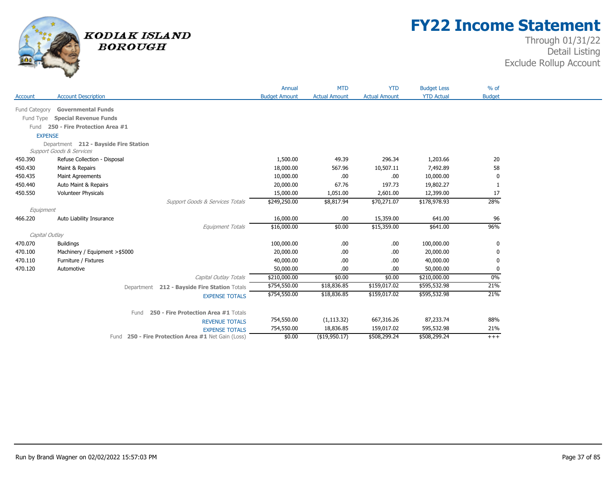

## **FY22 Income Statement**

|                |                                       |                                                    | Annual               | <b>MTD</b>           | <b>YTD</b>           | <b>Budget Less</b> | $%$ of        |  |
|----------------|---------------------------------------|----------------------------------------------------|----------------------|----------------------|----------------------|--------------------|---------------|--|
| Account        | <b>Account Description</b>            |                                                    | <b>Budget Amount</b> | <b>Actual Amount</b> | <b>Actual Amount</b> | <b>YTD Actual</b>  | <b>Budget</b> |  |
| Fund Category  | <b>Governmental Funds</b>             |                                                    |                      |                      |                      |                    |               |  |
| Fund Type      | <b>Special Revenue Funds</b>          |                                                    |                      |                      |                      |                    |               |  |
| Fund           | 250 - Fire Protection Area #1         |                                                    |                      |                      |                      |                    |               |  |
| <b>EXPENSE</b> |                                       |                                                    |                      |                      |                      |                    |               |  |
|                | Department 212 - Bayside Fire Station |                                                    |                      |                      |                      |                    |               |  |
|                | <b>Support Goods &amp; Services</b>   |                                                    |                      |                      |                      |                    |               |  |
| 450.390        | Refuse Collection - Disposal          |                                                    | 1,500.00             | 49.39                | 296.34               | 1,203.66           | 20            |  |
| 450.430        | Maint & Repairs                       |                                                    | 18,000.00            | 567.96               | 10,507.11            | 7,492.89           | 58            |  |
| 450.435        | <b>Maint Agreements</b>               |                                                    | 10,000.00            | .00                  | .00                  | 10,000.00          | 0             |  |
| 450.440        | Auto Maint & Repairs                  |                                                    | 20,000.00            | 67.76                | 197.73               | 19,802.27          |               |  |
| 450.550        | Volunteer Physicals                   |                                                    | 15,000.00            | 1,051.00             | 2,601.00             | 12,399.00          | 17            |  |
|                |                                       | Support Goods & Services Totals                    | \$249,250.00         | \$8,817.94           | \$70,271.07          | \$178,978.93       | 28%           |  |
| Equipment      |                                       |                                                    |                      |                      |                      |                    |               |  |
| 466.220        | Auto Liability Insurance              |                                                    | 16,000.00            | .00.                 | 15,359.00            | 641.00             | 96            |  |
|                |                                       | Equipment Totals                                   | \$16,000.00          | \$0.00               | \$15,359.00          | \$641.00           | 96%           |  |
| Capital Outlay |                                       |                                                    |                      |                      |                      |                    |               |  |
| 470.070        | <b>Buildings</b>                      |                                                    | 100,000.00           | .00                  | .00.                 | 100,000.00         | 0             |  |
| 470.100        | Machinery / Equipment > \$5000        |                                                    | 20,000.00            | .00                  | .00                  | 20,000.00          | 0             |  |
| 470.110        | Furniture / Fixtures                  |                                                    | 40,000.00            | .00                  | .00                  | 40,000.00          | 0             |  |
| 470.120        | Automotive                            |                                                    | 50,000.00            | .00                  | .00                  | 50,000.00          | 0             |  |
|                |                                       | Capital Outlay Totals                              | \$210,000.00         | \$0.00               | \$0.00               | \$210,000.00       | 0%            |  |
|                |                                       | Department 212 - Bayside Fire Station Totals       | \$754,550.00         | \$18,836.85          | \$159,017.02         | \$595,532.98       | 21%           |  |
|                |                                       | <b>EXPENSE TOTALS</b>                              | \$754,550.00         | \$18,836.85          | \$159,017.02         | \$595,532.98       | 21%           |  |
|                |                                       |                                                    |                      |                      |                      |                    |               |  |
|                |                                       | Fund 250 - Fire Protection Area #1 Totals          |                      |                      |                      |                    |               |  |
|                |                                       | <b>REVENUE TOTALS</b>                              | 754,550.00           | (1, 113.32)          | 667,316.26           | 87,233.74          | 88%           |  |
|                |                                       | <b>EXPENSE TOTALS</b>                              | 754,550.00           | 18,836.85            | 159,017.02           | 595,532.98         | 21%           |  |
|                |                                       | Fund 250 - Fire Protection Area #1 Net Gain (Loss) | \$0.00               | $($ \$19,950.17)     | \$508,299.24         | \$508,299.24       | $+++$         |  |
|                |                                       |                                                    |                      |                      |                      |                    |               |  |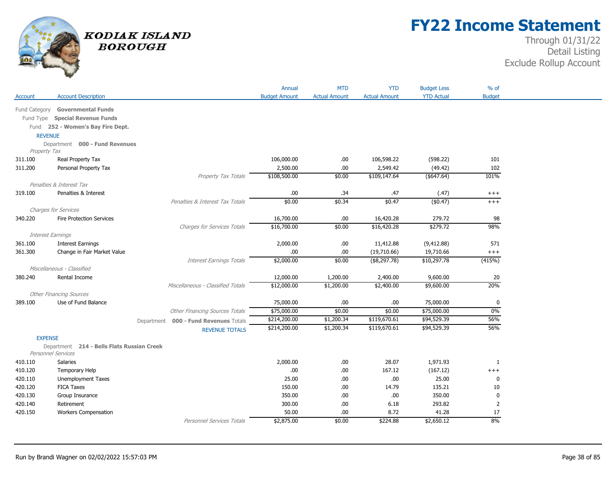

## **FY22 Income Statement**

|                          |                                                       |                                          | Annual               | <b>MTD</b>           | <b>YTD</b>           | <b>Budget Less</b> | $%$ of         |
|--------------------------|-------------------------------------------------------|------------------------------------------|----------------------|----------------------|----------------------|--------------------|----------------|
| Account                  | <b>Account Description</b>                            |                                          | <b>Budget Amount</b> | <b>Actual Amount</b> | <b>Actual Amount</b> | <b>YTD Actual</b>  | <b>Budget</b>  |
|                          | Fund Category Governmental Funds                      |                                          |                      |                      |                      |                    |                |
|                          | Fund Type Special Revenue Funds                       |                                          |                      |                      |                      |                    |                |
|                          | Fund 252 - Women's Bay Fire Dept.                     |                                          |                      |                      |                      |                    |                |
| <b>REVENUE</b>           |                                                       |                                          |                      |                      |                      |                    |                |
|                          | Department 000 - Fund Revenues                        |                                          |                      |                      |                      |                    |                |
| Property Tax             |                                                       |                                          |                      |                      |                      |                    |                |
| 311.100                  | Real Property Tax                                     |                                          | 106,000.00           | .00.                 | 106,598.22           | (598.22)           | 101            |
| 311.200                  | Personal Property Tax                                 |                                          | 2,500.00             | $.00$                | 2,549.42             | (49.42)            | 102            |
|                          |                                                       | Property Tax Totals                      | \$108,500.00         | \$0.00               | \$109,147.64         | $($ \$647.64)      | 101%           |
|                          | Penalties & Interest Tax                              |                                          |                      |                      |                      |                    |                |
| 319.100                  | Penalties & Interest                                  |                                          | .00.                 | .34                  | .47                  | (.47)              | $^{+++}$       |
|                          |                                                       | Penalties & Interest Tax Totals          | \$0.00               | \$0.34               | \$0.47               | (\$0.47)           | $+++$          |
|                          | <b>Charges for Services</b>                           |                                          |                      |                      |                      |                    |                |
| 340.220                  | <b>Fire Protection Services</b>                       |                                          | 16,700.00            | .00                  | 16,420.28            | 279.72             | 98             |
|                          |                                                       | <b>Charges for Services Totals</b>       | \$16,700.00          | \$0.00               | \$16,420.28          | \$279.72           | 98%            |
| <b>Interest Earnings</b> |                                                       |                                          |                      |                      |                      |                    |                |
| 361.100                  | <b>Interest Earnings</b>                              |                                          | 2,000.00             | .00                  | 11,412.88            | (9, 412.88)        | 571            |
| 361.300                  | Change in Fair Market Value                           |                                          | .00.                 | $.00$                | (19,710.66)          | 19,710.66          | $^{+++}$       |
|                          |                                                       | Interest Earnings Totals                 | \$2,000.00           | \$0.00               | $($ \$8,297.78)      | \$10,297.78        | (415%)         |
|                          | Miscellaneous - Classified                            |                                          |                      |                      |                      |                    |                |
| 380.240                  | Rental Income                                         |                                          | 12,000.00            | 1,200.00             | 2,400.00             | 9,600.00           | 20<br>20%      |
|                          |                                                       | Miscellaneous - Classified Totals        | \$12,000.00          | \$1,200.00           | \$2,400.00           | \$9,600.00         |                |
| 389.100                  | <b>Other Financing Sources</b><br>Use of Fund Balance |                                          | 75,000.00            | .00                  | .00.                 | 75,000.00          | $\mathbf 0$    |
|                          |                                                       | <b>Other Financing Sources Totals</b>    | \$75,000.00          | \$0.00               | \$0.00               | \$75,000.00        | 0%             |
|                          |                                                       |                                          | \$214,200.00         | \$1,200.34           | \$119,670.61         | \$94,529.39        | 56%            |
|                          |                                                       | 000 - Fund Revenues Totals<br>Department | \$214,200.00         | \$1,200.34           | \$119,670.61         | \$94,529.39        | 56%            |
|                          |                                                       | <b>REVENUE TOTALS</b>                    |                      |                      |                      |                    |                |
| <b>EXPENSE</b>           | Department 214 - Bells Flats Russian Creek            |                                          |                      |                      |                      |                    |                |
|                          | <b>Personnel Services</b>                             |                                          |                      |                      |                      |                    |                |
| 410.110                  | Salaries                                              |                                          | 2,000.00             | .00.                 | 28.07                | 1,971.93           | $\mathbf{1}$   |
| 410.120                  | <b>Temporary Help</b>                                 |                                          | .00.                 | .00                  | 167.12               | (167.12)           | $+++$          |
| 420.110                  | <b>Unemployment Taxes</b>                             |                                          | 25.00                | .00                  | .00                  | 25.00              | $\mathbf 0$    |
| 420.120                  | <b>FICA Taxes</b>                                     |                                          | 150.00               | .00                  | 14.79                | 135.21             | 10             |
| 420.130                  | Group Insurance                                       |                                          | 350.00               | .00                  | .00                  | 350.00             | 0              |
| 420.140                  | Retirement                                            |                                          | 300.00               | .00                  | 6.18                 | 293.82             | $\overline{2}$ |
| 420.150                  | <b>Workers Compensation</b>                           |                                          | 50.00                | .00                  | 8.72                 | 41.28              | 17             |
|                          |                                                       | Personnel Services Totals                | \$2,875.00           | \$0.00               | \$224.88             | \$2,650.12         | 8%             |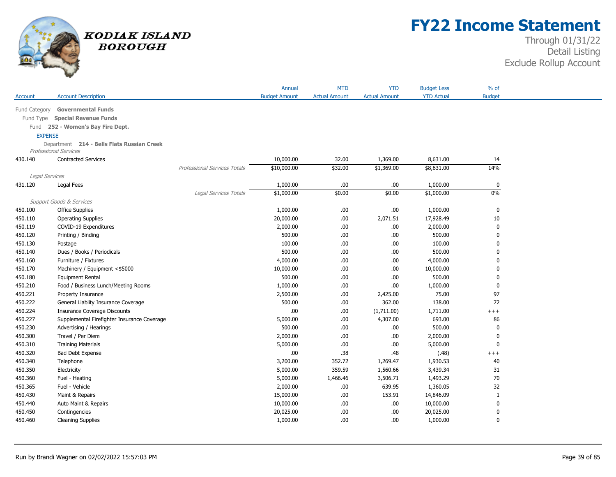

## **FY22 Income Statement**

|                |                                             |                                     | Annual               | <b>MTD</b>           | <b>YTD</b>           | <b>Budget Less</b> | % of          |
|----------------|---------------------------------------------|-------------------------------------|----------------------|----------------------|----------------------|--------------------|---------------|
| Account        | <b>Account Description</b>                  |                                     | <b>Budget Amount</b> | <b>Actual Amount</b> | <b>Actual Amount</b> | <b>YTD Actual</b>  | <b>Budget</b> |
| Fund Category  | <b>Governmental Funds</b>                   |                                     |                      |                      |                      |                    |               |
|                | Fund Type Special Revenue Funds             |                                     |                      |                      |                      |                    |               |
|                | Fund 252 - Women's Bay Fire Dept.           |                                     |                      |                      |                      |                    |               |
| <b>EXPENSE</b> |                                             |                                     |                      |                      |                      |                    |               |
|                | Department 214 - Bells Flats Russian Creek  |                                     |                      |                      |                      |                    |               |
|                | <b>Professional Services</b>                |                                     |                      |                      |                      |                    |               |
| 430.140        | <b>Contracted Services</b>                  |                                     | 10,000.00            | 32.00                | 1,369.00             | 8,631.00           | 14            |
|                |                                             | <b>Professional Services Totals</b> | \$10,000.00          | \$32.00              | \$1,369.00           | \$8,631.00         | 14%           |
| Legal Services |                                             |                                     |                      |                      |                      |                    |               |
| 431.120        | Legal Fees                                  |                                     | 1,000.00             | .00                  | .00.                 | 1,000.00           | $\mathbf 0$   |
|                |                                             | Legal Services Totals               | \$1,000.00           | \$0.00               | \$0.00               | \$1,000.00         | $0\%$         |
|                | Support Goods & Services                    |                                     |                      |                      |                      |                    |               |
| 450.100        | <b>Office Supplies</b>                      |                                     | 1,000.00             | .00.                 | .00.                 | 1,000.00           | 0             |
| 450.110        | <b>Operating Supplies</b>                   |                                     | 20,000.00            | .00.                 | 2,071.51             | 17,928.49          | 10            |
| 450.119        | COVID-19 Expenditures                       |                                     | 2,000.00             | .00                  | $.00\,$              | 2,000.00           | 0             |
| 450.120        | Printing / Binding                          |                                     | 500.00               | .00.                 | .00.                 | 500.00             | $\mathbf 0$   |
| 450.130        | Postage                                     |                                     | 100.00               | .00                  | .00.                 | 100.00             | $\mathbf{0}$  |
| 450.140        | Dues / Books / Periodicals                  |                                     | 500.00               | .00                  | $.00\,$              | 500.00             | $\mathbf 0$   |
| 450.160        | Furniture / Fixtures                        |                                     | 4,000.00             | .00.                 | .00.                 | 4,000.00           | $\mathbf{0}$  |
| 450.170        | Machinery / Equipment <\$5000               |                                     | 10,000.00            | .00                  | .00.                 | 10,000.00          | 0             |
| 450.180        | <b>Equipment Rental</b>                     |                                     | 500.00               | .00                  | .00.                 | 500.00             | 0             |
| 450.210        | Food / Business Lunch/Meeting Rooms         |                                     | 1,000.00             | .00.                 | .00.                 | 1,000.00           | 0             |
| 450.221        | Property Insurance                          |                                     | 2,500.00             | .00.                 | 2,425.00             | 75.00              | 97            |
| 450.222        | General Liablity Insurance Coverage         |                                     | 500.00               | .00                  | 362.00               | 138.00             | 72            |
| 450.224        | <b>Insurance Coverage Discounts</b>         |                                     | .00                  | .00.                 | (1,711.00)           | 1,711.00           | $++++$        |
| 450.227        | Supplemental Firefighter Insurance Coverage |                                     | 5,000.00             | .00.                 | 4,307.00             | 693.00             | 86            |
| 450.230        | Advertising / Hearings                      |                                     | 500.00               | .00.                 | .00.                 | 500.00             | 0             |
| 450.300        | Travel / Per Diem                           |                                     | 2,000.00             | .00.                 | .00.                 | 2,000.00           | 0             |
| 450.310        | <b>Training Materials</b>                   |                                     | 5,000.00             | .00                  | .00.                 | 5,000.00           | $\mathbf 0$   |
| 450.320        | <b>Bad Debt Expense</b>                     |                                     | .00                  | .38                  | .48                  | (.48)              | $++++$        |
| 450.340        | Telephone                                   |                                     | 3,200.00             | 352.72               | 1,269.47             | 1,930.53           | 40            |
| 450.350        | Electricity                                 |                                     | 5,000.00             | 359.59               | 1,560.66             | 3,439.34           | 31            |
| 450.360        | Fuel - Heating                              |                                     | 5,000.00             | 1,466.46             | 3,506.71             | 1,493.29           | 70            |
| 450.365        | Fuel - Vehicle                              |                                     | 2,000.00             | .00.                 | 639.95               | 1,360.05           | 32            |
| 450.430        | Maint & Repairs                             |                                     | 15,000.00            | .00                  | 153.91               | 14,846.09          | $\mathbf{1}$  |
| 450.440        | Auto Maint & Repairs                        |                                     | 10,000.00            | .00.                 | .00.                 | 10,000.00          | $\mathbf 0$   |
| 450.450        | Contingencies                               |                                     | 20,025.00            | .00.                 | .00.                 | 20,025.00          | $\mathbf 0$   |
| 450.460        | <b>Cleaning Supplies</b>                    |                                     | 1,000.00             | .00.                 | .00.                 | 1,000.00           | $\mathbf{0}$  |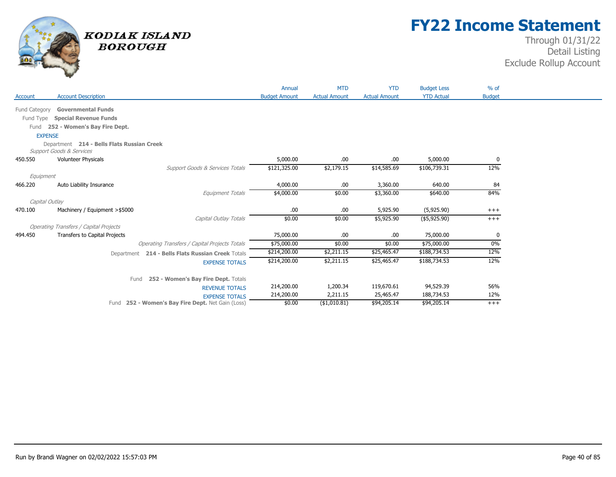

## **FY22 Income Statement**

|                |                                                                                   | Annual               | <b>MTD</b>           | <b>YTD</b>           | <b>Budget Less</b> | $%$ of        |  |
|----------------|-----------------------------------------------------------------------------------|----------------------|----------------------|----------------------|--------------------|---------------|--|
| Account        | <b>Account Description</b>                                                        | <b>Budget Amount</b> | <b>Actual Amount</b> | <b>Actual Amount</b> | <b>YTD Actual</b>  | <b>Budget</b> |  |
| Fund Category  | <b>Governmental Funds</b>                                                         |                      |                      |                      |                    |               |  |
|                | Fund Type Special Revenue Funds                                                   |                      |                      |                      |                    |               |  |
| Fund           | 252 - Women's Bay Fire Dept.                                                      |                      |                      |                      |                    |               |  |
| <b>EXPENSE</b> |                                                                                   |                      |                      |                      |                    |               |  |
|                | Department 214 - Bells Flats Russian Creek<br><b>Support Goods &amp; Services</b> |                      |                      |                      |                    |               |  |
| 450.550        | <b>Volunteer Physicals</b>                                                        | 5,000.00             | .00                  | .00.                 | 5,000.00           | 0             |  |
|                | Support Goods & Services Totals                                                   | \$121,325.00         | \$2,179.15           | \$14,585.69          | \$106,739.31       | 12%           |  |
| Equipment      |                                                                                   |                      |                      |                      |                    |               |  |
| 466.220        | Auto Liability Insurance                                                          | 4,000.00             | .00                  | 3,360.00             | 640.00             | 84            |  |
|                | Equipment Totals                                                                  | \$4,000.00           | \$0.00               | \$3,360.00           | \$640.00           | 84%           |  |
| Capital Outlay |                                                                                   |                      |                      |                      |                    |               |  |
| 470.100        | Machinery / Equipment > \$5000                                                    | .00                  | .00                  | 5,925.90             | (5,925.90)         | $^{+++}$      |  |
|                | Capital Outlay Totals                                                             | \$0.00               | \$0.00               | \$5,925.90           | (\$5,925.90)       | $+++$         |  |
|                | <b>Operating Transfers / Capital Projects</b>                                     |                      |                      |                      |                    |               |  |
| 494.450        | <b>Transfers to Capital Projects</b>                                              | 75,000.00            | .00                  | .00.                 | 75,000.00          | 0             |  |
|                | <b>Operating Transfers / Capital Projects Totals</b>                              | \$75,000.00          | \$0.00               | \$0.00               | \$75,000.00        | $0\%$         |  |
|                | Department 214 - Bells Flats Russian Creek Totals                                 | \$214,200.00         | \$2,211.15           | \$25,465.47          | \$188,734.53       | 12%           |  |
|                | <b>EXPENSE TOTALS</b>                                                             | \$214,200.00         | \$2,211.15           | \$25,465.47          | \$188,734.53       | 12%           |  |
|                | 252 - Women's Bay Fire Dept. Totals<br>Fund                                       |                      |                      |                      |                    |               |  |
|                | <b>REVENUE TOTALS</b>                                                             | 214,200.00           | 1,200.34             | 119,670.61           | 94,529.39          | 56%           |  |
|                | <b>EXPENSE TOTALS</b>                                                             | 214,200.00           | 2,211.15             | 25,465.47            | 188,734.53         | 12%           |  |
|                | Fund 252 - Women's Bay Fire Dept. Net Gain (Loss)                                 | \$0.00               | $($ \$1,010.81)      | \$94,205.14          | \$94,205.14        | $+++$         |  |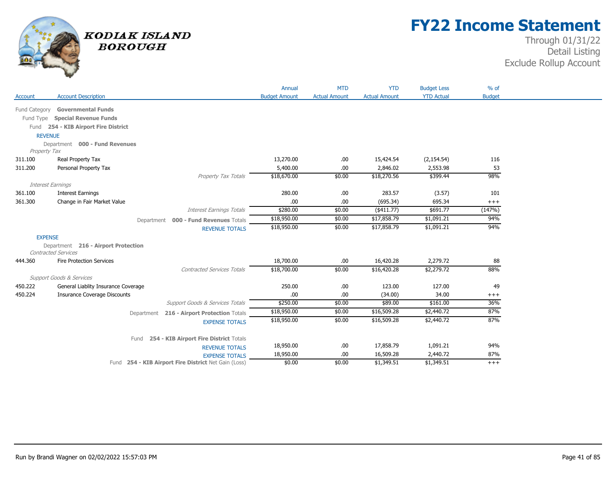

## **FY22 Income Statement**

|                |                                                                   |                                                      | Annual               | <b>MTD</b>           | <b>YTD</b>           | <b>Budget Less</b> | $%$ of        |
|----------------|-------------------------------------------------------------------|------------------------------------------------------|----------------------|----------------------|----------------------|--------------------|---------------|
| Account        | <b>Account Description</b>                                        |                                                      | <b>Budget Amount</b> | <b>Actual Amount</b> | <b>Actual Amount</b> | <b>YTD Actual</b>  | <b>Budget</b> |
| Fund Category  | <b>Governmental Funds</b>                                         |                                                      |                      |                      |                      |                    |               |
| Fund Type      | <b>Special Revenue Funds</b>                                      |                                                      |                      |                      |                      |                    |               |
|                | Fund 254 - KIB Airport Fire District                              |                                                      |                      |                      |                      |                    |               |
| <b>REVENUE</b> |                                                                   |                                                      |                      |                      |                      |                    |               |
|                | Department 000 - Fund Revenues                                    |                                                      |                      |                      |                      |                    |               |
| Property Tax   |                                                                   |                                                      |                      |                      |                      |                    |               |
| 311.100        | Real Property Tax                                                 |                                                      | 13,270.00            | .00.                 | 15,424.54            | (2, 154.54)        | 116           |
| 311.200        | Personal Property Tax                                             |                                                      | 5,400.00             | .00                  | 2,846.02             | 2,553.98           | 53            |
|                |                                                                   | Property Tax Totals                                  | \$18,670.00          | \$0.00               | \$18,270.56          | \$399.44           | 98%           |
|                | <b>Interest Earnings</b>                                          |                                                      |                      |                      |                      |                    |               |
| 361.100        | <b>Interest Earnings</b>                                          |                                                      | 280.00               | .00                  | 283.57               | (3.57)             | 101           |
| 361.300        | Change in Fair Market Value                                       |                                                      | .00                  | .00                  | (695.34)             | 695.34             | $+++$         |
|                |                                                                   | <b>Interest Earnings Totals</b>                      | \$280.00             | \$0.00               | $(*411.77)$          | \$691.77           | (147%)        |
|                |                                                                   | 000 - Fund Revenues Totals<br>Department             | \$18,950.00          | \$0.00               | \$17,858.79          | \$1,091.21         | 94%           |
|                |                                                                   | <b>REVENUE TOTALS</b>                                | \$18,950.00          | \$0.00               | \$17,858.79          | \$1,091.21         | 94%           |
| <b>EXPENSE</b> |                                                                   |                                                      |                      |                      |                      |                    |               |
|                | Department 216 - Airport Protection<br><b>Contracted Services</b> |                                                      |                      |                      |                      |                    |               |
| 444.360        | <b>Fire Protection Services</b>                                   |                                                      | 18,700.00            | .00.                 | 16,420.28            | 2,279.72           | 88            |
|                |                                                                   | <b>Contracted Services Totals</b>                    | \$18,700.00          | \$0.00               | \$16,420.28          | \$2,279.72         | 88%           |
|                | <b>Support Goods &amp; Services</b>                               |                                                      |                      |                      |                      |                    |               |
| 450.222        | General Liablity Insurance Coverage                               |                                                      | 250.00               | .00                  | 123.00               | 127.00             | 49            |
| 450.224        | <b>Insurance Coverage Discounts</b>                               |                                                      | .00                  | .00                  | (34.00)              | 34.00              | $^{+++}$      |
|                |                                                                   | Support Goods & Services Totals                      | \$250.00             | \$0.00               | \$89.00              | \$161.00           | 36%           |
|                |                                                                   | 216 - Airport Protection Totals<br>Department        | \$18,950.00          | \$0.00               | \$16,509.28          | \$2,440.72         | 87%           |
|                |                                                                   | <b>EXPENSE TOTALS</b>                                | \$18,950.00          | \$0.00               | \$16,509.28          | \$2,440.72         | 87%           |
|                |                                                                   |                                                      |                      |                      |                      |                    |               |
|                |                                                                   | Fund 254 - KIB Airport Fire District Totals          |                      |                      |                      |                    |               |
|                |                                                                   | <b>REVENUE TOTALS</b>                                | 18,950.00            | .00                  | 17,858.79            | 1,091.21           | 94%           |
|                |                                                                   | <b>EXPENSE TOTALS</b>                                | 18,950.00            | .00                  | 16,509.28            | 2,440.72           | 87%           |
|                |                                                                   | Fund 254 - KIB Airport Fire District Net Gain (Loss) | \$0.00               | \$0.00               | \$1,349.51           | \$1,349.51         | $+++$         |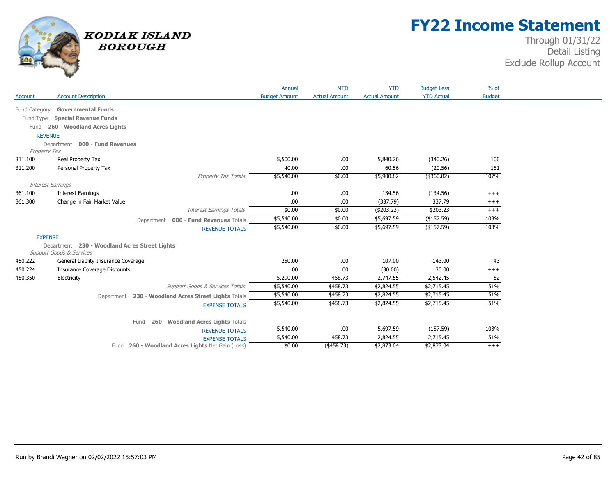

## **FY22 Income Statement**

|                |                                                                                      | Annual               | <b>MTD</b>           | <b>YTD</b>               | <b>Budget Less</b> | $%$ of        |  |
|----------------|--------------------------------------------------------------------------------------|----------------------|----------------------|--------------------------|--------------------|---------------|--|
| Account        | <b>Account Description</b>                                                           | <b>Budget Amount</b> | <b>Actual Amount</b> | <b>Actual Amount</b>     | <b>YTD Actual</b>  | <b>Budget</b> |  |
|                | Fund Category Governmental Funds                                                     |                      |                      |                          |                    |               |  |
|                | Fund Type Special Revenue Funds                                                      |                      |                      |                          |                    |               |  |
|                | Fund 260 - Woodland Acres Lights                                                     |                      |                      |                          |                    |               |  |
| <b>REVENUE</b> |                                                                                      |                      |                      |                          |                    |               |  |
|                | Department 000 - Fund Revenues                                                       |                      |                      |                          |                    |               |  |
| Property Tax   |                                                                                      |                      |                      |                          |                    |               |  |
| 311.100        | Real Property Tax                                                                    | 5,500.00             | .00.                 | 5,840.26                 | (340.26)           | 106           |  |
| 311.200        | Personal Property Tax                                                                | 40.00                | .00                  | 60.56                    | (20.56)            | 151           |  |
|                | Property Tax Totals                                                                  | \$5,540.00           | \$0.00               | \$5,900.82               | $($ \$360.82)      | 107%          |  |
|                | Interest Earnings                                                                    |                      |                      |                          |                    |               |  |
| 361.100        | <b>Interest Earnings</b>                                                             | .00.                 | .00.                 | 134.56                   | (134.56)           | $+++$         |  |
| 361.300        | Change in Fair Market Value                                                          | .00                  | .00.                 | (337.79)                 | 337.79             | $^{+++}$      |  |
|                | <b>Interest Earnings Totals</b>                                                      | \$0.00               | \$0.00               | $(*203.23)$              | \$203.23           | $+++$         |  |
|                | Department 000 - Fund Revenues Totals                                                | \$5,540.00           | \$0.00               | \$5,697.59<br>\$5,697.59 | (\$157.59)         | 103%<br>103%  |  |
|                | <b>REVENUE TOTALS</b>                                                                | \$5,540.00           | \$0.00               |                          | (\$157.59)         |               |  |
| <b>EXPENSE</b> |                                                                                      |                      |                      |                          |                    |               |  |
|                | Department 230 - Woodland Acres Street Lights<br><b>Support Goods &amp; Services</b> |                      |                      |                          |                    |               |  |
| 450.222        | General Liablity Insurance Coverage                                                  | 250.00               | .00                  | 107.00                   | 143.00             | 43            |  |
| 450.224        | <b>Insurance Coverage Discounts</b>                                                  | .00                  | .00                  | (30.00)                  | 30.00              | $+++$         |  |
| 450.350        | Electricity                                                                          | 5,290.00             | 458.73               | 2,747.55                 | 2,542.45           | 52            |  |
|                | Support Goods & Services Totals                                                      | \$5,540.00           | \$458.73             | \$2,824.55               | \$2,715.45         | 51%           |  |
|                | Department 230 - Woodland Acres Street Lights Totals                                 | \$5,540.00           | \$458.73             | \$2,824.55               | \$2,715.45         | 51%           |  |
|                | <b>EXPENSE TOTALS</b>                                                                | \$5,540.00           | \$458.73             | \$2,824.55               | \$2,715.45         | 51%           |  |
|                |                                                                                      |                      |                      |                          |                    |               |  |
|                | 260 - Woodland Acres Lights Totals<br>Fund                                           |                      |                      |                          |                    |               |  |
|                | <b>REVENUE TOTALS</b>                                                                | 5,540.00             | .00                  | 5,697.59                 | (157.59)           | 103%          |  |
|                | <b>EXPENSE TOTALS</b>                                                                | 5,540.00             | 458.73               | 2,824.55                 | 2,715.45           | 51%           |  |
|                | Fund 260 - Woodland Acres Lights Net Gain (Loss)                                     | \$0.00               | $($ \$458.73)        | \$2,873.04               | \$2,873.04         | $+++$         |  |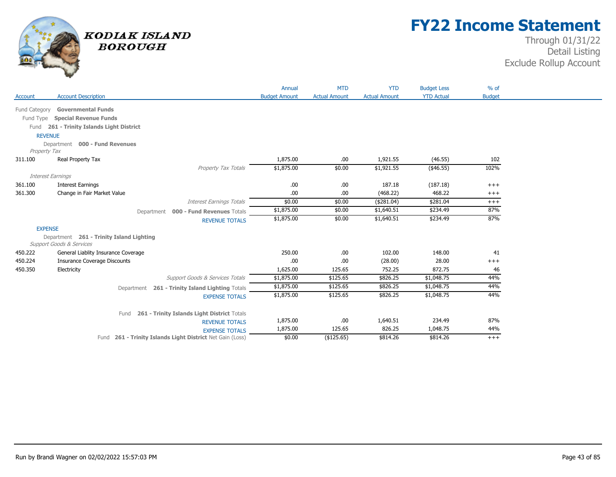

## **FY22 Income Statement**

|                |                                                                      | Annual               | <b>MTD</b>           | <b>YTD</b>           | <b>Budget Less</b><br><b>YTD Actual</b> | $%$ of<br><b>Budget</b> |  |
|----------------|----------------------------------------------------------------------|----------------------|----------------------|----------------------|-----------------------------------------|-------------------------|--|
| Account        | <b>Account Description</b>                                           | <b>Budget Amount</b> | <b>Actual Amount</b> | <b>Actual Amount</b> |                                         |                         |  |
| Fund Category  | <b>Governmental Funds</b>                                            |                      |                      |                      |                                         |                         |  |
|                | Fund Type Special Revenue Funds                                      |                      |                      |                      |                                         |                         |  |
|                | Fund 261 - Trinity Islands Light District                            |                      |                      |                      |                                         |                         |  |
| <b>REVENUE</b> |                                                                      |                      |                      |                      |                                         |                         |  |
|                | Department 000 - Fund Revenues                                       |                      |                      |                      |                                         |                         |  |
| Property Tax   |                                                                      |                      |                      |                      |                                         |                         |  |
| 311.100        | Real Property Tax                                                    | 1,875.00             | .00                  | 1,921.55             | (46.55)                                 | 102                     |  |
|                | Property Tax Totals                                                  | \$1,875.00           | \$0.00               | \$1,921.55           | (\$46.55)                               | 102%                    |  |
|                | Interest Earnings                                                    |                      |                      |                      |                                         |                         |  |
| 361.100        | <b>Interest Earnings</b>                                             | .00                  | .00.                 | 187.18               | (187.18)                                | $+++$                   |  |
| 361.300        | Change in Fair Market Value                                          | .00                  | .00                  | (468.22)             | 468.22                                  | $+++$                   |  |
|                | <b>Interest Earnings Totals</b>                                      | \$0.00               | \$0.00               | (\$281.04)           | \$281.04                                | $^{+++}$                |  |
|                | Department 000 - Fund Revenues Totals                                | \$1,875.00           | \$0.00               | \$1,640.51           | \$234.49                                | 87%                     |  |
|                | <b>REVENUE TOTALS</b>                                                | \$1,875.00           | \$0.00               | \$1,640.51           | \$234.49                                | 87%                     |  |
| <b>EXPENSE</b> |                                                                      |                      |                      |                      |                                         |                         |  |
|                | Department 261 - Trinity Island Lighting<br>Support Goods & Services |                      |                      |                      |                                         |                         |  |
| 450.222        | General Liablity Insurance Coverage                                  | 250.00               | .00.                 | 102.00               | 148.00                                  | 41                      |  |
| 450.224        | <b>Insurance Coverage Discounts</b>                                  | .00                  | .00                  | (28.00)              | 28.00                                   | $+++$                   |  |
| 450.350        | Electricity                                                          | 1,625.00             | 125.65               | 752.25               | 872.75                                  | 46                      |  |
|                | Support Goods & Services Totals                                      | \$1,875.00           | \$125.65             | \$826.25             | \$1,048.75                              | 44%                     |  |
|                | 261 - Trinity Island Lighting Totals<br>Department                   | \$1,875.00           | \$125.65             | \$826.25             | \$1,048.75                              | 44%                     |  |
|                | <b>EXPENSE TOTALS</b>                                                | \$1,875.00           | \$125.65             | \$826.25             | \$1,048.75                              | 44%                     |  |
|                | 261 - Trinity Islands Light District Totals<br>Fund                  |                      |                      |                      |                                         |                         |  |
|                | <b>REVENUE TOTALS</b>                                                | 1,875.00             | .00                  | 1,640.51             | 234.49                                  | 87%                     |  |
|                | <b>EXPENSE TOTALS</b>                                                | 1,875.00             | 125.65               | 826.25               | 1,048.75                                | 44%                     |  |
|                | Fund 261 - Trinity Islands Light District Net Gain (Loss)            | \$0.00               | (\$125.65)           | \$814.26             | \$814.26                                | $+++$                   |  |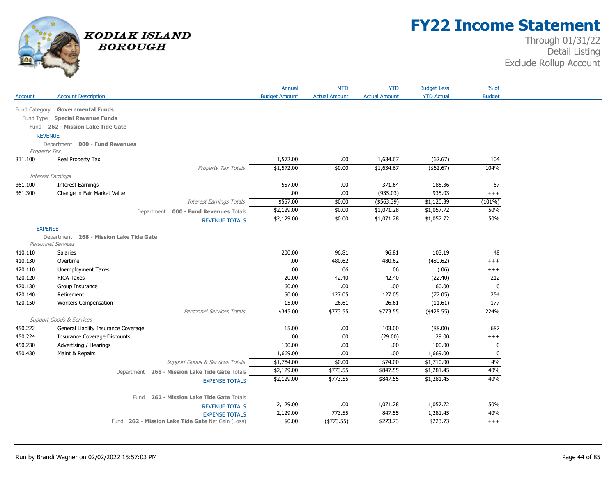

## **FY22 Income Statement**

| <b>Account Description</b><br><b>Budget Amount</b><br><b>Actual Amount</b><br><b>YTD Actual</b><br>Account<br><b>Actual Amount</b><br><b>Governmental Funds</b><br>Fund Category<br>Fund Type Special Revenue Funds<br>Fund 262 - Mission Lake Tide Gate<br><b>REVENUE</b><br>Department 000 - Fund Revenues<br>Property Tax<br>1,572.00<br>Real Property Tax<br>.00.<br>1,634.67<br>(62.67)<br>311.100<br>\$1,572.00<br>\$0.00<br>Property Tax Totals<br>\$1,634.67<br>(\$62.67)<br>Interest Earnings<br>557.00<br>185.36<br>361.100<br><b>Interest Earnings</b><br>.00.<br>371.64<br>(935.03)<br>935.03<br>361.300<br>Change in Fair Market Value<br>.00<br>.00.<br>\$557.00<br>\$0.00<br>( \$563.39)<br>\$1,120.39<br><b>Interest Earnings Totals</b><br>\$2,129.00<br>\$1,057.72<br>\$0.00<br>\$1,071.28<br>Department 000 - Fund Revenues Totals<br>\$1,057.72<br>\$2,129.00<br>\$0.00<br>\$1,071.28<br><b>REVENUE TOTALS</b> | <b>Budget</b><br>104<br>104%<br>67<br>$^{+++}$<br>$(101\%)$<br>50% |
|------------------------------------------------------------------------------------------------------------------------------------------------------------------------------------------------------------------------------------------------------------------------------------------------------------------------------------------------------------------------------------------------------------------------------------------------------------------------------------------------------------------------------------------------------------------------------------------------------------------------------------------------------------------------------------------------------------------------------------------------------------------------------------------------------------------------------------------------------------------------------------------------------------------------------------|--------------------------------------------------------------------|
|                                                                                                                                                                                                                                                                                                                                                                                                                                                                                                                                                                                                                                                                                                                                                                                                                                                                                                                                    |                                                                    |
|                                                                                                                                                                                                                                                                                                                                                                                                                                                                                                                                                                                                                                                                                                                                                                                                                                                                                                                                    |                                                                    |
|                                                                                                                                                                                                                                                                                                                                                                                                                                                                                                                                                                                                                                                                                                                                                                                                                                                                                                                                    |                                                                    |
|                                                                                                                                                                                                                                                                                                                                                                                                                                                                                                                                                                                                                                                                                                                                                                                                                                                                                                                                    |                                                                    |
|                                                                                                                                                                                                                                                                                                                                                                                                                                                                                                                                                                                                                                                                                                                                                                                                                                                                                                                                    |                                                                    |
|                                                                                                                                                                                                                                                                                                                                                                                                                                                                                                                                                                                                                                                                                                                                                                                                                                                                                                                                    |                                                                    |
|                                                                                                                                                                                                                                                                                                                                                                                                                                                                                                                                                                                                                                                                                                                                                                                                                                                                                                                                    |                                                                    |
|                                                                                                                                                                                                                                                                                                                                                                                                                                                                                                                                                                                                                                                                                                                                                                                                                                                                                                                                    |                                                                    |
|                                                                                                                                                                                                                                                                                                                                                                                                                                                                                                                                                                                                                                                                                                                                                                                                                                                                                                                                    |                                                                    |
|                                                                                                                                                                                                                                                                                                                                                                                                                                                                                                                                                                                                                                                                                                                                                                                                                                                                                                                                    |                                                                    |
|                                                                                                                                                                                                                                                                                                                                                                                                                                                                                                                                                                                                                                                                                                                                                                                                                                                                                                                                    |                                                                    |
|                                                                                                                                                                                                                                                                                                                                                                                                                                                                                                                                                                                                                                                                                                                                                                                                                                                                                                                                    |                                                                    |
|                                                                                                                                                                                                                                                                                                                                                                                                                                                                                                                                                                                                                                                                                                                                                                                                                                                                                                                                    |                                                                    |
|                                                                                                                                                                                                                                                                                                                                                                                                                                                                                                                                                                                                                                                                                                                                                                                                                                                                                                                                    |                                                                    |
|                                                                                                                                                                                                                                                                                                                                                                                                                                                                                                                                                                                                                                                                                                                                                                                                                                                                                                                                    | 50%                                                                |
| <b>EXPENSE</b>                                                                                                                                                                                                                                                                                                                                                                                                                                                                                                                                                                                                                                                                                                                                                                                                                                                                                                                     |                                                                    |
| Department 268 - Mission Lake Tide Gate<br>Personnel Services                                                                                                                                                                                                                                                                                                                                                                                                                                                                                                                                                                                                                                                                                                                                                                                                                                                                      |                                                                    |
| 200.00<br>96.81<br>96.81<br>103.19<br>410.110<br>Salaries                                                                                                                                                                                                                                                                                                                                                                                                                                                                                                                                                                                                                                                                                                                                                                                                                                                                          | 48                                                                 |
| 410.130<br>Overtime<br>.00<br>480.62<br>480.62<br>(480.62)                                                                                                                                                                                                                                                                                                                                                                                                                                                                                                                                                                                                                                                                                                                                                                                                                                                                         | $^{+++}$                                                           |
| 420.110<br>Unemployment Taxes<br>.00<br>.06<br>.06<br>(.06)                                                                                                                                                                                                                                                                                                                                                                                                                                                                                                                                                                                                                                                                                                                                                                                                                                                                        | $^{+++}$                                                           |
| 420.120<br><b>FICA Taxes</b><br>20.00<br>42.40<br>42.40<br>(22.40)                                                                                                                                                                                                                                                                                                                                                                                                                                                                                                                                                                                                                                                                                                                                                                                                                                                                 | 212                                                                |
| 60.00<br>420.130<br>Group Insurance<br>60.00<br>.00.<br>.00                                                                                                                                                                                                                                                                                                                                                                                                                                                                                                                                                                                                                                                                                                                                                                                                                                                                        | 0                                                                  |
| 127.05<br>127.05<br>(77.05)<br>420.140<br>Retirement<br>50.00                                                                                                                                                                                                                                                                                                                                                                                                                                                                                                                                                                                                                                                                                                                                                                                                                                                                      | 254                                                                |
| 420.150<br><b>Workers Compensation</b><br>15.00<br>26.61<br>26.61<br>(11.61)                                                                                                                                                                                                                                                                                                                                                                                                                                                                                                                                                                                                                                                                                                                                                                                                                                                       | 177                                                                |
| \$773.55<br>$(*428.55)$<br><b>Personnel Services Totals</b><br>\$345.00<br>\$773.55                                                                                                                                                                                                                                                                                                                                                                                                                                                                                                                                                                                                                                                                                                                                                                                                                                                | 224%                                                               |
| <b>Support Goods &amp; Services</b>                                                                                                                                                                                                                                                                                                                                                                                                                                                                                                                                                                                                                                                                                                                                                                                                                                                                                                |                                                                    |
| 450.222<br>General Liablity Insurance Coverage<br>15.00<br>103.00<br>.00.<br>(88.00)                                                                                                                                                                                                                                                                                                                                                                                                                                                                                                                                                                                                                                                                                                                                                                                                                                               | 687                                                                |
| 450.224<br>.00<br>29.00<br><b>Insurance Coverage Discounts</b><br>.00<br>(29.00)                                                                                                                                                                                                                                                                                                                                                                                                                                                                                                                                                                                                                                                                                                                                                                                                                                                   | $^{+++}$                                                           |
| 450.230<br>Advertising / Hearings<br>.00.<br>100.00<br>.00.<br>100.00                                                                                                                                                                                                                                                                                                                                                                                                                                                                                                                                                                                                                                                                                                                                                                                                                                                              | 0                                                                  |
| 450.430<br>Maint & Repairs<br>1,669.00<br>.00.<br>.00<br>1,669.00                                                                                                                                                                                                                                                                                                                                                                                                                                                                                                                                                                                                                                                                                                                                                                                                                                                                  | 0                                                                  |
| Support Goods & Services Totals<br>\$1,784.00<br>\$0.00<br>\$74.00<br>\$1,710.00                                                                                                                                                                                                                                                                                                                                                                                                                                                                                                                                                                                                                                                                                                                                                                                                                                                   | 4%                                                                 |
| \$2,129.00<br>\$773.55<br>\$847.55<br>\$1,281.45<br>Department 268 - Mission Lake Tide Gate Totals                                                                                                                                                                                                                                                                                                                                                                                                                                                                                                                                                                                                                                                                                                                                                                                                                                 | 40%                                                                |
| \$2,129.00<br>\$773.55<br>\$847.55<br>\$1,281.45<br><b>EXPENSE TOTALS</b>                                                                                                                                                                                                                                                                                                                                                                                                                                                                                                                                                                                                                                                                                                                                                                                                                                                          | 40%                                                                |
| 262 - Mission Lake Tide Gate Totals<br>Fund                                                                                                                                                                                                                                                                                                                                                                                                                                                                                                                                                                                                                                                                                                                                                                                                                                                                                        |                                                                    |
| 2,129.00<br>1,057.72<br>.00.<br>1,071.28<br><b>REVENUE TOTALS</b>                                                                                                                                                                                                                                                                                                                                                                                                                                                                                                                                                                                                                                                                                                                                                                                                                                                                  | 50%                                                                |
| 2,129.00<br>773.55<br>847.55<br>1,281.45<br><b>EXPENSE TOTALS</b>                                                                                                                                                                                                                                                                                                                                                                                                                                                                                                                                                                                                                                                                                                                                                                                                                                                                  | 40%                                                                |
| \$0.00<br>\$223.73<br>\$223.73<br>Fund 262 - Mission Lake Tide Gate Net Gain (Loss)<br>$(*773.55)$                                                                                                                                                                                                                                                                                                                                                                                                                                                                                                                                                                                                                                                                                                                                                                                                                                 | $^{+++}$                                                           |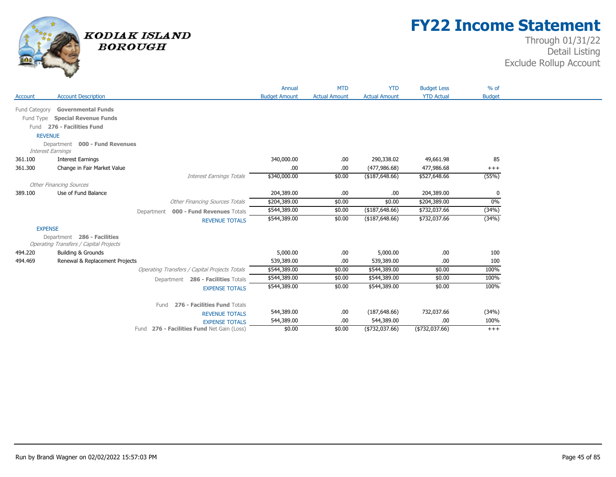

## **FY22 Income Statement**

| Account        | <b>Account Description</b>                                                   |                                                      | Annual<br><b>Budget Amount</b> | <b>MTD</b><br><b>Actual Amount</b> | <b>YTD</b><br><b>Actual Amount</b> | <b>Budget Less</b><br><b>YTD Actual</b> | $%$ of<br><b>Budget</b> |  |
|----------------|------------------------------------------------------------------------------|------------------------------------------------------|--------------------------------|------------------------------------|------------------------------------|-----------------------------------------|-------------------------|--|
|                |                                                                              |                                                      |                                |                                    |                                    |                                         |                         |  |
| Fund Category  | <b>Governmental Funds</b>                                                    |                                                      |                                |                                    |                                    |                                         |                         |  |
|                | Fund Type Special Revenue Funds                                              |                                                      |                                |                                    |                                    |                                         |                         |  |
|                | Fund 276 - Facilities Fund                                                   |                                                      |                                |                                    |                                    |                                         |                         |  |
| <b>REVENUE</b> |                                                                              |                                                      |                                |                                    |                                    |                                         |                         |  |
|                | Department 000 - Fund Revenues<br><b>Interest Earnings</b>                   |                                                      |                                |                                    |                                    |                                         |                         |  |
| 361.100        | <b>Interest Earnings</b>                                                     |                                                      | 340,000.00                     | .00                                | 290,338.02                         | 49,661.98                               | 85                      |  |
| 361.300        | Change in Fair Market Value                                                  |                                                      | .00.                           | .00.                               | (477, 986.68)                      | 477,986.68                              | $^{+++}$                |  |
|                |                                                                              | <b>Interest Earnings Totals</b>                      | \$340,000.00                   | \$0.00                             | ( \$187, 648.66)                   | \$527,648.66                            | (55%)                   |  |
|                | <b>Other Financing Sources</b>                                               |                                                      |                                |                                    |                                    |                                         |                         |  |
| 389.100        | Use of Fund Balance                                                          |                                                      | 204,389.00                     | .00                                | .00                                | 204,389.00                              | 0                       |  |
|                |                                                                              | <b>Other Financing Sources Totals</b>                | \$204,389.00                   | \$0.00                             | \$0.00                             | \$204,389.00                            | $0\%$                   |  |
|                |                                                                              | Department 000 - Fund Revenues Totals                | \$544,389.00                   | \$0.00                             | (\$187,648.66)                     | \$732,037.66                            | (34%)                   |  |
|                |                                                                              | <b>REVENUE TOTALS</b>                                | \$544,389.00                   | \$0.00                             | (\$187,648.66)                     | \$732,037.66                            | (34%)                   |  |
| <b>EXPENSE</b> |                                                                              |                                                      |                                |                                    |                                    |                                         |                         |  |
|                | Department 286 - Facilities<br><b>Operating Transfers / Capital Projects</b> |                                                      |                                |                                    |                                    |                                         |                         |  |
| 494.220        | <b>Building &amp; Grounds</b>                                                |                                                      | 5,000.00                       | .00                                | 5,000.00                           | .00.                                    | 100                     |  |
| 494.469        | Renewal & Replacement Projects                                               |                                                      | 539,389.00                     | .00.                               | 539,389.00                         | .00.                                    | 100                     |  |
|                |                                                                              | <b>Operating Transfers / Capital Projects Totals</b> | \$544,389.00                   | \$0.00                             | \$544,389.00                       | \$0.00                                  | 100%                    |  |
|                |                                                                              | Department 286 - Facilities Totals                   | \$544,389.00                   | \$0.00                             | \$544,389.00                       | \$0.00                                  | 100%                    |  |
|                |                                                                              | <b>EXPENSE TOTALS</b>                                | \$544,389.00                   | \$0.00                             | \$544,389.00                       | \$0.00                                  | 100%                    |  |
|                |                                                                              | 276 - Facilities Fund Totals<br>Fund                 |                                |                                    |                                    |                                         |                         |  |
|                |                                                                              | <b>REVENUE TOTALS</b>                                | 544,389.00                     | .00.                               | (187, 648.66)                      | 732,037.66                              | (34%)                   |  |
|                |                                                                              | <b>EXPENSE TOTALS</b>                                | 544,389.00                     | .00.                               | 544,389.00                         | .00.                                    | 100%                    |  |
|                |                                                                              | 276 - Facilities Fund Net Gain (Loss)<br>Fund        | \$0.00                         | \$0.00                             | (\$732,037.66)                     | (\$732,037.66)                          | $+++$                   |  |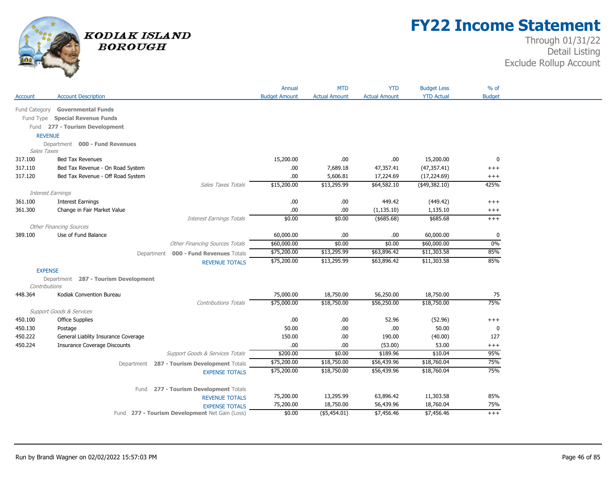

## **FY22 Income Statement**

| <b>YTD Actual</b><br><b>Account Description</b><br><b>Budget Amount</b><br><b>Actual Amount</b><br><b>Actual Amount</b><br><b>Budget</b><br>Account<br><b>Governmental Funds</b><br>Fund Category<br>Fund Type Special Revenue Funds<br>Fund 277 - Tourism Development<br><b>REVENUE</b><br>Department 000 - Fund Revenues<br>Sales Taxes<br><b>Bed Tax Revenues</b><br>15,200.00<br>15,200.00<br>$\mathbf 0$<br>317.100<br>.00.<br>.00.<br>.00<br>47,357.41<br>(47, 357.41)<br>317.110<br>Bed Tax Revenue - On Road System<br>7,689.18<br>$++++$<br>317.120<br>Bed Tax Revenue - Off Road System<br>.00<br>5,606.81<br>17,224.69<br>(17, 224.69)<br>$++++$<br>425%<br>\$15,200.00<br>\$13,295.99<br>\$64,582.10<br>(49,382.10)<br><b>Sales Taxes Totals</b><br><b>Interest Earnings</b><br>.00<br>449.42<br>(449.42)<br>361.100<br><b>Interest Earnings</b><br>.00.<br>$++++$<br>361.300<br>Change in Fair Market Value<br>.00<br>.00.<br>(1, 135.10)<br>1,135.10<br>$^{+++}$<br>\$0.00<br>\$0.00<br>\$685.68<br><b>Interest Earnings Totals</b><br>(\$685.68)<br>$+++$<br><b>Other Financing Sources</b><br>Use of Fund Balance<br>389.100<br>60,000.00<br>.00<br>.00.<br>60,000.00<br>0<br>0%<br>\$0.00<br><b>Other Financing Sources Totals</b><br>\$60,000.00<br>\$0.00<br>\$60,000.00<br>\$75,200.00<br>\$63,896.42<br>\$11,303.58<br>85%<br>\$13,295.99<br>000 - Fund Revenues Totals<br>Department<br>85%<br>\$75,200.00<br>\$13,295.99<br>\$63,896.42<br>\$11,303.58<br><b>REVENUE TOTALS</b><br><b>EXPENSE</b> |
|--------------------------------------------------------------------------------------------------------------------------------------------------------------------------------------------------------------------------------------------------------------------------------------------------------------------------------------------------------------------------------------------------------------------------------------------------------------------------------------------------------------------------------------------------------------------------------------------------------------------------------------------------------------------------------------------------------------------------------------------------------------------------------------------------------------------------------------------------------------------------------------------------------------------------------------------------------------------------------------------------------------------------------------------------------------------------------------------------------------------------------------------------------------------------------------------------------------------------------------------------------------------------------------------------------------------------------------------------------------------------------------------------------------------------------------------------------------------------------------------------------------------------|
|                                                                                                                                                                                                                                                                                                                                                                                                                                                                                                                                                                                                                                                                                                                                                                                                                                                                                                                                                                                                                                                                                                                                                                                                                                                                                                                                                                                                                                                                                                                          |
|                                                                                                                                                                                                                                                                                                                                                                                                                                                                                                                                                                                                                                                                                                                                                                                                                                                                                                                                                                                                                                                                                                                                                                                                                                                                                                                                                                                                                                                                                                                          |
|                                                                                                                                                                                                                                                                                                                                                                                                                                                                                                                                                                                                                                                                                                                                                                                                                                                                                                                                                                                                                                                                                                                                                                                                                                                                                                                                                                                                                                                                                                                          |
|                                                                                                                                                                                                                                                                                                                                                                                                                                                                                                                                                                                                                                                                                                                                                                                                                                                                                                                                                                                                                                                                                                                                                                                                                                                                                                                                                                                                                                                                                                                          |
|                                                                                                                                                                                                                                                                                                                                                                                                                                                                                                                                                                                                                                                                                                                                                                                                                                                                                                                                                                                                                                                                                                                                                                                                                                                                                                                                                                                                                                                                                                                          |
|                                                                                                                                                                                                                                                                                                                                                                                                                                                                                                                                                                                                                                                                                                                                                                                                                                                                                                                                                                                                                                                                                                                                                                                                                                                                                                                                                                                                                                                                                                                          |
|                                                                                                                                                                                                                                                                                                                                                                                                                                                                                                                                                                                                                                                                                                                                                                                                                                                                                                                                                                                                                                                                                                                                                                                                                                                                                                                                                                                                                                                                                                                          |
|                                                                                                                                                                                                                                                                                                                                                                                                                                                                                                                                                                                                                                                                                                                                                                                                                                                                                                                                                                                                                                                                                                                                                                                                                                                                                                                                                                                                                                                                                                                          |
|                                                                                                                                                                                                                                                                                                                                                                                                                                                                                                                                                                                                                                                                                                                                                                                                                                                                                                                                                                                                                                                                                                                                                                                                                                                                                                                                                                                                                                                                                                                          |
|                                                                                                                                                                                                                                                                                                                                                                                                                                                                                                                                                                                                                                                                                                                                                                                                                                                                                                                                                                                                                                                                                                                                                                                                                                                                                                                                                                                                                                                                                                                          |
|                                                                                                                                                                                                                                                                                                                                                                                                                                                                                                                                                                                                                                                                                                                                                                                                                                                                                                                                                                                                                                                                                                                                                                                                                                                                                                                                                                                                                                                                                                                          |
|                                                                                                                                                                                                                                                                                                                                                                                                                                                                                                                                                                                                                                                                                                                                                                                                                                                                                                                                                                                                                                                                                                                                                                                                                                                                                                                                                                                                                                                                                                                          |
|                                                                                                                                                                                                                                                                                                                                                                                                                                                                                                                                                                                                                                                                                                                                                                                                                                                                                                                                                                                                                                                                                                                                                                                                                                                                                                                                                                                                                                                                                                                          |
|                                                                                                                                                                                                                                                                                                                                                                                                                                                                                                                                                                                                                                                                                                                                                                                                                                                                                                                                                                                                                                                                                                                                                                                                                                                                                                                                                                                                                                                                                                                          |
|                                                                                                                                                                                                                                                                                                                                                                                                                                                                                                                                                                                                                                                                                                                                                                                                                                                                                                                                                                                                                                                                                                                                                                                                                                                                                                                                                                                                                                                                                                                          |
|                                                                                                                                                                                                                                                                                                                                                                                                                                                                                                                                                                                                                                                                                                                                                                                                                                                                                                                                                                                                                                                                                                                                                                                                                                                                                                                                                                                                                                                                                                                          |
|                                                                                                                                                                                                                                                                                                                                                                                                                                                                                                                                                                                                                                                                                                                                                                                                                                                                                                                                                                                                                                                                                                                                                                                                                                                                                                                                                                                                                                                                                                                          |
|                                                                                                                                                                                                                                                                                                                                                                                                                                                                                                                                                                                                                                                                                                                                                                                                                                                                                                                                                                                                                                                                                                                                                                                                                                                                                                                                                                                                                                                                                                                          |
|                                                                                                                                                                                                                                                                                                                                                                                                                                                                                                                                                                                                                                                                                                                                                                                                                                                                                                                                                                                                                                                                                                                                                                                                                                                                                                                                                                                                                                                                                                                          |
|                                                                                                                                                                                                                                                                                                                                                                                                                                                                                                                                                                                                                                                                                                                                                                                                                                                                                                                                                                                                                                                                                                                                                                                                                                                                                                                                                                                                                                                                                                                          |
|                                                                                                                                                                                                                                                                                                                                                                                                                                                                                                                                                                                                                                                                                                                                                                                                                                                                                                                                                                                                                                                                                                                                                                                                                                                                                                                                                                                                                                                                                                                          |
| Department 287 - Tourism Development<br>Contributions                                                                                                                                                                                                                                                                                                                                                                                                                                                                                                                                                                                                                                                                                                                                                                                                                                                                                                                                                                                                                                                                                                                                                                                                                                                                                                                                                                                                                                                                    |
| Kodiak Convention Bureau<br>75,000.00<br>18,750.00<br>56,250.00<br>18,750.00<br>448.364<br>75                                                                                                                                                                                                                                                                                                                                                                                                                                                                                                                                                                                                                                                                                                                                                                                                                                                                                                                                                                                                                                                                                                                                                                                                                                                                                                                                                                                                                            |
| 75%<br>\$75,000.00<br>\$18,750.00<br>\$56,250.00<br>\$18,750.00<br><b>Contributions Totals</b>                                                                                                                                                                                                                                                                                                                                                                                                                                                                                                                                                                                                                                                                                                                                                                                                                                                                                                                                                                                                                                                                                                                                                                                                                                                                                                                                                                                                                           |
| Support Goods & Services                                                                                                                                                                                                                                                                                                                                                                                                                                                                                                                                                                                                                                                                                                                                                                                                                                                                                                                                                                                                                                                                                                                                                                                                                                                                                                                                                                                                                                                                                                 |
| 450.100<br><b>Office Supplies</b><br>.00<br>.00.<br>52.96<br>(52.96)<br>$^{+++}$                                                                                                                                                                                                                                                                                                                                                                                                                                                                                                                                                                                                                                                                                                                                                                                                                                                                                                                                                                                                                                                                                                                                                                                                                                                                                                                                                                                                                                         |
| .00<br>50.00<br>450.130<br>Postage<br>50.00<br>.00.<br>0                                                                                                                                                                                                                                                                                                                                                                                                                                                                                                                                                                                                                                                                                                                                                                                                                                                                                                                                                                                                                                                                                                                                                                                                                                                                                                                                                                                                                                                                 |
| 450.222<br>General Liablity Insurance Coverage<br>150.00<br>.00<br>190.00<br>(40.00)<br>127                                                                                                                                                                                                                                                                                                                                                                                                                                                                                                                                                                                                                                                                                                                                                                                                                                                                                                                                                                                                                                                                                                                                                                                                                                                                                                                                                                                                                              |
| 450.224<br><b>Insurance Coverage Discounts</b><br>.00<br>53.00<br>.00.<br>(53.00)<br>$^{+++}$                                                                                                                                                                                                                                                                                                                                                                                                                                                                                                                                                                                                                                                                                                                                                                                                                                                                                                                                                                                                                                                                                                                                                                                                                                                                                                                                                                                                                            |
| \$200.00<br>\$0.00<br>\$189.96<br>\$10.04<br>95%<br>Support Goods & Services Totals                                                                                                                                                                                                                                                                                                                                                                                                                                                                                                                                                                                                                                                                                                                                                                                                                                                                                                                                                                                                                                                                                                                                                                                                                                                                                                                                                                                                                                      |
| 75%<br>\$75,200.00<br>\$18,750.00<br>\$56,439.96<br>\$18,760.04                                                                                                                                                                                                                                                                                                                                                                                                                                                                                                                                                                                                                                                                                                                                                                                                                                                                                                                                                                                                                                                                                                                                                                                                                                                                                                                                                                                                                                                          |
| Department 287 - Tourism Development Totals<br>75%<br>\$75,200.00<br>\$56,439.96<br>\$18,760.04<br>\$18,750.00                                                                                                                                                                                                                                                                                                                                                                                                                                                                                                                                                                                                                                                                                                                                                                                                                                                                                                                                                                                                                                                                                                                                                                                                                                                                                                                                                                                                           |
| <b>EXPENSE TOTALS</b>                                                                                                                                                                                                                                                                                                                                                                                                                                                                                                                                                                                                                                                                                                                                                                                                                                                                                                                                                                                                                                                                                                                                                                                                                                                                                                                                                                                                                                                                                                    |
| 277 - Tourism Development Totals<br>Fund                                                                                                                                                                                                                                                                                                                                                                                                                                                                                                                                                                                                                                                                                                                                                                                                                                                                                                                                                                                                                                                                                                                                                                                                                                                                                                                                                                                                                                                                                 |
| 75,200.00<br>13,295.99<br>63,896.42<br>11,303.58<br>85%<br><b>REVENUE TOTALS</b>                                                                                                                                                                                                                                                                                                                                                                                                                                                                                                                                                                                                                                                                                                                                                                                                                                                                                                                                                                                                                                                                                                                                                                                                                                                                                                                                                                                                                                         |
| 75,200.00<br>18,750.00<br>18,760.04<br>75%<br>56,439.96<br><b>EXPENSE TOTALS</b>                                                                                                                                                                                                                                                                                                                                                                                                                                                                                                                                                                                                                                                                                                                                                                                                                                                                                                                                                                                                                                                                                                                                                                                                                                                                                                                                                                                                                                         |
| \$7,456.46<br>Fund 277 - Tourism Development Net Gain (Loss)<br>\$0.00<br>(\$5,454.01)<br>\$7,456.46<br>$+++$                                                                                                                                                                                                                                                                                                                                                                                                                                                                                                                                                                                                                                                                                                                                                                                                                                                                                                                                                                                                                                                                                                                                                                                                                                                                                                                                                                                                            |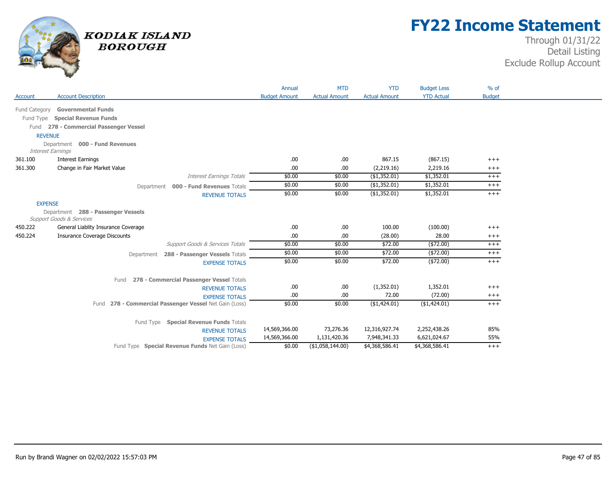

## **FY22 Income Statement**

|                          |                                                                        | Annual               | <b>MTD</b>           | <b>YTD</b>           | <b>Budget Less</b>  | $%$ of            |  |
|--------------------------|------------------------------------------------------------------------|----------------------|----------------------|----------------------|---------------------|-------------------|--|
| Account                  | <b>Account Description</b>                                             | <b>Budget Amount</b> | <b>Actual Amount</b> | <b>Actual Amount</b> | <b>YTD Actual</b>   | <b>Budget</b>     |  |
|                          | Fund Category Governmental Funds                                       |                      |                      |                      |                     |                   |  |
|                          | Fund Type Special Revenue Funds                                        |                      |                      |                      |                     |                   |  |
|                          | Fund 278 - Commercial Passenger Vessel                                 |                      |                      |                      |                     |                   |  |
| <b>REVENUE</b>           |                                                                        |                      |                      |                      |                     |                   |  |
|                          | Department 000 - Fund Revenues                                         |                      |                      |                      |                     |                   |  |
| <b>Interest Earnings</b> |                                                                        |                      |                      |                      |                     |                   |  |
| 361.100                  | <b>Interest Earnings</b>                                               | .00                  | .00.                 | 867.15               | (867.15)            | $+++$             |  |
| 361.300                  | Change in Fair Market Value                                            | .00                  | .00                  | (2,219.16)           | 2,219.16            | $^{+++}$          |  |
|                          | <b>Interest Earnings Totals</b>                                        | \$0.00               | \$0.00               | (\$1,352.01)         | \$1,352.01          | $^{+++}$          |  |
|                          | Department 000 - Fund Revenues Totals                                  | \$0.00               | \$0.00               | (\$1,352.01)         | \$1,352.01          | $+++$             |  |
|                          | <b>REVENUE TOTALS</b>                                                  | \$0.00               | \$0.00               | $($ \$1,352.01)      | \$1,352.01          | $+++$             |  |
| <b>EXPENSE</b>           |                                                                        |                      |                      |                      |                     |                   |  |
|                          | Department 288 - Passenger Vessels                                     |                      |                      |                      |                     |                   |  |
|                          | Support Goods & Services                                               |                      |                      |                      |                     |                   |  |
| 450.222                  | General Liablity Insurance Coverage                                    | .00                  | .00.                 | 100.00               | (100.00)            | $^{+++}$          |  |
| 450.224                  | <b>Insurance Coverage Discounts</b><br>Support Goods & Services Totals | .00<br>\$0.00        | .00.<br>\$0.00       | (28.00)<br>\$72.00   | 28.00<br>( \$72.00) | $^{+++}$<br>$+++$ |  |
|                          |                                                                        | \$0.00               | \$0.00               | \$72.00              | $(*72.00)$          | $^{+++}$          |  |
|                          | 288 - Passenger Vessels Totals<br>Department                           | \$0.00               | \$0.00               | \$72.00              | $(*72.00)$          | $+++$             |  |
|                          | <b>EXPENSE TOTALS</b>                                                  |                      |                      |                      |                     |                   |  |
|                          | 278 - Commercial Passenger Vessel Totals<br>Fund                       |                      |                      |                      |                     |                   |  |
|                          | <b>REVENUE TOTALS</b>                                                  | .00                  | .00                  | (1,352.01)           | 1,352.01            | $^{+++}$          |  |
|                          | <b>EXPENSE TOTALS</b>                                                  | .00                  | .00.                 | 72.00                | (72.00)             | $^{+++}$          |  |
|                          | 278 - Commercial Passenger Vessel Net Gain (Loss)<br>Fund              | \$0.00               | \$0.00               | (\$1,424.01)         | $($ \$1,424.01)     | $+++$             |  |
|                          |                                                                        |                      |                      |                      |                     |                   |  |
|                          | Fund Type Special Revenue Funds Totals                                 |                      |                      |                      |                     |                   |  |
|                          | <b>REVENUE TOTALS</b>                                                  | 14,569,366.00        | 73,276.36            | 12,316,927.74        | 2,252,438.26        | 85%               |  |
|                          | <b>EXPENSE TOTALS</b>                                                  | 14,569,366.00        | 1,131,420.36         | 7,948,341.33         | 6,621,024.67        | 55%               |  |
|                          | Fund Type Special Revenue Funds Net Gain (Loss)                        | \$0.00               | (\$1,058,144.00)     | \$4,368,586.41       | \$4,368,586.41      | $^{+++}$          |  |
|                          |                                                                        |                      |                      |                      |                     |                   |  |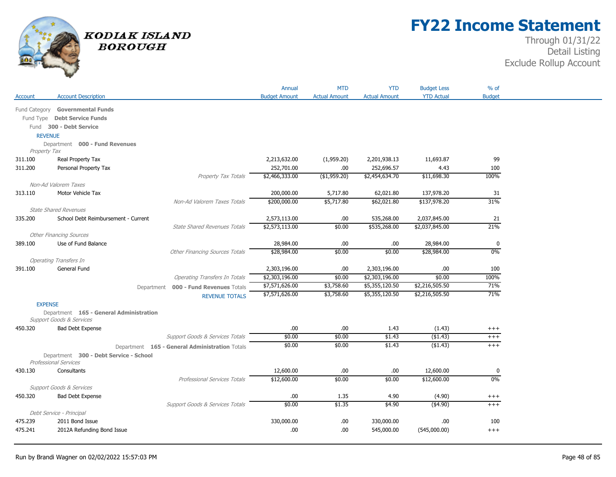

## **FY22 Income Statement**

|                |                                                       |                                                | Annual                   | <b>MTD</b>           | <b>YTD</b>           | <b>Budget Less</b>       | $%$ of        |  |
|----------------|-------------------------------------------------------|------------------------------------------------|--------------------------|----------------------|----------------------|--------------------------|---------------|--|
| Account        | <b>Account Description</b>                            |                                                | <b>Budget Amount</b>     | <b>Actual Amount</b> | <b>Actual Amount</b> | <b>YTD Actual</b>        | <b>Budget</b> |  |
|                | Fund Category Governmental Funds                      |                                                |                          |                      |                      |                          |               |  |
|                | Fund Type Debt Service Funds                          |                                                |                          |                      |                      |                          |               |  |
|                | Fund 300 - Debt Service                               |                                                |                          |                      |                      |                          |               |  |
| <b>REVENUE</b> |                                                       |                                                |                          |                      |                      |                          |               |  |
|                | Department 000 - Fund Revenues                        |                                                |                          |                      |                      |                          |               |  |
| Property Tax   |                                                       |                                                |                          |                      |                      |                          |               |  |
| 311.100        | Real Property Tax                                     |                                                | 2,213,632.00             | (1,959.20)           | 2,201,938.13         | 11,693.87                | 99            |  |
| 311.200        | Personal Property Tax                                 |                                                | 252,701.00               | .00.                 | 252,696.57           | 4.43                     | 100           |  |
|                |                                                       | Property Tax Totals                            | \$2,466,333.00           | $($ \$1,959.20)      | \$2,454,634.70       | \$11,698.30              | 100%          |  |
|                | Non-Ad Valorem Taxes                                  |                                                |                          |                      |                      |                          |               |  |
| 313.110        | Motor Vehicle Tax                                     |                                                | 200,000.00               | 5,717.80             | 62,021.80            | 137,978.20               | 31            |  |
|                |                                                       | Non-Ad Valorem Taxes Totals                    | \$200,000.00             | \$5,717.80           | \$62,021.80          | \$137,978.20             | 31%           |  |
|                | <b>State Shared Revenues</b>                          |                                                |                          |                      |                      |                          |               |  |
| 335,200        | School Debt Reimbursement - Current                   |                                                | 2,573,113.00             | .00                  | 535,268.00           | 2,037,845.00             | 21            |  |
|                |                                                       | <b>State Shared Revenues Totals</b>            | \$2,573,113.00           | \$0.00               | \$535,268.00         | \$2,037,845.00           | 21%           |  |
| 389.100        | <b>Other Financing Sources</b><br>Use of Fund Balance |                                                |                          | .00.                 |                      |                          | 0             |  |
|                |                                                       | <b>Other Financing Sources Totals</b>          | 28,984.00<br>\$28,984.00 | \$0.00               | .00<br>\$0.00        | 28,984.00<br>\$28,984.00 | $0\%$         |  |
|                | <b>Operating Transfers In</b>                         |                                                |                          |                      |                      |                          |               |  |
| 391.100        | General Fund                                          |                                                | 2,303,196.00             | .00.                 | 2,303,196.00         | .00.                     | 100           |  |
|                |                                                       | <b>Operating Transfers In Totals</b>           | \$2,303,196.00           | \$0.00               | \$2,303,196.00       | \$0.00                   | 100%          |  |
|                |                                                       | Department 000 - Fund Revenues Totals          | \$7,571,626.00           | \$3,758.60           | \$5,355,120.50       | \$2,216,505.50           | 71%           |  |
|                |                                                       | <b>REVENUE TOTALS</b>                          | \$7,571,626.00           | \$3,758.60           | \$5,355,120.50       | \$2,216,505.50           | 71%           |  |
| <b>EXPENSE</b> |                                                       |                                                |                          |                      |                      |                          |               |  |
|                | Department 165 - General Administration               |                                                |                          |                      |                      |                          |               |  |
|                | <b>Support Goods &amp; Services</b>                   |                                                |                          |                      |                      |                          |               |  |
| 450.320        | Bad Debt Expense                                      |                                                | .00.                     | .00                  | 1.43                 | (1.43)                   | $^{+++}$      |  |
|                |                                                       | Support Goods & Services Totals                | \$0.00                   | \$0.00               | \$1.43               | (\$1.43)                 | $^{+++}$      |  |
|                |                                                       | Department 165 - General Administration Totals | \$0.00                   | \$0.00               | \$1.43               | ( \$1.43)                | $^{+++}$      |  |
|                | Department 300 - Debt Service - School                |                                                |                          |                      |                      |                          |               |  |
|                | <b>Professional Services</b>                          |                                                |                          |                      |                      |                          |               |  |
| 430.130        | Consultants                                           |                                                | 12,600.00                | .00.                 | .00                  | 12,600.00                | 0             |  |
|                |                                                       | <b>Professional Services Totals</b>            | \$12,600.00              | \$0.00               | \$0.00               | \$12,600.00              | 0%            |  |
|                | Support Goods & Services                              |                                                |                          |                      |                      |                          |               |  |
| 450.320        | Bad Debt Expense                                      |                                                | .00.                     | 1.35                 | 4.90                 | (4.90)                   | $^{+++}$      |  |
|                |                                                       | Support Goods & Services Totals                | \$0.00                   | \$1.35               | \$4.90               | ( \$4.90)                | $+++$         |  |
|                | Debt Service - Principal                              |                                                |                          |                      |                      |                          |               |  |
| 475.239        | 2011 Bond Issue                                       |                                                | 330,000.00               | .00.                 | 330,000.00           | .00.                     | 100           |  |
| 475.241        | 2012A Refunding Bond Issue                            |                                                | .00.                     | .00                  | 545,000.00           | (545,000.00)             | $+++$         |  |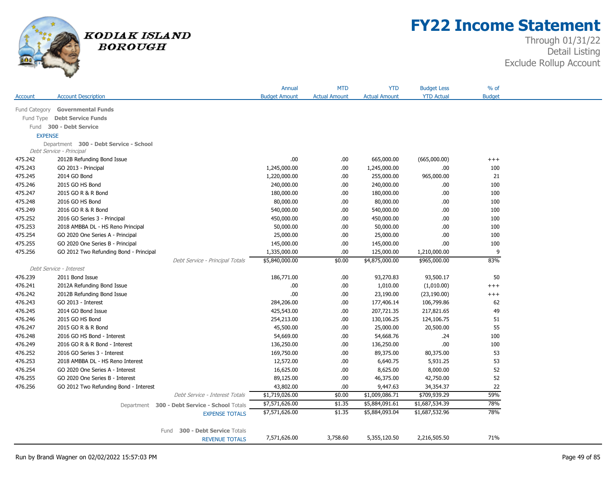

## **FY22 Income Statement**

|                                        |                                        |                                               | Annual               | <b>MTD</b>           | <b>YTD</b>           | <b>Budget Less</b> | $%$ of        |  |  |  |
|----------------------------------------|----------------------------------------|-----------------------------------------------|----------------------|----------------------|----------------------|--------------------|---------------|--|--|--|
| Account                                | <b>Account Description</b>             |                                               | <b>Budget Amount</b> | <b>Actual Amount</b> | <b>Actual Amount</b> | <b>YTD Actual</b>  | <b>Budget</b> |  |  |  |
| Fund Category                          | <b>Governmental Funds</b>              |                                               |                      |                      |                      |                    |               |  |  |  |
| <b>Debt Service Funds</b><br>Fund Type |                                        |                                               |                      |                      |                      |                    |               |  |  |  |
|                                        | 300 - Debt Service<br>Fund             |                                               |                      |                      |                      |                    |               |  |  |  |
|                                        | <b>EXPENSE</b>                         |                                               |                      |                      |                      |                    |               |  |  |  |
|                                        | Department 300 - Debt Service - School |                                               |                      |                      |                      |                    |               |  |  |  |
|                                        | Debt Service - Principal               |                                               |                      |                      |                      |                    |               |  |  |  |
| 475.242                                | 2012B Refunding Bond Issue             |                                               | .00                  | .00.                 | 665,000.00           | (665,000.00)       | $+++$         |  |  |  |
| 475.243                                | GO 2013 - Principal                    |                                               | 1,245,000.00         | .00                  | 1,245,000.00         | .00.               | 100           |  |  |  |
| 475.245                                | 2014 GO Bond                           |                                               | 1,220,000.00         | .00.                 | 255,000.00           | 965,000.00         | 21            |  |  |  |
| 475.246                                | 2015 GO HS Bond                        |                                               | 240,000.00           | .00.                 | 240,000.00           | .00.               | 100           |  |  |  |
| 475.247                                | 2015 GO R & R Bond                     |                                               | 180,000.00           | .00                  | 180,000.00           | .00                | 100           |  |  |  |
| 475.248                                | 2016 GO HS Bond                        |                                               | 80,000.00            | .00                  | 80,000.00            | .00.               | 100           |  |  |  |
| 475.249                                | 2016 GO R & R Bond                     |                                               | 540,000.00           | .00.                 | 540,000.00           | .00                | 100           |  |  |  |
| 475.252                                | 2016 GO Series 3 - Principal           |                                               | 450,000.00           | .00.                 | 450,000.00           | .00.               | 100           |  |  |  |
| 475.253                                | 2018 AMBBA DL - HS Reno Principal      |                                               | 50,000.00            | .00                  | 50,000.00            | .00                | 100           |  |  |  |
| 475.254                                | GO 2020 One Series A - Principal       |                                               | 25,000.00            | .00.                 | 25,000.00            | .00                | 100           |  |  |  |
| 475.255                                | GO 2020 One Series B - Principal       |                                               | 145,000.00           | .00                  | 145,000.00           | .00                | 100           |  |  |  |
| 475.256                                | GO 2012 Two Refunding Bond - Principal |                                               | 1,335,000.00         | .00                  | 125,000.00           | 1,210,000.00       | 9             |  |  |  |
|                                        |                                        | Debt Service - Principal Totals               | \$5,840,000.00       | \$0.00               | \$4,875,000.00       | \$965,000.00       | 83%           |  |  |  |
|                                        | Debt Service - Interest                |                                               |                      |                      |                      |                    |               |  |  |  |
| 476.239                                | 2011 Bond Issue                        |                                               | 186,771.00           | .00.                 | 93,270.83            | 93,500.17          | 50            |  |  |  |
| 476.241                                | 2012A Refunding Bond Issue             |                                               | .00                  | .00                  | 1,010.00             | (1,010.00)         | $++++$        |  |  |  |
| 476.242                                | 2012B Refunding Bond Issue             |                                               | .00                  | .00                  | 23,190.00            | (23, 190.00)       | $^{+++}$      |  |  |  |
| 476.243                                | GO 2013 - Interest                     |                                               | 284,206.00           | .00.                 | 177,406.14           | 106,799.86         | 62            |  |  |  |
| 476.245                                | 2014 GO Bond Issue                     |                                               | 425,543.00           | .00.                 | 207,721.35           | 217,821.65         | 49            |  |  |  |
| 476.246                                | 2015 GO HS Bond                        |                                               | 254,213.00           | .00                  | 130,106.25           | 124,106.75         | 51            |  |  |  |
| 476.247                                | 2015 GO R & R Bond                     |                                               | 45,500.00            | .00                  | 25,000.00            | 20,500.00          | 55            |  |  |  |
| 476.248                                | 2016 GO HS Bond - Interest             |                                               | 54,669.00            | .00.                 | 54,668.76            | .24                | 100           |  |  |  |
| 476.249                                | 2016 GO R & R Bond - Interest          |                                               | 136,250.00           | .00.                 | 136,250.00           | .00                | 100           |  |  |  |
| 476.252                                | 2016 GO Series 3 - Interest            |                                               | 169,750.00           | .00                  | 89,375.00            | 80,375.00          | 53            |  |  |  |
| 476.253                                | 2018 AMBBA DL - HS Reno Interest       |                                               | 12,572.00            | .00.                 | 6,640.75             | 5,931.25           | 53            |  |  |  |
| 476.254                                | GO 2020 One Series A - Interest        |                                               | 16,625.00            | .00.                 | 8,625.00             | 8,000.00           | 52            |  |  |  |
| 476.255                                | GO 2020 One Series B - Interest        |                                               | 89,125.00            | .00                  | 46,375.00            | 42,750.00          | 52            |  |  |  |
| 476.256                                | GO 2012 Two Refunding Bond - Interest  |                                               | 43,802.00            | .00.                 | 9,447.63             | 34,354.37          | 22            |  |  |  |
|                                        |                                        | Debt Service - Interest Totals                | \$1,719,026.00       | \$0.00               | \$1,009,086.71       | \$709,939.29       | 59%           |  |  |  |
|                                        |                                        | Department 300 - Debt Service - School Totals | \$7,571,626.00       | \$1.35               | \$5,884,091.61       | \$1,687,534.39     | 78%           |  |  |  |
|                                        |                                        | <b>EXPENSE TOTALS</b>                         | \$7,571,626.00       | \$1.35               | \$5,884,093.04       | \$1,687,532.96     | 78%           |  |  |  |
|                                        |                                        |                                               |                      |                      |                      |                    |               |  |  |  |
|                                        |                                        | 300 - Debt Service Totals<br>Fund             |                      |                      |                      |                    |               |  |  |  |
|                                        |                                        | <b>REVENUE TOTALS</b>                         | 7,571,626.00         | 3,758.60             | 5,355,120.50         | 2,216,505.50       | 71%           |  |  |  |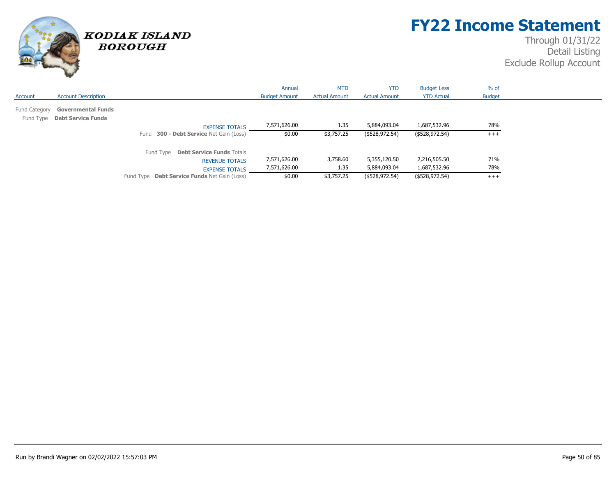

## **FY22 Income Statement**

|               |                                                           |                                                     | Annual               | <b>MTD</b>           | <b>YTD</b>           | <b>Budget Less</b> | $%$ of        |
|---------------|-----------------------------------------------------------|-----------------------------------------------------|----------------------|----------------------|----------------------|--------------------|---------------|
| Account       | <b>Account Description</b>                                |                                                     | <b>Budget Amount</b> | <b>Actual Amount</b> | <b>Actual Amount</b> | <b>YTD Actual</b>  | <b>Budget</b> |
| Fund Category | <b>Governmental Funds</b><br>Fund Type Debt Service Funds |                                                     |                      |                      |                      |                    |               |
|               |                                                           | <b>EXPENSE TOTALS</b>                               | 7,571,626.00         | 1.35                 | 5,884,093.04         | 1,687,532.96       | 78%           |
|               |                                                           | 300 - Debt Service Net Gain (Loss)<br>Fund          | \$0.00               | \$3,757.25           | (\$528,972.54)       | (\$528,972.54)     | $+++$         |
|               |                                                           | Fund Type Debt Service Funds Totals                 |                      |                      |                      |                    |               |
|               |                                                           | <b>REVENUE TOTALS</b>                               | 7,571,626.00         | 3,758.60             | 5,355,120.50         | 2,216,505.50       | 71%           |
|               |                                                           | <b>EXPENSE TOTALS</b>                               | 7,571,626.00         | 1.35                 | 5,884,093.04         | 1,687,532.96       | 78%           |
|               |                                                           | Fund Type <b>Debt Service Funds</b> Net Gain (Loss) | \$0.00               | \$3,757.25           | (\$528,972.54)       | (\$528,972.54)     | $+++$         |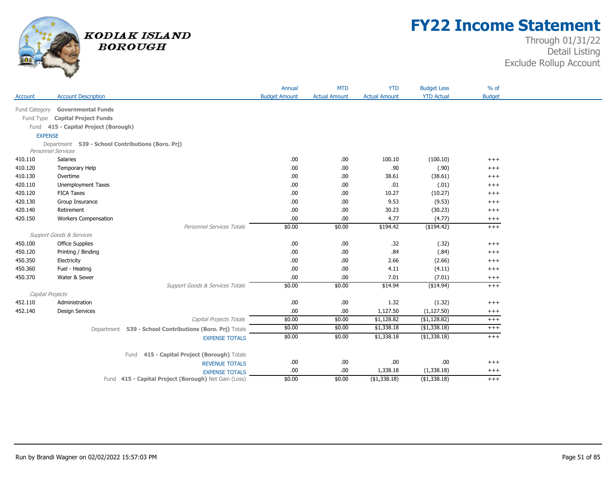

## **FY22 Income Statement**

|                |                                                                                |                                                          | Annual               | <b>MTD</b>           | <b>YTD</b>           | <b>Budget Less</b> | $%$ of        |
|----------------|--------------------------------------------------------------------------------|----------------------------------------------------------|----------------------|----------------------|----------------------|--------------------|---------------|
| Account        | <b>Account Description</b>                                                     |                                                          | <b>Budget Amount</b> | <b>Actual Amount</b> | <b>Actual Amount</b> | <b>YTD Actual</b>  | <b>Budget</b> |
| Fund Category  | <b>Governmental Funds</b>                                                      |                                                          |                      |                      |                      |                    |               |
|                |                                                                                |                                                          |                      |                      |                      |                    |               |
| Fund Type      | <b>Capital Project Funds</b>                                                   |                                                          |                      |                      |                      |                    |               |
|                | Fund 415 - Capital Project (Borough)                                           |                                                          |                      |                      |                      |                    |               |
| <b>EXPENSE</b> |                                                                                |                                                          |                      |                      |                      |                    |               |
|                | Department 539 - School Contributions (Boro. Prj)<br><b>Personnel Services</b> |                                                          |                      |                      |                      |                    |               |
| 410.110        | Salaries                                                                       |                                                          | .00                  | .00                  | 100.10               | (100.10)           | $++++$        |
| 410.120        | Temporary Help                                                                 |                                                          | .00                  | .00                  | .90                  | (.90)              | $^{+++}$      |
| 410.130        | Overtime                                                                       |                                                          | .00                  | .00                  | 38.61                | (38.61)            | $+++$         |
| 420.110        | <b>Unemployment Taxes</b>                                                      |                                                          | .00                  | .00                  | .01                  | (.01)              | $++++$        |
| 420.120        | <b>FICA Taxes</b>                                                              |                                                          | .00                  | .00                  | 10.27                | (10.27)            | $^{+++}$      |
| 420.130        | Group Insurance                                                                |                                                          | .00                  | .00                  | 9.53                 |                    |               |
|                |                                                                                |                                                          |                      |                      |                      | (9.53)             | $^{+++}$      |
| 420.140        | Retirement                                                                     |                                                          | .00                  | .00                  | 30.23                | (30.23)            | $^{+++}$      |
| 420.150        | <b>Workers Compensation</b>                                                    |                                                          | .00                  | .00                  | 4.77                 | (4.77)             | $^{+++}$      |
|                |                                                                                | Personnel Services Totals                                | \$0.00               | \$0.00               | \$194.42             | (\$194.42)         | $^{+++}$      |
|                | <b>Support Goods &amp; Services</b>                                            |                                                          |                      |                      |                      |                    |               |
| 450.100        | <b>Office Supplies</b>                                                         |                                                          | .00                  | .00                  | .32                  | (.32)              | $^{+++}$      |
| 450.120        | Printing / Binding                                                             |                                                          | .00                  | .00                  | .84                  | (.84)              | $^{+++}$      |
| 450.350        | Electricity                                                                    |                                                          | .00                  | .00                  | 2.66                 | (2.66)             | $++++$        |
| 450.360        | Fuel - Heating                                                                 |                                                          | .00                  | .00                  | 4.11                 | (4.11)             | $++++$        |
| 450.370        | Water & Sewer                                                                  |                                                          | .00                  | .00                  | 7.01                 | (7.01)             | $^{+++}$      |
|                |                                                                                | Support Goods & Services Totals                          | \$0.00               | \$0.00               | \$14.94              | (\$14.94)          | $+++$         |
|                | Capital Projects                                                               |                                                          |                      |                      |                      |                    |               |
| 452.110        | Administration                                                                 |                                                          | .00                  | .00                  | 1.32                 | (1.32)             | $++++$        |
| 452.140        | <b>Design Services</b>                                                         |                                                          | .00                  | .00.                 | 1,127.50             | (1, 127.50)        | $^{+++}$      |
|                |                                                                                | Capital Projects Totals                                  | \$0.00               | \$0.00               | \$1,128.82           | (\$1,128.82)       | $^{+++}$      |
|                |                                                                                | Department 539 - School Contributions (Boro. Prj) Totals | \$0.00               | \$0.00               | \$1,338.18           | ( \$1,338.18)      | $+++$         |
|                |                                                                                | <b>EXPENSE TOTALS</b>                                    | \$0.00               | \$0.00               | \$1,338.18           | $($ \$1,338.18)    | $+++$         |
|                |                                                                                | 415 - Capital Project (Borough) Totals<br>Fund           |                      |                      |                      |                    |               |
|                |                                                                                | <b>REVENUE TOTALS</b>                                    | .00                  | .00                  | .00                  | .00                | $+++$         |
|                |                                                                                | <b>EXPENSE TOTALS</b>                                    | .00                  | .00                  | 1,338.18             | (1,338.18)         | $^{+++}$      |
|                |                                                                                | Fund 415 - Capital Project (Borough) Net Gain (Loss)     | \$0.00               | \$0.00               | $($ \$1,338.18)      | (\$1,338.18)       | $+++$         |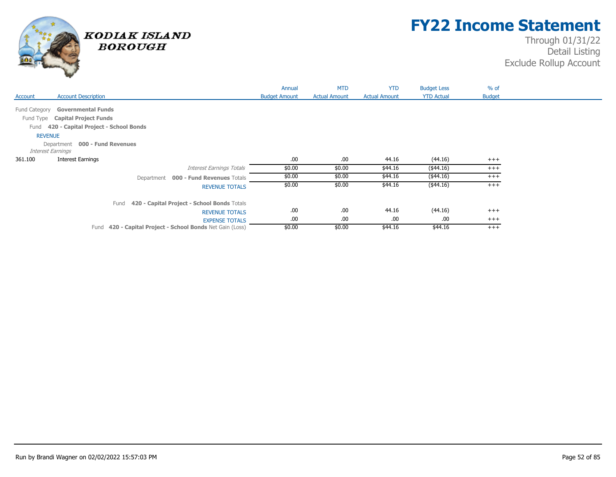

## **FY22 Income Statement**

|                                                              | Annual               | <b>MTD</b>           | <b>YTD</b>           | <b>Budget Less</b> | $%$ of        |  |
|--------------------------------------------------------------|----------------------|----------------------|----------------------|--------------------|---------------|--|
| <b>Account Description</b><br>Account                        | <b>Budget Amount</b> | <b>Actual Amount</b> | <b>Actual Amount</b> | <b>YTD Actual</b>  | <b>Budget</b> |  |
| Fund Category<br><b>Governmental Funds</b>                   |                      |                      |                      |                    |               |  |
|                                                              |                      |                      |                      |                    |               |  |
| Fund Type Capital Project Funds                              |                      |                      |                      |                    |               |  |
| 420 - Capital Project - School Bonds<br>Fund                 |                      |                      |                      |                    |               |  |
| <b>REVENUE</b>                                               |                      |                      |                      |                    |               |  |
| Department 000 - Fund Revenues                               |                      |                      |                      |                    |               |  |
| <b>Interest Earnings</b>                                     |                      |                      |                      |                    |               |  |
| 361.100<br><b>Interest Earnings</b>                          | .00.                 | .00.                 | 44.16                | (44.16)            | $+++$         |  |
| <b>Interest Earnings Totals</b>                              | \$0.00               | \$0.00               | \$44.16              | $(*44.16)$         | $^{+++}$      |  |
| Department 000 - Fund Revenues Totals                        | \$0.00               | \$0.00               | \$44.16              | $(*44.16)$         | $+++$         |  |
| <b>REVENUE TOTALS</b>                                        | \$0.00               | \$0.00               | \$44.16              | $(*44.16)$         | $^{+++}$      |  |
| 420 - Capital Project - School Bonds Totals<br>Fund          |                      |                      |                      |                    |               |  |
| <b>REVENUE TOTALS</b>                                        | .00.                 | .00                  | 44.16                | (44.16)            | $+++$         |  |
| <b>EXPENSE TOTALS</b>                                        | .00.                 | .00                  | .00.                 | .00                | $+++$         |  |
| 420 - Capital Project - School Bonds Net Gain (Loss)<br>Fund | \$0.00               | \$0.00               | \$44.16              | \$44.16            | $+++$         |  |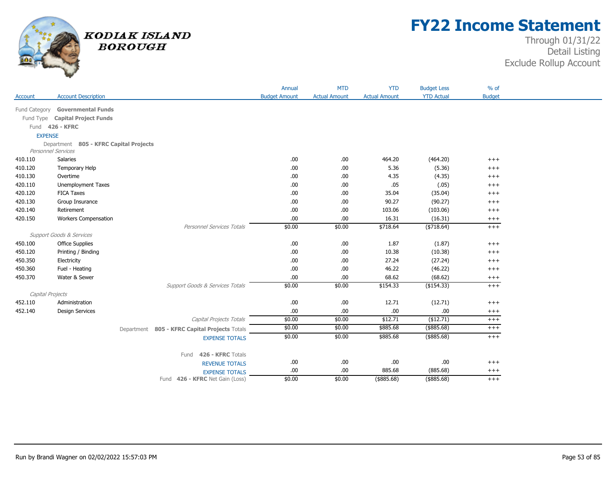

## **FY22 Income Statement**

|                  |                                                              |                                               | Annual               | <b>MTD</b>           | <b>YTD</b>           | <b>Budget Less</b> | $%$ of        |
|------------------|--------------------------------------------------------------|-----------------------------------------------|----------------------|----------------------|----------------------|--------------------|---------------|
| Account          | <b>Account Description</b>                                   |                                               | <b>Budget Amount</b> | <b>Actual Amount</b> | <b>Actual Amount</b> | <b>YTD Actual</b>  | <b>Budget</b> |
| Fund Category    | <b>Governmental Funds</b>                                    |                                               |                      |                      |                      |                    |               |
|                  |                                                              |                                               |                      |                      |                      |                    |               |
|                  | Fund Type Capital Project Funds                              |                                               |                      |                      |                      |                    |               |
|                  | Fund 426 - KFRC                                              |                                               |                      |                      |                      |                    |               |
| <b>EXPENSE</b>   |                                                              |                                               |                      |                      |                      |                    |               |
|                  | Department 805 - KFRC Capital Projects<br>Personnel Services |                                               |                      |                      |                      |                    |               |
| 410.110          | Salaries                                                     |                                               | .00.                 | .00                  | 464.20               | (464.20)           | $^{+++}$      |
| 410.120          | Temporary Help                                               |                                               | .00.                 | .00                  | 5.36                 | (5.36)             | $+++$         |
| 410.130          | Overtime                                                     |                                               | .00.                 | .00                  | 4.35                 | (4.35)             | $^{+ + +}$    |
| 420.110          | <b>Unemployment Taxes</b>                                    |                                               | .00.                 | .00                  | .05                  | (.05)              | $+++$         |
| 420.120          | <b>FICA Taxes</b>                                            |                                               | .00.                 | .00                  | 35.04                | (35.04)            | $^{+++}$      |
| 420.130          | Group Insurance                                              |                                               | .00.                 | .00                  | 90.27                | (90.27)            | $^{+++}$      |
| 420.140          | Retirement                                                   |                                               | .00.                 | .00                  | 103.06               | (103.06)           | $^{+++}$      |
| 420.150          | <b>Workers Compensation</b>                                  |                                               | .00.                 | .00.                 | 16.31                | (16.31)            | $^{+++}$      |
|                  |                                                              | Personnel Services Totals                     | \$0.00               | \$0.00               | \$718.64             | (\$718.64)         | $+ + +$       |
|                  | <b>Support Goods &amp; Services</b>                          |                                               |                      |                      |                      |                    |               |
| 450.100          | <b>Office Supplies</b>                                       |                                               | .00.                 | .00                  | 1.87                 | (1.87)             | $+++$         |
| 450.120          | Printing / Binding                                           |                                               | .00.                 | .00                  | 10.38                | (10.38)            | $^{+++}$      |
| 450.350          | Electricity                                                  |                                               | .00.                 | .00                  | 27.24                | (27.24)            | $^{+++}$      |
| 450.360          | Fuel - Heating                                               |                                               | .00.                 | .00                  | 46.22                | (46.22)            | $+++$         |
| 450.370          | Water & Sewer                                                |                                               | .00.                 | .00.                 | 68.62                | (68.62)            | $^{+++}$      |
|                  |                                                              | Support Goods & Services Totals               | \$0.00               | \$0.00               | \$154.33             | (\$154.33)         | $+++$         |
| Capital Projects |                                                              |                                               |                      |                      |                      |                    |               |
| 452.110          | Administration                                               |                                               | .00                  | .00                  | 12.71                | (12.71)            | $++++$        |
| 452.140          | <b>Design Services</b>                                       |                                               | .00.                 | .00.                 | .00.                 | .00                | $^{+++}$      |
|                  |                                                              | Capital Projects Totals                       | \$0.00               | \$0.00               | \$12.71              | (\$12.71)          | $+++$         |
|                  |                                                              | Department 805 - KFRC Capital Projects Totals | \$0.00               | \$0.00               | \$885.68             | $($ \$885.68)      | $+++$         |
|                  |                                                              | <b>EXPENSE TOTALS</b>                         | \$0.00               | \$0.00               | \$885.68             | $($ \$885.68)      | $+++$         |
|                  |                                                              |                                               |                      |                      |                      |                    |               |
|                  |                                                              | 426 - KFRC Totals<br>Fund                     |                      |                      |                      |                    |               |
|                  |                                                              | <b>REVENUE TOTALS</b>                         | .00                  | .00                  | .00                  | .00                | $^{+++}$      |
|                  |                                                              | <b>EXPENSE TOTALS</b>                         | .00                  | .00.                 | 885.68               | (885.68)           | $^{+++}$      |
|                  |                                                              | Fund 426 - KFRC Net Gain (Loss)               | \$0.00               | \$0.00               | $($ \$885.68)        | $($ \$885.68)      | $+++$         |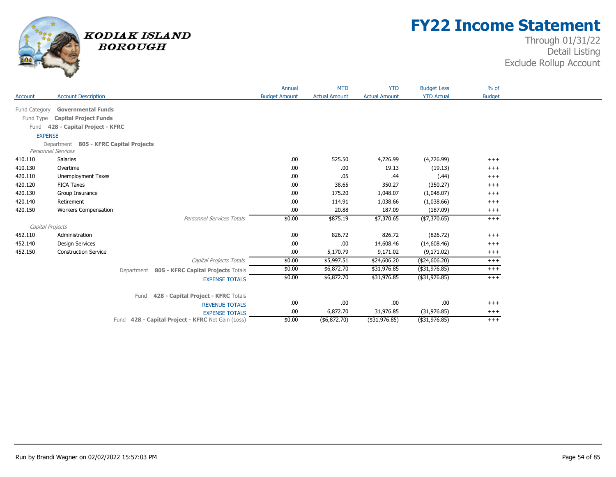

## **FY22 Income Statement**

|                |                                        |                                                   | Annual               | <b>MTD</b>           | <b>YTD</b>           | <b>Budget Less</b> | $%$ of        |
|----------------|----------------------------------------|---------------------------------------------------|----------------------|----------------------|----------------------|--------------------|---------------|
| Account        | <b>Account Description</b>             |                                                   | <b>Budget Amount</b> | <b>Actual Amount</b> | <b>Actual Amount</b> | <b>YTD Actual</b>  | <b>Budget</b> |
| Fund Category  | <b>Governmental Funds</b>              |                                                   |                      |                      |                      |                    |               |
| Fund Type      | <b>Capital Project Funds</b>           |                                                   |                      |                      |                      |                    |               |
| Fund           | 428 - Capital Project - KFRC           |                                                   |                      |                      |                      |                    |               |
| <b>EXPENSE</b> |                                        |                                                   |                      |                      |                      |                    |               |
|                | Department 805 - KFRC Capital Projects |                                                   |                      |                      |                      |                    |               |
|                | <b>Personnel Services</b>              |                                                   |                      |                      |                      |                    |               |
| 410.110        | Salaries                               |                                                   | .00                  | 525.50               | 4,726.99             | (4,726.99)         | $+++$         |
| 410.130        | Overtime                               |                                                   | .00                  | .00.                 | 19.13                | (19.13)            | $^{+++}$      |
| 420.110        | <b>Unemployment Taxes</b>              |                                                   | .00                  | .05                  | .44                  | (.44)              | $+++$         |
| 420.120        | <b>FICA Taxes</b>                      |                                                   | .00                  | 38.65                | 350.27               | (350.27)           | $+++$         |
| 420.130        | Group Insurance                        |                                                   | .00                  | 175.20               | 1,048.07             | (1,048.07)         | $+++$         |
| 420.140        | Retirement                             |                                                   | .00                  | 114.91               | 1,038.66             | (1,038.66)         | $^{+++}$      |
| 420.150        | <b>Workers Compensation</b>            |                                                   | .00                  | 20.88                | 187.09               | (187.09)           | $^{+++}$      |
|                |                                        | Personnel Services Totals                         | \$0.00               | \$875.19             | \$7,370.65           | (\$7,370.65)       | $+++$         |
|                | Capital Projects                       |                                                   |                      |                      |                      |                    |               |
| 452.110        | Administration                         |                                                   | .00                  | 826.72               | 826.72               | (826.72)           | $+++$         |
| 452.140        | <b>Design Services</b>                 |                                                   | .00                  | .00.                 | 14,608.46            | (14,608.46)        | $^{+++}$      |
| 452.150        | <b>Construction Service</b>            |                                                   | .00                  | 5,170.79             | 9,171.02             | (9,171.02)         | $^{+++}$      |
|                |                                        | Capital Projects Totals                           | \$0.00               | \$5,997.51           | \$24,606.20          | (\$24,606.20)      | $^{+++}$      |
|                |                                        | Department 805 - KFRC Capital Projects Totals     | \$0.00               | \$6,872.70           | \$31,976.85          | (\$31,976.85)      | $^{+++}$      |
|                |                                        | <b>EXPENSE TOTALS</b>                             | \$0.00               | \$6,872.70           | \$31,976.85          | (\$31,976.85)      | $+++$         |
|                |                                        |                                                   |                      |                      |                      |                    |               |
|                |                                        | 428 - Capital Project - KFRC Totals<br>Fund       |                      |                      |                      |                    |               |
|                |                                        | <b>REVENUE TOTALS</b>                             | .00                  | .00.                 | .00.                 | .00                | $^{+++}$      |
|                |                                        | <b>EXPENSE TOTALS</b>                             | .00                  | 6,872.70             | 31,976.85            | (31, 976.85)       | $^{+++}$      |
|                |                                        | Fund 428 - Capital Project - KFRC Net Gain (Loss) | \$0.00               | (\$6,872.70)         | (\$31,976.85)        | (\$31,976.85)      | $+++$         |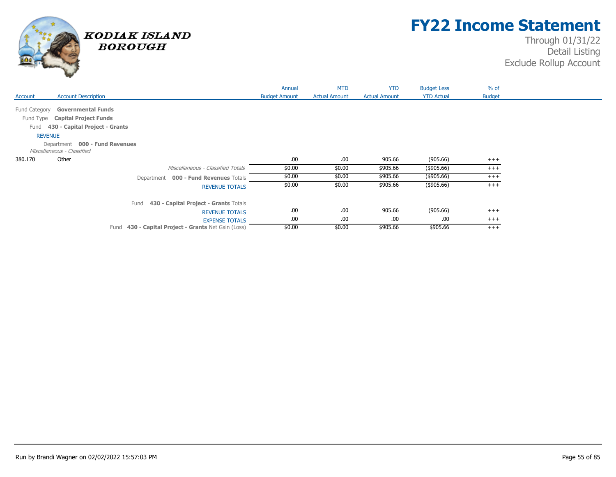

## **FY22 Income Statement**

|                |                                                     | Annual               | <b>MTD</b>           | <b>YTD</b>           | <b>Budget Less</b> | $%$ of        |  |
|----------------|-----------------------------------------------------|----------------------|----------------------|----------------------|--------------------|---------------|--|
| Account        | <b>Account Description</b>                          | <b>Budget Amount</b> | <b>Actual Amount</b> | <b>Actual Amount</b> | <b>YTD Actual</b>  | <b>Budget</b> |  |
|                |                                                     |                      |                      |                      |                    |               |  |
| Fund Category  | <b>Governmental Funds</b>                           |                      |                      |                      |                    |               |  |
|                | Fund Type Capital Project Funds                     |                      |                      |                      |                    |               |  |
| Fund           | 430 - Capital Project - Grants                      |                      |                      |                      |                    |               |  |
| <b>REVENUE</b> |                                                     |                      |                      |                      |                    |               |  |
|                | Department 000 - Fund Revenues                      |                      |                      |                      |                    |               |  |
|                | Miscellaneous - Classified                          |                      |                      |                      |                    |               |  |
| 380.170        | Other                                               | .00.                 | .00.                 | 905.66               | (905.66)           | $+++$         |  |
|                | Miscellaneous - Classified Totals                   | \$0.00               | \$0.00               | \$905.66             | (\$905.66)         | $^{+++}$      |  |
|                | Department 000 - Fund Revenues Totals               | \$0.00               | \$0.00               | \$905.66             | (\$905.66)         | $+++$         |  |
|                | <b>REVENUE TOTALS</b>                               | \$0.00               | \$0.00               | \$905.66             | (\$905.66)         | $^{+++}$      |  |
|                | 430 - Capital Project - Grants Totals<br>Fund       |                      |                      |                      |                    |               |  |
|                | <b>REVENUE TOTALS</b>                               | .00                  | .00.                 | 905.66               | (905.66)           | $^{+++}$      |  |
|                | <b>EXPENSE TOTALS</b>                               | .00.                 | .00                  | .00                  | .00                | $^{+++}$      |  |
|                | Fund 430 - Capital Project - Grants Net Gain (Loss) | \$0.00               | \$0.00               | \$905.66             | \$905.66           | $^{+++}$      |  |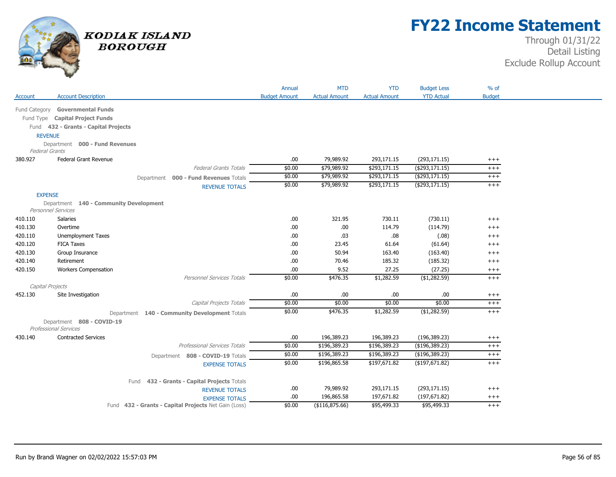

## **FY22 Income Statement**

|                       |                                                           |                                                                               | Annual               | <b>MTD</b>           | <b>YTD</b>           | <b>Budget Less</b> | $%$ of        |
|-----------------------|-----------------------------------------------------------|-------------------------------------------------------------------------------|----------------------|----------------------|----------------------|--------------------|---------------|
| Account               | <b>Account Description</b>                                |                                                                               | <b>Budget Amount</b> | <b>Actual Amount</b> | <b>Actual Amount</b> | <b>YTD Actual</b>  | <b>Budget</b> |
| Fund Category         | <b>Governmental Funds</b>                                 |                                                                               |                      |                      |                      |                    |               |
|                       | Fund Type Capital Project Funds                           |                                                                               |                      |                      |                      |                    |               |
|                       | Fund 432 - Grants - Capital Projects                      |                                                                               |                      |                      |                      |                    |               |
| <b>REVENUE</b>        |                                                           |                                                                               |                      |                      |                      |                    |               |
|                       | Department 000 - Fund Revenues                            |                                                                               |                      |                      |                      |                    |               |
| <b>Federal Grants</b> |                                                           |                                                                               |                      |                      |                      |                    |               |
| 380.927               | Federal Grant Revenue                                     |                                                                               | .00                  | 79,989.92            | 293,171.15           | (293, 171.15)      | $^{+++}$      |
|                       |                                                           | <b>Federal Grants Totals</b>                                                  | \$0.00               | \$79,989.92          | \$293,171.15         | $($ \$293,171.15)  | $^{+++}$      |
|                       |                                                           | Department 000 - Fund Revenues Totals                                         | \$0.00               | \$79,989.92          | \$293,171.15         | ( \$293,171.15)    | $^{+++}$      |
|                       |                                                           | <b>REVENUE TOTALS</b>                                                         | \$0.00               | \$79,989.92          | \$293,171.15         | ( \$293, 171.15)   | $+++$         |
| <b>EXPENSE</b>        |                                                           |                                                                               |                      |                      |                      |                    |               |
|                       | Department 140 - Community Development                    |                                                                               |                      |                      |                      |                    |               |
|                       | <b>Personnel Services</b>                                 |                                                                               |                      |                      |                      |                    |               |
| 410.110               | Salaries                                                  |                                                                               | .00.                 | 321.95               | 730.11               | (730.11)           | $+++$         |
| 410.130               | Overtime                                                  |                                                                               | .00.                 | .00                  | 114.79               | (114.79)           | $^{+++}$      |
| 420.110               | Unemployment Taxes                                        |                                                                               | .00                  | .03                  | .08                  | (.08)              | $^{+++}$      |
| 420.120               | <b>FICA Taxes</b>                                         |                                                                               | .00                  | 23.45                | 61.64                | (61.64)            | $+++$         |
| 420.130               | Group Insurance                                           |                                                                               | .00                  | 50.94                | 163.40               | (163.40)           | $^{+++}$      |
| 420.140               | Retirement                                                |                                                                               | .00                  | 70.46                | 185.32               | (185.32)           | $^{+++}$      |
| 420.150               | <b>Workers Compensation</b>                               |                                                                               | .00                  | 9.52                 | 27.25                | (27.25)            | $^{+++}$      |
|                       |                                                           | Personnel Services Totals                                                     | \$0.00               | \$476.35             | \$1,282.59           | (\$1,282.59)       | $^{+++}$      |
| Capital Projects      |                                                           |                                                                               |                      |                      |                      |                    |               |
| 452.130               | Site Investigation                                        |                                                                               | .00                  | .00                  | .00                  | .00.               | $^{+++}$      |
|                       |                                                           | Capital Projects Totals                                                       | \$0.00               | \$0.00               | \$0.00               | \$0.00             | $^{+++}$      |
|                       |                                                           | Department 140 - Community Development Totals                                 | \$0.00               | \$476.35             | \$1,282.59           | ( \$1,282.59)      | $^{+++}$      |
|                       | Department 808 - COVID-19<br><b>Professional Services</b> |                                                                               |                      |                      |                      |                    |               |
| 430.140               | <b>Contracted Services</b>                                |                                                                               | .00.                 | 196,389.23           | 196,389.23           | (196, 389.23)      | $^{+++}$      |
|                       |                                                           | <b>Professional Services Totals</b>                                           | \$0.00               | \$196,389.23         | \$196,389.23         | (\$196,389.23)     | $^{+++}$      |
|                       |                                                           | Department 808 - COVID-19 Totals                                              | \$0.00               | \$196,389.23         | \$196,389.23         | (\$196,389.23)     | $^{+++}$      |
|                       |                                                           | <b>EXPENSE TOTALS</b>                                                         | \$0.00               | \$196,865.58         | \$197,671.82         | (\$197,671.82)     | $^{+++}$      |
|                       |                                                           |                                                                               |                      |                      |                      |                    |               |
|                       |                                                           | Fund 432 - Grants - Capital Projects Totals                                   | .00.                 | 79,989.92            | 293,171.15           | (293, 171.15)      | $^{+++}$      |
|                       |                                                           | <b>REVENUE TOTALS</b>                                                         | .00.                 | 196,865.58           | 197,671.82           | (197, 671.82)      | $^{+++}$      |
|                       |                                                           | <b>EXPENSE TOTALS</b><br>Fund 432 - Grants - Capital Projects Net Gain (Loss) | \$0.00               | (\$116,875.66)       | \$95,499.33          | \$95,499.33        | $+++$         |
|                       |                                                           |                                                                               |                      |                      |                      |                    |               |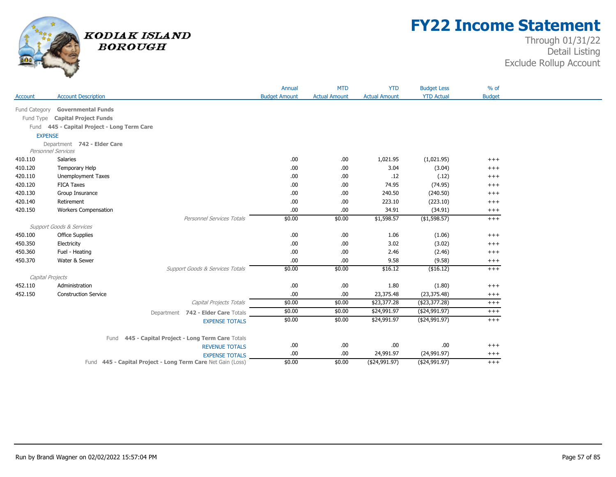

## **FY22 Income Statement**

|               |                                             |                                                             | Annual               | <b>MTD</b>           | <b>YTD</b>           | <b>Budget Less</b> | $%$ of        |
|---------------|---------------------------------------------|-------------------------------------------------------------|----------------------|----------------------|----------------------|--------------------|---------------|
| Account       | <b>Account Description</b>                  |                                                             | <b>Budget Amount</b> | <b>Actual Amount</b> | <b>Actual Amount</b> | <b>YTD Actual</b>  | <b>Budget</b> |
| Fund Category | <b>Governmental Funds</b>                   |                                                             |                      |                      |                      |                    |               |
| Fund Type     | <b>Capital Project Funds</b>                |                                                             |                      |                      |                      |                    |               |
|               | Fund 445 - Capital Project - Long Term Care |                                                             |                      |                      |                      |                    |               |
|               | <b>EXPENSE</b>                              |                                                             |                      |                      |                      |                    |               |
|               | Department 742 - Elder Care                 |                                                             |                      |                      |                      |                    |               |
|               | Personnel Services                          |                                                             |                      |                      |                      |                    |               |
| 410.110       | Salaries                                    |                                                             | .00                  | .00                  | 1,021.95             | (1,021.95)         | $+++$         |
| 410.120       | Temporary Help                              |                                                             | .00                  | .00                  | 3.04                 | (3.04)             | $^{+++}$      |
| 420.110       | <b>Unemployment Taxes</b>                   |                                                             | .00                  | .00                  | .12                  | (.12)              | $^{+++}$      |
| 420.120       | <b>FICA Taxes</b>                           |                                                             | .00                  | .00                  | 74.95                | (74.95)            | $^{+++}$      |
| 420.130       | Group Insurance                             |                                                             | .00                  | .00                  | 240.50               | (240.50)           | $^{+++}$      |
| 420.140       | Retirement                                  |                                                             | .00                  | .00                  | 223.10               | (223.10)           | $^{+++}$      |
| 420.150       | <b>Workers Compensation</b>                 |                                                             | .00                  | .00                  | 34.91                | (34.91)            | $^{+++}$      |
|               |                                             | Personnel Services Totals                                   | \$0.00               | \$0.00               | \$1,598.57           | ( \$1,598.57)      | $^{+++}$      |
|               | Support Goods & Services                    |                                                             |                      |                      |                      |                    |               |
| 450.100       | <b>Office Supplies</b>                      |                                                             | .00                  | .00                  | 1.06                 | (1.06)             | $^{+++}$      |
| 450.350       | Electricity                                 |                                                             | .00                  | .00                  | 3.02                 | (3.02)             | $+++$         |
| 450.360       | Fuel - Heating                              |                                                             | .00                  | .00                  | 2.46                 | (2.46)             | $^{+++}$      |
| 450.370       | Water & Sewer                               |                                                             | .00                  | .00                  | 9.58                 | (9.58)             | $^{+++}$      |
|               |                                             | Support Goods & Services Totals                             | \$0.00               | \$0.00               | \$16.12              | (\$16.12)          | $^{+++}$      |
|               | Capital Projects                            |                                                             |                      |                      |                      |                    |               |
| 452.110       | Administration                              |                                                             | .00                  | .00                  | 1.80                 | (1.80)             | $^{+++}$      |
| 452.150       | <b>Construction Service</b>                 |                                                             | .00                  | .00                  | 23,375.48            | (23, 375.48)       | $^{+++}$      |
|               |                                             | Capital Projects Totals                                     | \$0.00               | \$0.00               | \$23,377.28          | (\$23,377.28)      | $^{+++}$      |
|               |                                             | Department 742 - Elder Care Totals                          | \$0.00               | \$0.00               | \$24,991.97          | ( \$24,991.97)     | $+++$         |
|               |                                             | <b>EXPENSE TOTALS</b>                                       | \$0.00               | \$0.00               | \$24,991.97          | (\$24,991.97)      | $^{+++}$      |
|               |                                             |                                                             |                      |                      |                      |                    |               |
|               | Fund                                        | 445 - Capital Project - Long Term Care Totals               |                      |                      |                      |                    |               |
|               |                                             | <b>REVENUE TOTALS</b>                                       | .00                  | .00                  | .00                  | .00                | $^{+++}$      |
|               |                                             | <b>EXPENSE TOTALS</b>                                       | .00                  | .00.                 | 24,991.97            | (24,991.97)        | $^{+++}$      |
|               |                                             | Fund 445 - Capital Project - Long Term Care Net Gain (Loss) | \$0.00               | \$0.00               | (\$24,991.97)        | (\$24,991.97)      | $^{+++}$      |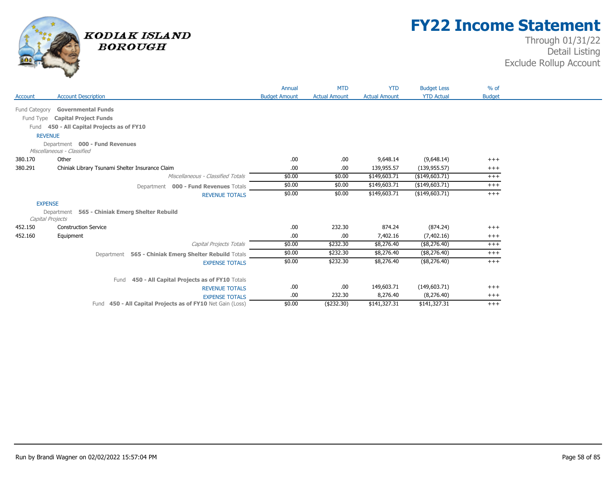

## **FY22 Income Statement**

| <b>Account Description</b><br><b>Actual Amount</b><br><b>YTD Actual</b><br><b>Budget Amount</b><br><b>Actual Amount</b><br><b>Budget</b><br>Account<br><b>Governmental Funds</b><br>Fund Category<br><b>Capital Project Funds</b><br>Fund Type<br>450 - All Capital Projects as of FY10<br>Fund<br><b>REVENUE</b><br>Department 000 - Fund Revenues<br>Miscellaneous - Classified<br>Other<br>.00<br>(9,648.14)<br>380.170<br>.00.<br>9,648.14<br>$+++$<br>380.291<br>.00.<br>Chiniak Library Tsunami Shelter Insurance Claim<br>.00.<br>139,955.57<br>(139, 955.57)<br>$^{+++}$<br>\$0.00<br>\$149,603.71<br>( \$149,603.71)<br>Miscellaneous - Classified Totals<br>\$0.00<br>$^{+++}$<br>\$0.00<br>\$149,603.71<br>( \$149, 603.71)<br>\$0.00<br>$^{+++}$<br>Department 000 - Fund Revenues Totals<br>\$0.00<br>\$149,603.71<br>( \$149,603.71)<br>\$0.00<br>$+++$<br><b>REVENUE TOTALS</b><br><b>EXPENSE</b><br>565 - Chiniak Emerg Shelter Rebuild<br>Department<br>Capital Projects<br>.00.<br>232.30<br>874.24<br>(874.24)<br>452.150<br><b>Construction Service</b><br>$+++$<br>452.160<br>.00.<br>.00<br>7,402.16<br>(7, 402.16)<br>Equipment<br>$^{+++}$<br>Capital Projects Totals<br>\$0.00<br>\$232.30<br>\$8,276.40<br>(\$8,276.40)<br>$+++$<br>\$0.00<br>\$232.30<br>\$8,276.40<br>(\$8,276.40)<br>$+++$<br>Department 565 - Chiniak Emerg Shelter Rebuild Totals<br>\$0.00<br>\$232.30<br>\$8,276.40<br>(\$8,276.40)<br>$+++$<br><b>EXPENSE TOTALS</b><br>450 - All Capital Projects as of FY10 Totals<br>Fund<br>149,603.71<br>.00.<br>.00<br>(149,603.71)<br>$+++$<br><b>REVENUE TOTALS</b><br>.00.<br>232.30<br>8,276.40<br>(8,276.40)<br>$^{+++}$<br><b>EXPENSE TOTALS</b> |  | Annual | <b>MTD</b> | <b>YTD</b> | <b>Budget Less</b> | $%$ of |
|------------------------------------------------------------------------------------------------------------------------------------------------------------------------------------------------------------------------------------------------------------------------------------------------------------------------------------------------------------------------------------------------------------------------------------------------------------------------------------------------------------------------------------------------------------------------------------------------------------------------------------------------------------------------------------------------------------------------------------------------------------------------------------------------------------------------------------------------------------------------------------------------------------------------------------------------------------------------------------------------------------------------------------------------------------------------------------------------------------------------------------------------------------------------------------------------------------------------------------------------------------------------------------------------------------------------------------------------------------------------------------------------------------------------------------------------------------------------------------------------------------------------------------------------------------------------------------------------------------------------------------------------------------------------------------------------|--|--------|------------|------------|--------------------|--------|
|                                                                                                                                                                                                                                                                                                                                                                                                                                                                                                                                                                                                                                                                                                                                                                                                                                                                                                                                                                                                                                                                                                                                                                                                                                                                                                                                                                                                                                                                                                                                                                                                                                                                                                |  |        |            |            |                    |        |
|                                                                                                                                                                                                                                                                                                                                                                                                                                                                                                                                                                                                                                                                                                                                                                                                                                                                                                                                                                                                                                                                                                                                                                                                                                                                                                                                                                                                                                                                                                                                                                                                                                                                                                |  |        |            |            |                    |        |
|                                                                                                                                                                                                                                                                                                                                                                                                                                                                                                                                                                                                                                                                                                                                                                                                                                                                                                                                                                                                                                                                                                                                                                                                                                                                                                                                                                                                                                                                                                                                                                                                                                                                                                |  |        |            |            |                    |        |
|                                                                                                                                                                                                                                                                                                                                                                                                                                                                                                                                                                                                                                                                                                                                                                                                                                                                                                                                                                                                                                                                                                                                                                                                                                                                                                                                                                                                                                                                                                                                                                                                                                                                                                |  |        |            |            |                    |        |
|                                                                                                                                                                                                                                                                                                                                                                                                                                                                                                                                                                                                                                                                                                                                                                                                                                                                                                                                                                                                                                                                                                                                                                                                                                                                                                                                                                                                                                                                                                                                                                                                                                                                                                |  |        |            |            |                    |        |
|                                                                                                                                                                                                                                                                                                                                                                                                                                                                                                                                                                                                                                                                                                                                                                                                                                                                                                                                                                                                                                                                                                                                                                                                                                                                                                                                                                                                                                                                                                                                                                                                                                                                                                |  |        |            |            |                    |        |
|                                                                                                                                                                                                                                                                                                                                                                                                                                                                                                                                                                                                                                                                                                                                                                                                                                                                                                                                                                                                                                                                                                                                                                                                                                                                                                                                                                                                                                                                                                                                                                                                                                                                                                |  |        |            |            |                    |        |
|                                                                                                                                                                                                                                                                                                                                                                                                                                                                                                                                                                                                                                                                                                                                                                                                                                                                                                                                                                                                                                                                                                                                                                                                                                                                                                                                                                                                                                                                                                                                                                                                                                                                                                |  |        |            |            |                    |        |
|                                                                                                                                                                                                                                                                                                                                                                                                                                                                                                                                                                                                                                                                                                                                                                                                                                                                                                                                                                                                                                                                                                                                                                                                                                                                                                                                                                                                                                                                                                                                                                                                                                                                                                |  |        |            |            |                    |        |
|                                                                                                                                                                                                                                                                                                                                                                                                                                                                                                                                                                                                                                                                                                                                                                                                                                                                                                                                                                                                                                                                                                                                                                                                                                                                                                                                                                                                                                                                                                                                                                                                                                                                                                |  |        |            |            |                    |        |
|                                                                                                                                                                                                                                                                                                                                                                                                                                                                                                                                                                                                                                                                                                                                                                                                                                                                                                                                                                                                                                                                                                                                                                                                                                                                                                                                                                                                                                                                                                                                                                                                                                                                                                |  |        |            |            |                    |        |
|                                                                                                                                                                                                                                                                                                                                                                                                                                                                                                                                                                                                                                                                                                                                                                                                                                                                                                                                                                                                                                                                                                                                                                                                                                                                                                                                                                                                                                                                                                                                                                                                                                                                                                |  |        |            |            |                    |        |
|                                                                                                                                                                                                                                                                                                                                                                                                                                                                                                                                                                                                                                                                                                                                                                                                                                                                                                                                                                                                                                                                                                                                                                                                                                                                                                                                                                                                                                                                                                                                                                                                                                                                                                |  |        |            |            |                    |        |
|                                                                                                                                                                                                                                                                                                                                                                                                                                                                                                                                                                                                                                                                                                                                                                                                                                                                                                                                                                                                                                                                                                                                                                                                                                                                                                                                                                                                                                                                                                                                                                                                                                                                                                |  |        |            |            |                    |        |
|                                                                                                                                                                                                                                                                                                                                                                                                                                                                                                                                                                                                                                                                                                                                                                                                                                                                                                                                                                                                                                                                                                                                                                                                                                                                                                                                                                                                                                                                                                                                                                                                                                                                                                |  |        |            |            |                    |        |
|                                                                                                                                                                                                                                                                                                                                                                                                                                                                                                                                                                                                                                                                                                                                                                                                                                                                                                                                                                                                                                                                                                                                                                                                                                                                                                                                                                                                                                                                                                                                                                                                                                                                                                |  |        |            |            |                    |        |
|                                                                                                                                                                                                                                                                                                                                                                                                                                                                                                                                                                                                                                                                                                                                                                                                                                                                                                                                                                                                                                                                                                                                                                                                                                                                                                                                                                                                                                                                                                                                                                                                                                                                                                |  |        |            |            |                    |        |
|                                                                                                                                                                                                                                                                                                                                                                                                                                                                                                                                                                                                                                                                                                                                                                                                                                                                                                                                                                                                                                                                                                                                                                                                                                                                                                                                                                                                                                                                                                                                                                                                                                                                                                |  |        |            |            |                    |        |
|                                                                                                                                                                                                                                                                                                                                                                                                                                                                                                                                                                                                                                                                                                                                                                                                                                                                                                                                                                                                                                                                                                                                                                                                                                                                                                                                                                                                                                                                                                                                                                                                                                                                                                |  |        |            |            |                    |        |
|                                                                                                                                                                                                                                                                                                                                                                                                                                                                                                                                                                                                                                                                                                                                                                                                                                                                                                                                                                                                                                                                                                                                                                                                                                                                                                                                                                                                                                                                                                                                                                                                                                                                                                |  |        |            |            |                    |        |
|                                                                                                                                                                                                                                                                                                                                                                                                                                                                                                                                                                                                                                                                                                                                                                                                                                                                                                                                                                                                                                                                                                                                                                                                                                                                                                                                                                                                                                                                                                                                                                                                                                                                                                |  |        |            |            |                    |        |
| \$141,327.31<br>Fund 450 - All Capital Projects as of FY10 Net Gain (Loss)<br>\$0.00<br>(\$232.30)<br>\$141,327.31<br>$+++$                                                                                                                                                                                                                                                                                                                                                                                                                                                                                                                                                                                                                                                                                                                                                                                                                                                                                                                                                                                                                                                                                                                                                                                                                                                                                                                                                                                                                                                                                                                                                                    |  |        |            |            |                    |        |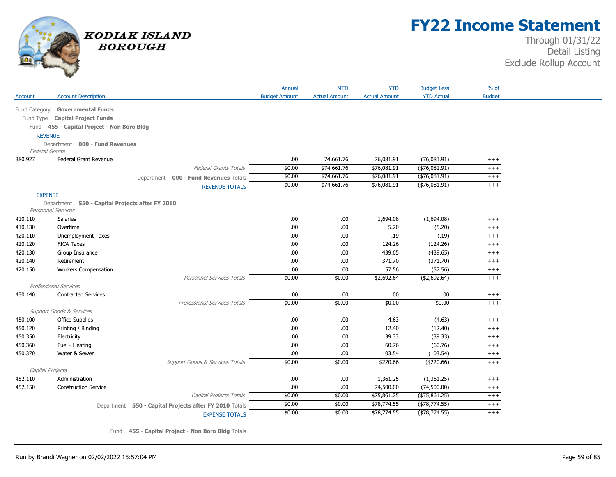

## **FY22 Income Statement**

### Through 01/31/22 Detail Listing Exclude Rollup Account

|               |                                                         |                                                        | Annual               | <b>MTD</b>           | <b>YTD</b>           | <b>Budget Less</b> | $%$ of        |
|---------------|---------------------------------------------------------|--------------------------------------------------------|----------------------|----------------------|----------------------|--------------------|---------------|
| Account       | <b>Account Description</b>                              |                                                        | <b>Budget Amount</b> | <b>Actual Amount</b> | <b>Actual Amount</b> | <b>YTD Actual</b>  | <b>Budget</b> |
|               |                                                         |                                                        |                      |                      |                      |                    |               |
| Fund Category | <b>Governmental Funds</b>                               |                                                        |                      |                      |                      |                    |               |
|               | Fund Type Capital Project Funds                         |                                                        |                      |                      |                      |                    |               |
|               | Fund 455 - Capital Project - Non Boro Bldg              |                                                        |                      |                      |                      |                    |               |
|               | <b>REVENUE</b>                                          |                                                        |                      |                      |                      |                    |               |
|               | Department 000 - Fund Revenues<br><b>Federal Grants</b> |                                                        |                      |                      |                      |                    |               |
| 380.927       | Federal Grant Revenue                                   |                                                        | .00.                 | 74,661.76            | 76,081.91            | (76,081.91)        | $^{+++}$      |
|               |                                                         | <b>Federal Grants Totals</b>                           | \$0.00               | \$74,661.76          | \$76,081.91          | $(*76,081.91)$     | $^{+++}$      |
|               |                                                         | Department 000 - Fund Revenues Totals                  | \$0.00               | \$74,661.76          | \$76,081.91          | ( \$76,081.91)     | $^{+++}$      |
|               |                                                         | <b>REVENUE TOTALS</b>                                  | \$0.00               | \$74,661.76          | \$76,081.91          | ( \$76,081.91)     | $+++$         |
|               | <b>EXPENSE</b>                                          |                                                        |                      |                      |                      |                    |               |
|               | Department 550 - Capital Projects after FY 2010         |                                                        |                      |                      |                      |                    |               |
|               | <b>Personnel Services</b>                               |                                                        |                      |                      |                      |                    |               |
| 410.110       | <b>Salaries</b>                                         |                                                        | .00.                 | .00                  | 1,694.08             | (1,694.08)         | $^{+++}$      |
| 410.130       | Overtime                                                |                                                        | .00.                 | .00                  | 5.20                 | (5.20)             | $^{+++}$      |
| 420.110       | Unemployment Taxes                                      |                                                        | .00                  | .00                  | .19                  | (.19)              | $+++$         |
| 420.120       | <b>FICA Taxes</b>                                       |                                                        | .00                  | .00                  | 124.26               | (124.26)           | $+++$         |
| 420.130       | Group Insurance                                         |                                                        | .00.                 | .00                  | 439.65               | (439.65)           | $^{+++}$      |
| 420.140       | Retirement                                              |                                                        | .00.                 | .00                  | 371.70               | (371.70)           | $^{+++}$      |
| 420.150       | <b>Workers Compensation</b>                             |                                                        | .00.                 | .00                  | 57.56                | (57.56)            | $^{+++}$      |
|               |                                                         | Personnel Services Totals                              | \$0.00               | \$0.00               | \$2,692.64           | ( \$2,692.64)      | $+++$         |
|               | <b>Professional Services</b>                            |                                                        |                      |                      |                      |                    |               |
| 430.140       | <b>Contracted Services</b>                              |                                                        | .00                  | .00                  | .00.                 | .00.               | $^{+++}$      |
|               |                                                         | <b>Professional Services Totals</b>                    | \$0.00               | \$0.00               | \$0.00               | \$0.00             | $+++$         |
|               | <b>Support Goods &amp; Services</b>                     |                                                        |                      |                      |                      |                    |               |
| 450.100       | <b>Office Supplies</b>                                  |                                                        | .00.                 | .00                  | 4.63                 | (4.63)             | $+++$         |
| 450.120       | Printing / Binding                                      |                                                        | .00.                 | .00                  | 12.40                | (12.40)            | $^{+++}$      |
| 450.350       | Electricity                                             |                                                        | .00                  | .00                  | 39.33                | (39.33)            | $^{+++}$      |
| 450.360       | Fuel - Heating                                          |                                                        | .00                  | .00                  | 60.76                | (60.76)            | $^{+++}$      |
| 450.370       | Water & Sewer                                           |                                                        | .00                  | .00                  | 103.54               | (103.54)           | $^{+++}$      |
|               |                                                         | Support Goods & Services Totals                        | \$0.00               | \$0.00               | \$220.66             | (\$220.66)         | $+++$         |
|               | Capital Projects                                        |                                                        |                      |                      |                      |                    |               |
| 452.110       | Administration                                          |                                                        | .00                  | .00                  | 1,361.25             | (1,361.25)         | $^{+++}$      |
| 452.150       | <b>Construction Service</b>                             |                                                        | .00.                 | .00                  | 74,500.00            | (74,500.00)        | $^{+++}$      |
|               |                                                         | Capital Projects Totals                                | \$0.00               | \$0.00               | \$75,861.25          | $(*75,861.25)$     | $^{+++}$      |
|               |                                                         | Department 550 - Capital Projects after FY 2010 Totals | \$0.00               | \$0.00               | \$78,774.55          | (\$78,774.55)      | $^{+++}$      |
|               |                                                         | <b>EXPENSE TOTALS</b>                                  | \$0.00               | \$0.00               | \$78,774.55          | $($ \$78,774.55)   | $+++$         |

Fund **455 - Capital Project - Non Boro Bldg** Totals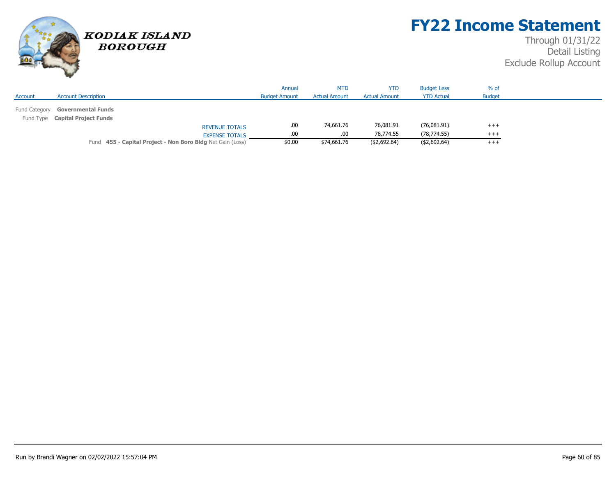

## **FY22 Income Statement**

|               |                                                              |                                                            | Annual               | <b>MTD</b>           | <b>YTD</b>           | <b>Budget Less</b> | $%$ of        |  |
|---------------|--------------------------------------------------------------|------------------------------------------------------------|----------------------|----------------------|----------------------|--------------------|---------------|--|
| Account       | <b>Account Description</b>                                   |                                                            | <b>Budget Amount</b> | <b>Actual Amount</b> | <b>Actual Amount</b> | <b>YTD Actual</b>  | <b>Budget</b> |  |
| Fund Category | <b>Governmental Funds</b><br>Fund Type Capital Project Funds |                                                            |                      |                      |                      |                    |               |  |
|               |                                                              | <b>REVENUE TOTALS</b>                                      | .00                  | 74,661.76            | 76,081.91            | (76,081.91)        | $+++$         |  |
|               |                                                              | <b>EXPENSE TOTALS</b>                                      | .00                  | .00                  | 78,774.55            | (78, 774.55)       | $+++$         |  |
|               |                                                              | Fund 455 - Capital Project - Non Boro Bldg Net Gain (Loss) | \$0.00               | \$74,661.76          | ( \$2,692.64)        | (\$2,692.64)       | $+++$         |  |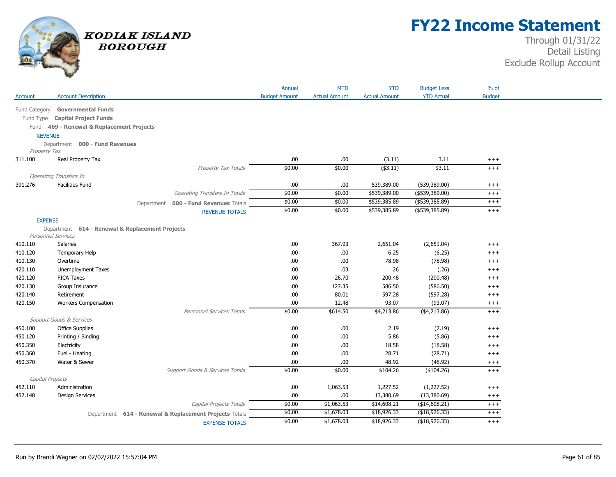

## **FY22 Income Statement**

|                |                                                 |                                                        | Annual               | <b>MTD</b>           | <b>YTD</b>           | <b>Budget Less</b> | $%$ of        |
|----------------|-------------------------------------------------|--------------------------------------------------------|----------------------|----------------------|----------------------|--------------------|---------------|
| Account        | <b>Account Description</b>                      |                                                        | <b>Budget Amount</b> | <b>Actual Amount</b> | <b>Actual Amount</b> | <b>YTD Actual</b>  | <b>Budget</b> |
|                | Fund Category Governmental Funds                |                                                        |                      |                      |                      |                    |               |
|                | Fund Type Capital Project Funds                 |                                                        |                      |                      |                      |                    |               |
|                | Fund 469 - Renewal & Replacement Projects       |                                                        |                      |                      |                      |                    |               |
| <b>REVENUE</b> |                                                 |                                                        |                      |                      |                      |                    |               |
|                | Department 000 - Fund Revenues                  |                                                        |                      |                      |                      |                    |               |
| Property Tax   |                                                 |                                                        |                      |                      |                      |                    |               |
| 311.100        | Real Property Tax                               |                                                        | .00.                 | .00                  | (3.11)               | 3.11               | $^{+++}$      |
|                |                                                 | Property Tax Totals                                    | \$0.00               | \$0.00               | $($ \$3.11)          | \$3.11             | $^{+++}$      |
|                | <b>Operating Transfers In</b>                   |                                                        |                      |                      |                      |                    |               |
| 391.276        | <b>Facilities Fund</b>                          |                                                        | .00                  | .00                  | 539,389.00           | (539, 389.00)      | $^{+++}$      |
|                |                                                 | <b>Operating Transfers In Totals</b>                   | \$0.00               | \$0.00               | \$539,389.00         | $(*539,389.00)$    | $^{+++}$      |
|                |                                                 | 000 - Fund Revenues Totals<br>Department               | \$0.00               | \$0.00               | \$539,385.89         | ( \$539, 385.89)   | $^{+++}$      |
|                |                                                 | <b>REVENUE TOTALS</b>                                  | \$0.00               | \$0.00               | \$539,385.89         | ( \$539, 385.89)   | $^{+++}$      |
| <b>EXPENSE</b> |                                                 |                                                        |                      |                      |                      |                    |               |
|                | Department 614 - Renewal & Replacement Projects |                                                        |                      |                      |                      |                    |               |
|                | <b>Personnel Services</b>                       |                                                        |                      |                      |                      |                    |               |
| 410.110        | Salaries                                        |                                                        | .00                  | 367.93               | 2,651.04             | (2,651.04)         | $^{+++}$      |
| 410.120        | Temporary Help                                  |                                                        | .00                  | .00                  | 6.25                 | (6.25)             | $++++$        |
| 410.130        | Overtime                                        |                                                        | .00.                 | .00                  | 78.98                | (78.98)            | $^{+++}$      |
| 420.110        | Unemployment Taxes                              |                                                        | .00                  | .03                  | .26                  | (.26)              | $^{+++}$      |
| 420.120        | <b>FICA Taxes</b>                               |                                                        | .00                  | 26.70                | 200.48               | (200.48)           | $+++$         |
| 420.130        | Group Insurance                                 |                                                        | .00                  | 127.35               | 586.50               | (586.50)           | $^{+++}$      |
| 420.140        | Retirement                                      |                                                        | .00                  | 80.01                | 597.28               | (597.28)           | $^{+++}$      |
| 420.150        | <b>Workers Compensation</b>                     |                                                        | .00.                 | 12.48                | 93.07                | (93.07)            | $^{+++}$      |
|                |                                                 | <b>Personnel Services Totals</b>                       | \$0.00               | \$614.50             | \$4,213.86           | ( \$4, 213.86)     | $^{+++}$      |
|                | <b>Support Goods &amp; Services</b>             |                                                        |                      |                      |                      |                    |               |
| 450.100        | <b>Office Supplies</b>                          |                                                        | .00.                 | .00.                 | 2.19                 | (2.19)             | $^{+++}$      |
| 450.120        | Printing / Binding                              |                                                        | .00.                 | .00                  | 5.86                 | (5.86)             | $+++$         |
| 450.350        | Electricity                                     |                                                        | .00                  | .00                  | 18.58                | (18.58)            | $^{+++}$      |
| 450.360        | Fuel - Heating                                  |                                                        | .00.                 | .00                  | 28.71                | (28.71)            | $+++$         |
| 450.370        | Water & Sewer                                   |                                                        | .00.                 | .00                  | 48.92                | (48.92)            | $^{+++}$      |
|                |                                                 | Support Goods & Services Totals                        | \$0.00               | \$0.00               | \$104.26             | (\$104.26)         | $+++$         |
|                | Capital Projects                                |                                                        |                      |                      |                      |                    |               |
| 452.110        | Administration                                  |                                                        | .00.                 | 1,063.53             | 1,227.52             | (1,227.52)         | $^{+++}$      |
| 452.140        | <b>Design Services</b>                          |                                                        | .00.                 | .00                  | 13,380.69            | (13,380.69)        | $^{+++}$      |
|                |                                                 | Capital Projects Totals                                | \$0.00               | \$1,063.53           | \$14,608.21          | (\$14,608.21)      | $++++$        |
|                |                                                 | Department 614 - Renewal & Replacement Projects Totals | \$0.00               | \$1,678.03           | \$18,926.33          | (\$18,926.33)      | $^{+++}$      |
|                |                                                 | <b>EXPENSE TOTALS</b>                                  | \$0.00               | \$1,678.03           | \$18,926.33          | (\$18,926.33)      | $^{+++}$      |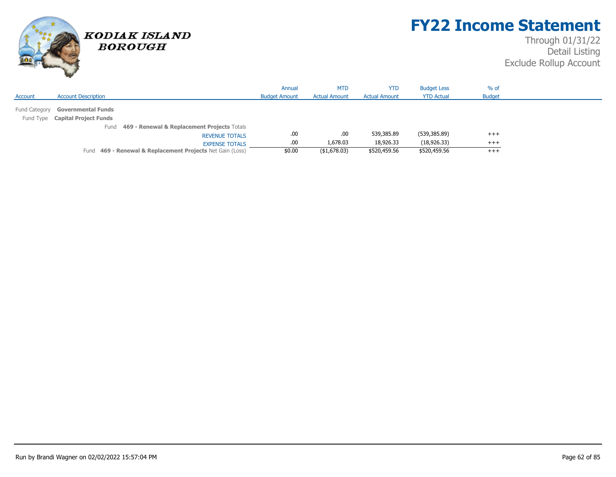

## **FY22 Income Statement**

|               |                                                           | Annual               | <b>MTD</b>           | <b>YTD</b>           | <b>Budget Less</b> | $%$ of        |  |
|---------------|-----------------------------------------------------------|----------------------|----------------------|----------------------|--------------------|---------------|--|
| Account       | <b>Account Description</b>                                | <b>Budget Amount</b> | <b>Actual Amount</b> | <b>Actual Amount</b> | <b>YTD Actual</b>  | <b>Budget</b> |  |
| Fund Category | <b>Governmental Funds</b>                                 |                      |                      |                      |                    |               |  |
|               | Fund Type Capital Project Funds                           |                      |                      |                      |                    |               |  |
|               | 469 - Renewal & Replacement Projects Totals<br>Fund       |                      |                      |                      |                    |               |  |
|               | <b>REVENUE TOTALS</b>                                     | .00                  | .00.                 | 539,385.89           | (539,385.89)       | $+++$         |  |
|               | <b>EXPENSE TOTALS</b>                                     | .00                  | 1,678.03             | 18,926.33            | (18, 926.33)       | $+++$         |  |
|               | Fund 469 - Renewal & Replacement Projects Net Gain (Loss) | \$0.00               | ( \$1,678.03)        | \$520,459.56         | \$520,459.56       | $^{+++}$      |  |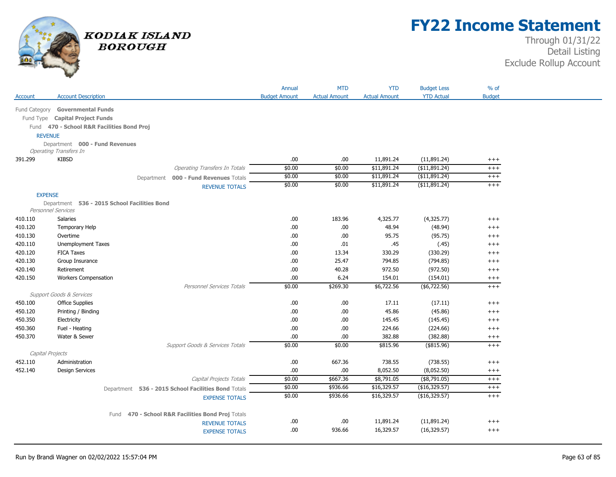

## **FY22 Income Statement**

| <b>YTD</b><br>Annual<br><b>MTD</b>                                                                                                | $%$ of<br><b>Budget Less</b>                     |
|-----------------------------------------------------------------------------------------------------------------------------------|--------------------------------------------------|
| <b>Account Description</b><br><b>Actual Amount</b><br><b>Budget Amount</b><br><b>Actual Amount</b><br>Account                     | <b>YTD Actual</b><br><b>Budget</b>               |
| Fund Category Governmental Funds                                                                                                  |                                                  |
| Fund Type Capital Project Funds                                                                                                   |                                                  |
| Fund 470 - School R&R Facilities Bond Proj                                                                                        |                                                  |
| <b>REVENUE</b>                                                                                                                    |                                                  |
| Department 000 - Fund Revenues                                                                                                    |                                                  |
| <b>Operating Transfers In</b>                                                                                                     |                                                  |
| <b>KIBSD</b><br>.00.<br>11,891.24<br>391.299<br>.00                                                                               | (11,891.24)<br>$^{+++}$                          |
| \$0.00<br>\$11,891.24<br>\$0.00<br><b>Operating Transfers In Totals</b>                                                           | ( \$11,891.24)<br>$^{+++}$                       |
| \$0.00<br>\$11,891.24<br>\$0.00<br>Department 000 - Fund Revenues Totals                                                          | (\$11,891.24)<br>$^{+++}$                        |
| \$0.00<br>\$11,891.24<br>\$0.00<br><b>REVENUE TOTALS</b>                                                                          | (\$11,891.24)<br>$^{+++}$                        |
| <b>EXPENSE</b>                                                                                                                    |                                                  |
| Department 536 - 2015 School Facilities Bond                                                                                      |                                                  |
| <b>Personnel Services</b>                                                                                                         |                                                  |
| 410.110<br><b>Salaries</b><br>.00.<br>183.96<br>4,325.77                                                                          | (4,325.77)<br>$++++$                             |
| 410.120<br>.00.<br>.00.<br>48.94<br>Temporary Help                                                                                | (48.94)<br>$+++$                                 |
| 410.130<br>Overtime<br>.00.<br>.00<br>95.75                                                                                       | (95.75)<br>$++++$                                |
| Unemployment Taxes<br>.00.<br>.45<br>420.110<br>.01                                                                               | (.45)<br>$++++$                                  |
| 420.120<br><b>FICA Taxes</b><br>.00.<br>13.34<br>330.29                                                                           | (330.29)<br>$+++$                                |
| 420.130<br>Group Insurance<br>.00.<br>25.47<br>794.85                                                                             | (794.85)<br>$++++$                               |
| Retirement<br>40.28<br>972.50<br>420.140<br>.00.                                                                                  | (972.50)<br>$+++$                                |
| Workers Compensation<br>6.24<br>154.01<br>420.150<br>.00.<br>\$6,722.56<br><b>Personnel Services Totals</b><br>\$0.00<br>\$269.30 | (154.01)<br>$^{+++}$<br>$($ \$6,722.56)<br>$+++$ |
| <b>Support Goods &amp; Services</b>                                                                                               |                                                  |
| Office Supplies<br>.00.<br>.00<br>17.11<br>450.100                                                                                | (17.11)<br>$++++$                                |
| 450.120<br>.00<br>.00<br>45.86<br>Printing / Binding                                                                              | (45.86)<br>$++++$                                |
| 450.350<br>Electricity<br>.00.<br>.00.<br>145.45                                                                                  | (145.45)<br>$++++$                               |
| 450.360<br>.00.<br>.00<br>224.66<br>Fuel - Heating                                                                                | (224.66)<br>$+++$                                |
| 382.88<br>450.370<br>Water & Sewer<br>.00.<br>.00                                                                                 | (382.88)<br>$^{+++}$                             |
| Support Goods & Services Totals<br>\$0.00<br>\$0.00<br>\$815.96                                                                   | $($ \$815.96)<br>$+++$                           |
| Capital Projects                                                                                                                  |                                                  |
| 667.36<br>738.55<br>Administration<br>.00.<br>452.110                                                                             | (738.55)<br>$^{+++}$                             |
| 8,052.50<br>452.140<br><b>Design Services</b><br>.00<br>.00.                                                                      | (8,052.50)<br>$^{+++}$                           |
| \$667.36<br>\$0.00<br>\$8,791.05<br>Capital Projects Totals                                                                       | $($ \$8,791.05)<br>$^{+++}$                      |
| \$936.66<br>\$16,329.57<br>\$0.00<br>Department 536 - 2015 School Facilities Bond Totals                                          | (\$16,329.57)<br>$^{+++}$                        |
| \$0.00<br>\$936.66<br>\$16,329.57<br><b>EXPENSE TOTALS</b>                                                                        | (\$16,329.57)<br>$^{+++}$                        |
|                                                                                                                                   |                                                  |
| 470 - School R&R Facilities Bond Proj Totals<br>Fund                                                                              |                                                  |
| .00<br>.00<br>11,891.24<br><b>REVENUE TOTALS</b>                                                                                  | (11,891.24)<br>$++++$                            |
| .00.<br>16,329.57<br>936.66<br><b>EXPENSE TOTALS</b>                                                                              | (16, 329.57)<br>$++++$                           |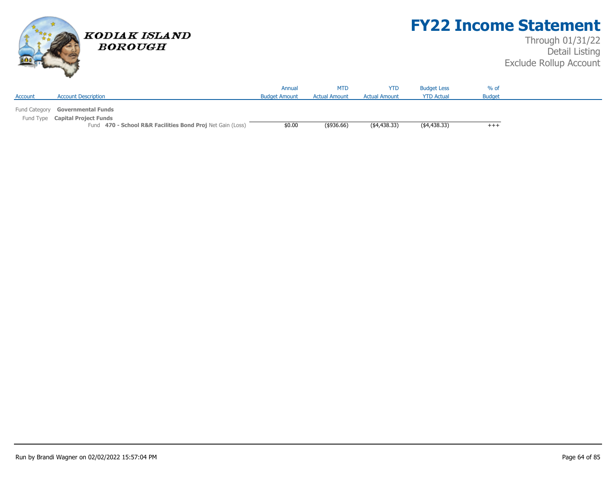

## **FY22 Income Statement**

|         |                                                            | Annual               | <b>MTD</b>           | YTD                  | <b>Budget Less</b> | $%$ of        |  |
|---------|------------------------------------------------------------|----------------------|----------------------|----------------------|--------------------|---------------|--|
| Account | <b>Account Description</b>                                 | <b>Budget Amount</b> | <b>Actual Amount</b> | <b>Actual Amount</b> | <b>YTD Actual</b>  | <b>Budget</b> |  |
|         |                                                            |                      |                      |                      |                    |               |  |
|         | Fund Category Governmental Funds                           |                      |                      |                      |                    |               |  |
|         | Fund Type Capital Project Funds                            |                      |                      |                      |                    |               |  |
|         | Fund 470 - School R&R Facilities Bond Proj Net Gain (Loss) | \$0.00               | $($ \$936.66)        | (4,438.33)           | (4,438.33)         | $^{+++}$      |  |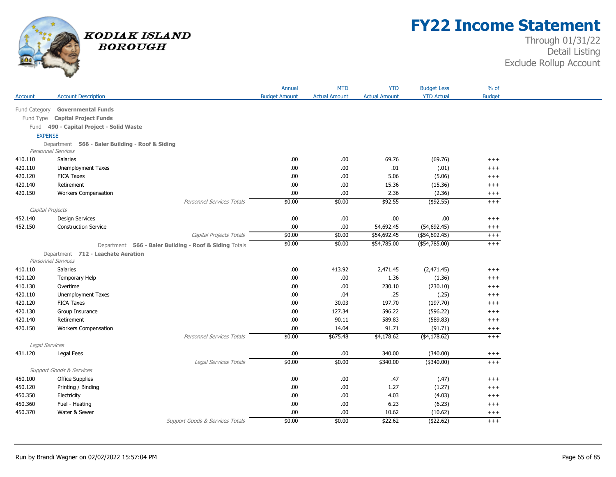

## **FY22 Income Statement**

|                  |                                                                              |                                                        | Annual               | <b>MTD</b>           | <b>YTD</b>           | <b>Budget Less</b> | $%$ of        |
|------------------|------------------------------------------------------------------------------|--------------------------------------------------------|----------------------|----------------------|----------------------|--------------------|---------------|
| Account          | <b>Account Description</b>                                                   |                                                        | <b>Budget Amount</b> | <b>Actual Amount</b> | <b>Actual Amount</b> | <b>YTD Actual</b>  | <b>Budget</b> |
| Fund Category    | <b>Governmental Funds</b>                                                    |                                                        |                      |                      |                      |                    |               |
|                  | Fund Type Capital Project Funds                                              |                                                        |                      |                      |                      |                    |               |
|                  |                                                                              |                                                        |                      |                      |                      |                    |               |
|                  | Fund 490 - Capital Project - Solid Waste                                     |                                                        |                      |                      |                      |                    |               |
| <b>EXPENSE</b>   |                                                                              |                                                        |                      |                      |                      |                    |               |
|                  | Department 566 - Baler Building - Roof & Siding<br><b>Personnel Services</b> |                                                        |                      |                      |                      |                    |               |
| 410.110          | <b>Salaries</b>                                                              |                                                        | .00.                 | .00                  | 69.76                | (69.76)            | $++++$        |
| 420.110          | Unemployment Taxes                                                           |                                                        | .00.                 | .00                  | .01                  | (.01)              | $+++$         |
| 420.120          | <b>FICA Taxes</b>                                                            |                                                        | .00                  | .00.                 | 5.06                 | (5.06)             | $^{+++}$      |
| 420.140          | Retirement                                                                   |                                                        | .00.                 | .00                  | 15.36                | (15.36)            | $^{+++}$      |
| 420.150          | <b>Workers Compensation</b>                                                  |                                                        | .00.                 | .00                  | 2.36                 | (2.36)             | $^{+++}$      |
|                  |                                                                              | <b>Personnel Services Totals</b>                       | \$0.00               | \$0.00               | \$92.55              | $($ \$92.55)       | $+++$         |
| Capital Projects |                                                                              |                                                        |                      |                      |                      |                    |               |
| 452.140          | <b>Design Services</b>                                                       |                                                        | .00                  | .00                  | .00.                 | .00                | $^{+++}$      |
| 452.150          | <b>Construction Service</b>                                                  |                                                        | .00                  | .00                  | 54,692.45            | (54, 692.45)       | $^{+++}$      |
|                  |                                                                              | Capital Projects Totals                                | \$0.00               | \$0.00               | \$54,692.45          | $($ \$54,692.45)   | $+++$         |
|                  |                                                                              | Department 566 - Baler Building - Roof & Siding Totals | \$0.00               | \$0.00               | \$54,785.00          | $($ \$54,785.00)   | $+++$         |
|                  | Department 712 - Leachate Aeration                                           |                                                        |                      |                      |                      |                    |               |
|                  | <b>Personnel Services</b>                                                    |                                                        |                      |                      |                      |                    |               |
| 410.110          | <b>Salaries</b>                                                              |                                                        | .00.                 | 413.92               | 2,471.45             | (2,471.45)         | $^{+++}$      |
| 410.120          | <b>Temporary Help</b>                                                        |                                                        | .00                  | .00                  | 1.36                 | (1.36)             | $++++$        |
| 410.130          | Overtime                                                                     |                                                        | .00.                 | .00                  | 230.10               | (230.10)           | $^{+++}$      |
| 420.110          | Unemployment Taxes                                                           |                                                        | .00.                 | .04                  | .25                  | (.25)              | $^{+++}$      |
| 420.120          | <b>FICA Taxes</b>                                                            |                                                        | .00.                 | 30.03                | 197.70               | (197.70)           | $^{+++}$      |
| 420.130          | Group Insurance                                                              |                                                        | .00.                 | 127.34               | 596.22               | (596.22)           | $+++$         |
| 420.140          | Retirement                                                                   |                                                        | .00.                 | 90.11                | 589.83               | (589.83)           | $^{+++}$      |
| 420.150          | <b>Workers Compensation</b>                                                  |                                                        | .00.                 | 14.04                | 91.71                | (91.71)            | $^{+++}$      |
|                  |                                                                              | Personnel Services Totals                              | \$0.00               | \$675.48             | \$4,178.62           | (4,178.62)         | $^{+++}$      |
| Legal Services   |                                                                              |                                                        |                      |                      |                      |                    |               |
| 431.120          | Legal Fees                                                                   |                                                        | .00                  | .00.                 | 340.00               | (340.00)           | $^{+++}$      |
|                  |                                                                              | Legal Services Totals                                  | \$0.00               | \$0.00               | \$340.00             | (\$340.00)         | $+++$         |
|                  | <b>Support Goods &amp; Services</b>                                          |                                                        |                      |                      |                      |                    |               |
| 450.100          | <b>Office Supplies</b>                                                       |                                                        | .00.                 | .00                  | .47                  | (.47)              | $^{+++}$      |
| 450.120          | Printing / Binding                                                           |                                                        | .00.                 | .00                  | 1.27                 | (1.27)             | $^{+++}$      |
| 450.350          | Electricity                                                                  |                                                        | .00.                 | .00                  | 4.03                 | (4.03)             | $+++$         |
| 450.360          | Fuel - Heating                                                               |                                                        | .00                  | .00                  | 6.23                 | (6.23)             | $^{+++}$      |
| 450.370          | Water & Sewer                                                                |                                                        | .00.                 | .00                  | 10.62                | (10.62)            | $^{+++}$      |
|                  |                                                                              | <b>Support Goods &amp; Services Totals</b>             | \$0.00               | \$0.00               | \$22.62              | (\$22.62)          | $+++$         |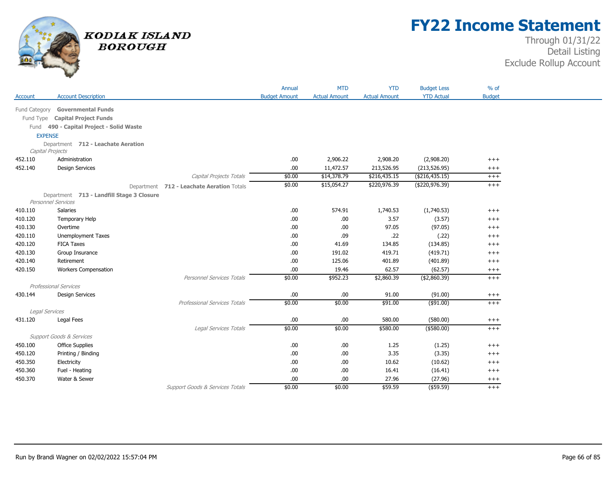

## **FY22 Income Statement**

|           |                                           |                                            | Annual               | <b>MTD</b>           | <b>YTD</b>           | <b>Budget Less</b> | $%$ of        |
|-----------|-------------------------------------------|--------------------------------------------|----------------------|----------------------|----------------------|--------------------|---------------|
| Account   | <b>Account Description</b>                |                                            | <b>Budget Amount</b> | <b>Actual Amount</b> | <b>Actual Amount</b> | <b>YTD Actual</b>  | <b>Budget</b> |
|           | Fund Category Governmental Funds          |                                            |                      |                      |                      |                    |               |
| Fund Type | <b>Capital Project Funds</b>              |                                            |                      |                      |                      |                    |               |
| Fund      | 490 - Capital Project - Solid Waste       |                                            |                      |                      |                      |                    |               |
|           | <b>EXPENSE</b>                            |                                            |                      |                      |                      |                    |               |
|           | Department 712 - Leachate Aeration        |                                            |                      |                      |                      |                    |               |
|           | Capital Projects                          |                                            |                      |                      |                      |                    |               |
| 452.110   | Administration                            |                                            | .00.                 | 2,906.22             | 2,908.20             | (2,908.20)         | $^{+++}$      |
| 452.140   | <b>Design Services</b>                    |                                            | .00                  | 11,472.57            | 213,526.95           | (213, 526.95)      | $^{+++}$      |
|           |                                           | Capital Projects Totals                    | \$0.00               | \$14,378.79          | \$216,435.15         | ( \$216, 435.15)   | $^{+++}$      |
|           |                                           | Department 712 - Leachate Aeration Totals  | \$0.00               | \$15,054.27          | \$220,976.39         | ( \$220, 976.39)   | $+++$         |
|           | Department 713 - Landfill Stage 3 Closure |                                            |                      |                      |                      |                    |               |
|           | Personnel Services                        |                                            |                      |                      |                      |                    |               |
| 410.110   | Salaries                                  |                                            | .00.                 | 574.91               | 1,740.53             | (1,740.53)         | $+++$         |
| 410.120   | Temporary Help                            |                                            | .00.                 | .00                  | 3.57                 | (3.57)             | $^{+++}$      |
| 410.130   | Overtime                                  |                                            | .00.                 | .00                  | 97.05                | (97.05)            | $^{+++}$      |
| 420.110   | Unemployment Taxes                        |                                            | .00.                 | .09                  | .22                  | (.22)              | $^{+++}$      |
| 420.120   | <b>FICA Taxes</b>                         |                                            | .00                  | 41.69                | 134.85               | (134.85)           | $+++$         |
| 420.130   | Group Insurance                           |                                            | .00                  | 191.02               | 419.71               | (419.71)           | $^{+++}$      |
| 420.140   | Retirement                                |                                            | .00                  | 125.06               | 401.89               | (401.89)           | $^{+++}$      |
| 420.150   | <b>Workers Compensation</b>               |                                            | .00.                 | 19.46                | 62.57                | (62.57)            | $^{+++}$      |
|           |                                           | Personnel Services Totals                  | \$0.00               | \$952.23             | \$2,860.39           | ( \$2,860.39)      | $++$          |
|           | Professional Services                     |                                            |                      |                      |                      |                    |               |
| 430.144   | <b>Design Services</b>                    |                                            | .00.                 | .00                  | 91.00                | (91.00)            | $^{+++}$      |
|           |                                           | <b>Professional Services Totals</b>        | \$0.00               | \$0.00               | \$91.00              | $($ \$91.00)       | $+++$         |
|           | Legal Services                            |                                            |                      |                      |                      |                    |               |
| 431.120   | Legal Fees                                |                                            | .00.                 | .00                  | 580.00               | (580.00)           | $^{+++}$      |
|           |                                           | Legal Services Totals                      | \$0.00               | \$0.00               | \$580.00             | $($ \$580.00)      | $^{+++}$      |
|           | <b>Support Goods &amp; Services</b>       |                                            |                      |                      |                      |                    |               |
| 450.100   | <b>Office Supplies</b>                    |                                            | .00.                 | .00                  | 1.25                 | (1.25)             | $^{+++}$      |
| 450.120   | Printing / Binding                        |                                            | .00.                 | .00                  | 3.35                 | (3.35)             | $^{+++}$      |
| 450.350   | Electricity                               |                                            | .00                  | .00                  | 10.62                | (10.62)            | $^{+++}$      |
| 450.360   | Fuel - Heating                            |                                            | .00                  | .00                  | 16.41                | (16.41)            | $^{+++}$      |
| 450.370   | Water & Sewer                             |                                            | .00                  | .00                  | 27.96                | (27.96)            | $^{+++}$      |
|           |                                           | <b>Support Goods &amp; Services Totals</b> | \$0.00               | \$0.00               | \$59.59              | $($ \$59.59)       | $+++$         |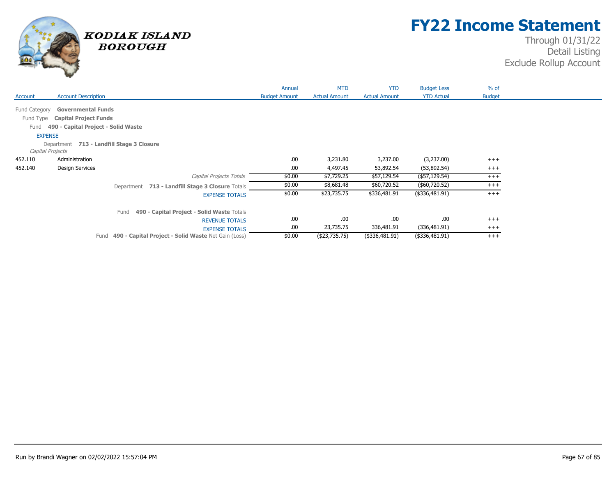

## **FY22 Income Statement**

|                |                                                             | Annual               | <b>MTD</b>           | <b>YTD</b>           | <b>Budget Less</b> | $%$ of        |  |
|----------------|-------------------------------------------------------------|----------------------|----------------------|----------------------|--------------------|---------------|--|
| Account        | <b>Account Description</b>                                  | <b>Budget Amount</b> | <b>Actual Amount</b> | <b>Actual Amount</b> | <b>YTD Actual</b>  | <b>Budget</b> |  |
| Fund Category  | <b>Governmental Funds</b>                                   |                      |                      |                      |                    |               |  |
| Fund Type      | <b>Capital Project Funds</b>                                |                      |                      |                      |                    |               |  |
| Fund           | 490 - Capital Project - Solid Waste                         |                      |                      |                      |                    |               |  |
|                |                                                             |                      |                      |                      |                    |               |  |
| <b>EXPENSE</b> |                                                             |                      |                      |                      |                    |               |  |
|                | Department 713 - Landfill Stage 3 Closure                   |                      |                      |                      |                    |               |  |
|                | Capital Projects                                            |                      |                      |                      |                    |               |  |
| 452.110        | Administration                                              | .00                  | 3,231.80             | 3,237.00             | (3,237.00)         | $^{+++}$      |  |
| 452.140        | <b>Design Services</b>                                      | .00                  | 4,497.45             | 53,892.54            | (53,892.54)        | $^{+++}$      |  |
|                | Capital Projects Totals                                     | \$0.00               | \$7,729.25           | \$57,129.54          | (\$57,129.54)      | $^{+++}$      |  |
|                | Department 713 - Landfill Stage 3 Closure Totals            | \$0.00               | \$8,681.48           | \$60,720.52          | (\$60,720.52)      | $^{+++}$      |  |
|                | <b>EXPENSE TOTALS</b>                                       | \$0.00               | \$23,735.75          | \$336,481.91         | $($ \$336,481.91)  | $+++$         |  |
|                | 490 - Capital Project - Solid Waste Totals<br>Fund          |                      |                      |                      |                    |               |  |
|                | <b>REVENUE TOTALS</b>                                       | .00                  | .00.                 | .00.                 | .00                | $^{+++}$      |  |
|                | <b>EXPENSE TOTALS</b>                                       | .00                  | 23,735.75            | 336,481.91           | (336, 481.91)      | $^{+++}$      |  |
|                | 490 - Capital Project - Solid Waste Net Gain (Loss)<br>Fund | \$0.00               | (\$23,735.75)        | (\$336,481.91)       | $($ \$336,481.91)  | $^{+++}$      |  |
|                |                                                             |                      |                      |                      |                    |               |  |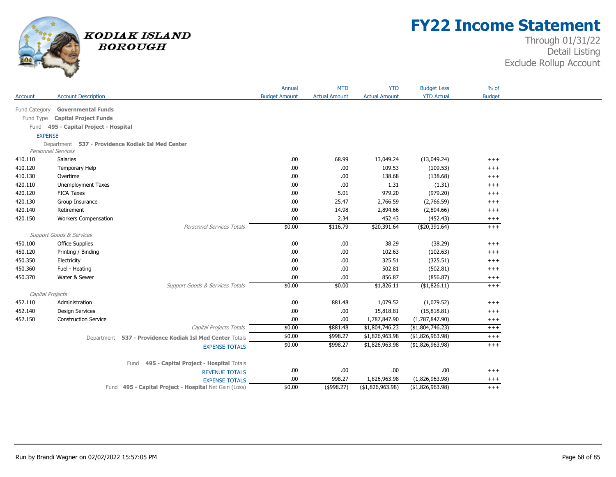

## **FY22 Income Statement**

|                  |                                       |                                                          | Annual               | <b>MTD</b>           | <b>YTD</b>           | <b>Budget Less</b> | $%$ of        |
|------------------|---------------------------------------|----------------------------------------------------------|----------------------|----------------------|----------------------|--------------------|---------------|
| Account          | <b>Account Description</b>            |                                                          | <b>Budget Amount</b> | <b>Actual Amount</b> | <b>Actual Amount</b> | <b>YTD Actual</b>  | <b>Budget</b> |
| Fund Category    | <b>Governmental Funds</b>             |                                                          |                      |                      |                      |                    |               |
| Fund Type        | <b>Capital Project Funds</b>          |                                                          |                      |                      |                      |                    |               |
|                  |                                       |                                                          |                      |                      |                      |                    |               |
| <b>EXPENSE</b>   | Fund 495 - Capital Project - Hospital |                                                          |                      |                      |                      |                    |               |
|                  | Department                            | 537 - Providence Kodiak Isl Med Center                   |                      |                      |                      |                    |               |
|                  | Personnel Services                    |                                                          |                      |                      |                      |                    |               |
| 410.110          | <b>Salaries</b>                       |                                                          | .00.                 | 68.99                | 13,049.24            | (13,049.24)        | $^{+++}$      |
| 410.120          | Temporary Help                        |                                                          | .00.                 | .00.                 | 109.53               | (109.53)           | $^{+++}$      |
| 410.130          | Overtime                              |                                                          | .00.                 | .00                  | 138.68               | (138.68)           | $^{+++}$      |
| 420.110          | Unemployment Taxes                    |                                                          | .00.                 | .00.                 | 1.31                 | (1.31)             | $^{+++}$      |
| 420.120          | <b>FICA Taxes</b>                     |                                                          | .00.                 | 5.01                 | 979.20               | (979.20)           | $^{+++}$      |
| 420.130          | Group Insurance                       |                                                          | .00.                 | 25.47                | 2,766.59             | (2,766.59)         | $^{+++}$      |
| 420.140          | Retirement                            |                                                          | .00.                 | 14.98                | 2,894.66             | (2,894.66)         | $^{+++}$      |
| 420.150          | <b>Workers Compensation</b>           |                                                          | .00.                 | 2.34                 | 452.43               | (452.43)           | $^{+++}$      |
|                  |                                       | Personnel Services Totals                                | \$0.00               | \$116.79             | \$20,391.64          | ( \$20, 391.64)    | $^{+++}$      |
|                  | <b>Support Goods &amp; Services</b>   |                                                          |                      |                      |                      |                    |               |
| 450.100          | <b>Office Supplies</b>                |                                                          | .00.                 | .00.                 | 38.29                | (38.29)            | $^{+++}$      |
| 450.120          | Printing / Binding                    |                                                          | .00.                 | .00.                 | 102.63               | (102.63)           | $^{+++}$      |
| 450.350          | Electricity                           |                                                          | .00.                 | .00.                 | 325.51               | (325.51)           | $^{+++}$      |
| 450.360          | Fuel - Heating                        |                                                          | .00.                 | .00.                 | 502.81               | (502.81)           | $^{+++}$      |
| 450.370          | Water & Sewer                         |                                                          | .00.                 | .00.                 | 856.87               | (856.87)           | $^{+++}$      |
|                  |                                       | Support Goods & Services Totals                          | \$0.00               | \$0.00               | \$1,826.11           | ( \$1,826.11)      | $+++$         |
| Capital Projects |                                       |                                                          |                      |                      |                      |                    |               |
| 452.110          | Administration                        |                                                          | .00.                 | 881.48               | 1,079.52             | (1,079.52)         | $^{+++}$      |
| 452.140          | <b>Design Services</b>                |                                                          | .00.                 | .00.                 | 15,818.81            | (15, 818.81)       | $^{+++}$      |
| 452.150          | <b>Construction Service</b>           |                                                          | .00.                 | .00.                 | 1,787,847.90         | (1,787,847.90)     | $^{+++}$      |
|                  |                                       | Capital Projects Totals                                  | \$0.00               | \$881.48             | \$1,804,746.23       | (\$1,804,746.23)   | $^{+++}$      |
|                  |                                       | Department 537 - Providence Kodiak Isl Med Center Totals | \$0.00               | \$998.27             | \$1,826,963.98       | ( \$1,826,963.98)  | $^{+++}$      |
|                  |                                       | <b>EXPENSE TOTALS</b>                                    | \$0.00               | \$998.27             | \$1,826,963.98       | (\$1,826,963.98)   | $^{+++}$      |
|                  |                                       |                                                          |                      |                      |                      |                    |               |
|                  |                                       | 495 - Capital Project - Hospital Totals<br>Fund          |                      |                      |                      |                    |               |
|                  |                                       | <b>REVENUE TOTALS</b>                                    | .00                  | .00                  | .00.                 | .00                | $^{+++}$      |
|                  |                                       | <b>EXPENSE TOTALS</b>                                    | .00.                 | 998.27               | 1,826,963.98         | (1,826,963.98)     | $^{+++}$      |
|                  |                                       | Fund 495 - Capital Project - Hospital Net Gain (Loss)    | \$0.00               | (\$998.27)           | ( \$1,826,963.98)    | ( \$1,826,963.98)  | $^{+++}$      |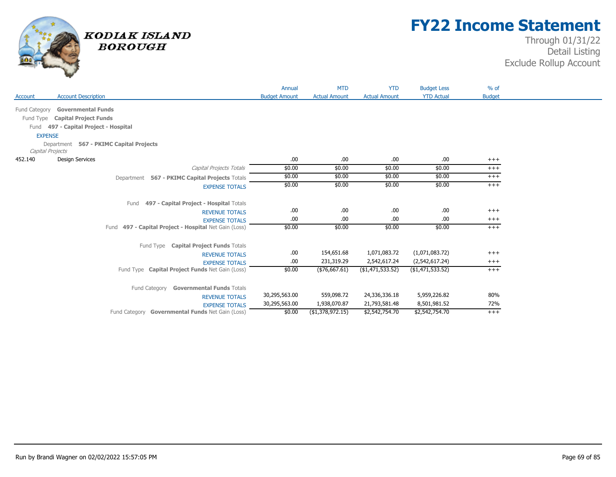

## **FY22 Income Statement**

|                                            |                                                       | Annual               | <b>MTD</b>           | <b>YTD</b>           | <b>Budget Less</b> | $%$ of        |
|--------------------------------------------|-------------------------------------------------------|----------------------|----------------------|----------------------|--------------------|---------------|
| <b>Account Description</b><br>Account      |                                                       | <b>Budget Amount</b> | <b>Actual Amount</b> | <b>Actual Amount</b> | <b>YTD Actual</b>  | <b>Budget</b> |
| <b>Governmental Funds</b><br>Fund Category |                                                       |                      |                      |                      |                    |               |
| <b>Capital Project Funds</b><br>Fund Type  |                                                       |                      |                      |                      |                    |               |
| Fund 497 - Capital Project - Hospital      |                                                       |                      |                      |                      |                    |               |
| <b>EXPENSE</b>                             |                                                       |                      |                      |                      |                    |               |
| Department 567 - PKIMC Capital Projects    |                                                       |                      |                      |                      |                    |               |
| Capital Projects                           |                                                       |                      |                      |                      |                    |               |
| <b>Design Services</b><br>452.140          |                                                       | .00.                 | .00.                 | .00.                 | .00.               | $^{+++}$      |
|                                            | Capital Projects Totals                               | \$0.00               | \$0.00               | \$0.00               | \$0.00             | $+++$         |
|                                            | Department 567 - PKIMC Capital Projects Totals        | \$0.00               | \$0.00               | \$0.00               | \$0.00             | $+++$         |
|                                            | <b>EXPENSE TOTALS</b>                                 | \$0.00               | \$0.00               | \$0.00               | \$0.00             | $^{+++}$      |
|                                            |                                                       |                      |                      |                      |                    |               |
|                                            | 497 - Capital Project - Hospital Totals<br>Fund       |                      |                      |                      |                    |               |
|                                            | <b>REVENUE TOTALS</b>                                 | .00.                 | .00.                 | .00                  | .00.               | $^{+++}$      |
|                                            | <b>EXPENSE TOTALS</b>                                 | .00                  | .00.                 | .00.                 | .00.               | $^{+++}$      |
|                                            | Fund 497 - Capital Project - Hospital Net Gain (Loss) | \$0.00               | \$0.00               | \$0.00               | \$0.00             | $+++$         |
|                                            |                                                       |                      |                      |                      |                    |               |
|                                            | Fund Type Capital Project Funds Totals                |                      |                      |                      |                    |               |
|                                            | <b>REVENUE TOTALS</b>                                 | .00.                 | 154,651.68           | 1,071,083.72         | (1,071,083.72)     | $^{+++}$      |
|                                            | <b>EXPENSE TOTALS</b>                                 | .00                  | 231,319.29           | 2,542,617.24         | (2,542,617.24)     | $^{+++}$      |
|                                            | Fund Type Capital Project Funds Net Gain (Loss)       | \$0.00               | ( \$76,667.61)       | ( \$1,471,533.52)    | ( \$1,471,533.52)  | $+++$         |
|                                            |                                                       |                      |                      |                      |                    |               |
|                                            | <b>Governmental Funds Totals</b><br>Fund Category     |                      |                      |                      |                    |               |
|                                            | <b>REVENUE TOTALS</b>                                 | 30,295,563.00        | 559,098.72           | 24,336,336.18        | 5,959,226.82       | 80%           |
|                                            | <b>EXPENSE TOTALS</b>                                 | 30,295,563.00        | 1,938,070.87         | 21,793,581.48        | 8,501,981.52       | 72%           |
|                                            | Fund Category Governmental Funds Net Gain (Loss)      | \$0.00               | ( \$1,378,972.15)    | \$2,542,754.70       | \$2,542,754.70     | $+++$         |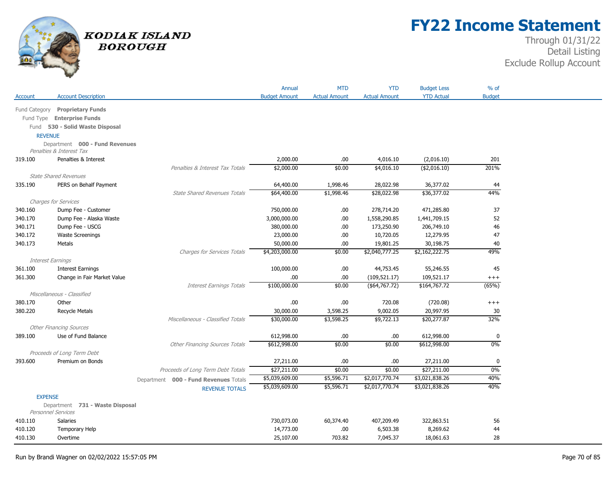

# **FY22 Income Statement**

|                          |                                 |                                       | Annual               | <b>MTD</b>           | <b>YTD</b>           | <b>Budget Less</b> | $%$ of        |
|--------------------------|---------------------------------|---------------------------------------|----------------------|----------------------|----------------------|--------------------|---------------|
| Account                  | <b>Account Description</b>      |                                       | <b>Budget Amount</b> | <b>Actual Amount</b> | <b>Actual Amount</b> | <b>YTD Actual</b>  | <b>Budget</b> |
|                          | Fund Category Proprietary Funds |                                       |                      |                      |                      |                    |               |
|                          | Fund Type Enterprise Funds      |                                       |                      |                      |                      |                    |               |
|                          | Fund 530 - Solid Waste Disposal |                                       |                      |                      |                      |                    |               |
| <b>REVENUE</b>           |                                 |                                       |                      |                      |                      |                    |               |
|                          | Department 000 - Fund Revenues  |                                       |                      |                      |                      |                    |               |
|                          | Penalties & Interest Tax        |                                       |                      |                      |                      |                    |               |
| 319.100                  | Penalties & Interest            |                                       | 2,000.00             | .00                  | 4,016.10             | (2,016.10)         | 201           |
|                          |                                 | Penalties & Interest Tax Totals       | \$2,000.00           | \$0.00               | \$4,016.10           | ( \$2,016.10)      | 201%          |
|                          | <b>State Shared Revenues</b>    |                                       |                      |                      |                      |                    |               |
| 335.190                  | PERS on Behalf Payment          |                                       | 64,400.00            | 1,998.46             | 28,022.98            | 36,377.02          | 44            |
|                          |                                 | <b>State Shared Revenues Totals</b>   | \$64,400.00          | \$1,998.46           | \$28,022.98          | \$36,377.02        | 44%           |
|                          | <b>Charges for Services</b>     |                                       |                      |                      |                      |                    |               |
| 340.160                  | Dump Fee - Customer             |                                       | 750,000.00           | .00.                 | 278,714.20           | 471,285.80         | 37            |
| 340.170                  | Dump Fee - Alaska Waste         |                                       | 3,000,000.00         | .00                  | 1,558,290.85         | 1,441,709.15       | 52            |
| 340.171                  | Dump Fee - USCG                 |                                       | 380,000.00           | .00                  | 173,250.90           | 206,749.10         | 46            |
| 340.172                  | <b>Waste Screenings</b>         |                                       | 23,000.00            | .00                  | 10,720.05            | 12,279.95          | 47            |
| 340.173                  | Metals                          |                                       | 50,000.00            | .00                  | 19,801.25            | 30,198.75          | 40            |
|                          |                                 | Charges for Services Totals           | \$4,203,000.00       | \$0.00               | \$2,040,777.25       | \$2,162,222.75     | 49%           |
| <b>Interest Earnings</b> |                                 |                                       |                      |                      |                      |                    |               |
| 361.100                  | <b>Interest Earnings</b>        |                                       | 100,000.00           | .00                  | 44,753.45            | 55,246.55          | 45            |
| 361.300                  | Change in Fair Market Value     |                                       | .00                  | .00                  | (109, 521.17)        | 109,521.17         | $++++$        |
|                          |                                 | <b>Interest Earnings Totals</b>       | \$100,000.00         | \$0.00               | ( \$64, 767.72)      | \$164,767.72       | (65%)         |
|                          | Miscellaneous - Classified      |                                       |                      |                      |                      |                    |               |
| 380.170                  | Other                           |                                       | .00                  | .00                  | 720.08               | (720.08)           | $^{+++}$      |
| 380.220                  | <b>Recycle Metals</b>           |                                       | 30,000.00            | 3,598.25             | 9,002.05             | 20,997.95          | 30            |
|                          |                                 | Miscellaneous - Classified Totals     | \$30,000.00          | \$3,598.25           | \$9,722.13           | \$20,277.87        | 32%           |
|                          | <b>Other Financing Sources</b>  |                                       |                      |                      |                      |                    |               |
| 389.100                  | Use of Fund Balance             |                                       | 612,998.00           | .00                  | .00.                 | 612,998.00         | 0             |
|                          |                                 | <b>Other Financing Sources Totals</b> | \$612,998.00         | \$0.00               | \$0.00               | \$612,998.00       | $0\%$         |
|                          | Proceeds of Long Term Debt      |                                       |                      |                      |                      |                    |               |
| 393.600                  | Premium on Bonds                |                                       | 27,211.00            | .00                  | .00                  | 27,211.00          | 0             |
|                          |                                 | Proceeds of Long Term Debt Totals     | \$27,211.00          | \$0.00               | \$0.00               | \$27,211.00        | $0\%$         |
|                          |                                 | Department 000 - Fund Revenues Totals | \$5,039,609.00       | \$5,596.71           | \$2,017,770.74       | \$3,021,838.26     | 40%           |
|                          |                                 | <b>REVENUE TOTALS</b>                 | \$5,039,609.00       | \$5,596.71           | \$2,017,770.74       | \$3,021,838.26     | 40%           |
| <b>EXPENSE</b>           |                                 |                                       |                      |                      |                      |                    |               |
|                          | Department 731 - Waste Disposal |                                       |                      |                      |                      |                    |               |
|                          | Personnel Services              |                                       |                      |                      |                      |                    |               |
| 410.110                  | <b>Salaries</b>                 |                                       | 730,073.00           | 60,374.40            | 407,209.49           | 322,863.51         | 56            |
| 410.120                  | Temporary Help                  |                                       | 14,773.00            | .00                  | 6,503.38             | 8,269.62           | 44            |
| 410.130                  | Overtime                        |                                       | 25,107.00            | 703.82               | 7,045.37             | 18,061.63          | 28            |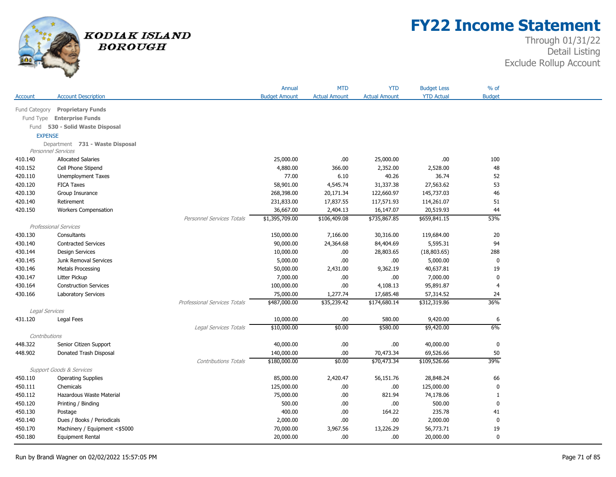

# **FY22 Income Statement**

|                |                                     |                                     | Annual               | <b>MTD</b>           | <b>YTD</b>           | <b>Budget Less</b> | $%$ of           |
|----------------|-------------------------------------|-------------------------------------|----------------------|----------------------|----------------------|--------------------|------------------|
| Account        | <b>Account Description</b>          |                                     | <b>Budget Amount</b> | <b>Actual Amount</b> | <b>Actual Amount</b> | <b>YTD Actual</b>  | <b>Budget</b>    |
| Fund Category  | <b>Proprietary Funds</b>            |                                     |                      |                      |                      |                    |                  |
| Fund Type      | <b>Enterprise Funds</b>             |                                     |                      |                      |                      |                    |                  |
|                | Fund 530 - Solid Waste Disposal     |                                     |                      |                      |                      |                    |                  |
| <b>EXPENSE</b> |                                     |                                     |                      |                      |                      |                    |                  |
|                | Department 731 - Waste Disposal     |                                     |                      |                      |                      |                    |                  |
|                | <b>Personnel Services</b>           |                                     |                      |                      |                      |                    |                  |
| 410.140        | <b>Allocated Salaries</b>           |                                     | 25,000.00            | .00                  | 25,000.00            | .00                | 100              |
| 410.152        | Cell Phone Stipend                  |                                     | 4,880.00             | 366.00               | 2,352.00             | 2,528.00           | 48               |
| 420.110        | Unemployment Taxes                  |                                     | 77.00                | 6.10                 | 40.26                | 36.74              | 52               |
| 420.120        | <b>FICA Taxes</b>                   |                                     | 58,901.00            | 4,545.74             | 31,337.38            | 27,563.62          | 53               |
| 420.130        | Group Insurance                     |                                     | 268,398.00           | 20,171.34            | 122,660.97           | 145,737.03         | 46               |
| 420.140        | Retirement                          |                                     | 231,833.00           | 17,837.55            | 117,571.93           | 114,261.07         | 51               |
| 420.150        | <b>Workers Compensation</b>         |                                     | 36,667.00            | 2,404.13             | 16,147.07            | 20,519.93          | 44               |
|                |                                     | <b>Personnel Services Totals</b>    | \$1,395,709.00       | \$106,409.08         | \$735,867.85         | \$659,841.15       | 53%              |
|                | Professional Services               |                                     |                      |                      |                      |                    |                  |
| 430.130        | Consultants                         |                                     | 150,000.00           | 7,166.00             | 30,316.00            | 119,684.00         | 20               |
| 430.140        | <b>Contracted Services</b>          |                                     | 90,000.00            | 24,364.68            | 84,404.69            | 5,595.31           | 94               |
| 430.144        | <b>Design Services</b>              |                                     | 10,000.00            | .00                  | 28,803.65            | (18,803.65)        | 288              |
| 430.145        | Junk Removal Services               |                                     | 5,000.00             | .00                  | .00.                 | 5,000.00           | $\mathbf 0$      |
| 430.146        | <b>Metals Processing</b>            |                                     | 50,000.00            | 2,431.00             | 9,362.19             | 40,637.81          | 19               |
| 430.147        | Litter Pickup                       |                                     | 7,000.00             | .00                  | .00                  | 7,000.00           | 0                |
| 430.164        | <b>Construction Services</b>        |                                     | 100,000.00           | .00                  | 4,108.13             | 95,891.87          | $\overline{4}$   |
| 430.166        | <b>Laboratory Services</b>          |                                     | 75,000.00            | 1,277.74             | 17,685.48            | 57,314.52          | 24               |
|                |                                     | <b>Professional Services Totals</b> | \$487,000.00         | \$35,239.42          | \$174,680.14         | \$312,319.86       | 36%              |
| Legal Services |                                     |                                     |                      |                      |                      |                    |                  |
| 431.120        | Legal Fees                          |                                     | 10,000.00            | .00                  | 580.00               | 9,420.00           | $\boldsymbol{6}$ |
|                |                                     | Legal Services Totals               | \$10,000.00          | \$0.00               | \$580.00             | \$9,420.00         | 6%               |
| Contributions  |                                     |                                     |                      |                      |                      |                    |                  |
| 448.322        | Senior Citizen Support              |                                     | 40,000.00            | .00                  | .00                  | 40,000.00          | $\pmb{0}$        |
| 448.902        | Donated Trash Disposal              |                                     | 140,000.00           | .00                  | 70,473.34            | 69,526.66          | 50               |
|                |                                     | <b>Contributions Totals</b>         | \$180,000.00         | \$0.00               | \$70,473.34          | \$109,526.66       | 39%              |
|                | <b>Support Goods &amp; Services</b> |                                     |                      |                      |                      |                    |                  |
| 450.110        | <b>Operating Supplies</b>           |                                     | 85,000.00            | 2,420.47             | 56,151.76            | 28,848.24          | 66               |
| 450.111        | Chemicals                           |                                     | 125,000.00           | .00                  | .00                  | 125,000.00         | $\mathbf 0$      |
| 450.112        | Hazardous Waste Material            |                                     | 75,000.00            | .00                  | 821.94               | 74,178.06          | 1                |
| 450.120        | Printing / Binding                  |                                     | 500.00               | .00                  | .00.                 | 500.00             | $\mathbf 0$      |
| 450.130        | Postage                             |                                     | 400.00               | .00                  | 164.22               | 235.78             | 41               |
| 450.140        | Dues / Books / Periodicals          |                                     | 2,000.00             | .00                  | .00                  | 2,000.00           | $\pmb{0}$        |
| 450.170        | Machinery / Equipment <\$5000       |                                     | 70,000.00            | 3,967.56             | 13,226.29            | 56,773.71          | 19               |
| 450.180        | <b>Equipment Rental</b>             |                                     | 20,000.00            | .00                  | .00.                 | 20,000.00          | $\mathbf 0$      |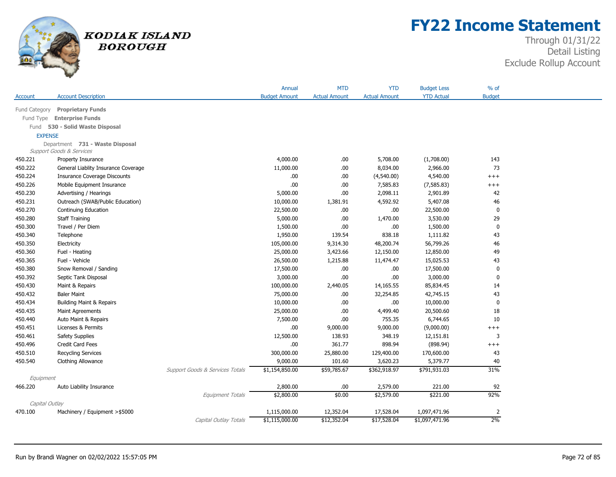

## **FY22 Income Statement**

|                |                                     |                                 | Annual               | <b>MTD</b>           | <b>YTD</b>           | <b>Budget Less</b> | $%$ of         |
|----------------|-------------------------------------|---------------------------------|----------------------|----------------------|----------------------|--------------------|----------------|
| Account        | <b>Account Description</b>          |                                 | <b>Budget Amount</b> | <b>Actual Amount</b> | <b>Actual Amount</b> | <b>YTD Actual</b>  | <b>Budget</b>  |
| Fund Category  | <b>Proprietary Funds</b>            |                                 |                      |                      |                      |                    |                |
| Fund Type      | <b>Enterprise Funds</b>             |                                 |                      |                      |                      |                    |                |
|                | Fund 530 - Solid Waste Disposal     |                                 |                      |                      |                      |                    |                |
| <b>EXPENSE</b> |                                     |                                 |                      |                      |                      |                    |                |
|                | Department 731 - Waste Disposal     |                                 |                      |                      |                      |                    |                |
|                | Support Goods & Services            |                                 |                      |                      |                      |                    |                |
| 450.221        | Property Insurance                  |                                 | 4,000.00             | .00                  | 5,708.00             | (1,708.00)         | 143            |
| 450.222        | General Liablity Insurance Coverage |                                 | 11,000.00            | .00                  | 8,034.00             | 2,966.00           | 73             |
| 450.224        | <b>Insurance Coverage Discounts</b> |                                 | .00                  | .00                  | (4,540.00)           | 4,540.00           | $++++$         |
| 450.226        | Mobile Equipment Insurance          |                                 | .00                  | .00                  | 7,585.83             | (7, 585.83)        | $^{+++}$       |
| 450.230        | Advertising / Hearings              |                                 | 5,000.00             | .00                  | 2,098.11             | 2,901.89           | 42             |
| 450.231        | Outreach (SWAB/Public Education)    |                                 | 10,000.00            | 1,381.91             | 4,592.92             | 5,407.08           | 46             |
| 450.270        | Continuing Education                |                                 | 22,500.00            | .00                  | .00                  | 22,500.00          | $\pmb{0}$      |
| 450.280        | <b>Staff Training</b>               |                                 | 5,000.00             | .00                  | 1,470.00             | 3,530.00           | 29             |
| 450.300        | Travel / Per Diem                   |                                 | 1,500.00             | .00                  | .00.                 | 1,500.00           | $\pmb{0}$      |
| 450.340        | Telephone                           |                                 | 1,950.00             | 139.54               | 838.18               | 1,111.82           | 43             |
| 450.350        | Electricity                         |                                 | 105,000.00           | 9,314.30             | 48,200.74            | 56,799.26          | 46             |
| 450.360        | Fuel - Heating                      |                                 | 25,000.00            | 3,423.66             | 12,150.00            | 12,850.00          | 49             |
| 450.365        | Fuel - Vehicle                      |                                 | 26,500.00            | 1,215.88             | 11,474.47            | 15,025.53          | 43             |
| 450.380        | Snow Removal / Sanding              |                                 | 17,500.00            | .00                  | .00.                 | 17,500.00          | $\mathbf 0$    |
| 450.392        | Septic Tank Disposal                |                                 | 3,000.00             | .00                  | .00                  | 3,000.00           | $\mathbf 0$    |
| 450.430        | Maint & Repairs                     |                                 | 100,000.00           | 2,440.05             | 14,165.55            | 85,834.45          | 14             |
| 450.432        | <b>Baler Maint</b>                  |                                 | 75,000.00            | .00                  | 32,254.85            | 42,745.15          | 43             |
| 450.434        | <b>Building Maint &amp; Repairs</b> |                                 | 10,000.00            | .00                  | .00.                 | 10,000.00          | $\mathbf 0$    |
| 450.435        | Maint Agreements                    |                                 | 25,000.00            | .00                  | 4,499.40             | 20,500.60          | 18             |
| 450.440        | Auto Maint & Repairs                |                                 | 7,500.00             | .00                  | 755.35               | 6,744.65           | 10             |
| 450.451        | Licenses & Permits                  |                                 | .00                  | 9,000.00             | 9,000.00             | (9,000.00)         | $^{+++}$       |
| 450.461        | Safety Supplies                     |                                 | 12,500.00            | 138.93               | 348.19               | 12,151.81          | 3              |
| 450.496        | Credit Card Fees                    |                                 | .00                  | 361.77               | 898.94               | (898.94)           | $^{+++}$       |
| 450.510        | <b>Recycling Services</b>           |                                 | 300,000.00           | 25,880.00            | 129,400.00           | 170,600.00         | 43             |
| 450.540        | Clothing Allowance                  |                                 | 9,000.00             | 101.60               | 3,620.23             | 5,379.77           | 40             |
|                |                                     | Support Goods & Services Totals | \$1,154,850.00       | \$59,785.67          | \$362,918.97         | \$791,931.03       | 31%            |
| Equipment      |                                     |                                 |                      |                      |                      |                    |                |
| 466.220        | Auto Liability Insurance            |                                 | 2,800.00             | .00                  | 2,579.00             | 221.00             | 92             |
|                |                                     | Equipment Totals                | \$2,800.00           | \$0.00               | \$2,579.00           | \$221.00           | 92%            |
| Capital Outlay |                                     |                                 |                      |                      |                      |                    |                |
| 470.100        | Machinery / Equipment > \$5000      |                                 | 1,115,000.00         | 12,352.04            | 17,528.04            | 1,097,471.96       | $\overline{2}$ |
|                |                                     | Capital Outlay Totals           | \$1,115,000.00       | \$12,352.04          | \$17,528.04          | \$1,097,471.96     | $2\%$          |
|                |                                     |                                 |                      |                      |                      |                    |                |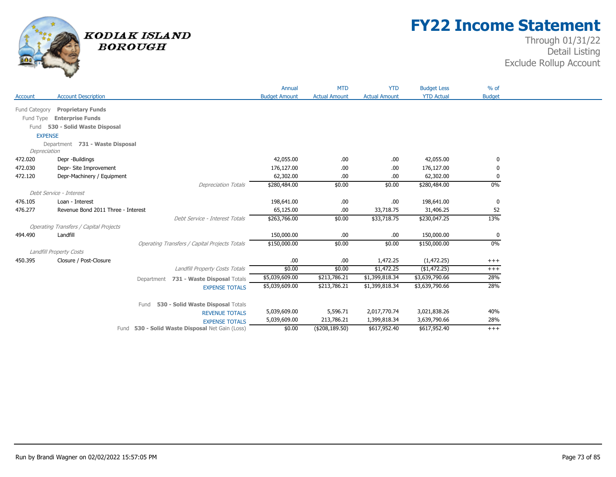

## **FY22 Income Statement**

|                |                                               |            |                                                      | Annual               | <b>MTD</b>           | <b>YTD</b>           | <b>Budget Less</b> | $%$ of        |  |
|----------------|-----------------------------------------------|------------|------------------------------------------------------|----------------------|----------------------|----------------------|--------------------|---------------|--|
| Account        | <b>Account Description</b>                    |            |                                                      | <b>Budget Amount</b> | <b>Actual Amount</b> | <b>Actual Amount</b> | <b>YTD Actual</b>  | <b>Budget</b> |  |
| Fund Category  | <b>Proprietary Funds</b>                      |            |                                                      |                      |                      |                      |                    |               |  |
| Fund Type      | <b>Enterprise Funds</b>                       |            |                                                      |                      |                      |                      |                    |               |  |
| Fund           | 530 - Solid Waste Disposal                    |            |                                                      |                      |                      |                      |                    |               |  |
| <b>EXPENSE</b> |                                               |            |                                                      |                      |                      |                      |                    |               |  |
|                | Department 731 - Waste Disposal               |            |                                                      |                      |                      |                      |                    |               |  |
| Depreciation   |                                               |            |                                                      |                      |                      |                      |                    |               |  |
| 472.020        | Depr -Buildings                               |            |                                                      | 42,055.00            | .00                  | .00                  | 42,055.00          | 0             |  |
| 472.030        | Depr- Site Improvement                        |            |                                                      | 176,127.00           | .00                  | .00.                 | 176,127.00         | 0             |  |
| 472.120        | Depr-Machinery / Equipment                    |            |                                                      | 62,302.00            | .00                  | .00                  | 62,302.00          | 0             |  |
|                |                                               |            | <b>Depreciation Totals</b>                           | \$280,484.00         | \$0.00               | \$0.00               | \$280,484.00       | $0\%$         |  |
|                | Debt Service - Interest                       |            |                                                      |                      |                      |                      |                    |               |  |
| 476.105        | Loan - Interest                               |            |                                                      | 198,641.00           | .00                  | .00                  | 198,641.00         | 0             |  |
| 476.277        | Revenue Bond 2011 Three - Interest            |            |                                                      | 65,125.00            | .00                  | 33,718.75            | 31,406.25          | 52            |  |
|                |                                               |            | Debt Service - Interest Totals                       | \$263,766.00         | \$0.00               | \$33,718.75          | \$230,047.25       | 13%           |  |
|                | <b>Operating Transfers / Capital Projects</b> |            |                                                      |                      |                      |                      |                    |               |  |
| 494.490        | Landfill                                      |            |                                                      | 150,000.00           | .00                  | .00                  | 150,000.00         | 0             |  |
|                |                                               |            | <b>Operating Transfers / Capital Projects Totals</b> | \$150,000.00         | \$0.00               | \$0.00               | \$150,000.00       | $0\%$         |  |
|                | Landfill Property Costs                       |            |                                                      |                      |                      |                      |                    |               |  |
| 450.395        | Closure / Post-Closure                        |            |                                                      | .00                  | .00.                 | 1,472.25             | (1,472.25)         | $^{+++}$      |  |
|                |                                               |            | Landfill Property Costs Totals                       | \$0.00               | \$0.00               | \$1,472.25           | (\$1,472.25)       | $+++$         |  |
|                |                                               | Department | 731 - Waste Disposal Totals                          | \$5,039,609.00       | \$213,786.21         | \$1,399,818.34       | \$3,639,790.66     | 28%           |  |
|                |                                               |            | <b>EXPENSE TOTALS</b>                                | \$5,039,609.00       | \$213,786.21         | \$1,399,818.34       | \$3,639,790.66     | 28%           |  |
|                |                                               | Fund       | 530 - Solid Waste Disposal Totals                    |                      |                      |                      |                    |               |  |
|                |                                               |            | <b>REVENUE TOTALS</b>                                | 5,039,609.00         | 5,596.71             | 2,017,770.74         | 3,021,838.26       | 40%           |  |
|                |                                               |            | <b>EXPENSE TOTALS</b>                                | 5,039,609.00         | 213,786.21           | 1,399,818.34         | 3,639,790.66       | 28%           |  |
|                |                                               |            | Fund 530 - Solid Waste Disposal Net Gain (Loss)      | \$0.00               | (\$208,189.50)       | \$617,952.40         | \$617,952.40       | $+++$         |  |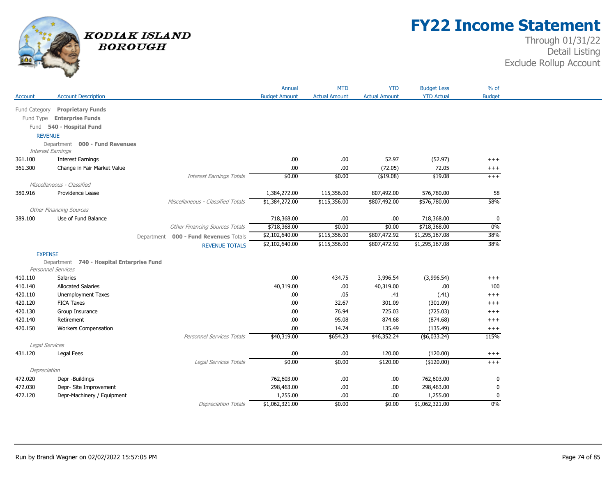

## **FY22 Income Statement**

|                           |                                           |                                       | Annual               | <b>MTD</b>           | <b>YTD</b>           | <b>Budget Less</b>     | $%$ of               |
|---------------------------|-------------------------------------------|---------------------------------------|----------------------|----------------------|----------------------|------------------------|----------------------|
| Account                   | <b>Account Description</b>                |                                       | <b>Budget Amount</b> | <b>Actual Amount</b> | <b>Actual Amount</b> | <b>YTD Actual</b>      | <b>Budget</b>        |
| Fund Category             | <b>Proprietary Funds</b>                  |                                       |                      |                      |                      |                        |                      |
| Fund Type                 | <b>Enterprise Funds</b>                   |                                       |                      |                      |                      |                        |                      |
|                           | Fund 540 - Hospital Fund                  |                                       |                      |                      |                      |                        |                      |
| <b>REVENUE</b>            |                                           |                                       |                      |                      |                      |                        |                      |
|                           | Department 000 - Fund Revenues            |                                       |                      |                      |                      |                        |                      |
| Interest Earnings         |                                           |                                       |                      |                      |                      |                        |                      |
| 361.100                   | <b>Interest Earnings</b>                  |                                       | .00.                 | .00                  | 52.97                | (52.97)                | $^{+++}$             |
| 361.300                   | Change in Fair Market Value               |                                       | .00                  | .00                  | (72.05)              | 72.05                  | $^{+++}$             |
|                           |                                           | <b>Interest Earnings Totals</b>       | \$0.00               | \$0.00               | $($ \$19.08)         | \$19.08                | $+++$                |
|                           | Miscellaneous - Classified                |                                       |                      |                      |                      |                        |                      |
| 380.916                   | Providence Lease                          |                                       | 1,384,272.00         | 115,356.00           | 807,492.00           | 576,780.00             | 58                   |
|                           |                                           | Miscellaneous - Classified Totals     | \$1,384,272.00       | \$115,356.00         | \$807,492.00         | \$576,780.00           | 58%                  |
|                           | <b>Other Financing Sources</b>            |                                       |                      |                      |                      |                        |                      |
| 389.100                   | Use of Fund Balance                       |                                       | 718,368.00           | .00                  | .00                  | 718,368.00             | 0                    |
|                           |                                           | <b>Other Financing Sources Totals</b> | \$718,368.00         | \$0.00               | \$0.00               | \$718,368.00           | $0\%$                |
|                           |                                           | Department 000 - Fund Revenues Totals | \$2,102,640.00       | \$115,356.00         | \$807,472.92         | \$1,295,167.08         | 38%                  |
|                           |                                           | <b>REVENUE TOTALS</b>                 | \$2,102,640.00       | \$115,356.00         | \$807,472.92         | \$1,295,167.08         | 38%                  |
| <b>EXPENSE</b>            |                                           |                                       |                      |                      |                      |                        |                      |
|                           | Department 740 - Hospital Enterprise Fund |                                       |                      |                      |                      |                        |                      |
|                           | <b>Personnel Services</b>                 |                                       |                      |                      |                      |                        |                      |
| 410.110                   | <b>Salaries</b>                           |                                       | .00.                 | 434.75               | 3,996.54             | (3,996.54)             | $^{+++}$             |
| 410.140                   | <b>Allocated Salaries</b>                 |                                       | 40,319.00            | .00.                 | 40,319.00            | .00.                   | 100                  |
| 420.110                   | <b>Unemployment Taxes</b>                 |                                       | .00.                 | .05                  | .41                  | (.41)                  | $^{+++}$             |
| 420.120                   | <b>FICA Taxes</b>                         |                                       | .00                  | 32.67                | 301.09               | (301.09)               | $^{+++}$             |
| 420.130                   | Group Insurance                           |                                       | .00.                 | 76.94                | 725.03               | (725.03)               | $+++$                |
| 420.140                   | Retirement                                |                                       | .00                  | 95.08                | 874.68               | (874.68)               | $^{+++}$             |
| 420.150                   | <b>Workers Compensation</b>               |                                       | .00.                 | 14.74                | 135.49               | (135.49)               | $^{+++}$<br>115%     |
|                           |                                           | Personnel Services Totals             | \$40,319.00          | \$654.23             | \$46,352.24          | $($ \$6,033.24)        |                      |
| Legal Services<br>431.120 | Legal Fees                                |                                       | .00.                 |                      | 120.00               |                        |                      |
|                           |                                           | Legal Services Totals                 | \$0.00               | .00.<br>\$0.00       | \$120.00             | (120.00)<br>(\$120.00) | $^{+++}$<br>$^{+++}$ |
| Depreciation              |                                           |                                       |                      |                      |                      |                        |                      |
| 472.020                   | Depr -Buildings                           |                                       | 762,603.00           | .00                  | .00.                 | 762,603.00             | 0                    |
| 472.030                   | Depr- Site Improvement                    |                                       | 298,463.00           | .00                  | .00                  | 298,463.00             | 0                    |
| 472.120                   | Depr-Machinery / Equipment                |                                       | 1,255.00             | .00                  | .00                  | 1,255.00               | $\mathbf 0$          |
|                           |                                           | <b>Depreciation Totals</b>            | \$1,062,321.00       | \$0.00               | \$0.00               | \$1,062,321.00         | 0%                   |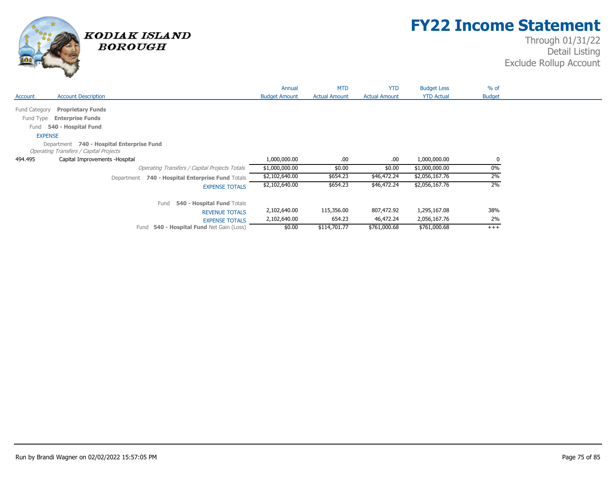

## **FY22 Income Statement**

|               |                                                  | Annual               | <b>MTD</b>           | <b>YTD</b>           | <b>Budget Less</b> | $%$ of        |
|---------------|--------------------------------------------------|----------------------|----------------------|----------------------|--------------------|---------------|
| Account       | <b>Account Description</b>                       | <b>Budget Amount</b> | <b>Actual Amount</b> | <b>Actual Amount</b> | <b>YTD Actual</b>  | <b>Budget</b> |
| Fund Category | <b>Proprietary Funds</b>                         |                      |                      |                      |                    |               |
|               |                                                  |                      |                      |                      |                    |               |
| Fund Type     | <b>Enterprise Funds</b>                          |                      |                      |                      |                    |               |
| Fund          | 540 - Hospital Fund                              |                      |                      |                      |                    |               |
|               | <b>EXPENSE</b>                                   |                      |                      |                      |                    |               |
|               | Department 740 - Hospital Enterprise Fund        |                      |                      |                      |                    |               |
|               | <b>Operating Transfers / Capital Projects</b>    |                      |                      |                      |                    |               |
| 494.495       | Capital Improvements - Hospital                  | 1,000,000.00         | .00.                 | .00                  | 1,000,000.00       | 0             |
|               | Operating Transfers / Capital Projects Totals    | \$1,000,000.00       | \$0.00               | \$0.00               | \$1,000,000.00     | 0%            |
|               | Department 740 - Hospital Enterprise Fund Totals | \$2,102,640.00       | \$654.23             | \$46,472.24          | \$2,056,167.76     | 2%            |
|               | <b>EXPENSE TOTALS</b>                            | \$2,102,640.00       | \$654.23             | \$46,472.24          | \$2,056,167.76     | 2%            |
|               | Fund<br>540 - Hospital Fund Totals               |                      |                      |                      |                    |               |
|               | <b>REVENUE TOTALS</b>                            | 2,102,640.00         | 115,356.00           | 807,472.92           | 1,295,167.08       | 38%           |
|               | <b>EXPENSE TOTALS</b>                            | 2,102,640.00         | 654.23               | 46,472.24            | 2,056,167.76       | 2%            |
|               | 540 - Hospital Fund Net Gain (Loss)<br>Fund      | \$0.00               | \$114,701.77         | \$761,000.68         | \$761,000.68       | $+++$         |
|               |                                                  |                      |                      |                      |                    |               |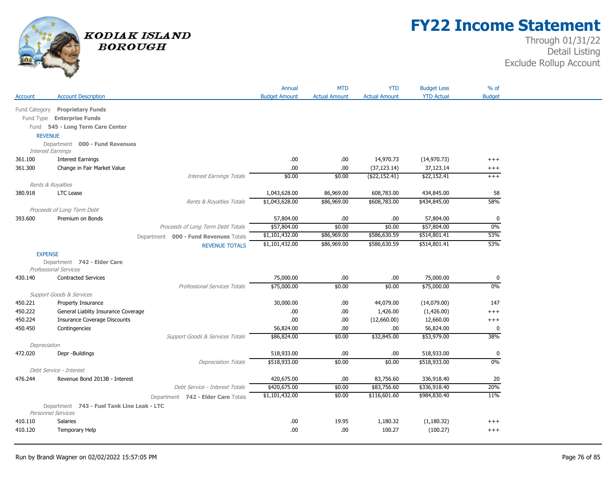

## **FY22 Income Statement**

| <b>Actual Amount</b><br><b>YTD Actual</b><br><b>Budget</b><br><b>Account Description</b><br><b>Budget Amount</b><br><b>Actual Amount</b><br>Account<br><b>Proprietary Funds</b><br>Fund Category<br>Fund Type Enterprise Funds<br>Fund 545 - Long Term Care Center<br><b>REVENUE</b><br>Department 000 - Fund Revenues<br>Interest Earnings<br><b>Interest Earnings</b><br>14,970.73<br>361.100<br>.00<br>.00.<br>(14, 970.73)<br>$^{+++}$<br>.00.<br>37,123.14<br>361.300<br>Change in Fair Market Value<br>.00<br>(37, 123.14)<br>$^{+++}$<br><b>Interest Earnings Totals</b><br>\$0.00<br>\$0.00<br>( \$22, 152.41)<br>\$22,152.41<br>$+++$<br>Rents & Royalties<br>1,043,628.00<br>86,969.00<br>608,783.00<br>434,845.00<br>380.918<br><b>LTC</b> Lease<br>58<br>58%<br>\$1,043,628.00<br>\$86,969.00<br>\$608,783.00<br>\$434,845.00<br>Rents & Royalties Totals<br>Proceeds of Long Term Debt<br>57,804.00<br>393.600<br>Premium on Bonds<br>.00.<br>.00<br>57,804.00<br>0<br>0%<br>Proceeds of Long Term Debt Totals<br>\$57,804.00<br>\$0.00<br>\$57,804.00<br>\$0.00<br>53%<br>\$1,101,432.00<br>\$86,969.00<br>\$586,630.59<br>\$514,801.41<br>Department 000 - Fund Revenues Totals<br>53%<br>\$1,101,432.00<br>\$86,969.00<br>\$586,630.59<br>\$514,801.41<br><b>REVENUE TOTALS</b><br><b>EXPENSE</b><br>Department 742 - Elder Care<br><b>Professional Services</b><br>75,000.00<br><b>Contracted Services</b><br>.00.<br>.00<br>75,000.00<br>430.140<br>0<br>0%<br>\$75,000.00<br>\$0.00<br>\$0.00<br>\$75,000.00<br><b>Professional Services Totals</b><br>Support Goods & Services<br>450.221<br>Property Insurance<br>30,000.00<br>.00.<br>44,079.00<br>(14,079.00)<br>147<br>450.222<br>General Liablity Insurance Coverage<br>.00<br>.00<br>1,426.00<br>(1,426.00)<br>$+++$<br><b>Insurance Coverage Discounts</b><br>450.224<br>.00<br>.00.<br>(12,660.00)<br>12,660.00<br>$^{+++}$<br>450.450<br>.00<br>.00<br>Contingencies<br>56,824.00<br>56,824.00<br>0<br>\$86,824.00<br>\$0.00<br>\$32,845.00<br>\$53,979.00<br>38%<br>Support Goods & Services Totals<br>Depreciation<br>Depr -Buildings<br>518,933.00<br>.00<br>518,933.00<br>472.020<br>.00.<br>0<br>\$0.00<br>\$0.00<br>0%<br>\$518,933.00<br>\$518,933.00<br><b>Depreciation Totals</b><br>Debt Service - Interest<br>Revenue Bond 2013B - Interest<br>420,675.00<br>.00.<br>83,756.60<br>336,918.40<br>20<br>476.244<br>20%<br>\$420,675.00<br>\$0.00<br>\$83,756.60<br>\$336,918.40<br>Debt Service - Interest Totals<br>11%<br>\$1,101,432.00<br>\$0.00<br>\$116,601.60<br>\$984,830.40<br>Department 742 - Elder Care Totals<br>Department 743 - Fuel Tank Line Leak - LTC<br><b>Personnel Services</b><br><b>Salaries</b><br>.00.<br>19.95<br>1,180.32<br>(1, 180.32)<br>410.110<br>$^{+++}$<br>.00.<br>100.27<br>(100.27)<br>410.120<br>Temporary Help<br>.00.<br>$^{+++}$ |  | Annual | <b>MTD</b> | <b>YTD</b> | <b>Budget Less</b> | % of |
|------------------------------------------------------------------------------------------------------------------------------------------------------------------------------------------------------------------------------------------------------------------------------------------------------------------------------------------------------------------------------------------------------------------------------------------------------------------------------------------------------------------------------------------------------------------------------------------------------------------------------------------------------------------------------------------------------------------------------------------------------------------------------------------------------------------------------------------------------------------------------------------------------------------------------------------------------------------------------------------------------------------------------------------------------------------------------------------------------------------------------------------------------------------------------------------------------------------------------------------------------------------------------------------------------------------------------------------------------------------------------------------------------------------------------------------------------------------------------------------------------------------------------------------------------------------------------------------------------------------------------------------------------------------------------------------------------------------------------------------------------------------------------------------------------------------------------------------------------------------------------------------------------------------------------------------------------------------------------------------------------------------------------------------------------------------------------------------------------------------------------------------------------------------------------------------------------------------------------------------------------------------------------------------------------------------------------------------------------------------------------------------------------------------------------------------------------------------------------------------------------------------------------------------------------------------------------------------------------------------------------------------------------------------------------------------------------------------------------------------------------------------------------------------------------------------------------------------------------------------|--|--------|------------|------------|--------------------|------|
|                                                                                                                                                                                                                                                                                                                                                                                                                                                                                                                                                                                                                                                                                                                                                                                                                                                                                                                                                                                                                                                                                                                                                                                                                                                                                                                                                                                                                                                                                                                                                                                                                                                                                                                                                                                                                                                                                                                                                                                                                                                                                                                                                                                                                                                                                                                                                                                                                                                                                                                                                                                                                                                                                                                                                                                                                                                                  |  |        |            |            |                    |      |
|                                                                                                                                                                                                                                                                                                                                                                                                                                                                                                                                                                                                                                                                                                                                                                                                                                                                                                                                                                                                                                                                                                                                                                                                                                                                                                                                                                                                                                                                                                                                                                                                                                                                                                                                                                                                                                                                                                                                                                                                                                                                                                                                                                                                                                                                                                                                                                                                                                                                                                                                                                                                                                                                                                                                                                                                                                                                  |  |        |            |            |                    |      |
|                                                                                                                                                                                                                                                                                                                                                                                                                                                                                                                                                                                                                                                                                                                                                                                                                                                                                                                                                                                                                                                                                                                                                                                                                                                                                                                                                                                                                                                                                                                                                                                                                                                                                                                                                                                                                                                                                                                                                                                                                                                                                                                                                                                                                                                                                                                                                                                                                                                                                                                                                                                                                                                                                                                                                                                                                                                                  |  |        |            |            |                    |      |
|                                                                                                                                                                                                                                                                                                                                                                                                                                                                                                                                                                                                                                                                                                                                                                                                                                                                                                                                                                                                                                                                                                                                                                                                                                                                                                                                                                                                                                                                                                                                                                                                                                                                                                                                                                                                                                                                                                                                                                                                                                                                                                                                                                                                                                                                                                                                                                                                                                                                                                                                                                                                                                                                                                                                                                                                                                                                  |  |        |            |            |                    |      |
|                                                                                                                                                                                                                                                                                                                                                                                                                                                                                                                                                                                                                                                                                                                                                                                                                                                                                                                                                                                                                                                                                                                                                                                                                                                                                                                                                                                                                                                                                                                                                                                                                                                                                                                                                                                                                                                                                                                                                                                                                                                                                                                                                                                                                                                                                                                                                                                                                                                                                                                                                                                                                                                                                                                                                                                                                                                                  |  |        |            |            |                    |      |
|                                                                                                                                                                                                                                                                                                                                                                                                                                                                                                                                                                                                                                                                                                                                                                                                                                                                                                                                                                                                                                                                                                                                                                                                                                                                                                                                                                                                                                                                                                                                                                                                                                                                                                                                                                                                                                                                                                                                                                                                                                                                                                                                                                                                                                                                                                                                                                                                                                                                                                                                                                                                                                                                                                                                                                                                                                                                  |  |        |            |            |                    |      |
|                                                                                                                                                                                                                                                                                                                                                                                                                                                                                                                                                                                                                                                                                                                                                                                                                                                                                                                                                                                                                                                                                                                                                                                                                                                                                                                                                                                                                                                                                                                                                                                                                                                                                                                                                                                                                                                                                                                                                                                                                                                                                                                                                                                                                                                                                                                                                                                                                                                                                                                                                                                                                                                                                                                                                                                                                                                                  |  |        |            |            |                    |      |
|                                                                                                                                                                                                                                                                                                                                                                                                                                                                                                                                                                                                                                                                                                                                                                                                                                                                                                                                                                                                                                                                                                                                                                                                                                                                                                                                                                                                                                                                                                                                                                                                                                                                                                                                                                                                                                                                                                                                                                                                                                                                                                                                                                                                                                                                                                                                                                                                                                                                                                                                                                                                                                                                                                                                                                                                                                                                  |  |        |            |            |                    |      |
|                                                                                                                                                                                                                                                                                                                                                                                                                                                                                                                                                                                                                                                                                                                                                                                                                                                                                                                                                                                                                                                                                                                                                                                                                                                                                                                                                                                                                                                                                                                                                                                                                                                                                                                                                                                                                                                                                                                                                                                                                                                                                                                                                                                                                                                                                                                                                                                                                                                                                                                                                                                                                                                                                                                                                                                                                                                                  |  |        |            |            |                    |      |
|                                                                                                                                                                                                                                                                                                                                                                                                                                                                                                                                                                                                                                                                                                                                                                                                                                                                                                                                                                                                                                                                                                                                                                                                                                                                                                                                                                                                                                                                                                                                                                                                                                                                                                                                                                                                                                                                                                                                                                                                                                                                                                                                                                                                                                                                                                                                                                                                                                                                                                                                                                                                                                                                                                                                                                                                                                                                  |  |        |            |            |                    |      |
|                                                                                                                                                                                                                                                                                                                                                                                                                                                                                                                                                                                                                                                                                                                                                                                                                                                                                                                                                                                                                                                                                                                                                                                                                                                                                                                                                                                                                                                                                                                                                                                                                                                                                                                                                                                                                                                                                                                                                                                                                                                                                                                                                                                                                                                                                                                                                                                                                                                                                                                                                                                                                                                                                                                                                                                                                                                                  |  |        |            |            |                    |      |
|                                                                                                                                                                                                                                                                                                                                                                                                                                                                                                                                                                                                                                                                                                                                                                                                                                                                                                                                                                                                                                                                                                                                                                                                                                                                                                                                                                                                                                                                                                                                                                                                                                                                                                                                                                                                                                                                                                                                                                                                                                                                                                                                                                                                                                                                                                                                                                                                                                                                                                                                                                                                                                                                                                                                                                                                                                                                  |  |        |            |            |                    |      |
|                                                                                                                                                                                                                                                                                                                                                                                                                                                                                                                                                                                                                                                                                                                                                                                                                                                                                                                                                                                                                                                                                                                                                                                                                                                                                                                                                                                                                                                                                                                                                                                                                                                                                                                                                                                                                                                                                                                                                                                                                                                                                                                                                                                                                                                                                                                                                                                                                                                                                                                                                                                                                                                                                                                                                                                                                                                                  |  |        |            |            |                    |      |
|                                                                                                                                                                                                                                                                                                                                                                                                                                                                                                                                                                                                                                                                                                                                                                                                                                                                                                                                                                                                                                                                                                                                                                                                                                                                                                                                                                                                                                                                                                                                                                                                                                                                                                                                                                                                                                                                                                                                                                                                                                                                                                                                                                                                                                                                                                                                                                                                                                                                                                                                                                                                                                                                                                                                                                                                                                                                  |  |        |            |            |                    |      |
|                                                                                                                                                                                                                                                                                                                                                                                                                                                                                                                                                                                                                                                                                                                                                                                                                                                                                                                                                                                                                                                                                                                                                                                                                                                                                                                                                                                                                                                                                                                                                                                                                                                                                                                                                                                                                                                                                                                                                                                                                                                                                                                                                                                                                                                                                                                                                                                                                                                                                                                                                                                                                                                                                                                                                                                                                                                                  |  |        |            |            |                    |      |
|                                                                                                                                                                                                                                                                                                                                                                                                                                                                                                                                                                                                                                                                                                                                                                                                                                                                                                                                                                                                                                                                                                                                                                                                                                                                                                                                                                                                                                                                                                                                                                                                                                                                                                                                                                                                                                                                                                                                                                                                                                                                                                                                                                                                                                                                                                                                                                                                                                                                                                                                                                                                                                                                                                                                                                                                                                                                  |  |        |            |            |                    |      |
|                                                                                                                                                                                                                                                                                                                                                                                                                                                                                                                                                                                                                                                                                                                                                                                                                                                                                                                                                                                                                                                                                                                                                                                                                                                                                                                                                                                                                                                                                                                                                                                                                                                                                                                                                                                                                                                                                                                                                                                                                                                                                                                                                                                                                                                                                                                                                                                                                                                                                                                                                                                                                                                                                                                                                                                                                                                                  |  |        |            |            |                    |      |
|                                                                                                                                                                                                                                                                                                                                                                                                                                                                                                                                                                                                                                                                                                                                                                                                                                                                                                                                                                                                                                                                                                                                                                                                                                                                                                                                                                                                                                                                                                                                                                                                                                                                                                                                                                                                                                                                                                                                                                                                                                                                                                                                                                                                                                                                                                                                                                                                                                                                                                                                                                                                                                                                                                                                                                                                                                                                  |  |        |            |            |                    |      |
|                                                                                                                                                                                                                                                                                                                                                                                                                                                                                                                                                                                                                                                                                                                                                                                                                                                                                                                                                                                                                                                                                                                                                                                                                                                                                                                                                                                                                                                                                                                                                                                                                                                                                                                                                                                                                                                                                                                                                                                                                                                                                                                                                                                                                                                                                                                                                                                                                                                                                                                                                                                                                                                                                                                                                                                                                                                                  |  |        |            |            |                    |      |
|                                                                                                                                                                                                                                                                                                                                                                                                                                                                                                                                                                                                                                                                                                                                                                                                                                                                                                                                                                                                                                                                                                                                                                                                                                                                                                                                                                                                                                                                                                                                                                                                                                                                                                                                                                                                                                                                                                                                                                                                                                                                                                                                                                                                                                                                                                                                                                                                                                                                                                                                                                                                                                                                                                                                                                                                                                                                  |  |        |            |            |                    |      |
|                                                                                                                                                                                                                                                                                                                                                                                                                                                                                                                                                                                                                                                                                                                                                                                                                                                                                                                                                                                                                                                                                                                                                                                                                                                                                                                                                                                                                                                                                                                                                                                                                                                                                                                                                                                                                                                                                                                                                                                                                                                                                                                                                                                                                                                                                                                                                                                                                                                                                                                                                                                                                                                                                                                                                                                                                                                                  |  |        |            |            |                    |      |
|                                                                                                                                                                                                                                                                                                                                                                                                                                                                                                                                                                                                                                                                                                                                                                                                                                                                                                                                                                                                                                                                                                                                                                                                                                                                                                                                                                                                                                                                                                                                                                                                                                                                                                                                                                                                                                                                                                                                                                                                                                                                                                                                                                                                                                                                                                                                                                                                                                                                                                                                                                                                                                                                                                                                                                                                                                                                  |  |        |            |            |                    |      |
|                                                                                                                                                                                                                                                                                                                                                                                                                                                                                                                                                                                                                                                                                                                                                                                                                                                                                                                                                                                                                                                                                                                                                                                                                                                                                                                                                                                                                                                                                                                                                                                                                                                                                                                                                                                                                                                                                                                                                                                                                                                                                                                                                                                                                                                                                                                                                                                                                                                                                                                                                                                                                                                                                                                                                                                                                                                                  |  |        |            |            |                    |      |
|                                                                                                                                                                                                                                                                                                                                                                                                                                                                                                                                                                                                                                                                                                                                                                                                                                                                                                                                                                                                                                                                                                                                                                                                                                                                                                                                                                                                                                                                                                                                                                                                                                                                                                                                                                                                                                                                                                                                                                                                                                                                                                                                                                                                                                                                                                                                                                                                                                                                                                                                                                                                                                                                                                                                                                                                                                                                  |  |        |            |            |                    |      |
|                                                                                                                                                                                                                                                                                                                                                                                                                                                                                                                                                                                                                                                                                                                                                                                                                                                                                                                                                                                                                                                                                                                                                                                                                                                                                                                                                                                                                                                                                                                                                                                                                                                                                                                                                                                                                                                                                                                                                                                                                                                                                                                                                                                                                                                                                                                                                                                                                                                                                                                                                                                                                                                                                                                                                                                                                                                                  |  |        |            |            |                    |      |
|                                                                                                                                                                                                                                                                                                                                                                                                                                                                                                                                                                                                                                                                                                                                                                                                                                                                                                                                                                                                                                                                                                                                                                                                                                                                                                                                                                                                                                                                                                                                                                                                                                                                                                                                                                                                                                                                                                                                                                                                                                                                                                                                                                                                                                                                                                                                                                                                                                                                                                                                                                                                                                                                                                                                                                                                                                                                  |  |        |            |            |                    |      |
|                                                                                                                                                                                                                                                                                                                                                                                                                                                                                                                                                                                                                                                                                                                                                                                                                                                                                                                                                                                                                                                                                                                                                                                                                                                                                                                                                                                                                                                                                                                                                                                                                                                                                                                                                                                                                                                                                                                                                                                                                                                                                                                                                                                                                                                                                                                                                                                                                                                                                                                                                                                                                                                                                                                                                                                                                                                                  |  |        |            |            |                    |      |
|                                                                                                                                                                                                                                                                                                                                                                                                                                                                                                                                                                                                                                                                                                                                                                                                                                                                                                                                                                                                                                                                                                                                                                                                                                                                                                                                                                                                                                                                                                                                                                                                                                                                                                                                                                                                                                                                                                                                                                                                                                                                                                                                                                                                                                                                                                                                                                                                                                                                                                                                                                                                                                                                                                                                                                                                                                                                  |  |        |            |            |                    |      |
|                                                                                                                                                                                                                                                                                                                                                                                                                                                                                                                                                                                                                                                                                                                                                                                                                                                                                                                                                                                                                                                                                                                                                                                                                                                                                                                                                                                                                                                                                                                                                                                                                                                                                                                                                                                                                                                                                                                                                                                                                                                                                                                                                                                                                                                                                                                                                                                                                                                                                                                                                                                                                                                                                                                                                                                                                                                                  |  |        |            |            |                    |      |
|                                                                                                                                                                                                                                                                                                                                                                                                                                                                                                                                                                                                                                                                                                                                                                                                                                                                                                                                                                                                                                                                                                                                                                                                                                                                                                                                                                                                                                                                                                                                                                                                                                                                                                                                                                                                                                                                                                                                                                                                                                                                                                                                                                                                                                                                                                                                                                                                                                                                                                                                                                                                                                                                                                                                                                                                                                                                  |  |        |            |            |                    |      |
|                                                                                                                                                                                                                                                                                                                                                                                                                                                                                                                                                                                                                                                                                                                                                                                                                                                                                                                                                                                                                                                                                                                                                                                                                                                                                                                                                                                                                                                                                                                                                                                                                                                                                                                                                                                                                                                                                                                                                                                                                                                                                                                                                                                                                                                                                                                                                                                                                                                                                                                                                                                                                                                                                                                                                                                                                                                                  |  |        |            |            |                    |      |
|                                                                                                                                                                                                                                                                                                                                                                                                                                                                                                                                                                                                                                                                                                                                                                                                                                                                                                                                                                                                                                                                                                                                                                                                                                                                                                                                                                                                                                                                                                                                                                                                                                                                                                                                                                                                                                                                                                                                                                                                                                                                                                                                                                                                                                                                                                                                                                                                                                                                                                                                                                                                                                                                                                                                                                                                                                                                  |  |        |            |            |                    |      |
|                                                                                                                                                                                                                                                                                                                                                                                                                                                                                                                                                                                                                                                                                                                                                                                                                                                                                                                                                                                                                                                                                                                                                                                                                                                                                                                                                                                                                                                                                                                                                                                                                                                                                                                                                                                                                                                                                                                                                                                                                                                                                                                                                                                                                                                                                                                                                                                                                                                                                                                                                                                                                                                                                                                                                                                                                                                                  |  |        |            |            |                    |      |
|                                                                                                                                                                                                                                                                                                                                                                                                                                                                                                                                                                                                                                                                                                                                                                                                                                                                                                                                                                                                                                                                                                                                                                                                                                                                                                                                                                                                                                                                                                                                                                                                                                                                                                                                                                                                                                                                                                                                                                                                                                                                                                                                                                                                                                                                                                                                                                                                                                                                                                                                                                                                                                                                                                                                                                                                                                                                  |  |        |            |            |                    |      |
|                                                                                                                                                                                                                                                                                                                                                                                                                                                                                                                                                                                                                                                                                                                                                                                                                                                                                                                                                                                                                                                                                                                                                                                                                                                                                                                                                                                                                                                                                                                                                                                                                                                                                                                                                                                                                                                                                                                                                                                                                                                                                                                                                                                                                                                                                                                                                                                                                                                                                                                                                                                                                                                                                                                                                                                                                                                                  |  |        |            |            |                    |      |
|                                                                                                                                                                                                                                                                                                                                                                                                                                                                                                                                                                                                                                                                                                                                                                                                                                                                                                                                                                                                                                                                                                                                                                                                                                                                                                                                                                                                                                                                                                                                                                                                                                                                                                                                                                                                                                                                                                                                                                                                                                                                                                                                                                                                                                                                                                                                                                                                                                                                                                                                                                                                                                                                                                                                                                                                                                                                  |  |        |            |            |                    |      |
|                                                                                                                                                                                                                                                                                                                                                                                                                                                                                                                                                                                                                                                                                                                                                                                                                                                                                                                                                                                                                                                                                                                                                                                                                                                                                                                                                                                                                                                                                                                                                                                                                                                                                                                                                                                                                                                                                                                                                                                                                                                                                                                                                                                                                                                                                                                                                                                                                                                                                                                                                                                                                                                                                                                                                                                                                                                                  |  |        |            |            |                    |      |
|                                                                                                                                                                                                                                                                                                                                                                                                                                                                                                                                                                                                                                                                                                                                                                                                                                                                                                                                                                                                                                                                                                                                                                                                                                                                                                                                                                                                                                                                                                                                                                                                                                                                                                                                                                                                                                                                                                                                                                                                                                                                                                                                                                                                                                                                                                                                                                                                                                                                                                                                                                                                                                                                                                                                                                                                                                                                  |  |        |            |            |                    |      |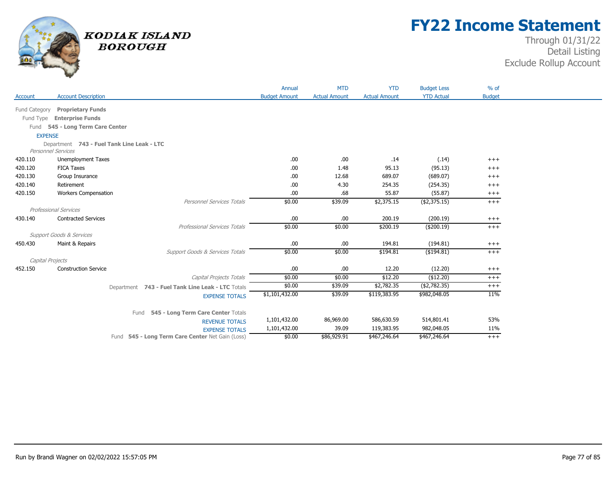

## **FY22 Income Statement**

|                  |                                            |                                                   | Annual               | <b>MTD</b>           | <b>YTD</b>           | <b>Budget Less</b> | $%$ of        |
|------------------|--------------------------------------------|---------------------------------------------------|----------------------|----------------------|----------------------|--------------------|---------------|
| Account          | <b>Account Description</b>                 |                                                   | <b>Budget Amount</b> | <b>Actual Amount</b> | <b>Actual Amount</b> | <b>YTD Actual</b>  | <b>Budget</b> |
| Fund Category    | <b>Proprietary Funds</b>                   |                                                   |                      |                      |                      |                    |               |
| Fund Type        | <b>Enterprise Funds</b>                    |                                                   |                      |                      |                      |                    |               |
|                  | Fund 545 - Long Term Care Center           |                                                   |                      |                      |                      |                    |               |
| <b>EXPENSE</b>   |                                            |                                                   |                      |                      |                      |                    |               |
|                  | Department 743 - Fuel Tank Line Leak - LTC |                                                   |                      |                      |                      |                    |               |
|                  | <b>Personnel Services</b>                  |                                                   |                      |                      |                      |                    |               |
| 420.110          | <b>Unemployment Taxes</b>                  |                                                   | .00                  | .00                  | .14                  | (.14)              | $+++$         |
| 420.120          | <b>FICA Taxes</b>                          |                                                   | .00                  | 1.48                 | 95.13                | (95.13)            | $+++$         |
| 420.130          | Group Insurance                            |                                                   | .00                  | 12.68                | 689.07               | (689.07)           | $^{+++}$      |
| 420.140          | Retirement                                 |                                                   | .00                  | 4.30                 | 254.35               | (254.35)           | $+++$         |
| 420.150          | <b>Workers Compensation</b>                |                                                   | .00                  | .68                  | 55.87                | (55.87)            | $+++$         |
|                  |                                            | Personnel Services Totals                         | \$0.00               | \$39.09              | \$2,375.15           | ( \$2,375.15)      | $++$          |
|                  | Professional Services                      |                                                   |                      |                      |                      |                    |               |
| 430.140          | <b>Contracted Services</b>                 |                                                   | .00                  | .00                  | 200.19               | (200.19)           | $^{+++}$      |
|                  |                                            | Professional Services Totals                      | \$0.00               | \$0.00               | \$200.19             | (\$200.19)         | $+++$         |
|                  | Support Goods & Services                   |                                                   |                      |                      |                      |                    |               |
| 450.430          | Maint & Repairs                            |                                                   | .00                  | .00                  | 194.81               | (194.81)           | $+++$         |
|                  |                                            | Support Goods & Services Totals                   | \$0.00               | \$0.00               | \$194.81             | (\$194.81)         | $+++$         |
| Capital Projects |                                            |                                                   |                      |                      |                      |                    |               |
| 452.150          | <b>Construction Service</b>                |                                                   | .00                  | .00                  | 12.20                | (12.20)            | $+++$         |
|                  |                                            | Capital Projects Totals                           | \$0.00               | \$0.00               | \$12.20              | (\$12.20)          | $+++$         |
|                  |                                            | Department 743 - Fuel Tank Line Leak - LTC Totals | \$0.00               | \$39.09              | \$2,782.35           | ( \$2,782.35)      | $^{+++}$      |
|                  |                                            | <b>EXPENSE TOTALS</b>                             | \$1,101,432.00       | \$39.09              | \$119,383.95         | \$982,048.05       | 11%           |
|                  |                                            |                                                   |                      |                      |                      |                    |               |
|                  |                                            | Fund 545 - Long Term Care Center Totals           |                      |                      |                      |                    |               |
|                  |                                            | <b>REVENUE TOTALS</b>                             | 1,101,432.00         | 86,969.00            | 586,630.59           | 514,801.41         | 53%           |
|                  |                                            | <b>EXPENSE TOTALS</b>                             | 1,101,432.00         | 39.09                | 119,383.95           | 982,048.05         | 11%           |
|                  |                                            | Fund 545 - Long Term Care Center Net Gain (Loss)  | \$0.00               | \$86,929.91          | \$467,246.64         | \$467,246.64       | $+++$         |
|                  |                                            |                                                   |                      |                      |                      |                    |               |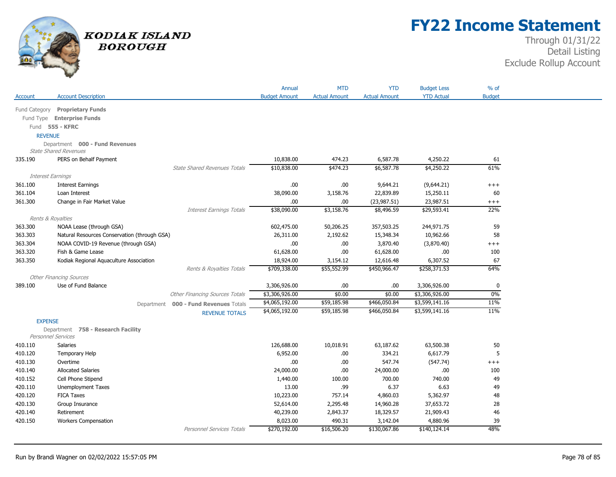

## **FY22 Income Statement**

| <b>YTD Actual</b><br><b>Budget</b><br><b>Account Description</b><br><b>Budget Amount</b><br><b>Actual Amount</b><br><b>Actual Amount</b><br>Account<br>Fund Category Proprietary Funds<br>Fund Type Enterprise Funds<br>Fund 555 - KFRC<br><b>REVENUE</b><br>Department 000 - Fund Revenues<br><b>State Shared Revenues</b><br>335.190<br>PERS on Behalf Payment<br>10,838.00<br>474.23<br>6,587.78<br>4,250.22<br>61<br>61%<br>\$10,838.00<br>\$474.23<br>\$4,250.22<br><b>State Shared Revenues Totals</b><br>\$6,587.78<br>Interest Earnings<br><b>Interest Earnings</b><br>.00<br>.00.<br>9,644.21<br>361.100<br>(9,644.21)<br>$++++$<br>3,158.76<br>361.104<br>Loan Interest<br>38,090.00<br>22,839.89<br>15,250.11<br>60<br>(23, 987.51)<br>23,987.51<br>361.300<br>Change in Fair Market Value<br>.00<br>.00.<br>$++++$<br>\$38,090.00<br>\$3,158.76<br>22%<br>\$8,496.59<br>\$29,593.41<br><b>Interest Earnings Totals</b><br>Rents & Royalties<br>363.300<br>NOAA Lease (through GSA)<br>602,475.00<br>50,206.25<br>357,503.25<br>244,971.75<br>59<br>363.303<br>Natural Resources Conservation (through GSA)<br>2,192.62<br>58<br>26,311.00<br>15,348.34<br>10,962.66<br>.00<br>363.304<br>NOAA COVID-19 Revenue (through GSA)<br>.00.<br>3,870.40<br>(3,870.40)<br>$+++$<br>363.320<br>61,628.00<br>.00.<br>Fish & Game Lease<br>61,628.00<br>.00.<br>100<br>363.350<br>6,307.52<br>67<br>Kodiak Regional Aquaculture Association<br>18,924.00<br>3,154.12<br>12,616.48<br>\$709,338.00<br>\$55,552.99<br>\$258,371.53<br>64%<br>\$450,966.47<br>Rents & Royalties Totals<br><b>Other Financing Sources</b><br>.00.<br>.00.<br>389.100<br>Use of Fund Balance<br>3,306,926.00<br>3,306,926.00<br>$\mathbf{0}$<br>0%<br><b>Other Financing Sources Totals</b><br>\$3,306,926.00<br>\$0.00<br>\$0.00<br>\$3,306,926.00<br>\$4,065,192.00<br>\$3,599,141.16<br>11%<br>\$59,185.98<br>\$466,050.84<br>000 - Fund Revenues Totals<br>Department<br>11%<br>\$4,065,192.00<br>\$59,185.98<br>\$466,050.84<br>\$3,599,141.16<br><b>REVENUE TOTALS</b><br><b>EXPENSE</b><br>Department 758 - Research Facility<br><b>Personnel Services</b><br>410.110<br><b>Salaries</b><br>126,688.00<br>10,018.91<br>63,187.62<br>63,500.38<br>50<br>6,617.79<br>5<br>6,952.00<br>334.21<br>410.120<br>Temporary Help<br>.00.<br>410.130<br>.00.<br>.00<br>547.74<br>(547.74)<br>Overtime<br>$++++$<br><b>Allocated Salaries</b><br>24,000.00<br>.00<br>24,000.00<br>.00.<br>410.140<br>100<br>410.152<br>1,440.00<br>700.00<br>740.00<br>49<br>Cell Phone Stipend<br>100.00<br>420.110<br>Unemployment Taxes<br>13.00<br>.99<br>6.37<br>6.63<br>49<br>420.120<br><b>FICA Taxes</b><br>10,223.00<br>757.14<br>5,362.97<br>48<br>4,860.03<br>420.130<br>Group Insurance<br>52,614.00<br>2,295.48<br>37,653.72<br>28<br>14,960.28<br>46<br>420.140<br>Retirement<br>40,239.00<br>2,843.37<br>18,329.57<br>21,909.43 |         |                             | Annual   | <b>MTD</b> | <b>YTD</b> | <b>Budget Less</b> | % of |
|--------------------------------------------------------------------------------------------------------------------------------------------------------------------------------------------------------------------------------------------------------------------------------------------------------------------------------------------------------------------------------------------------------------------------------------------------------------------------------------------------------------------------------------------------------------------------------------------------------------------------------------------------------------------------------------------------------------------------------------------------------------------------------------------------------------------------------------------------------------------------------------------------------------------------------------------------------------------------------------------------------------------------------------------------------------------------------------------------------------------------------------------------------------------------------------------------------------------------------------------------------------------------------------------------------------------------------------------------------------------------------------------------------------------------------------------------------------------------------------------------------------------------------------------------------------------------------------------------------------------------------------------------------------------------------------------------------------------------------------------------------------------------------------------------------------------------------------------------------------------------------------------------------------------------------------------------------------------------------------------------------------------------------------------------------------------------------------------------------------------------------------------------------------------------------------------------------------------------------------------------------------------------------------------------------------------------------------------------------------------------------------------------------------------------------------------------------------------------------------------------------------------------------------------------------------------------------------------------------------------------------------------------------------------------------------------------------------------------------------------------------------------------------------------------------------------------------------------------------------------------------------------------------|---------|-----------------------------|----------|------------|------------|--------------------|------|
|                                                                                                                                                                                                                                                                                                                                                                                                                                                                                                                                                                                                                                                                                                                                                                                                                                                                                                                                                                                                                                                                                                                                                                                                                                                                                                                                                                                                                                                                                                                                                                                                                                                                                                                                                                                                                                                                                                                                                                                                                                                                                                                                                                                                                                                                                                                                                                                                                                                                                                                                                                                                                                                                                                                                                                                                                                                                                                        |         |                             |          |            |            |                    |      |
|                                                                                                                                                                                                                                                                                                                                                                                                                                                                                                                                                                                                                                                                                                                                                                                                                                                                                                                                                                                                                                                                                                                                                                                                                                                                                                                                                                                                                                                                                                                                                                                                                                                                                                                                                                                                                                                                                                                                                                                                                                                                                                                                                                                                                                                                                                                                                                                                                                                                                                                                                                                                                                                                                                                                                                                                                                                                                                        |         |                             |          |            |            |                    |      |
|                                                                                                                                                                                                                                                                                                                                                                                                                                                                                                                                                                                                                                                                                                                                                                                                                                                                                                                                                                                                                                                                                                                                                                                                                                                                                                                                                                                                                                                                                                                                                                                                                                                                                                                                                                                                                                                                                                                                                                                                                                                                                                                                                                                                                                                                                                                                                                                                                                                                                                                                                                                                                                                                                                                                                                                                                                                                                                        |         |                             |          |            |            |                    |      |
|                                                                                                                                                                                                                                                                                                                                                                                                                                                                                                                                                                                                                                                                                                                                                                                                                                                                                                                                                                                                                                                                                                                                                                                                                                                                                                                                                                                                                                                                                                                                                                                                                                                                                                                                                                                                                                                                                                                                                                                                                                                                                                                                                                                                                                                                                                                                                                                                                                                                                                                                                                                                                                                                                                                                                                                                                                                                                                        |         |                             |          |            |            |                    |      |
|                                                                                                                                                                                                                                                                                                                                                                                                                                                                                                                                                                                                                                                                                                                                                                                                                                                                                                                                                                                                                                                                                                                                                                                                                                                                                                                                                                                                                                                                                                                                                                                                                                                                                                                                                                                                                                                                                                                                                                                                                                                                                                                                                                                                                                                                                                                                                                                                                                                                                                                                                                                                                                                                                                                                                                                                                                                                                                        |         |                             |          |            |            |                    |      |
|                                                                                                                                                                                                                                                                                                                                                                                                                                                                                                                                                                                                                                                                                                                                                                                                                                                                                                                                                                                                                                                                                                                                                                                                                                                                                                                                                                                                                                                                                                                                                                                                                                                                                                                                                                                                                                                                                                                                                                                                                                                                                                                                                                                                                                                                                                                                                                                                                                                                                                                                                                                                                                                                                                                                                                                                                                                                                                        |         |                             |          |            |            |                    |      |
|                                                                                                                                                                                                                                                                                                                                                                                                                                                                                                                                                                                                                                                                                                                                                                                                                                                                                                                                                                                                                                                                                                                                                                                                                                                                                                                                                                                                                                                                                                                                                                                                                                                                                                                                                                                                                                                                                                                                                                                                                                                                                                                                                                                                                                                                                                                                                                                                                                                                                                                                                                                                                                                                                                                                                                                                                                                                                                        |         |                             |          |            |            |                    |      |
|                                                                                                                                                                                                                                                                                                                                                                                                                                                                                                                                                                                                                                                                                                                                                                                                                                                                                                                                                                                                                                                                                                                                                                                                                                                                                                                                                                                                                                                                                                                                                                                                                                                                                                                                                                                                                                                                                                                                                                                                                                                                                                                                                                                                                                                                                                                                                                                                                                                                                                                                                                                                                                                                                                                                                                                                                                                                                                        |         |                             |          |            |            |                    |      |
|                                                                                                                                                                                                                                                                                                                                                                                                                                                                                                                                                                                                                                                                                                                                                                                                                                                                                                                                                                                                                                                                                                                                                                                                                                                                                                                                                                                                                                                                                                                                                                                                                                                                                                                                                                                                                                                                                                                                                                                                                                                                                                                                                                                                                                                                                                                                                                                                                                                                                                                                                                                                                                                                                                                                                                                                                                                                                                        |         |                             |          |            |            |                    |      |
|                                                                                                                                                                                                                                                                                                                                                                                                                                                                                                                                                                                                                                                                                                                                                                                                                                                                                                                                                                                                                                                                                                                                                                                                                                                                                                                                                                                                                                                                                                                                                                                                                                                                                                                                                                                                                                                                                                                                                                                                                                                                                                                                                                                                                                                                                                                                                                                                                                                                                                                                                                                                                                                                                                                                                                                                                                                                                                        |         |                             |          |            |            |                    |      |
|                                                                                                                                                                                                                                                                                                                                                                                                                                                                                                                                                                                                                                                                                                                                                                                                                                                                                                                                                                                                                                                                                                                                                                                                                                                                                                                                                                                                                                                                                                                                                                                                                                                                                                                                                                                                                                                                                                                                                                                                                                                                                                                                                                                                                                                                                                                                                                                                                                                                                                                                                                                                                                                                                                                                                                                                                                                                                                        |         |                             |          |            |            |                    |      |
|                                                                                                                                                                                                                                                                                                                                                                                                                                                                                                                                                                                                                                                                                                                                                                                                                                                                                                                                                                                                                                                                                                                                                                                                                                                                                                                                                                                                                                                                                                                                                                                                                                                                                                                                                                                                                                                                                                                                                                                                                                                                                                                                                                                                                                                                                                                                                                                                                                                                                                                                                                                                                                                                                                                                                                                                                                                                                                        |         |                             |          |            |            |                    |      |
|                                                                                                                                                                                                                                                                                                                                                                                                                                                                                                                                                                                                                                                                                                                                                                                                                                                                                                                                                                                                                                                                                                                                                                                                                                                                                                                                                                                                                                                                                                                                                                                                                                                                                                                                                                                                                                                                                                                                                                                                                                                                                                                                                                                                                                                                                                                                                                                                                                                                                                                                                                                                                                                                                                                                                                                                                                                                                                        |         |                             |          |            |            |                    |      |
|                                                                                                                                                                                                                                                                                                                                                                                                                                                                                                                                                                                                                                                                                                                                                                                                                                                                                                                                                                                                                                                                                                                                                                                                                                                                                                                                                                                                                                                                                                                                                                                                                                                                                                                                                                                                                                                                                                                                                                                                                                                                                                                                                                                                                                                                                                                                                                                                                                                                                                                                                                                                                                                                                                                                                                                                                                                                                                        |         |                             |          |            |            |                    |      |
|                                                                                                                                                                                                                                                                                                                                                                                                                                                                                                                                                                                                                                                                                                                                                                                                                                                                                                                                                                                                                                                                                                                                                                                                                                                                                                                                                                                                                                                                                                                                                                                                                                                                                                                                                                                                                                                                                                                                                                                                                                                                                                                                                                                                                                                                                                                                                                                                                                                                                                                                                                                                                                                                                                                                                                                                                                                                                                        |         |                             |          |            |            |                    |      |
|                                                                                                                                                                                                                                                                                                                                                                                                                                                                                                                                                                                                                                                                                                                                                                                                                                                                                                                                                                                                                                                                                                                                                                                                                                                                                                                                                                                                                                                                                                                                                                                                                                                                                                                                                                                                                                                                                                                                                                                                                                                                                                                                                                                                                                                                                                                                                                                                                                                                                                                                                                                                                                                                                                                                                                                                                                                                                                        |         |                             |          |            |            |                    |      |
|                                                                                                                                                                                                                                                                                                                                                                                                                                                                                                                                                                                                                                                                                                                                                                                                                                                                                                                                                                                                                                                                                                                                                                                                                                                                                                                                                                                                                                                                                                                                                                                                                                                                                                                                                                                                                                                                                                                                                                                                                                                                                                                                                                                                                                                                                                                                                                                                                                                                                                                                                                                                                                                                                                                                                                                                                                                                                                        |         |                             |          |            |            |                    |      |
|                                                                                                                                                                                                                                                                                                                                                                                                                                                                                                                                                                                                                                                                                                                                                                                                                                                                                                                                                                                                                                                                                                                                                                                                                                                                                                                                                                                                                                                                                                                                                                                                                                                                                                                                                                                                                                                                                                                                                                                                                                                                                                                                                                                                                                                                                                                                                                                                                                                                                                                                                                                                                                                                                                                                                                                                                                                                                                        |         |                             |          |            |            |                    |      |
|                                                                                                                                                                                                                                                                                                                                                                                                                                                                                                                                                                                                                                                                                                                                                                                                                                                                                                                                                                                                                                                                                                                                                                                                                                                                                                                                                                                                                                                                                                                                                                                                                                                                                                                                                                                                                                                                                                                                                                                                                                                                                                                                                                                                                                                                                                                                                                                                                                                                                                                                                                                                                                                                                                                                                                                                                                                                                                        |         |                             |          |            |            |                    |      |
|                                                                                                                                                                                                                                                                                                                                                                                                                                                                                                                                                                                                                                                                                                                                                                                                                                                                                                                                                                                                                                                                                                                                                                                                                                                                                                                                                                                                                                                                                                                                                                                                                                                                                                                                                                                                                                                                                                                                                                                                                                                                                                                                                                                                                                                                                                                                                                                                                                                                                                                                                                                                                                                                                                                                                                                                                                                                                                        |         |                             |          |            |            |                    |      |
|                                                                                                                                                                                                                                                                                                                                                                                                                                                                                                                                                                                                                                                                                                                                                                                                                                                                                                                                                                                                                                                                                                                                                                                                                                                                                                                                                                                                                                                                                                                                                                                                                                                                                                                                                                                                                                                                                                                                                                                                                                                                                                                                                                                                                                                                                                                                                                                                                                                                                                                                                                                                                                                                                                                                                                                                                                                                                                        |         |                             |          |            |            |                    |      |
|                                                                                                                                                                                                                                                                                                                                                                                                                                                                                                                                                                                                                                                                                                                                                                                                                                                                                                                                                                                                                                                                                                                                                                                                                                                                                                                                                                                                                                                                                                                                                                                                                                                                                                                                                                                                                                                                                                                                                                                                                                                                                                                                                                                                                                                                                                                                                                                                                                                                                                                                                                                                                                                                                                                                                                                                                                                                                                        |         |                             |          |            |            |                    |      |
|                                                                                                                                                                                                                                                                                                                                                                                                                                                                                                                                                                                                                                                                                                                                                                                                                                                                                                                                                                                                                                                                                                                                                                                                                                                                                                                                                                                                                                                                                                                                                                                                                                                                                                                                                                                                                                                                                                                                                                                                                                                                                                                                                                                                                                                                                                                                                                                                                                                                                                                                                                                                                                                                                                                                                                                                                                                                                                        |         |                             |          |            |            |                    |      |
|                                                                                                                                                                                                                                                                                                                                                                                                                                                                                                                                                                                                                                                                                                                                                                                                                                                                                                                                                                                                                                                                                                                                                                                                                                                                                                                                                                                                                                                                                                                                                                                                                                                                                                                                                                                                                                                                                                                                                                                                                                                                                                                                                                                                                                                                                                                                                                                                                                                                                                                                                                                                                                                                                                                                                                                                                                                                                                        |         |                             |          |            |            |                    |      |
|                                                                                                                                                                                                                                                                                                                                                                                                                                                                                                                                                                                                                                                                                                                                                                                                                                                                                                                                                                                                                                                                                                                                                                                                                                                                                                                                                                                                                                                                                                                                                                                                                                                                                                                                                                                                                                                                                                                                                                                                                                                                                                                                                                                                                                                                                                                                                                                                                                                                                                                                                                                                                                                                                                                                                                                                                                                                                                        |         |                             |          |            |            |                    |      |
|                                                                                                                                                                                                                                                                                                                                                                                                                                                                                                                                                                                                                                                                                                                                                                                                                                                                                                                                                                                                                                                                                                                                                                                                                                                                                                                                                                                                                                                                                                                                                                                                                                                                                                                                                                                                                                                                                                                                                                                                                                                                                                                                                                                                                                                                                                                                                                                                                                                                                                                                                                                                                                                                                                                                                                                                                                                                                                        |         |                             |          |            |            |                    |      |
|                                                                                                                                                                                                                                                                                                                                                                                                                                                                                                                                                                                                                                                                                                                                                                                                                                                                                                                                                                                                                                                                                                                                                                                                                                                                                                                                                                                                                                                                                                                                                                                                                                                                                                                                                                                                                                                                                                                                                                                                                                                                                                                                                                                                                                                                                                                                                                                                                                                                                                                                                                                                                                                                                                                                                                                                                                                                                                        |         |                             |          |            |            |                    |      |
|                                                                                                                                                                                                                                                                                                                                                                                                                                                                                                                                                                                                                                                                                                                                                                                                                                                                                                                                                                                                                                                                                                                                                                                                                                                                                                                                                                                                                                                                                                                                                                                                                                                                                                                                                                                                                                                                                                                                                                                                                                                                                                                                                                                                                                                                                                                                                                                                                                                                                                                                                                                                                                                                                                                                                                                                                                                                                                        |         |                             |          |            |            |                    |      |
|                                                                                                                                                                                                                                                                                                                                                                                                                                                                                                                                                                                                                                                                                                                                                                                                                                                                                                                                                                                                                                                                                                                                                                                                                                                                                                                                                                                                                                                                                                                                                                                                                                                                                                                                                                                                                                                                                                                                                                                                                                                                                                                                                                                                                                                                                                                                                                                                                                                                                                                                                                                                                                                                                                                                                                                                                                                                                                        |         |                             |          |            |            |                    |      |
|                                                                                                                                                                                                                                                                                                                                                                                                                                                                                                                                                                                                                                                                                                                                                                                                                                                                                                                                                                                                                                                                                                                                                                                                                                                                                                                                                                                                                                                                                                                                                                                                                                                                                                                                                                                                                                                                                                                                                                                                                                                                                                                                                                                                                                                                                                                                                                                                                                                                                                                                                                                                                                                                                                                                                                                                                                                                                                        |         |                             |          |            |            |                    |      |
|                                                                                                                                                                                                                                                                                                                                                                                                                                                                                                                                                                                                                                                                                                                                                                                                                                                                                                                                                                                                                                                                                                                                                                                                                                                                                                                                                                                                                                                                                                                                                                                                                                                                                                                                                                                                                                                                                                                                                                                                                                                                                                                                                                                                                                                                                                                                                                                                                                                                                                                                                                                                                                                                                                                                                                                                                                                                                                        |         |                             |          |            |            |                    |      |
|                                                                                                                                                                                                                                                                                                                                                                                                                                                                                                                                                                                                                                                                                                                                                                                                                                                                                                                                                                                                                                                                                                                                                                                                                                                                                                                                                                                                                                                                                                                                                                                                                                                                                                                                                                                                                                                                                                                                                                                                                                                                                                                                                                                                                                                                                                                                                                                                                                                                                                                                                                                                                                                                                                                                                                                                                                                                                                        |         |                             |          |            |            |                    |      |
|                                                                                                                                                                                                                                                                                                                                                                                                                                                                                                                                                                                                                                                                                                                                                                                                                                                                                                                                                                                                                                                                                                                                                                                                                                                                                                                                                                                                                                                                                                                                                                                                                                                                                                                                                                                                                                                                                                                                                                                                                                                                                                                                                                                                                                                                                                                                                                                                                                                                                                                                                                                                                                                                                                                                                                                                                                                                                                        |         |                             |          |            |            |                    |      |
|                                                                                                                                                                                                                                                                                                                                                                                                                                                                                                                                                                                                                                                                                                                                                                                                                                                                                                                                                                                                                                                                                                                                                                                                                                                                                                                                                                                                                                                                                                                                                                                                                                                                                                                                                                                                                                                                                                                                                                                                                                                                                                                                                                                                                                                                                                                                                                                                                                                                                                                                                                                                                                                                                                                                                                                                                                                                                                        |         |                             |          |            |            |                    |      |
|                                                                                                                                                                                                                                                                                                                                                                                                                                                                                                                                                                                                                                                                                                                                                                                                                                                                                                                                                                                                                                                                                                                                                                                                                                                                                                                                                                                                                                                                                                                                                                                                                                                                                                                                                                                                                                                                                                                                                                                                                                                                                                                                                                                                                                                                                                                                                                                                                                                                                                                                                                                                                                                                                                                                                                                                                                                                                                        |         |                             |          |            |            |                    |      |
|                                                                                                                                                                                                                                                                                                                                                                                                                                                                                                                                                                                                                                                                                                                                                                                                                                                                                                                                                                                                                                                                                                                                                                                                                                                                                                                                                                                                                                                                                                                                                                                                                                                                                                                                                                                                                                                                                                                                                                                                                                                                                                                                                                                                                                                                                                                                                                                                                                                                                                                                                                                                                                                                                                                                                                                                                                                                                                        |         |                             |          |            |            |                    |      |
|                                                                                                                                                                                                                                                                                                                                                                                                                                                                                                                                                                                                                                                                                                                                                                                                                                                                                                                                                                                                                                                                                                                                                                                                                                                                                                                                                                                                                                                                                                                                                                                                                                                                                                                                                                                                                                                                                                                                                                                                                                                                                                                                                                                                                                                                                                                                                                                                                                                                                                                                                                                                                                                                                                                                                                                                                                                                                                        |         |                             |          |            |            |                    |      |
|                                                                                                                                                                                                                                                                                                                                                                                                                                                                                                                                                                                                                                                                                                                                                                                                                                                                                                                                                                                                                                                                                                                                                                                                                                                                                                                                                                                                                                                                                                                                                                                                                                                                                                                                                                                                                                                                                                                                                                                                                                                                                                                                                                                                                                                                                                                                                                                                                                                                                                                                                                                                                                                                                                                                                                                                                                                                                                        | 420.150 | <b>Workers Compensation</b> | 8,023.00 | 490.31     | 3,142.04   | 4,880.96           | 39   |
| 48%<br>\$270,192.00<br>\$16,506.20<br>\$130,067.86<br><b>Personnel Services Totals</b><br>\$140,124.14                                                                                                                                                                                                                                                                                                                                                                                                                                                                                                                                                                                                                                                                                                                                                                                                                                                                                                                                                                                                                                                                                                                                                                                                                                                                                                                                                                                                                                                                                                                                                                                                                                                                                                                                                                                                                                                                                                                                                                                                                                                                                                                                                                                                                                                                                                                                                                                                                                                                                                                                                                                                                                                                                                                                                                                                 |         |                             |          |            |            |                    |      |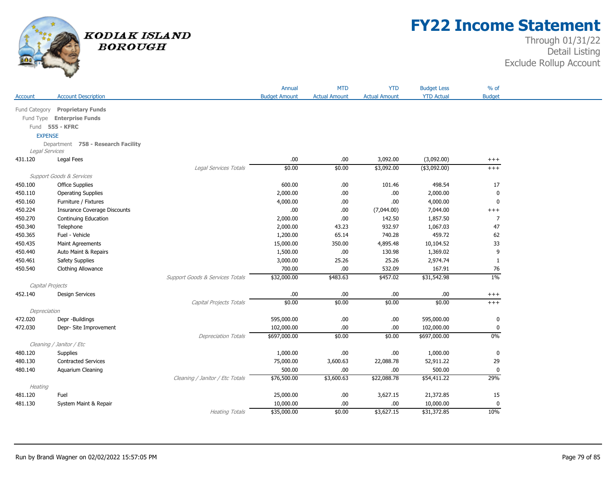

## **FY22 Income Statement**

|                  |                                    |                                 | Annual               | <b>MTD</b>           | <b>YTD</b>           | <b>Budget Less</b> | $%$ of         |
|------------------|------------------------------------|---------------------------------|----------------------|----------------------|----------------------|--------------------|----------------|
| Account          | <b>Account Description</b>         |                                 | <b>Budget Amount</b> | <b>Actual Amount</b> | <b>Actual Amount</b> | <b>YTD Actual</b>  | <b>Budget</b>  |
| Fund Category    | <b>Proprietary Funds</b>           |                                 |                      |                      |                      |                    |                |
|                  | Fund Type Enterprise Funds         |                                 |                      |                      |                      |                    |                |
|                  | Fund 555 - KFRC                    |                                 |                      |                      |                      |                    |                |
| <b>EXPENSE</b>   |                                    |                                 |                      |                      |                      |                    |                |
|                  | Department 758 - Research Facility |                                 |                      |                      |                      |                    |                |
| Legal Services   |                                    |                                 |                      |                      |                      |                    |                |
| 431.120          | Legal Fees                         |                                 | .00                  | .00.                 | 3,092.00             | (3,092.00)         | $^{+++}$       |
|                  |                                    | Legal Services Totals           | \$0.00               | \$0.00               | \$3,092.00           | $($ \$3,092.00)    | $+++$          |
|                  | Support Goods & Services           |                                 |                      |                      |                      |                    |                |
| 450.100          | <b>Office Supplies</b>             |                                 | 600.00               | .00.                 | 101.46               | 498.54             | 17             |
| 450.110          | <b>Operating Supplies</b>          |                                 | 2,000.00             | .00                  | .00.                 | 2,000.00           | $\mathbf 0$    |
| 450.160          | Furniture / Fixtures               |                                 | 4,000.00             | .00.                 | .00                  | 4,000.00           | 0              |
| 450.224          | Insurance Coverage Discounts       |                                 | .00                  | .00.                 | (7,044.00)           | 7,044.00           | $^{+++}$       |
| 450.270          | Continuing Education               |                                 | 2,000.00             | .00                  | 142.50               | 1,857.50           | $\overline{7}$ |
| 450.340          | Telephone                          |                                 | 2,000.00             | 43.23                | 932.97               | 1,067.03           | 47             |
| 450.365          | Fuel - Vehicle                     |                                 | 1,200.00             | 65.14                | 740.28               | 459.72             | 62             |
| 450.435          | Maint Agreements                   |                                 | 15,000.00            | 350.00               | 4,895.48             | 10,104.52          | 33             |
| 450.440          | Auto Maint & Repairs               |                                 | 1,500.00             | .00.                 | 130.98               | 1,369.02           | 9              |
| 450.461          | Safety Supplies                    |                                 | 3,000.00             | 25.26                | 25.26                | 2,974.74           | $\mathbf{1}$   |
| 450.540          | Clothing Allowance                 |                                 | 700.00               | .00.                 | 532.09               | 167.91             | 76             |
|                  |                                    | Support Goods & Services Totals | \$32,000.00          | \$483.63             | \$457.02             | \$31,542.98        | $1\%$          |
| Capital Projects |                                    |                                 |                      |                      |                      |                    |                |
| 452.140          | <b>Design Services</b>             |                                 | .00                  | .00                  | .00                  | .00                | $^{+++}$       |
|                  |                                    | Capital Projects Totals         | \$0.00               | \$0.00               | \$0.00               | \$0.00             | $+++$          |
| Depreciation     |                                    |                                 |                      |                      |                      |                    |                |
| 472.020          | Depr -Buildings                    |                                 | 595,000.00           | .00                  | .00                  | 595,000.00         | $\pmb{0}$      |
| 472.030          | Depr- Site Improvement             |                                 | 102,000.00           | .00.                 | .00.                 | 102,000.00         | 0              |
|                  |                                    | <b>Depreciation Totals</b>      | \$697,000.00         | \$0.00               | \$0.00               | \$697,000.00       | $0\%$          |
|                  | Cleaning / Janitor / Etc           |                                 |                      |                      |                      |                    |                |
| 480.120          | Supplies                           |                                 | 1,000.00             | .00.                 | .00.                 | 1,000.00           | 0              |
| 480.130          | <b>Contracted Services</b>         |                                 | 75,000.00            | 3,600.63             | 22,088.78            | 52,911.22          | 29             |
| 480.140          | Aquarium Cleaning                  |                                 | 500.00               | .00                  | .00                  | 500.00             | $\mathbf 0$    |
|                  |                                    | Cleaning / Janitor / Etc Totals | \$76,500.00          | \$3,600.63           | \$22,088.78          | \$54,411.22        | 29%            |
| Heating          |                                    |                                 |                      |                      |                      |                    |                |
| 481.120          | Fuel                               |                                 | 25,000.00            | .00                  | 3,627.15             | 21,372.85          | 15             |
| 481.130          | System Maint & Repair              |                                 | 10,000.00            | .00.                 | .00.                 | 10,000.00          | 0              |
|                  |                                    | <b>Heating Totals</b>           | \$35,000.00          | \$0.00               | \$3,627.15           | \$31,372.85        | 10%            |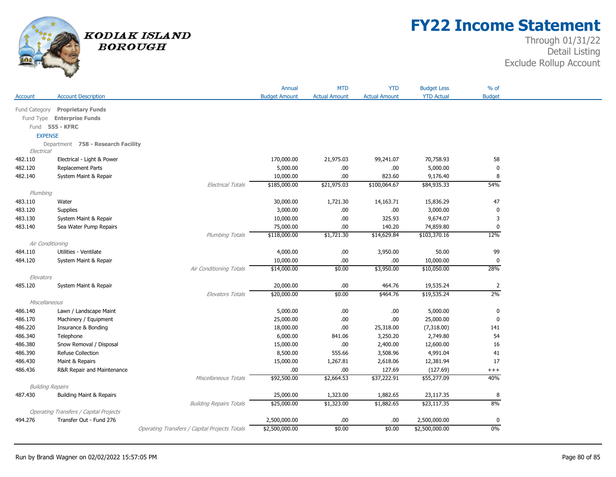

## **FY22 Income Statement**

|                         |                                               |                                               | Annual               | <b>MTD</b>           | <b>YTD</b>           | <b>Budget Less</b> | $%$ of         |
|-------------------------|-----------------------------------------------|-----------------------------------------------|----------------------|----------------------|----------------------|--------------------|----------------|
| Account                 | <b>Account Description</b>                    |                                               | <b>Budget Amount</b> | <b>Actual Amount</b> | <b>Actual Amount</b> | <b>YTD Actual</b>  | <b>Budget</b>  |
| Fund Category           | <b>Proprietary Funds</b>                      |                                               |                      |                      |                      |                    |                |
|                         | Fund Type Enterprise Funds                    |                                               |                      |                      |                      |                    |                |
|                         | Fund 555 - KFRC                               |                                               |                      |                      |                      |                    |                |
|                         |                                               |                                               |                      |                      |                      |                    |                |
| <b>EXPENSE</b>          |                                               |                                               |                      |                      |                      |                    |                |
| Electrical              | Department 758 - Research Facility            |                                               |                      |                      |                      |                    |                |
| 482.110                 | Electrical - Light & Power                    |                                               | 170,000.00           | 21,975.03            | 99,241.07            | 70,758.93          | 58             |
| 482.120                 | Replacement Parts                             |                                               | 5,000.00             | .00                  | .00.                 | 5,000.00           | $\pmb{0}$      |
| 482.140                 | System Maint & Repair                         |                                               | 10,000.00            | .00.                 | 823.60               | 9,176.40           | 8              |
|                         |                                               | <b>Electrical Totals</b>                      | \$185,000.00         | \$21,975.03          | \$100,064.67         | \$84,935.33        | 54%            |
| Plumbing                |                                               |                                               |                      |                      |                      |                    |                |
| 483.110                 | Water                                         |                                               | 30,000.00            | 1,721.30             | 14,163.71            | 15,836.29          | 47             |
| 483.120                 | Supplies                                      |                                               | 3,000.00             | .00.                 | .00.                 | 3,000.00           | 0              |
| 483.130                 | System Maint & Repair                         |                                               | 10,000.00            | .00.                 | 325.93               | 9,674.07           | 3              |
| 483.140                 | Sea Water Pump Repairs                        |                                               | 75,000.00            | .00.                 | 140.20               | 74,859.80          | 0              |
|                         |                                               | Plumbing Totals                               | \$118,000.00         | \$1,721.30           | \$14,629.84          | \$103,370.16       | 12%            |
| Air Conditioning        |                                               |                                               |                      |                      |                      |                    |                |
| 484.110                 | Utilities - Ventilate                         |                                               | 4,000.00             | .00.                 | 3,950.00             | 50.00              | 99             |
| 484.120                 | System Maint & Repair                         |                                               | 10,000.00            | .00.                 | .00                  | 10,000.00          | 0              |
|                         |                                               | Air Conditioning Totals                       | \$14,000.00          | \$0.00               | \$3,950.00           | \$10,050.00        | 28%            |
| Elevators               |                                               |                                               |                      |                      |                      |                    |                |
| 485.120                 | System Maint & Repair                         |                                               | 20,000.00            | .00                  | 464.76               | 19,535.24          | $\overline{2}$ |
|                         |                                               | Elevators Totals                              | \$20,000.00          | \$0.00               | \$464.76             | \$19,535.24        | 2%             |
| Miscellaneous           |                                               |                                               |                      |                      |                      |                    |                |
| 486.140                 | Lawn / Landscape Maint                        |                                               | 5,000.00             | .00.                 | .00.                 | 5,000.00           | $\bf{0}$       |
| 486.170                 | Machinery / Equipment                         |                                               | 25,000.00            | .00                  | .00                  | 25,000.00          | $\pmb{0}$      |
| 486.220                 | Insurance & Bonding                           |                                               | 18,000.00            | .00.                 | 25,318.00            | (7,318.00)         | 141            |
| 486.340                 | Telephone                                     |                                               | 6,000.00             | 841.06               | 3,250.20             | 2,749.80           | 54             |
| 486.380                 | Snow Removal / Disposal                       |                                               | 15,000.00            | .00.                 | 2,400.00             | 12,600.00          | 16             |
| 486.390                 | <b>Refuse Collection</b>                      |                                               | 8,500.00             | 555.66               | 3,508.96             | 4,991.04           | 41             |
| 486.430                 | Maint & Repairs                               |                                               | 15,000.00            | 1,267.81             | 2,618.06             | 12,381.94          | 17             |
| 486.436                 | R&R Repair and Maintenance                    |                                               | .00                  | .00.                 | 127.69               | (127.69)           | $^{+++}$       |
|                         |                                               | Miscellaneous Totals                          | \$92,500.00          | \$2,664.53           | \$37,222.91          | \$55,277.09        | 40%            |
| <b>Building Repairs</b> |                                               |                                               |                      |                      |                      |                    |                |
| 487.430                 | <b>Building Maint &amp; Repairs</b>           |                                               | 25,000.00            | 1,323.00             | 1,882.65             | 23,117.35          | 8              |
|                         |                                               | <b>Building Repairs Totals</b>                | \$25,000.00          | \$1,323.00           | \$1,882.65           | \$23,117.35        | 8%             |
|                         | <b>Operating Transfers / Capital Projects</b> |                                               |                      |                      |                      |                    |                |
| 494.276                 | Transfer Out - Fund 276                       |                                               | 2,500,000.00         | .00                  | .00.                 | 2,500,000.00       | 0              |
|                         |                                               | Operating Transfers / Capital Projects Totals | \$2,500,000.00       | \$0.00               | \$0.00               | \$2,500,000.00     | 0%             |
|                         |                                               |                                               |                      |                      |                      |                    |                |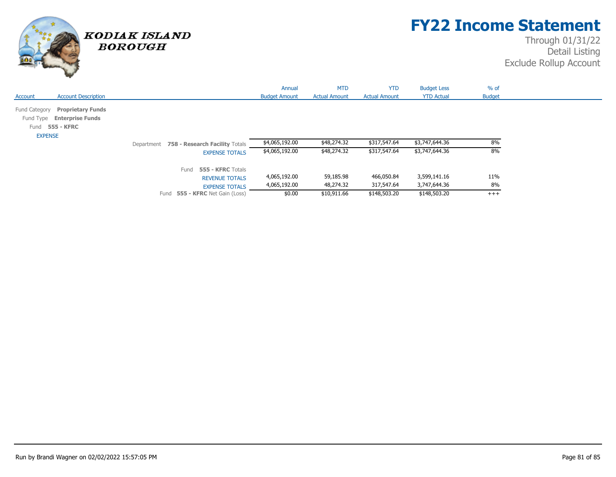

## **FY22 Income Statement**

|                                           |                                                          | Annual               | <b>MTD</b>           | <b>YTD</b>           | <b>Budget Less</b> | $%$ of        |
|-------------------------------------------|----------------------------------------------------------|----------------------|----------------------|----------------------|--------------------|---------------|
| <b>Account Description</b><br>Account     |                                                          | <b>Budget Amount</b> | <b>Actual Amount</b> | <b>Actual Amount</b> | <b>YTD Actual</b>  | <b>Budget</b> |
|                                           |                                                          |                      |                      |                      |                    |               |
| <b>Proprietary Funds</b><br>Fund Category |                                                          |                      |                      |                      |                    |               |
| Fund Type Enterprise Funds                |                                                          |                      |                      |                      |                    |               |
| 555 - KFRC<br>Fund                        |                                                          |                      |                      |                      |                    |               |
| <b>EXPENSE</b>                            |                                                          |                      |                      |                      |                    |               |
|                                           | Department 758 - Research Facility Totals                | \$4,065,192.00       | \$48,274.32          | \$317,547.64         | \$3,747,644.36     | 8%            |
|                                           | <b>EXPENSE TOTALS</b>                                    | \$4,065,192.00       | \$48,274.32          | \$317,547.64         | \$3,747,644.36     | 8%            |
|                                           |                                                          |                      |                      |                      |                    |               |
|                                           | 555 - KFRC Totals<br>Fund                                |                      |                      |                      |                    |               |
|                                           | <b>REVENUE TOTALS</b>                                    | 4,065,192.00         | 59,185.98            | 466,050.84           | 3,599,141.16       | 11%           |
|                                           |                                                          | 4,065,192.00         | 48,274.32            | 317,547.64           | 3,747,644.36       | 8%            |
|                                           | <b>EXPENSE TOTALS</b><br>Fund 555 - KFRC Net Gain (Loss) | \$0.00               | \$10,911.66          | \$148,503.20         | \$148,503.20       | $^{+++}$      |
|                                           |                                                          |                      |                      |                      |                    |               |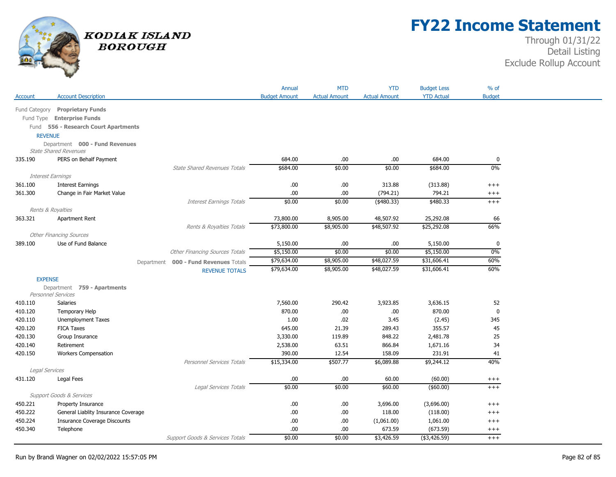

# **FY22 Income Statement**

| <b>YTD Actual</b><br><b>Account Description</b><br><b>Budget Amount</b><br><b>Actual Amount</b><br><b>Actual Amount</b><br><b>Budget</b><br>Account<br>Fund Category<br><b>Proprietary Funds</b><br>Fund Type Enterprise Funds<br>Fund 556 - Research Court Apartments<br><b>REVENUE</b><br>Department 000 - Fund Revenues<br><b>State Shared Revenues</b><br>PERS on Behalf Payment<br>684.00<br>.00.<br>.00.<br>684.00<br>335.190<br>0<br>\$0.00<br>\$0.00<br>$0\%$<br>\$684.00<br>\$684.00<br><b>State Shared Revenues Totals</b><br><b>Interest Earnings</b><br>.00<br>.00.<br>313.88<br>(313.88)<br>361.100<br><b>Interest Earnings</b><br>$^{+++}$<br>794.21<br>361.300<br>Change in Fair Market Value<br>.00<br>.00.<br>(794.21)<br>$^{+++}$<br>\$0.00<br>\$0.00<br>\$480.33<br><b>Interest Earnings Totals</b><br>$(*480.33)$<br>$^{+++}$<br>Rents & Royalties<br>73,800.00<br>48,507.92<br>25,292.08<br>363.321<br>Apartment Rent<br>8,905.00<br>66<br>66%<br>\$73,800.00<br>\$8,905.00<br>\$48,507.92<br>Rents & Royalties Totals<br>\$25,292.08<br><b>Other Financing Sources</b><br>Use of Fund Balance<br>5,150.00<br>0<br>389.100<br>5,150.00<br>.00.<br>.00.<br>\$5,150.00<br>$0\%$<br><b>Other Financing Sources Totals</b><br>\$5,150.00<br>\$0.00<br>\$0.00 |
|-------------------------------------------------------------------------------------------------------------------------------------------------------------------------------------------------------------------------------------------------------------------------------------------------------------------------------------------------------------------------------------------------------------------------------------------------------------------------------------------------------------------------------------------------------------------------------------------------------------------------------------------------------------------------------------------------------------------------------------------------------------------------------------------------------------------------------------------------------------------------------------------------------------------------------------------------------------------------------------------------------------------------------------------------------------------------------------------------------------------------------------------------------------------------------------------------------------------------------------------------------------------------------|
|                                                                                                                                                                                                                                                                                                                                                                                                                                                                                                                                                                                                                                                                                                                                                                                                                                                                                                                                                                                                                                                                                                                                                                                                                                                                               |
|                                                                                                                                                                                                                                                                                                                                                                                                                                                                                                                                                                                                                                                                                                                                                                                                                                                                                                                                                                                                                                                                                                                                                                                                                                                                               |
|                                                                                                                                                                                                                                                                                                                                                                                                                                                                                                                                                                                                                                                                                                                                                                                                                                                                                                                                                                                                                                                                                                                                                                                                                                                                               |
|                                                                                                                                                                                                                                                                                                                                                                                                                                                                                                                                                                                                                                                                                                                                                                                                                                                                                                                                                                                                                                                                                                                                                                                                                                                                               |
|                                                                                                                                                                                                                                                                                                                                                                                                                                                                                                                                                                                                                                                                                                                                                                                                                                                                                                                                                                                                                                                                                                                                                                                                                                                                               |
|                                                                                                                                                                                                                                                                                                                                                                                                                                                                                                                                                                                                                                                                                                                                                                                                                                                                                                                                                                                                                                                                                                                                                                                                                                                                               |
|                                                                                                                                                                                                                                                                                                                                                                                                                                                                                                                                                                                                                                                                                                                                                                                                                                                                                                                                                                                                                                                                                                                                                                                                                                                                               |
|                                                                                                                                                                                                                                                                                                                                                                                                                                                                                                                                                                                                                                                                                                                                                                                                                                                                                                                                                                                                                                                                                                                                                                                                                                                                               |
|                                                                                                                                                                                                                                                                                                                                                                                                                                                                                                                                                                                                                                                                                                                                                                                                                                                                                                                                                                                                                                                                                                                                                                                                                                                                               |
|                                                                                                                                                                                                                                                                                                                                                                                                                                                                                                                                                                                                                                                                                                                                                                                                                                                                                                                                                                                                                                                                                                                                                                                                                                                                               |
|                                                                                                                                                                                                                                                                                                                                                                                                                                                                                                                                                                                                                                                                                                                                                                                                                                                                                                                                                                                                                                                                                                                                                                                                                                                                               |
|                                                                                                                                                                                                                                                                                                                                                                                                                                                                                                                                                                                                                                                                                                                                                                                                                                                                                                                                                                                                                                                                                                                                                                                                                                                                               |
|                                                                                                                                                                                                                                                                                                                                                                                                                                                                                                                                                                                                                                                                                                                                                                                                                                                                                                                                                                                                                                                                                                                                                                                                                                                                               |
|                                                                                                                                                                                                                                                                                                                                                                                                                                                                                                                                                                                                                                                                                                                                                                                                                                                                                                                                                                                                                                                                                                                                                                                                                                                                               |
|                                                                                                                                                                                                                                                                                                                                                                                                                                                                                                                                                                                                                                                                                                                                                                                                                                                                                                                                                                                                                                                                                                                                                                                                                                                                               |
|                                                                                                                                                                                                                                                                                                                                                                                                                                                                                                                                                                                                                                                                                                                                                                                                                                                                                                                                                                                                                                                                                                                                                                                                                                                                               |
|                                                                                                                                                                                                                                                                                                                                                                                                                                                                                                                                                                                                                                                                                                                                                                                                                                                                                                                                                                                                                                                                                                                                                                                                                                                                               |
|                                                                                                                                                                                                                                                                                                                                                                                                                                                                                                                                                                                                                                                                                                                                                                                                                                                                                                                                                                                                                                                                                                                                                                                                                                                                               |
|                                                                                                                                                                                                                                                                                                                                                                                                                                                                                                                                                                                                                                                                                                                                                                                                                                                                                                                                                                                                                                                                                                                                                                                                                                                                               |
| \$48,027.59<br>\$31,606.41<br>60%<br>\$79,634.00<br>\$8,905.00<br>Department 000 - Fund Revenues Totals                                                                                                                                                                                                                                                                                                                                                                                                                                                                                                                                                                                                                                                                                                                                                                                                                                                                                                                                                                                                                                                                                                                                                                       |
| \$79,634.00<br>60%<br>\$8,905.00<br>\$48,027.59<br>\$31,606.41<br><b>REVENUE TOTALS</b>                                                                                                                                                                                                                                                                                                                                                                                                                                                                                                                                                                                                                                                                                                                                                                                                                                                                                                                                                                                                                                                                                                                                                                                       |
| <b>EXPENSE</b>                                                                                                                                                                                                                                                                                                                                                                                                                                                                                                                                                                                                                                                                                                                                                                                                                                                                                                                                                                                                                                                                                                                                                                                                                                                                |
| Department 759 - Apartments                                                                                                                                                                                                                                                                                                                                                                                                                                                                                                                                                                                                                                                                                                                                                                                                                                                                                                                                                                                                                                                                                                                                                                                                                                                   |
| Personnel Services                                                                                                                                                                                                                                                                                                                                                                                                                                                                                                                                                                                                                                                                                                                                                                                                                                                                                                                                                                                                                                                                                                                                                                                                                                                            |
| 7,560.00<br>290.42<br>3,923.85<br>3,636.15<br>410.110<br><b>Salaries</b><br>52                                                                                                                                                                                                                                                                                                                                                                                                                                                                                                                                                                                                                                                                                                                                                                                                                                                                                                                                                                                                                                                                                                                                                                                                |
| 870.00<br>870.00<br>$\mathbf 0$<br>410.120<br>.00.<br>.00<br>Temporary Help                                                                                                                                                                                                                                                                                                                                                                                                                                                                                                                                                                                                                                                                                                                                                                                                                                                                                                                                                                                                                                                                                                                                                                                                   |
| 420.110<br>1.00<br>.02<br>3.45<br>(2.45)<br>345<br>Unemployment Taxes                                                                                                                                                                                                                                                                                                                                                                                                                                                                                                                                                                                                                                                                                                                                                                                                                                                                                                                                                                                                                                                                                                                                                                                                         |
| 355.57<br>420.120<br><b>FICA Taxes</b><br>645.00<br>21.39<br>289.43<br>45                                                                                                                                                                                                                                                                                                                                                                                                                                                                                                                                                                                                                                                                                                                                                                                                                                                                                                                                                                                                                                                                                                                                                                                                     |
| 420.130<br>3,330.00<br>119.89<br>848.22<br>2,481.78<br>25<br>Group Insurance                                                                                                                                                                                                                                                                                                                                                                                                                                                                                                                                                                                                                                                                                                                                                                                                                                                                                                                                                                                                                                                                                                                                                                                                  |
| 420.140<br>2,538.00<br>63.51<br>866.84<br>1,671.16<br>34<br>Retirement                                                                                                                                                                                                                                                                                                                                                                                                                                                                                                                                                                                                                                                                                                                                                                                                                                                                                                                                                                                                                                                                                                                                                                                                        |
| 420.150<br>390.00<br>12.54<br>158.09<br>231.91<br>41<br><b>Workers Compensation</b><br>40%<br>Personnel Services Totals<br>\$15,334.00<br>\$507.77<br>\$6,089.88<br>\$9,244.12                                                                                                                                                                                                                                                                                                                                                                                                                                                                                                                                                                                                                                                                                                                                                                                                                                                                                                                                                                                                                                                                                                |
| Legal Services                                                                                                                                                                                                                                                                                                                                                                                                                                                                                                                                                                                                                                                                                                                                                                                                                                                                                                                                                                                                                                                                                                                                                                                                                                                                |
| 60.00<br>Legal Fees<br>.00<br>.00<br>(60.00)<br>431.120<br>$^{+++}$                                                                                                                                                                                                                                                                                                                                                                                                                                                                                                                                                                                                                                                                                                                                                                                                                                                                                                                                                                                                                                                                                                                                                                                                           |
| \$0.00<br>$($ \$60.00)<br>Legal Services Totals<br>\$0.00<br>\$60.00<br>$+++$                                                                                                                                                                                                                                                                                                                                                                                                                                                                                                                                                                                                                                                                                                                                                                                                                                                                                                                                                                                                                                                                                                                                                                                                 |
| Support Goods & Services                                                                                                                                                                                                                                                                                                                                                                                                                                                                                                                                                                                                                                                                                                                                                                                                                                                                                                                                                                                                                                                                                                                                                                                                                                                      |
| 450.221<br>Property Insurance<br>.00<br>.00.<br>3,696.00<br>(3,696.00)<br>$^{+++}$                                                                                                                                                                                                                                                                                                                                                                                                                                                                                                                                                                                                                                                                                                                                                                                                                                                                                                                                                                                                                                                                                                                                                                                            |
| 450.222<br>General Liablity Insurance Coverage<br>.00<br>.00.<br>118.00<br>(118.00)<br>$^{+++}$                                                                                                                                                                                                                                                                                                                                                                                                                                                                                                                                                                                                                                                                                                                                                                                                                                                                                                                                                                                                                                                                                                                                                                               |
| 450.224<br><b>Insurance Coverage Discounts</b><br>.00<br>.00.<br>(1,061.00)<br>1,061.00<br>$^{+++}$                                                                                                                                                                                                                                                                                                                                                                                                                                                                                                                                                                                                                                                                                                                                                                                                                                                                                                                                                                                                                                                                                                                                                                           |
| 450.340<br>Telephone<br>.00<br>.00<br>673.59<br>(673.59)<br>$^{+++}$                                                                                                                                                                                                                                                                                                                                                                                                                                                                                                                                                                                                                                                                                                                                                                                                                                                                                                                                                                                                                                                                                                                                                                                                          |
| \$0.00<br>\$0.00<br>\$3,426.59<br>Support Goods & Services Totals<br>(\$3,426.59)<br>$^{+++}$                                                                                                                                                                                                                                                                                                                                                                                                                                                                                                                                                                                                                                                                                                                                                                                                                                                                                                                                                                                                                                                                                                                                                                                 |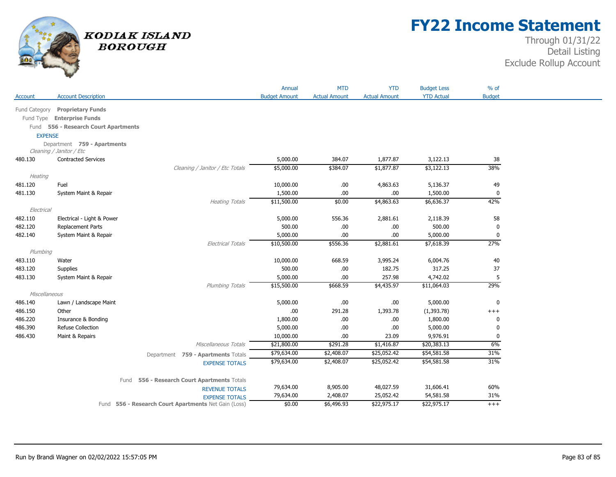

## **FY22 Income Statement**

|                    |                                      |                                                      | Annual               | <b>MTD</b>           | <b>YTD</b>           | <b>Budget Less</b> | $%$ of        |
|--------------------|--------------------------------------|------------------------------------------------------|----------------------|----------------------|----------------------|--------------------|---------------|
| Account            | <b>Account Description</b>           |                                                      | <b>Budget Amount</b> | <b>Actual Amount</b> | <b>Actual Amount</b> | <b>YTD Actual</b>  | <b>Budget</b> |
| Fund Category      | <b>Proprietary Funds</b>             |                                                      |                      |                      |                      |                    |               |
|                    | Fund Type Enterprise Funds           |                                                      |                      |                      |                      |                    |               |
|                    | Fund 556 - Research Court Apartments |                                                      |                      |                      |                      |                    |               |
| <b>EXPENSE</b>     |                                      |                                                      |                      |                      |                      |                    |               |
|                    | Department 759 - Apartments          |                                                      |                      |                      |                      |                    |               |
|                    | Cleaning / Janitor / Etc             |                                                      |                      |                      |                      |                    |               |
| 480.130            | <b>Contracted Services</b>           |                                                      | 5,000.00             | 384.07               | 1,877.87             | 3,122.13           | 38            |
|                    |                                      | Cleaning / Janitor / Etc Totals                      | \$5,000.00           | \$384.07             | \$1,877.87           | \$3,122.13         | 38%           |
| Heating            |                                      |                                                      |                      |                      |                      |                    |               |
| 481.120            | Fuel                                 |                                                      | 10,000.00            | .00.                 | 4,863.63             | 5,136.37           | 49            |
| 481.130            | System Maint & Repair                |                                                      | 1,500.00             | .00                  | .00                  | 1,500.00           | 0             |
|                    |                                      | <b>Heating Totals</b>                                | \$11,500.00          | \$0.00               | \$4,863.63           | \$6,636.37         | 42%           |
| Electrical         |                                      |                                                      |                      |                      |                      |                    |               |
| 482.110            | Electrical - Light & Power           |                                                      | 5,000.00             | 556.36               | 2,881.61             | 2,118.39           | 58            |
| 482.120            | Replacement Parts                    |                                                      | 500.00               | .00                  | .00                  | 500.00             | 0             |
| 482.140            | System Maint & Repair                |                                                      | 5,000.00             | .00                  | .00.                 | 5,000.00           | $\mathbf 0$   |
|                    |                                      | <b>Electrical Totals</b>                             | \$10,500.00          | \$556.36             | \$2,881.61           | \$7,618.39         | 27%           |
| Plumbing           |                                      |                                                      |                      |                      |                      |                    |               |
| 483.110<br>483.120 | Water                                |                                                      | 10,000.00<br>500.00  | 668.59               | 3,995.24<br>182.75   | 6,004.76<br>317.25 | 40            |
| 483.130            | Supplies<br>System Maint & Repair    |                                                      | 5,000.00             | .00<br>.00           | 257.98               | 4,742.02           | 37<br>5       |
|                    |                                      | Plumbing Totals                                      | \$15,500.00          | \$668.59             | \$4,435.97           | \$11,064.03        | 29%           |
| Miscellaneous      |                                      |                                                      |                      |                      |                      |                    |               |
| 486.140            | Lawn / Landscape Maint               |                                                      | 5,000.00             | .00                  | .00                  | 5,000.00           | $\pmb{0}$     |
| 486.150            | Other                                |                                                      | .00                  | 291.28               | 1,393.78             | (1, 393.78)        | $^{+++}$      |
| 486.220            | Insurance & Bonding                  |                                                      | 1,800.00             | .00.                 | .00                  | 1,800.00           | 0             |
| 486.390            | <b>Refuse Collection</b>             |                                                      | 5,000.00             | .00                  | .00                  | 5,000.00           | 0             |
| 486.430            | Maint & Repairs                      |                                                      | 10,000.00            | .00                  | 23.09                | 9,976.91           | $\mathbf 0$   |
|                    |                                      | Miscellaneous Totals                                 | \$21,800.00          | \$291.28             | \$1,416.87           | \$20,383.13        | 6%            |
|                    |                                      | Department 759 - Apartments Totals                   | \$79,634.00          | \$2,408.07           | \$25,052.42          | \$54,581.58        | 31%           |
|                    |                                      | <b>EXPENSE TOTALS</b>                                | \$79,634.00          | \$2,408.07           | \$25,052.42          | \$54,581.58        | 31%           |
|                    |                                      |                                                      |                      |                      |                      |                    |               |
|                    |                                      | 556 - Research Court Apartments Totals<br>Fund       |                      |                      |                      |                    |               |
|                    |                                      | <b>REVENUE TOTALS</b>                                | 79,634.00            | 8,905.00             | 48,027.59            | 31,606.41          | 60%           |
|                    |                                      | <b>EXPENSE TOTALS</b>                                | 79,634.00            | 2,408.07             | 25,052.42            | 54,581.58          | 31%           |
|                    |                                      | Fund 556 - Research Court Apartments Net Gain (Loss) | \$0.00               | \$6,496.93           | \$22,975.17          | \$22,975.17        | $^{+++}$      |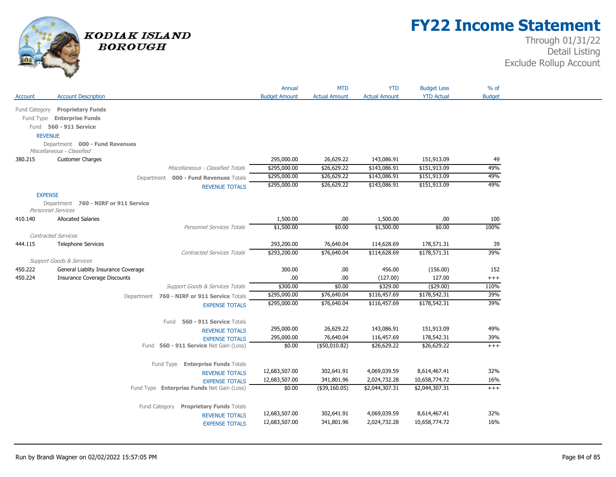

## **FY22 Income Statement**

|                |                                                            |                                                                     | Annual                  | <b>MTD</b>                     | <b>YTD</b>                     | <b>Budget Less</b>              | $%$ of         |
|----------------|------------------------------------------------------------|---------------------------------------------------------------------|-------------------------|--------------------------------|--------------------------------|---------------------------------|----------------|
| Account        | <b>Account Description</b>                                 |                                                                     | <b>Budget Amount</b>    | <b>Actual Amount</b>           | <b>Actual Amount</b>           | <b>YTD Actual</b>               | <b>Budget</b>  |
| Fund Category  | <b>Proprietary Funds</b>                                   |                                                                     |                         |                                |                                |                                 |                |
|                | Fund Type Enterprise Funds                                 |                                                                     |                         |                                |                                |                                 |                |
|                | Fund 560 - 911 Service                                     |                                                                     |                         |                                |                                |                                 |                |
| <b>REVENUE</b> |                                                            |                                                                     |                         |                                |                                |                                 |                |
|                | Department 000 - Fund Revenues                             |                                                                     |                         |                                |                                |                                 |                |
|                | Miscellaneous - Classified                                 |                                                                     |                         |                                |                                |                                 |                |
| 380.215        | <b>Customer Charges</b>                                    |                                                                     | 295,000.00              | 26,629.22                      | 143,086.91                     | 151,913.09                      | 49             |
|                |                                                            | Miscellaneous - Classified Totals                                   | \$295,000.00            | \$26,629.22                    | \$143,086.91                   | \$151,913.09                    | 49%            |
|                |                                                            | Department 000 - Fund Revenues Totals                               | \$295,000.00            | \$26,629.22                    | \$143,086.91                   | \$151,913.09                    | 49%            |
|                |                                                            | <b>REVENUE TOTALS</b>                                               | \$295,000.00            | \$26,629.22                    | \$143,086.91                   | \$151,913.09                    | 49%            |
| <b>EXPENSE</b> |                                                            |                                                                     |                         |                                |                                |                                 |                |
|                | Department 760 - NIRF or 911 Service<br>Personnel Services |                                                                     |                         |                                |                                |                                 |                |
| 410.140        | <b>Allocated Salaries</b>                                  |                                                                     | 1,500.00                | .00.                           | 1,500.00                       | .00                             | 100            |
|                |                                                            | Personnel Services Totals                                           | \$1,500.00              | \$0.00                         | \$1,500.00                     | \$0.00                          | 100%           |
|                | <b>Contracted Services</b>                                 |                                                                     |                         |                                |                                |                                 |                |
| 444.115        | <b>Telephone Services</b>                                  |                                                                     | 293,200.00              | 76,640.04                      | 114,628.69                     | 178,571.31                      | 39             |
|                |                                                            | <b>Contracted Services Totals</b>                                   | \$293,200.00            | \$76,640.04                    | \$114,628.69                   | \$178,571.31                    | 39%            |
|                | <b>Support Goods &amp; Services</b>                        |                                                                     |                         |                                |                                |                                 |                |
| 450.222        | General Liablity Insurance Coverage                        |                                                                     | 300.00                  | .00.                           | 456.00                         | (156.00)                        | 152            |
| 450.224        | <b>Insurance Coverage Discounts</b>                        | Support Goods & Services Totals                                     | .00<br>\$300.00         | .00.<br>\$0.00                 | (127.00)<br>\$329.00           | 127.00<br>(\$29.00)             | $++++$<br>110% |
|                |                                                            |                                                                     | \$295,000.00            | \$76,640.04                    | \$116,457.69                   | \$178,542.31                    | 39%            |
|                |                                                            | Department 760 - NIRF or 911 Service Totals                         | \$295,000.00            | \$76,640.04                    | \$116,457.69                   | \$178,542.31                    | 39%            |
|                |                                                            | <b>EXPENSE TOTALS</b>                                               |                         |                                |                                |                                 |                |
|                |                                                            | Fund 560 - 911 Service Totals                                       |                         |                                |                                |                                 |                |
|                |                                                            | <b>REVENUE TOTALS</b>                                               | 295,000.00              | 26,629.22                      | 143,086.91                     | 151,913.09                      | 49%            |
|                |                                                            | <b>EXPENSE TOTALS</b>                                               | 295,000.00              | 76,640.04                      | 116,457.69                     | 178,542.31                      | 39%            |
|                |                                                            | Fund 560 - 911 Service Net Gain (Loss)                              | \$0.00                  | (\$50,010.82)                  | \$26,629.22                    | \$26,629.22                     | $+++$          |
|                |                                                            |                                                                     |                         |                                |                                |                                 |                |
|                |                                                            | Fund Type Enterprise Funds Totals                                   |                         |                                |                                |                                 |                |
|                |                                                            | <b>REVENUE TOTALS</b>                                               | 12,683,507.00           | 302,641.91                     | 4,069,039.59                   | 8,614,467.41                    | 32%            |
|                |                                                            | <b>EXPENSE TOTALS</b><br>Fund Type Enterprise Funds Net Gain (Loss) | 12,683,507.00<br>\$0.00 | 341,801.96<br>$($ \$39,160.05) | 2,024,732.28<br>\$2,044,307.31 | 10,658,774.72<br>\$2,044,307.31 | 16%<br>$+++$   |
|                |                                                            |                                                                     |                         |                                |                                |                                 |                |
|                |                                                            | Fund Category Proprietary Funds Totals                              |                         |                                |                                |                                 |                |
|                |                                                            | <b>REVENUE TOTALS</b>                                               | 12,683,507.00           | 302,641.91                     | 4,069,039.59                   | 8,614,467.41                    | 32%            |
|                |                                                            | <b>EXPENSE TOTALS</b>                                               | 12,683,507.00           | 341,801.96                     | 2,024,732.28                   | 10,658,774.72                   | 16%            |
|                |                                                            |                                                                     |                         |                                |                                |                                 |                |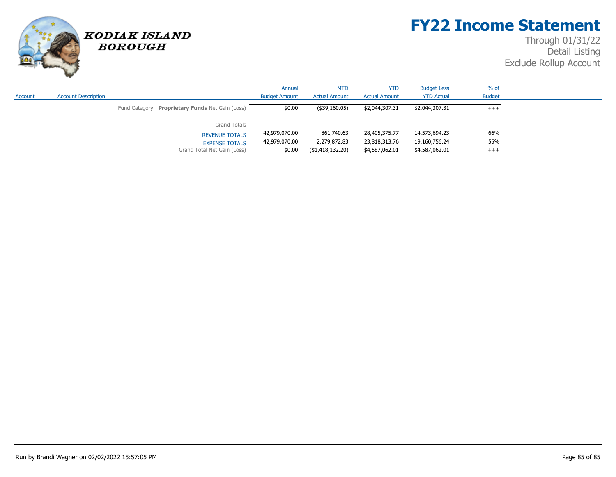# **FY22 Income Statement**

## Through 01/31/22 Detail Listing Exclude Rollup Account



**BOROUGH** 

|         |                            |                                                 | Annual               | <b>MTD</b>           | <b>YTD</b>           | <b>Budget Less</b> | % of          |  |
|---------|----------------------------|-------------------------------------------------|----------------------|----------------------|----------------------|--------------------|---------------|--|
| Account | <b>Account Description</b> |                                                 | <b>Budget Amount</b> | <b>Actual Amount</b> | <b>Actual Amount</b> | <b>YTD Actual</b>  | <b>Budget</b> |  |
|         |                            | Fund Category Proprietary Funds Net Gain (Loss) | \$0.00               | (\$39,160.05)        | \$2,044,307.31       | \$2,044,307.31     | $+++$         |  |
|         |                            | <b>Grand Totals</b>                             |                      |                      |                      |                    |               |  |
|         |                            | <b>REVENUE TOTALS</b>                           | 42,979,070.00        | 861,740.63           | 28,405,375.77        | 14,573,694.23      | 66%           |  |
|         |                            | <b>EXPENSE TOTALS</b>                           | 42,979,070.00        | 2,279,872.83         | 23,818,313.76        | 19,160,756.24      | 55%           |  |
|         |                            | Grand Total Net Gain (Loss)                     | \$0.00               | ( \$1,418,132.20)    | \$4,587,062.01       | \$4,587,062.01     | $+++$         |  |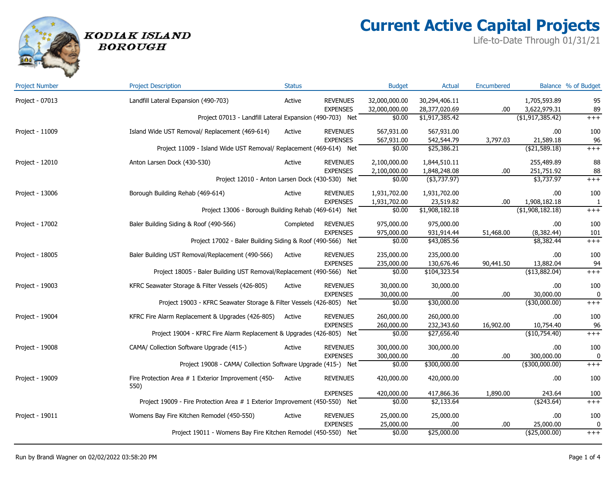

# **Current Active Capital Projects**

Life-to-Date Through 01/31/21

| <b>Project Number</b> | <b>Project Description</b>                                                  | <b>Status</b> |                 | <b>Budget</b> | <b>Actual</b>  | Encumbered |                     | Balance % of Budget |
|-----------------------|-----------------------------------------------------------------------------|---------------|-----------------|---------------|----------------|------------|---------------------|---------------------|
| Project - 07013       | Landfill Lateral Expansion (490-703)                                        | Active        | <b>REVENUES</b> | 32,000,000.00 | 30,294,406.11  |            | 1,705,593.89        | 95                  |
|                       |                                                                             |               | <b>EXPENSES</b> | 32,000,000.00 | 28,377,020.69  | .00        | 3,622,979.31        | 89                  |
|                       | Project 07013 - Landfill Lateral Expansion (490-703) Net                    |               |                 | \$0.00        | \$1,917,385.42 |            | (\$1,917,385.42)    | $+++$               |
| Project - 11009       | Island Wide UST Removal/ Replacement (469-614)                              | Active        | <b>REVENUES</b> | 567,931.00    | 567,931.00     |            | .00                 | 100                 |
|                       |                                                                             |               | <b>EXPENSES</b> | 567,931.00    | 542,544.79     | 3,797.03   | 21,589.18           | 96                  |
|                       | Project 11009 - Island Wide UST Removal/ Replacement (469-614) Net          |               |                 | \$0.00        | \$25,386.21    |            | ( \$21,589.18)      | $+++$               |
| Project - 12010       | Anton Larsen Dock (430-530)                                                 | Active        | <b>REVENUES</b> | 2,100,000.00  | 1,844,510.11   |            | 255,489.89          | 88                  |
|                       |                                                                             |               | <b>EXPENSES</b> | 2,100,000.00  | 1,848,248.08   | .00        | 251,751.92          | 88                  |
|                       | Project 12010 - Anton Larsen Dock (430-530) Net                             |               |                 | \$0.00        | $(*3,737.97)$  |            | \$3,737.97          | $^{+++}$            |
| Project - 13006       | Borough Building Rehab (469-614)                                            | Active        | <b>REVENUES</b> | 1,931,702.00  | 1,931,702.00   |            | .00                 | 100                 |
|                       |                                                                             |               | <b>EXPENSES</b> | 1,931,702.00  | 23,519.82      | .00        | 1,908,182.18        | $\mathbf{1}$        |
|                       | Project 13006 - Borough Building Rehab (469-614) Net                        |               |                 | \$0.00        | \$1,908,182.18 |            | $($ \$1,908,182.18) | $^{+++}$            |
| Project - 17002       | Baler Building Siding & Roof (490-566)                                      | Completed     | <b>REVENUES</b> | 975,000.00    | 975,000.00     |            | .00.                | 100                 |
|                       |                                                                             |               | <b>EXPENSES</b> | 975,000.00    | 931,914.44     | 51,468.00  | (8,382.44)          | 101                 |
|                       | Project 17002 - Baler Building Siding & Roof (490-566) Net                  |               |                 | \$0.00        | \$43,085.56    |            | \$8,382.44          | $^{+++}$            |
| Project - 18005       | Baler Building UST Removal/Replacement (490-566)                            | Active        | <b>REVENUES</b> | 235,000.00    | 235,000.00     |            | .00.                | 100                 |
|                       |                                                                             |               | <b>EXPENSES</b> | 235,000.00    | 130,676.46     | 90,441.50  | 13,882.04           | 94                  |
|                       | Project 18005 - Baler Building UST Removal/Replacement (490-566) Net        |               |                 | \$0.00        | \$104,323.54   |            | (\$13,882.04)       | $^{+++}$            |
| Project - 19003       | KFRC Seawater Storage & Filter Vessels (426-805)                            | Active        | <b>REVENUES</b> | 30,000.00     | 30,000.00      |            | .00                 | 100                 |
|                       |                                                                             |               | <b>EXPENSES</b> | 30,000.00     | .00.           | .00        | 30,000.00           | 0                   |
|                       | Project 19003 - KFRC Seawater Storage & Filter Vessels (426-805) Net        |               |                 | \$0.00        | \$30,000.00    |            | $($ \$30,000.00)    | $+++$               |
| Project - 19004       | KFRC Fire Alarm Replacement & Upgrades (426-805)                            | Active        | <b>REVENUES</b> | 260,000.00    | 260,000.00     |            | .00                 | 100                 |
|                       |                                                                             |               | <b>EXPENSES</b> | 260,000.00    | 232,343.60     | 16,902.00  | 10,754.40           | 96                  |
|                       | Project 19004 - KFRC Fire Alarm Replacement & Upgrades (426-805) Net        |               |                 | \$0.00        | \$27,656.40    |            | (\$10,754.40)       | $^{+++}$            |
| Project - 19008       | CAMA/ Collection Software Upgrade (415-)                                    | Active        | <b>REVENUES</b> | 300,000.00    | 300,000.00     |            | .00.                | 100                 |
|                       |                                                                             |               | <b>EXPENSES</b> | 300,000.00    | .00.           | .00        | 300,000.00          | 0                   |
|                       | Project 19008 - CAMA/ Collection Software Upgrade (415-) Net                |               |                 | \$0.00        | \$300,000.00   |            | $($ \$300,000.00)   | $+++$               |
| Project - 19009       | Fire Protection Area # 1 Exterior Improvement (450-<br>550)                 | Active        | <b>REVENUES</b> | 420,000.00    | 420,000.00     |            | .00.                | 100                 |
|                       |                                                                             |               | <b>EXPENSES</b> | 420,000.00    | 417,866.36     | 1,890.00   | 243.64              | 100                 |
|                       | Project 19009 - Fire Protection Area # 1 Exterior Improvement (450-550) Net |               |                 | \$0.00        | \$2,133.64     |            | (\$243.64)          | $+++$               |
| Project - 19011       | Womens Bay Fire Kitchen Remodel (450-550)                                   | Active        | <b>REVENUES</b> | 25,000.00     | 25,000.00      |            | .00.                | 100                 |
|                       |                                                                             |               | <b>EXPENSES</b> | 25,000.00     | .00            | .00        | 25,000.00           | 0                   |
|                       | Project 19011 - Womens Bay Fire Kitchen Remodel (450-550) Net               |               |                 | \$0.00        | \$25,000.00    |            | $($ \$25,000.00)    | $+++$               |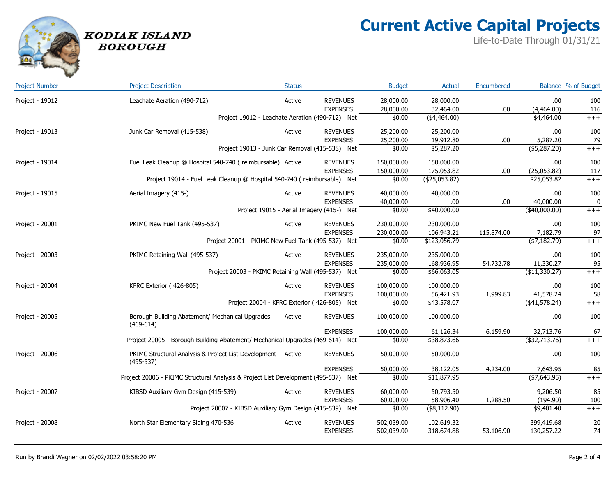# **Current Active Capital Projects**

Life-to-Date Through 01/31/21



#### KODIAK ISLAND **BOROUGH**

| <b>Project Number</b> | <b>Project Description</b>                                                         | <b>Status</b> |                                             | <b>Budget</b>          | <b>Actual</b>           | Encumbered |                             | Balance % of Budget |
|-----------------------|------------------------------------------------------------------------------------|---------------|---------------------------------------------|------------------------|-------------------------|------------|-----------------------------|---------------------|
| Project - 19012       | Leachate Aeration (490-712)                                                        | Active        | <b>REVENUES</b><br><b>EXPENSES</b>          | 28,000.00<br>28,000.00 | 28,000.00<br>32,464.00  | .00        | .00.<br>(4,464.00)          | 100<br>116          |
|                       | Project 19012 - Leachate Aeration (490-712) Net                                    |               |                                             | \$0.00                 | $(*4,464.00)$           |            | \$4,464.00                  | $++++$              |
| Project - 19013       | Junk Car Removal (415-538)                                                         | Active        | <b>REVENUES</b><br><b>EXPENSES</b>          | 25,200.00              | 25,200.00               |            | .00.                        | 100                 |
|                       | Project 19013 - Junk Car Removal (415-538) Net                                     |               |                                             | 25,200.00<br>\$0.00    | 19,912.80<br>\$5,287.20 | .00        | 5,287.20<br>$($ \$5,287.20) | 79<br>$++++$        |
| Project - 19014       | Fuel Leak Cleanup @ Hospital 540-740 (reimbursable) Active                         |               | <b>REVENUES</b>                             | 150,000.00             | 150,000.00              |            | .00                         | 100                 |
|                       |                                                                                    |               | <b>EXPENSES</b>                             | 150,000.00             | 175,053.82              | .00        | (25,053.82)                 | 117                 |
|                       | Project 19014 - Fuel Leak Cleanup @ Hospital 540-740 (reimbursable) Net            |               |                                             | \$0.00                 | (425,053.82)            |            | \$25,053.82                 | $^{+++}$            |
| Project - 19015       | Aerial Imagery (415-)                                                              | Active        | <b>REVENUES</b>                             | 40,000.00              | 40,000.00               |            | .00                         | 100                 |
|                       |                                                                                    |               | <b>EXPENSES</b>                             | 40,000.00              | .00                     | .00        | 40,000.00                   | 0                   |
|                       |                                                                                    |               | Project 19015 - Aerial Imagery (415-) Net   | \$0.00                 | \$40,000.00             |            | $(*40,000.00)$              | $++++$              |
| Project - 20001       | PKIMC New Fuel Tank (495-537)                                                      | Active        | <b>REVENUES</b>                             | 230,000.00             | 230,000.00              |            | .00                         | 100                 |
|                       |                                                                                    |               | <b>EXPENSES</b>                             | 230,000.00             | 106,943.21              | 115,874.00 | 7,182.79                    | 97                  |
|                       | Project 20001 - PKIMC New Fuel Tank (495-537) Net                                  |               |                                             | \$0.00                 | \$123,056.79            |            | (\$7,182.79)                | $++++$              |
| Project - 20003       | PKIMC Retaining Wall (495-537)                                                     | Active        | <b>REVENUES</b>                             | 235,000.00             | 235,000.00              |            | .00                         | 100                 |
|                       |                                                                                    |               | <b>EXPENSES</b>                             | 235,000.00             | 168,936.95              | 54,732.78  | 11,330.27                   | 95                  |
|                       | Project 20003 - PKIMC Retaining Wall (495-537) Net                                 |               |                                             | \$0.00                 | \$66,063.05             |            | (\$11,330.27)               | $++++$              |
| Project - 20004       | KFRC Exterior (426-805)                                                            | Active        | <b>REVENUES</b>                             | 100,000.00             | 100,000.00              |            | .00                         | 100                 |
|                       |                                                                                    |               | <b>EXPENSES</b>                             | 100,000.00             | 56,421.93               | 1,999.83   | 41,578.24                   | 58                  |
|                       |                                                                                    |               | Project 20004 - KFRC Exterior (426-805) Net | \$0.00                 | \$43,578.07             |            | $($ \$41,578.24)            | $++++$              |
| Project - 20005       | Borough Building Abatement/ Mechanical Upgrades<br>$(469 - 614)$                   | Active        | <b>REVENUES</b>                             | 100,000.00             | 100,000.00              |            | .00.                        | 100                 |
|                       |                                                                                    |               | <b>EXPENSES</b>                             | 100,000.00             | 61,126.34               | 6,159.90   | 32,713.76                   | 67                  |
|                       | Project 20005 - Borough Building Abatement/ Mechanical Upgrades (469-614) Net      |               |                                             | \$0.00                 | \$38,873.66             |            | (\$32,713.76)               | $++++$              |
| Project - 20006       | PKIMC Structural Analysis & Project List Development Active<br>$(495 - 537)$       |               | <b>REVENUES</b>                             | 50,000.00              | 50,000.00               |            | .00.                        | 100                 |
|                       |                                                                                    |               | <b>EXPENSES</b>                             | 50,000.00              | 38,122.05               | 4,234.00   | 7,643.95                    | 85                  |
|                       | Project 20006 - PKIMC Structural Analysis & Project List Development (495-537) Net |               |                                             | \$0.00                 | \$11,877.95             |            | $(*7,643.95)$               | $++++$              |
| Project - 20007       | KIBSD Auxiliary Gym Design (415-539)                                               | Active        | <b>REVENUES</b>                             | 60,000.00              | 50,793.50               |            | 9,206.50                    | 85                  |
|                       |                                                                                    |               | <b>EXPENSES</b>                             | 60,000.00              | 58,906.40               | 1,288.50   | (194.90)                    | 100                 |
|                       | Project 20007 - KIBSD Auxiliary Gym Design (415-539) Net                           |               |                                             | \$0.00                 | (\$8,112.90)            |            | \$9,401.40                  | $++++$              |
| Project - 20008       | North Star Elementary Siding 470-536                                               | Active        | <b>REVENUES</b>                             | 502,039.00             | 102,619.32              |            | 399,419.68                  | 20                  |
|                       |                                                                                    |               | <b>EXPENSES</b>                             | 502,039.00             | 318,674.88              | 53,106.90  | 130,257.22                  | 74                  |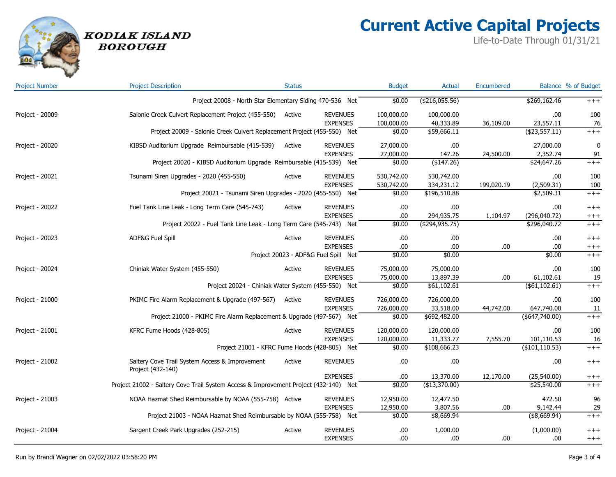**Current Active Capital Projects**

Life-to-Date Through 01/31/21

| <b>Project Number</b> | <b>Project Description</b>                                                           | <b>Status</b> |                                      | <b>Budget</b> | Actual           | Encumbered |                  | Balance % of Budget |
|-----------------------|--------------------------------------------------------------------------------------|---------------|--------------------------------------|---------------|------------------|------------|------------------|---------------------|
|                       | Project 20008 - North Star Elementary Siding 470-536 Net                             |               |                                      | \$0.00        | (\$216,055.56)   |            | \$269,162.46     | $^{+++}$            |
| Project - 20009       | Salonie Creek Culvert Replacement Project (455-550)                                  | Active        | <b>REVENUES</b>                      | 100,000.00    | 100,000.00       |            | .00              | 100                 |
|                       |                                                                                      |               | <b>EXPENSES</b>                      | 100,000.00    | 40,333.89        | 36,109.00  | 23,557.11        | 76                  |
|                       | Project 20009 - Salonie Creek Culvert Replacement Project (455-550) Net              |               |                                      | \$0.00        | \$59,666.11      |            | $($ \$23,557.11) | $+++$               |
| Project - 20020       | KIBSD Auditorium Upgrade Reimbursable (415-539)                                      | Active        | <b>REVENUES</b>                      | 27,000.00     | .00              |            | 27,000.00        | $\mathbf{0}$        |
|                       |                                                                                      |               | <b>EXPENSES</b>                      | 27,000.00     | 147.26           | 24,500.00  | 2,352.74         | 91                  |
|                       | Project 20020 - KIBSD Auditorium Upgrade Reimbursable (415-539) Net                  |               |                                      | \$0.00        | (\$147.26)       |            | \$24,647.26      | $^{+++}$            |
| Project - 20021       | Tsunami Siren Upgrades - 2020 (455-550)                                              | Active        | <b>REVENUES</b>                      | 530,742.00    | 530,742.00       |            | .00              | 100                 |
|                       |                                                                                      |               | <b>EXPENSES</b>                      | 530,742.00    | 334,231.12       | 199,020.19 | (2,509.31)       | 100                 |
|                       | Project 20021 - Tsunami Siren Upgrades - 2020 (455-550) Net                          |               |                                      | \$0.00        | \$196,510.88     |            | \$2,509.31       | $^{+++}$            |
| Project - 20022       | Fuel Tank Line Leak - Long Term Care (545-743)                                       | Active        | <b>REVENUES</b>                      | .00           | .00              |            | .00              | $++++$              |
|                       |                                                                                      |               | <b>EXPENSES</b>                      | .00           | 294,935.75       | 1,104.97   | (296, 040.72)    | $^{+++}$            |
|                       | Project 20022 - Fuel Tank Line Leak - Long Term Care (545-743) Net                   |               |                                      | \$0.00        | ( \$294, 935.75) |            | \$296,040.72     | $+++$               |
| Project - 20023       | ADF&G Fuel Spill                                                                     | Active        | <b>REVENUES</b>                      | .00           | .00              |            | .00              | $^{+++}$            |
|                       |                                                                                      |               | <b>EXPENSES</b>                      | .00           | .00              | .00        | .00              | $^{+++}$            |
|                       |                                                                                      |               | Project 20023 - ADF&G Fuel Spill Net | \$0.00        | \$0.00           |            | \$0.00           | $^{+++}$            |
| Project - 20024       | Chiniak Water System (455-550)                                                       | Active        | <b>REVENUES</b>                      | 75,000.00     | 75,000.00        |            | .00              | 100                 |
|                       |                                                                                      |               | <b>EXPENSES</b>                      | 75,000.00     | 13,897.39        | .00        | 61,102.61        | 19                  |
|                       | Project 20024 - Chiniak Water System (455-550) Net                                   |               |                                      | \$0.00        | \$61,102.61      |            | (\$1,102.61)     | $^{+++}$            |
| Project - 21000       | PKIMC Fire Alarm Replacement & Upgrade (497-567)                                     | Active        | <b>REVENUES</b>                      | 726,000.00    | 726,000.00       |            | .00              | 100                 |
|                       |                                                                                      |               | <b>EXPENSES</b>                      | 726,000.00    | 33,518.00        | 44,742.00  | 647,740.00       | 11                  |
|                       | Project 21000 - PKIMC Fire Alarm Replacement & Upgrade (497-567) Net                 |               |                                      | \$0.00        | \$692,482.00     |            | (\$647,740.00)   | $^{+++}$            |
| Project - 21001       | KFRC Fume Hoods (428-805)                                                            | Active        | <b>REVENUES</b>                      | 120,000.00    | 120,000.00       |            | .00              | 100                 |
|                       |                                                                                      |               | <b>EXPENSES</b>                      | 120,000.00    | 11,333.77        | 7,555.70   | 101,110.53       | 16                  |
|                       | Project 21001 - KFRC Fume Hoods (428-805) Net                                        |               |                                      | \$0.00        | \$108,666.23     |            | (\$101, 110.53)  | $^{+++}$            |
| Project - 21002       | Saltery Cove Trail System Access & Improvement<br>Project (432-140)                  | Active        | <b>REVENUES</b>                      | .00           | .00              |            | .00              | $^{+++}$            |
|                       |                                                                                      |               | <b>EXPENSES</b>                      | .00           | 13,370.00        | 12,170.00  | (25,540.00)      | $^{+++}$            |
|                       | Project 21002 - Saltery Cove Trail System Access & Improvement Project (432-140) Net |               |                                      | \$0.00        | (\$13,370.00)    |            | \$25,540.00      | $+++$               |
| Project - 21003       | NOAA Hazmat Shed Reimbursable by NOAA (555-758) Active                               |               | <b>REVENUES</b>                      | 12,950.00     | 12,477.50        |            | 472.50           | 96                  |
|                       | <b>EXPENSES</b>                                                                      |               |                                      | 12,950.00     | 3,807.56         | .00        | 9,142.44         | 29                  |
|                       | Project 21003 - NOAA Hazmat Shed Reimbursable by NOAA (555-758) Net                  |               |                                      | \$0.00        | \$8,669.94       |            | (\$8,669.94)     | $+++$               |
| Project - 21004       | Sargent Creek Park Upgrades (252-215)                                                | Active        | <b>REVENUES</b>                      | .00           | 1,000.00         |            | (1,000.00)       | $^{+++}$            |
|                       |                                                                                      |               | <b>EXPENSES</b>                      | .00           | .00              | .00.       | .00.             | $++++$              |